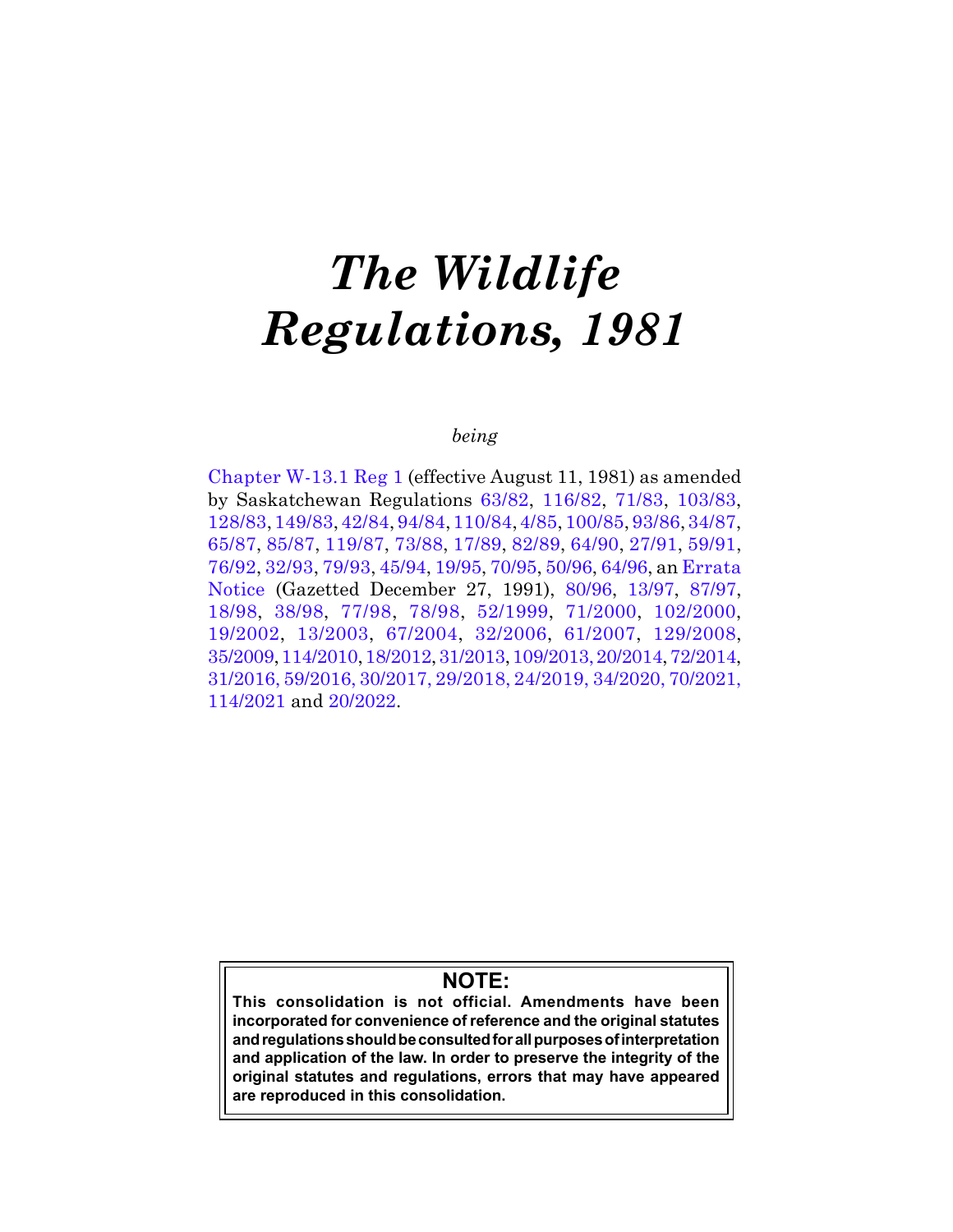# *The Wildlife Regulations, 1981*

# *being*

[Chapter W-13.1 Reg 1](https://publications.saskatchewan.ca:443/api/v1/products/106139/formats/118662/download) (effective August 11, 1981) as amended by Saskatchewan Regulations [63/82](https://publications.saskatchewan.ca:443/api/v1/products/105662/formats/118005/download), [116/82,](https://publications.saskatchewan.ca:443/api/v1/products/105675/formats/118031/download) [71/83,](https://publications.saskatchewan.ca:443/api/v1/products/105210/formats/117376/download) [103/83](https://publications.saskatchewan.ca:443/api/v1/products/105220/formats/117390/download), [128/83](https://publications.saskatchewan.ca:443/api/v1/products/105222/formats/117394/download), [149/83](https://publications.saskatchewan.ca:443/api/v1/products/105224/formats/117398/download), [42/84](https://publications.saskatchewan.ca:443/api/v1/products/104802/formats/116729/download), [94/84](https://publications.saskatchewan.ca:443/api/v1/products/104812/formats/116750/download), [110/84](https://publications.saskatchewan.ca:443/api/v1/products/104815/formats/116756/download), [4/85](https://publications.saskatchewan.ca:443/api/v1/products/104294/formats/116087/download), [100/85](https://publications.saskatchewan.ca:443/api/v1/products/104331/formats/116145/download), [93/86](https://publications.saskatchewan.ca:443/api/v1/products/103838/formats/115241/download), [34/87](https://publications.saskatchewan.ca:443/api/v1/products/103250/formats/114479/download), [65/87,](https://publications.saskatchewan.ca:443/api/v1/products/103262/formats/114499/download) [85/87](https://publications.saskatchewan.ca:443/api/v1/products/103264/formats/114503/download), [119/87](https://publications.saskatchewan.ca:443/api/v1/products/103276/formats/114527/download), [73/88,](https://publications.saskatchewan.ca:443/api/v1/products/102658/formats/113775/download) [17/89](https://publications.saskatchewan.ca:443/api/v1/products/102478/formats/113441/download), [82/89](https://publications.saskatchewan.ca:443/api/v1/products/102503/formats/113491/download), [64/90,](https://publications.saskatchewan.ca:443/api/v1/products/102356/formats/113226/download) [27/91,](https://publications.saskatchewan.ca:443/api/v1/products/87359/formats/103989/download) [59/91](https://publications.saskatchewan.ca:443/api/v1/products/87367/formats/104005/download), [76/92,](https://publications.saskatchewan.ca:443/api/v1/products/86973/formats/101191/download) [32/93,](https://publications.saskatchewan.ca:443/api/v1/products/66645/formats/73976/download) [79/93](https://publications.saskatchewan.ca:443/api/v1/products/66654/formats/73985/download), [45/94,](https://publications.saskatchewan.ca:443/api/v1/products/4014/formats/7618/download) [19/95,](https://publications.saskatchewan.ca:443/api/v1/products/3977/formats/7544/download) [70/95](https://publications.saskatchewan.ca:443/api/v1/products/3994/formats/7578/download), [50/96,](https://publications.saskatchewan.ca:443/api/v1/products/3951/formats/7492/download) [64/96](https://publications.saskatchewan.ca:443/api/v1/products/3954/formats/7498/download), an [Errata](https://publications.saskatchewan.ca:443/api/v1/products/87383/formats/104037/download)  [Notice](https://publications.saskatchewan.ca:443/api/v1/products/87383/formats/104037/download) (Gazetted December 27, 1991), [80/96](https://publications.saskatchewan.ca:443/api/v1/products/3959/formats/7508/download), [13/97](https://publications.saskatchewan.ca:443/api/v1/products/3906/formats/7402/download), [87/97](https://publications.saskatchewan.ca:443/api/v1/products/3924/formats/7438/download), [18/98](https://publications.saskatchewan.ca:443/api/v1/products/2875/formats/5343/download), [38/98](https://publications.saskatchewan.ca:443/api/v1/products/2883/formats/5359/download), [77/98](https://publications.saskatchewan.ca:443/api/v1/products/2890/formats/5373/download), [78/98,](https://publications.saskatchewan.ca:443/api/v1/products/2890/formats/5373/download) [52/1999,](https://publications.saskatchewan.ca:443/api/v1/products/3311/formats/6213/download) [71/2000](https://publications.saskatchewan.ca:443/api/v1/products/3265/formats/6121/download), [102/2000](https://publications.saskatchewan.ca:443/api/v1/products/3275/formats/6141/download), [19/2002,](https://publications.saskatchewan.ca:443/api/v1/products/4152/formats/7894/download) [13/2003](https://publications.saskatchewan.ca:443/api/v1/products/4402/formats/8385/download), [67/2004](https://publications.saskatchewan.ca:443/api/v1/products/9413/formats/14209/download), [32/2006,](https://publications.saskatchewan.ca:443/api/v1/products/11876/formats/17622/download) [61/2007,](https://publications.saskatchewan.ca:443/api/v1/products/23465/formats/30212/download) [129/2008](https://publications.saskatchewan.ca:443/api/v1/products/26902/formats/34151/download), [35/2009](https://publications.saskatchewan.ca:443/api/v1/products/27569/formats/34659/download), [114/2010,](https://publications.saskatchewan.ca:443/api/v1/products/31331/formats/38345/download) [18/2012](https://publications.saskatchewan.ca:443/api/v1/products/63590/formats/70825/download), [31/2013,](https://publications.saskatchewan.ca:443/api/v1/products/67078/formats/74464/download) [109/2013,](https://publications.saskatchewan.ca:443/api/v1/products/69403/formats/77160/download) [20/2014,](https://publications.saskatchewan.ca:443/api/v1/products/70280/formats/78079/download) [72/2014](https://publications.saskatchewan.ca:443/api/v1/products/71353/formats/79325/download), [31/2016,](https://publications.saskatchewan.ca:443/api/v1/products/78447/formats/88179/download) [59/2016,](https://publications.saskatchewan.ca:443/api/v1/products/81079/formats/93036/download) [30/2017](https://publications.saskatchewan.ca:443/api/v1/products/84928/formats/98403/download), [29/2018,](https://publications.saskatchewan.ca:443/api/v1/products/89834/formats/106682/download) [24/2019](https://publications.saskatchewan.ca:443/api/v1/products/100330/formats/110714/download), [34/2020](https://publications.saskatchewan.ca:443/api/v1/products/104765/formats/116663/download), [70/2021](https://publications.saskatchewan.ca:443/api/v1/products/113134/formats/127239/download), [114/2021](https://publications.saskatchewan.ca:443/api/v1/products/115154/formats/130191/download) and [20/2022.](https://publications.saskatchewan.ca:443/api/v1/products/117547/formats/135008/download)

# **NOTE:**

**This consolidation is not official. Amendments have been incorporated for convenience of reference and the original statutes and regulations should be consulted for all purposes of interpretation and application of the law. In order to preserve the integrity of the original statutes and regulations, errors that may have appeared are reproduced in this consolidation.**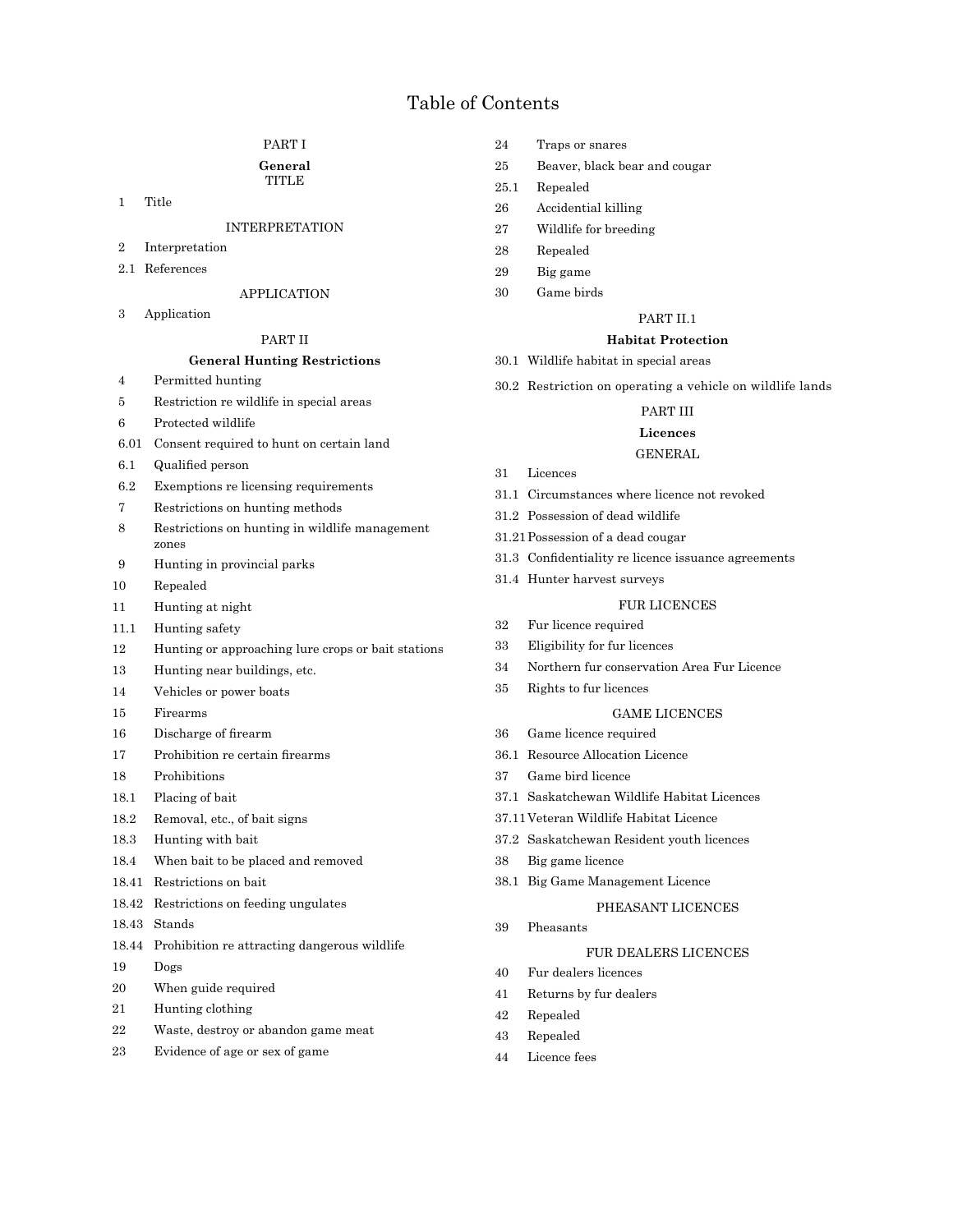# Table of Contents

# PART I

### **General** TITLE

1 Title

# INTERPRETATION

- 2 Interpretation
- 2.1 References

# APPLICATION

3 Application

# PART II

# **General Hunting Restrictions**

- 4 Permitted hunting
- 5 Restriction re wildlife in special areas
- 6 Protected wildlife
- 6.01 Consent required to hunt on certain land
- 6.1 Qualified person
- 6.2 Exemptions re licensing requirements
- 7 Restrictions on hunting methods
- 8 Restrictions on hunting in wildlife management zones
- 9 Hunting in provincial parks
- 10 Repealed
- 11 Hunting at night
- 11.1 Hunting safety
- 12 Hunting or approaching lure crops or bait stations
- 13 Hunting near buildings, etc.
- 14 Vehicles or power boats
- 15 Firearms
- 16 Discharge of firearm
- 17 Prohibition re certain firearms
- 18 Prohibitions
- 18.1 Placing of bait
- 18.2 Removal, etc., of bait signs
- 18.3 Hunting with bait
- 18.4 When bait to be placed and removed
- 18.41 Restrictions on bait
- 18.42 Restrictions on feeding ungulates
- 18.43 Stands
- 18.44 Prohibition re attracting dangerous wildlife
- 19 Dogs
- 20 When guide required
- 21 Hunting clothing
- 22 Waste, destroy or abandon game meat
- 23 Evidence of age or sex of game
- 24 Traps or snares
- 25 Beaver, black bear and cougar
- 25.1 Repealed
- 26 Accidential killing
- 27 Wildlife for breeding
- 28 Repealed
- 29 Big game
- 30 Game birds

# PART II.1

# **Habitat Protection**

- 30.1 Wildlife habitat in special areas
- 30.2 Restriction on operating a vehicle on wildlife lands

# PART III

# **Licences**

# GENERAL

- 31 Licences
- 31.1 Circumstances where licence not revoked
- 31.2 Possession of dead wildlife
- 31.21Possession of a dead cougar
- 31.3 Confidentiality re licence issuance agreements
- 31.4 Hunter harvest surveys

# FUR LICENCES

- 32 Fur licence required
- 33 Eligibility for fur licences
- 34 Northern fur conservation Area Fur Licence
- 35 Rights to fur licences

### GAME LICENCES

- 36 Game licence required
- 36.1 Resource Allocation Licence
- 37 Game bird licence
- 37.1 Saskatchewan Wildlife Habitat Licences
- 37.11Veteran Wildlife Habitat Licence
- 37.2 Saskatchewan Resident youth licences
- 38 Big game licence
- 38.1 Big Game Management Licence

# PHEASANT LICENCES

39 Pheasants

# FUR DEALERS LICENCES

- 40 Fur dealers licences
- 41 Returns by fur dealers
- 42 Repealed
- 43 Repealed
- 44 Licence fees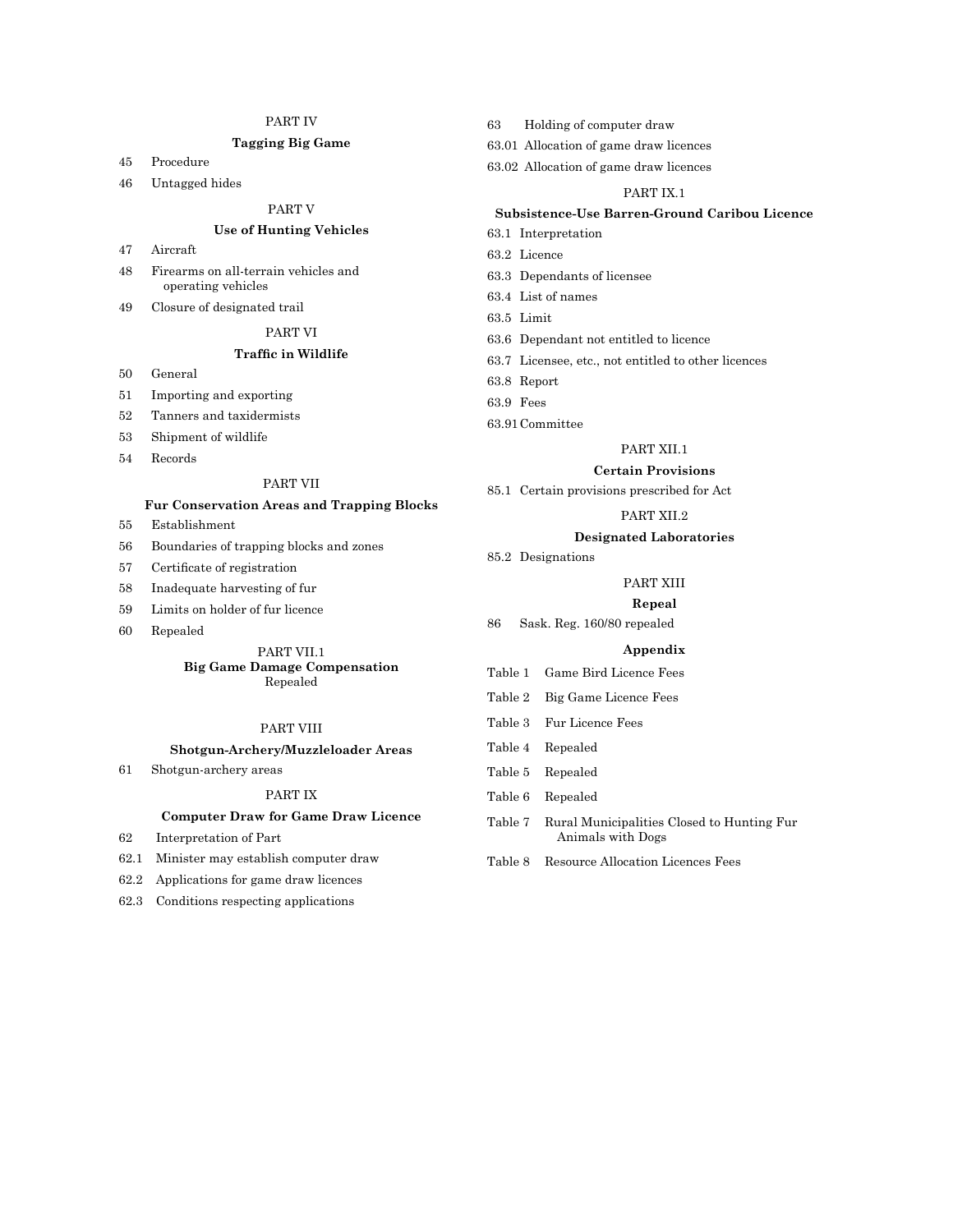# PART IV

# **Tagging Big Game**

- 45 Procedure
- 46 Untagged hides

# PART V

# **Use of Hunting Vehicles**

- 47 Aircraft
- 48 Firearms on all-terrain vehicles and operating vehicles
- 49 Closure of designated trail
	- PART VI

# **Traffic in Wildlife**

- 50 General
- 51 Importing and exporting
- 52 Tanners and taxidermists
- 53 Shipment of wildlife
- 54 Records

# PART VII

# **Fur Conservation Areas and Trapping Blocks**

- 55 Establishment
- 56 Boundaries of trapping blocks and zones
- 57 Certificate of registration
- 58 Inadequate harvesting of fur
- 59 Limits on holder of fur licence
- 60 Repealed

### PART VII.1 **Big Game Damage Compensation** Repealed

# PART VIII

### **Shotgun-Archery/Muzzleloader Areas**

61 Shotgun-archery areas

# PART IX

# **Computer Draw for Game Draw Licence**

- 62 Interpretation of Part
- 62.1 Minister may establish computer draw
- 62.2 Applications for game draw licences
- 62.3 Conditions respecting applications

63 Holding of computer draw

63.01 Allocation of game draw licences

63.02 Allocation of game draw licences

# PART IX.1

# **Subsistence-Use Barren-Ground Caribou Licence**

- 63.1 Interpretation
- 63.2 Licence
- 63.3 Dependants of licensee
- 63.4 List of names
- 63.5 Limit
- 63.6 Dependant not entitled to licence
- 63.7 Licensee, etc., not entitled to other licences
- 63.8 Report
- 63.9 Fees
- 63.91Committee

85.2 Designations

### PART XII.1

### **Certain Provisions**

85.1 Certain provisions prescribed for Act

# PART XII.2

# **Designated Laboratories**

# PART XIII

# **Repeal**

86 Sask. Reg. 160/80 repealed

# **Appendix**

- Table 1 Game Bird Licence Fees
- Table 2 Big Game Licence Fees
- Table 3 Fur Licence Fees
- Table 4 Repealed
- Table 5 Repealed
- Table 6 Repealed
- Table 7 Rural Municipalities Closed to Hunting Fur Animals with Dogs
- Table 8 Resource Allocation Licences Fees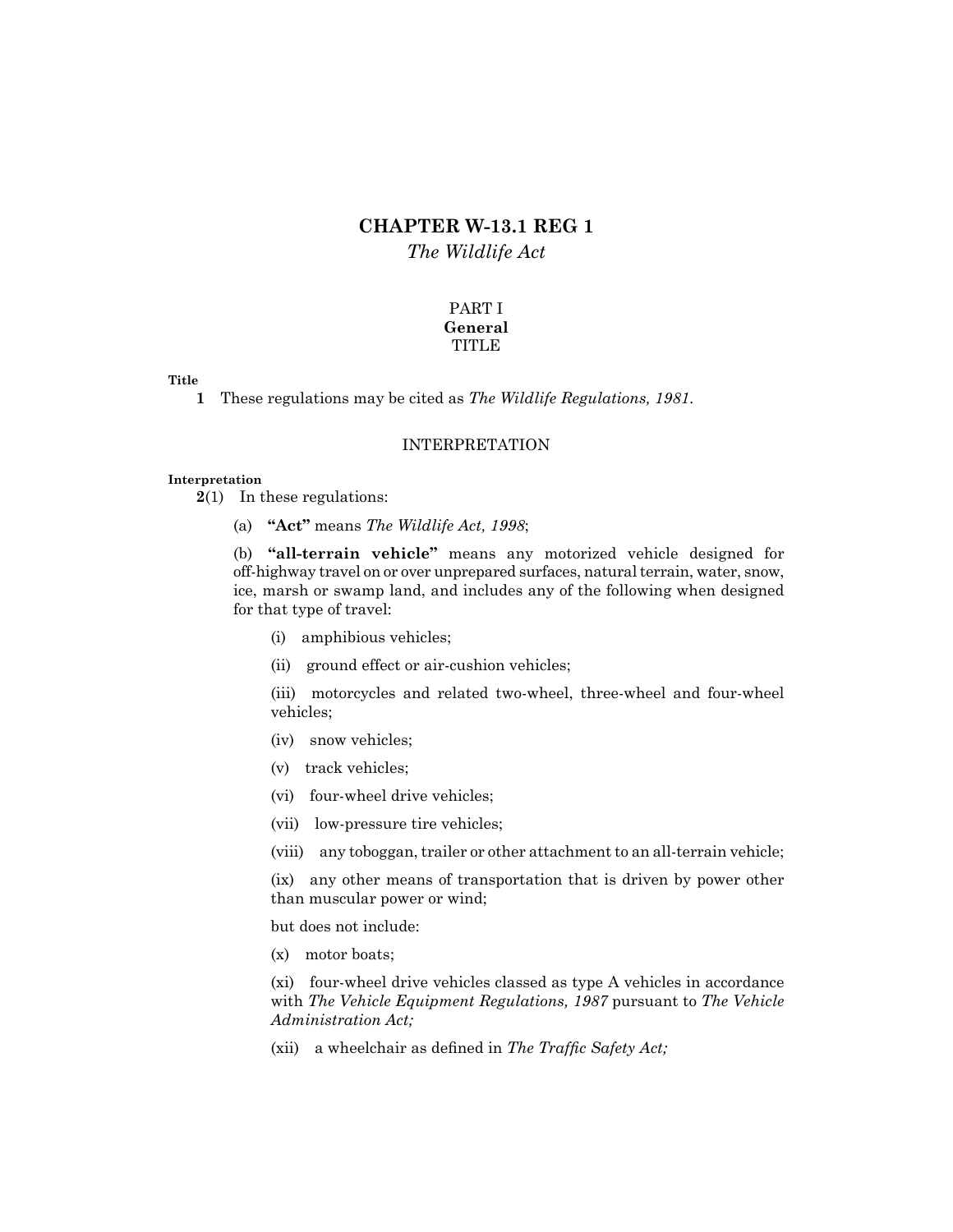# **CHAPTER W-13.1 REG 1** *The Wildlife Act*

# PART I **General TITLE**

# **Title**

**1** These regulations may be cited as *The Wildlife Regulations, 1981*.

# INTERPRETATION

# **Interpretation**

**2**(1) In these regulations:

(a) **"Act"** means *The Wildlife Act, 1998*;

(b) **"all-terrain vehicle"** means any motorized vehicle designed for off-highway travel on or over unprepared surfaces, natural terrain, water, snow, ice, marsh or swamp land, and includes any of the following when designed for that type of travel:

- (i) amphibious vehicles;
- (ii) ground effect or air-cushion vehicles;

(iii) motorcycles and related two-wheel, three-wheel and four-wheel vehicles;

- (iv) snow vehicles;
- (v) track vehicles;
- (vi) four-wheel drive vehicles;
- (vii) low-pressure tire vehicles;

(viii) any toboggan, trailer or other attachment to an all-terrain vehicle;

(ix) any other means of transportation that is driven by power other than muscular power or wind;

but does not include:

(x) motor boats;

(xi) four-wheel drive vehicles classed as type A vehicles in accordance with *The Vehicle Equipment Regulations, 1987* pursuant to *The Vehicle Administration Act;*

(xii) a wheelchair as defined in *The Traffic Safety Act;*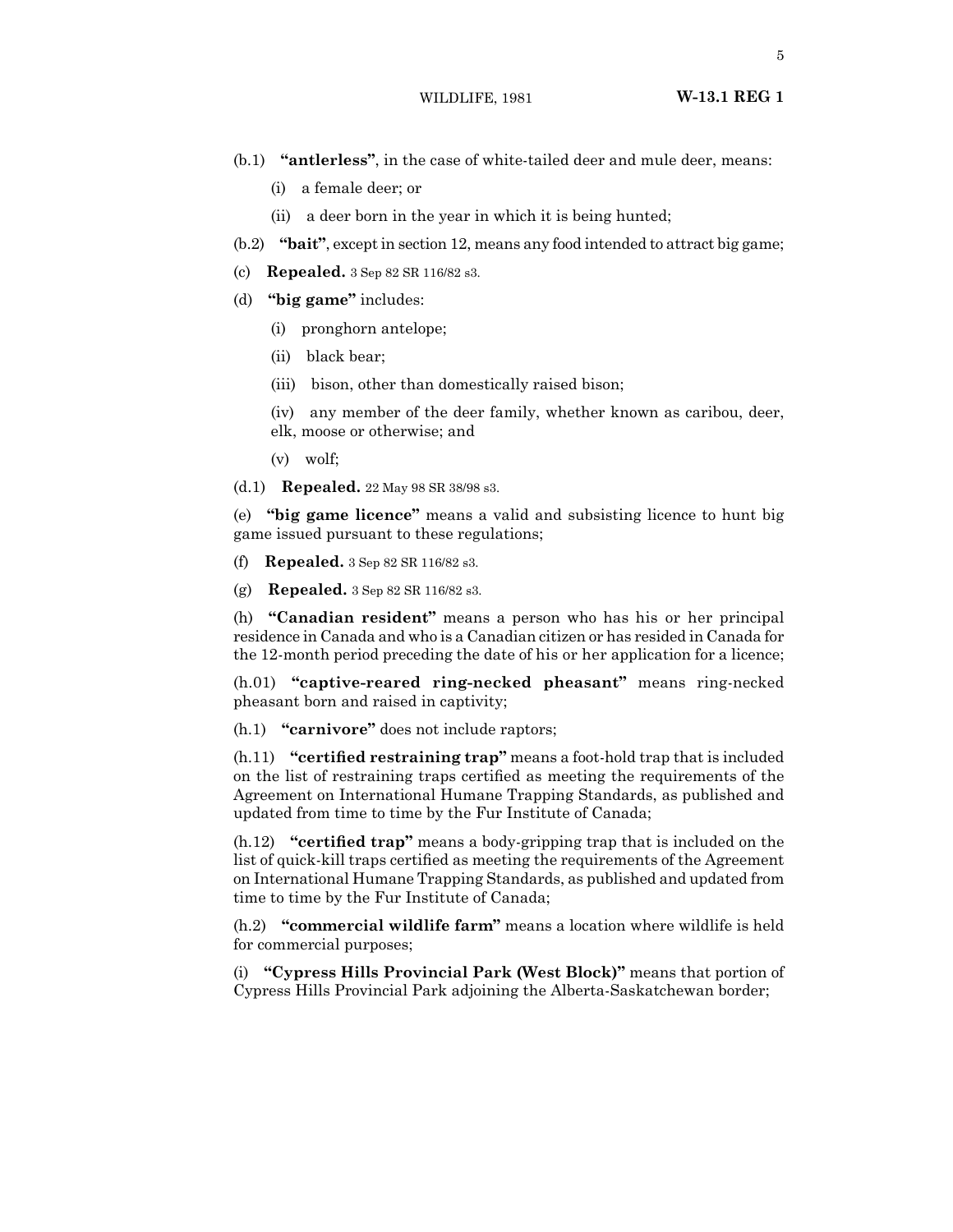- (b.1) **"antlerless"**, in the case of white-tailed deer and mule deer, means:
	- (i) a female deer; or
	- (ii) a deer born in the year in which it is being hunted;
- (b.2) **"bait"**, except in section 12, means any food intended to attract big game;
- (c) **Repealed.** 3 Sep 82 SR 116/82 s3.
- (d) **"big game"** includes:
	- (i) pronghorn antelope;
	- (ii) black bear;
	- (iii) bison, other than domestically raised bison;
	- (iv) any member of the deer family, whether known as caribou, deer,
	- elk, moose or otherwise; and
	- (v) wolf;
- (d.1) **Repealed.** 22 May 98 SR 38/98 s3.

(e) **"big game licence"** means a valid and subsisting licence to hunt big game issued pursuant to these regulations;

- (f) **Repealed.** 3 Sep 82 SR 116/82 s3.
- (g) **Repealed.** 3 Sep 82 SR 116/82 s3.

(h) **"Canadian resident"** means a person who has his or her principal residence in Canada and who is a Canadian citizen or has resided in Canada for the 12-month period preceding the date of his or her application for a licence;

(h.01) **"captive-reared ring-necked pheasant"** means ring-necked pheasant born and raised in captivity;

(h.1) **"carnivore"** does not include raptors;

(h.11) **"certified restraining trap"** means a foot-hold trap that is included on the list of restraining traps certified as meeting the requirements of the Agreement on International Humane Trapping Standards, as published and updated from time to time by the Fur Institute of Canada;

(h.12) **"certified trap"** means a body-gripping trap that is included on the list of quick-kill traps certified as meeting the requirements of the Agreement on International Humane Trapping Standards, as published and updated from time to time by the Fur Institute of Canada;

(h.2) **"commercial wildlife farm"** means a location where wildlife is held for commercial purposes;

(i) **"Cypress Hills Provincial Park (West Block)"** means that portion of Cypress Hills Provincial Park adjoining the Alberta-Saskatchewan border;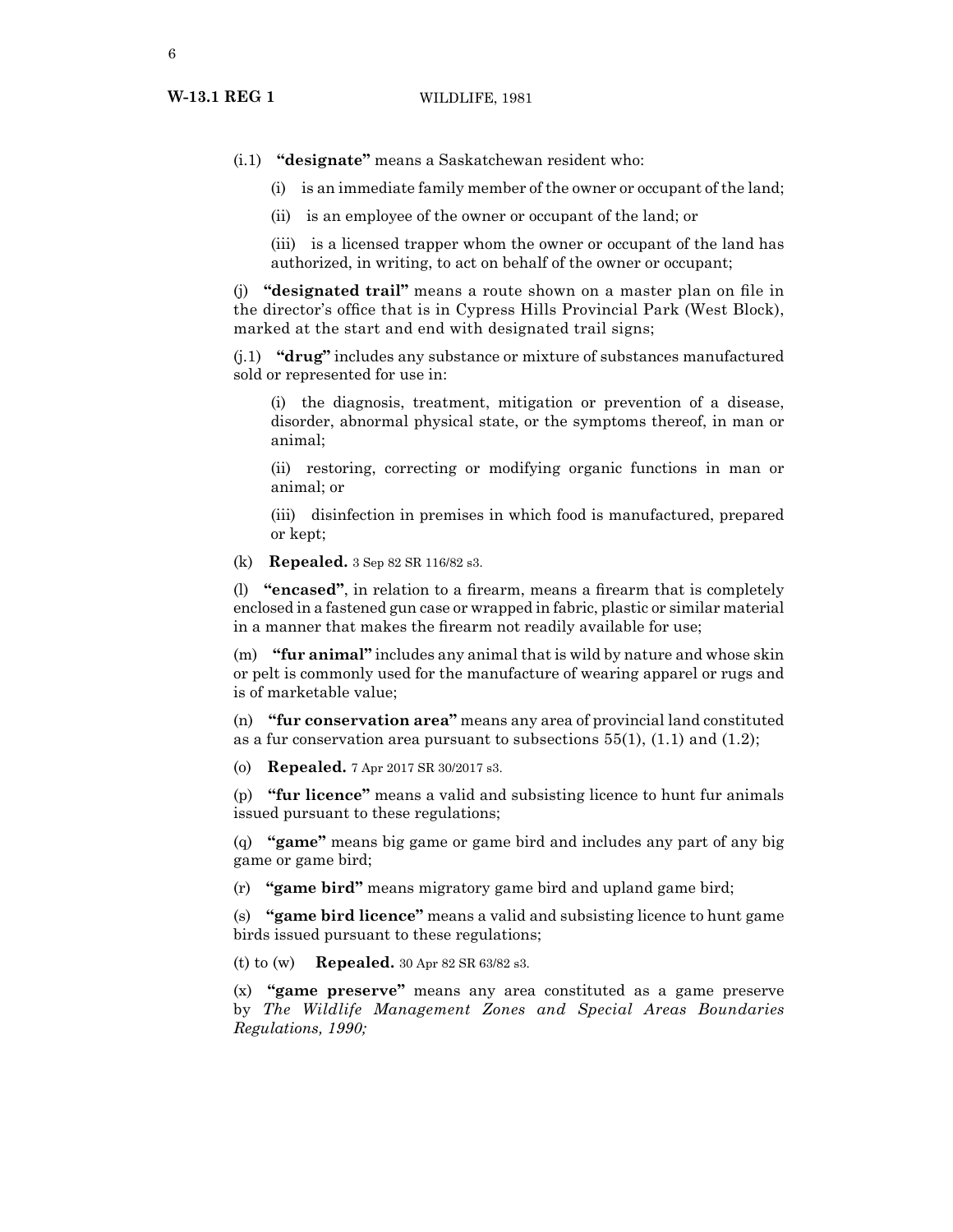- (i.1) **"designate"** means a Saskatchewan resident who:
	- (i) is an immediate family member of the owner or occupant of the land;
	- (ii) is an employee of the owner or occupant of the land; or
	- (iii) is a licensed trapper whom the owner or occupant of the land has authorized, in writing, to act on behalf of the owner or occupant;

(j) **"designated trail"** means a route shown on a master plan on file in the director's office that is in Cypress Hills Provincial Park (West Block), marked at the start and end with designated trail signs;

(j.1) **"drug"** includes any substance or mixture of substances manufactured sold or represented for use in:

(i) the diagnosis, treatment, mitigation or prevention of a disease, disorder, abnormal physical state, or the symptoms thereof, in man or animal;

(ii) restoring, correcting or modifying organic functions in man or animal; or

(iii) disinfection in premises in which food is manufactured, prepared or kept;

(k) **Repealed.** 3 Sep 82 SR 116/82 s3.

(l) **"encased"**, in relation to a firearm, means a firearm that is completely enclosed in a fastened gun case or wrapped in fabric, plastic or similar material in a manner that makes the firearm not readily available for use;

(m) **"fur animal"** includes any animal that is wild by nature and whose skin or pelt is commonly used for the manufacture of wearing apparel or rugs and is of marketable value;

(n) **"fur conservation area"** means any area of provincial land constituted as a fur conservation area pursuant to subsections  $55(1)$ ,  $(1.1)$  and  $(1.2)$ ;

(o) **Repealed.** 7 Apr 2017 SR 30/2017 s3.

(p) **"fur licence"** means a valid and subsisting licence to hunt fur animals issued pursuant to these regulations;

(q) **"game"** means big game or game bird and includes any part of any big game or game bird;

(r) **"game bird"** means migratory game bird and upland game bird;

(s) **"game bird licence"** means a valid and subsisting licence to hunt game birds issued pursuant to these regulations;

(t) to (w) **Repealed.** 30 Apr 82 SR 63/82 s3.

(x) **"game preserve"** means any area constituted as a game preserve by *The Wildlife Management Zones and Special Areas Boundaries Regulations, 1990;*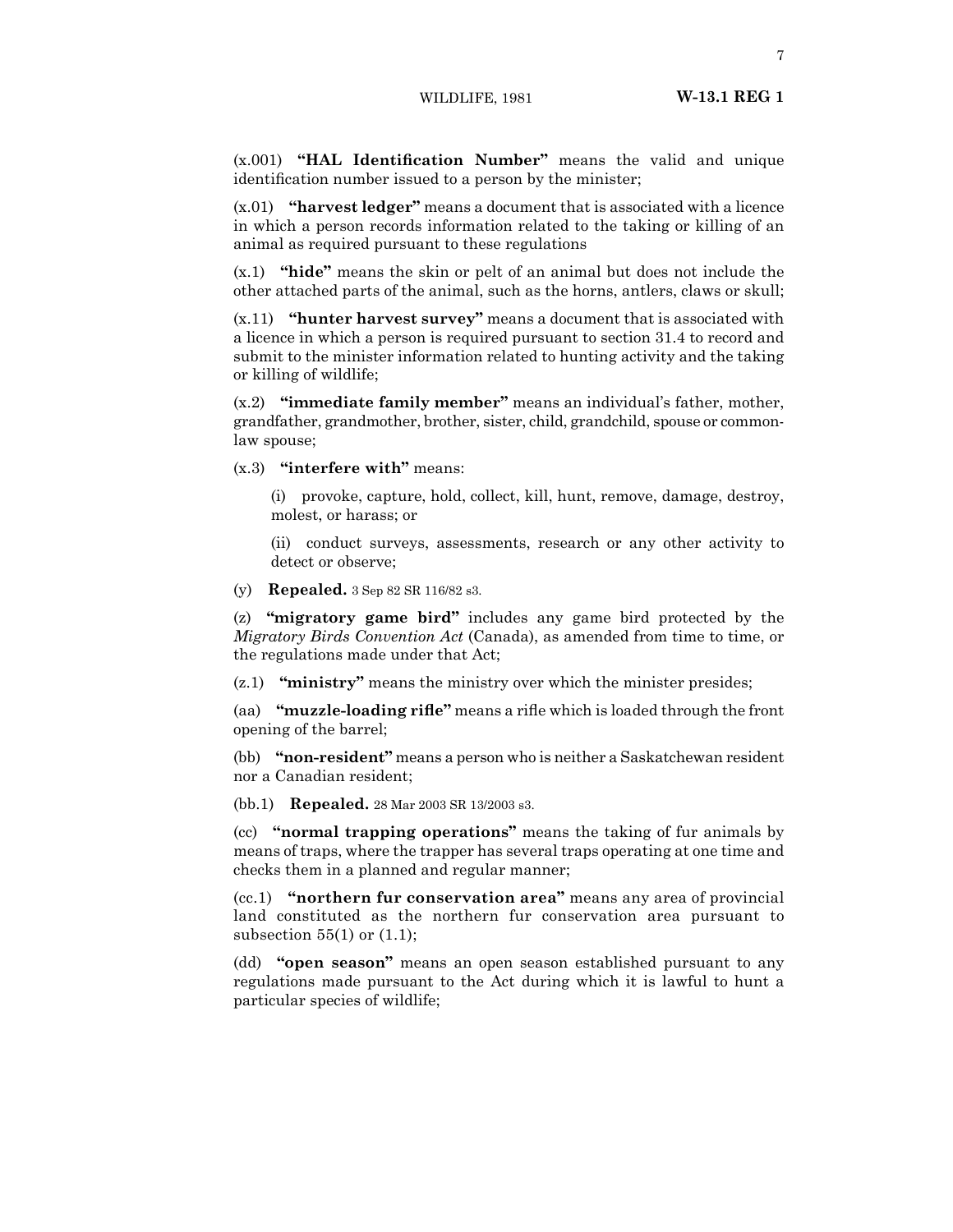(x.001) **"HAL Identification Number"** means the valid and unique identification number issued to a person by the minister;

(x.01) **"harvest ledger"** means a document that is associated with a licence in which a person records information related to the taking or killing of an animal as required pursuant to these regulations

(x.1) **"hide"** means the skin or pelt of an animal but does not include the other attached parts of the animal, such as the horns, antlers, claws or skull;

(x.11) **"hunter harvest survey"** means a document that is associated with a licence in which a person is required pursuant to section 31.4 to record and submit to the minister information related to hunting activity and the taking or killing of wildlife;

(x.2) **"immediate family member"** means an individual's father, mother, grandfather, grandmother, brother, sister, child, grandchild, spouse or commonlaw spouse;

(x.3) **"interfere with"** means:

(i) provoke, capture, hold, collect, kill, hunt, remove, damage, destroy, molest, or harass; or

(ii) conduct surveys, assessments, research or any other activity to detect or observe;

(y) **Repealed.** 3 Sep 82 SR 116/82 s3.

(z) **"migratory game bird"** includes any game bird protected by the *Migratory Birds Convention Act* (Canada), as amended from time to time, or the regulations made under that Act;

(z.1) **"ministry"** means the ministry over which the minister presides;

(aa) **"muzzle-loading rifle"** means a rifle which is loaded through the front opening of the barrel;

(bb) **"non-resident"** means a person who is neither a Saskatchewan resident nor a Canadian resident;

(bb.1) **Repealed.** 28 Mar 2003 SR 13/2003 s3.

(cc) **"normal trapping operations"** means the taking of fur animals by means of traps, where the trapper has several traps operating at one time and checks them in a planned and regular manner;

(cc.1) **"northern fur conservation area"** means any area of provincial land constituted as the northern fur conservation area pursuant to subsection  $55(1)$  or  $(1.1)$ ;

(dd) **"open season"** means an open season established pursuant to any regulations made pursuant to the Act during which it is lawful to hunt a particular species of wildlife;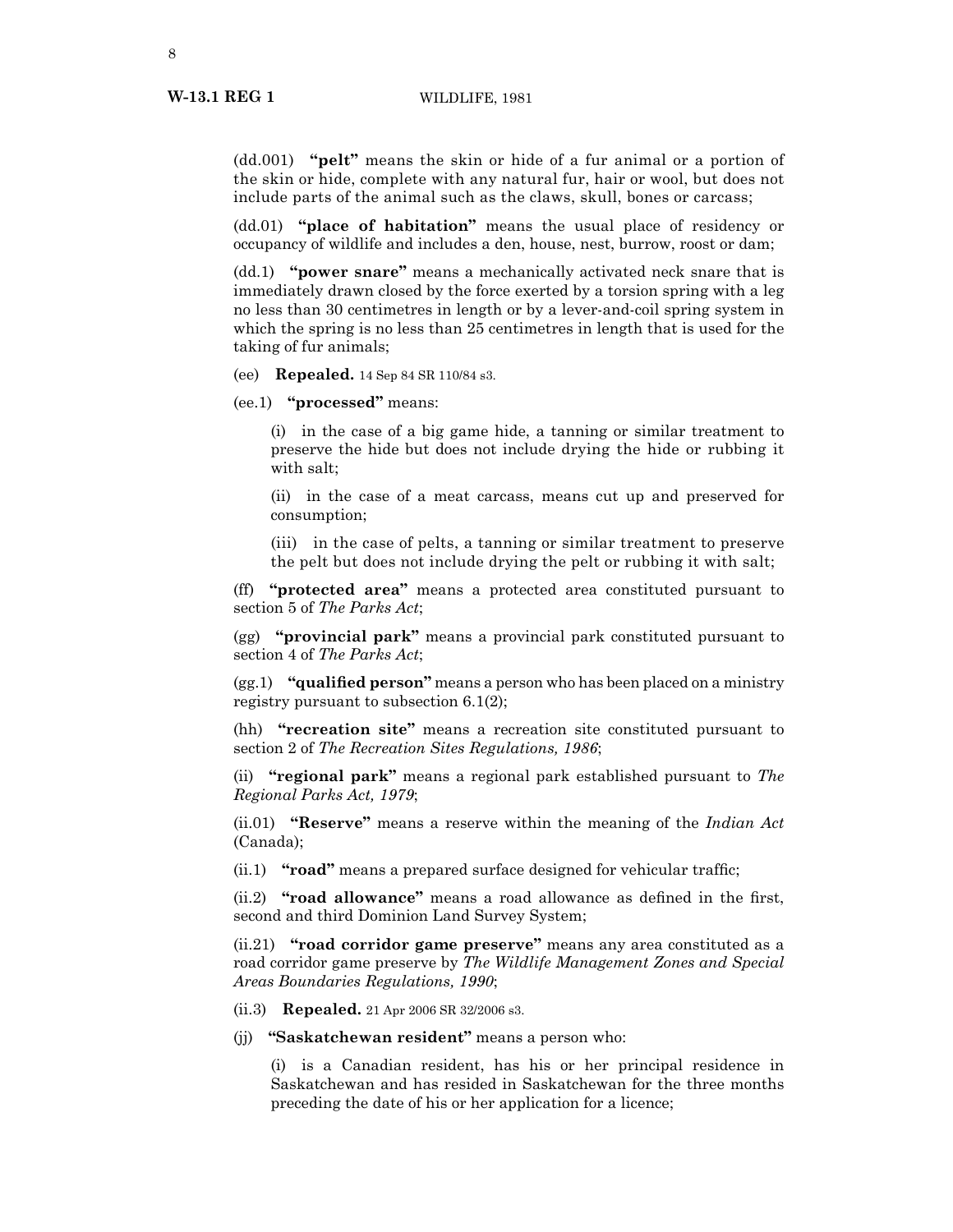(dd.001) **"pelt"** means the skin or hide of a fur animal or a portion of the skin or hide, complete with any natural fur, hair or wool, but does not include parts of the animal such as the claws, skull, bones or carcass;

(dd.01) **"place of habitation"** means the usual place of residency or occupancy of wildlife and includes a den, house, nest, burrow, roost or dam;

(dd.1) **"power snare"** means a mechanically activated neck snare that is immediately drawn closed by the force exerted by a torsion spring with a leg no less than 30 centimetres in length or by a lever-and-coil spring system in which the spring is no less than 25 centimetres in length that is used for the taking of fur animals;

(ee) **Repealed.** 14 Sep 84 SR 110/84 s3.

(ee.1) **"processed"** means:

(i) in the case of a big game hide, a tanning or similar treatment to preserve the hide but does not include drying the hide or rubbing it with salt;

(ii) in the case of a meat carcass, means cut up and preserved for consumption;

(iii) in the case of pelts, a tanning or similar treatment to preserve the pelt but does not include drying the pelt or rubbing it with salt;

(ff) **"protected area"** means a protected area constituted pursuant to section 5 of *The Parks Act*;

(gg) **"provincial park"** means a provincial park constituted pursuant to section 4 of *The Parks Act*;

(gg.1) **"qualified person"** means a person who has been placed on a ministry registry pursuant to subsection 6.1(2);

(hh) **"recreation site"** means a recreation site constituted pursuant to section 2 of *The Recreation Sites Regulations, 1986*;

(ii) **"regional park"** means a regional park established pursuant to *The Regional Parks Act, 1979*;

(ii.01) **"Reserve"** means a reserve within the meaning of the *Indian Act* (Canada);

(ii.1) **"road"** means a prepared surface designed for vehicular traffic;

(ii.2) **"road allowance"** means a road allowance as defined in the first, second and third Dominion Land Survey System;

(ii.21) **"road corridor game preserve"** means any area constituted as a road corridor game preserve by *The Wildlife Management Zones and Special Areas Boundaries Regulations, 1990*;

(ii.3) **Repealed.** 21 Apr 2006 SR 32/2006 s3.

(jj) **"Saskatchewan resident"** means a person who:

(i) is a Canadian resident, has his or her principal residence in Saskatchewan and has resided in Saskatchewan for the three months preceding the date of his or her application for a licence;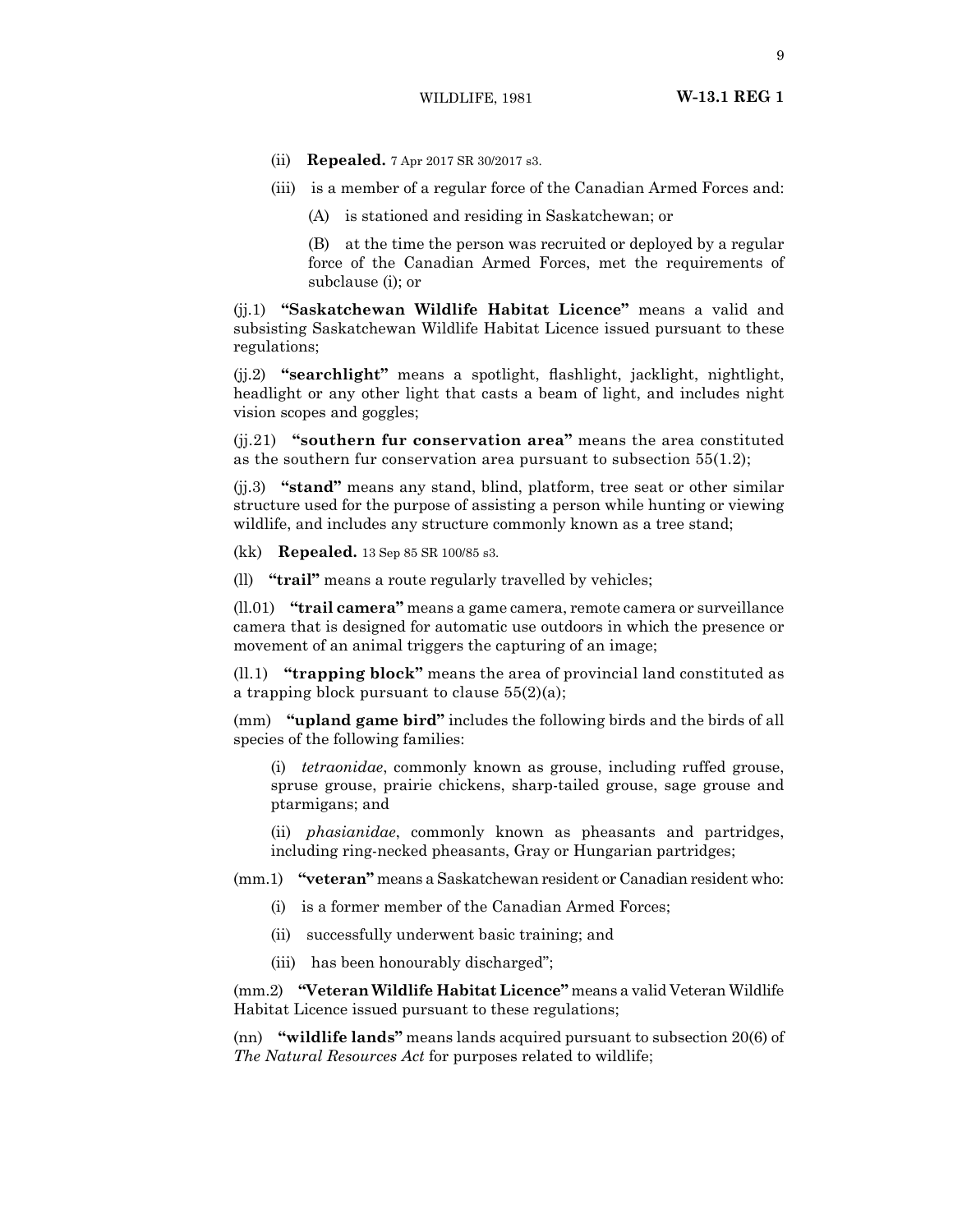- (ii) **Repealed.** 7 Apr 2017 SR 30/2017 s3.
- (iii) is a member of a regular force of the Canadian Armed Forces and:
	- (A) is stationed and residing in Saskatchewan; or

(B) at the time the person was recruited or deployed by a regular force of the Canadian Armed Forces, met the requirements of subclause (i); or

(jj.1) **"Saskatchewan Wildlife Habitat Licence"** means a valid and subsisting Saskatchewan Wildlife Habitat Licence issued pursuant to these regulations;

(jj.2) **"searchlight"** means a spotlight, flashlight, jacklight, nightlight, headlight or any other light that casts a beam of light, and includes night vision scopes and goggles;

(jj.21) **"southern fur conservation area"** means the area constituted as the southern fur conservation area pursuant to subsection  $55(1.2)$ ;

(jj.3) **"stand"** means any stand, blind, platform, tree seat or other similar structure used for the purpose of assisting a person while hunting or viewing wildlife, and includes any structure commonly known as a tree stand;

(kk) **Repealed.** 13 Sep 85 SR 100/85 s3.

(ll) **"trail"** means a route regularly travelled by vehicles;

(ll.01) **"trail camera"** means a game camera, remote camera or surveillance camera that is designed for automatic use outdoors in which the presence or movement of an animal triggers the capturing of an image;

(ll.1) **"trapping block"** means the area of provincial land constituted as a trapping block pursuant to clause  $55(2)(a)$ ;

(mm) **"upland game bird"** includes the following birds and the birds of all species of the following families:

(i) *tetraonidae*, commonly known as grouse, including ruffed grouse, spruse grouse, prairie chickens, sharp-tailed grouse, sage grouse and ptarmigans; and

(ii) *phasianidae*, commonly known as pheasants and partridges, including ring-necked pheasants, Gray or Hungarian partridges;

(mm.1) **"veteran"** means a Saskatchewan resident or Canadian resident who:

- (i) is a former member of the Canadian Armed Forces;
- (ii) successfully underwent basic training; and
- (iii) has been honourably discharged";

(mm.2) **"Veteran Wildlife Habitat Licence"** means a valid Veteran Wildlife Habitat Licence issued pursuant to these regulations;

(nn) **"wildlife lands"** means lands acquired pursuant to subsection 20(6) of *The Natural Resources Act* for purposes related to wildlife;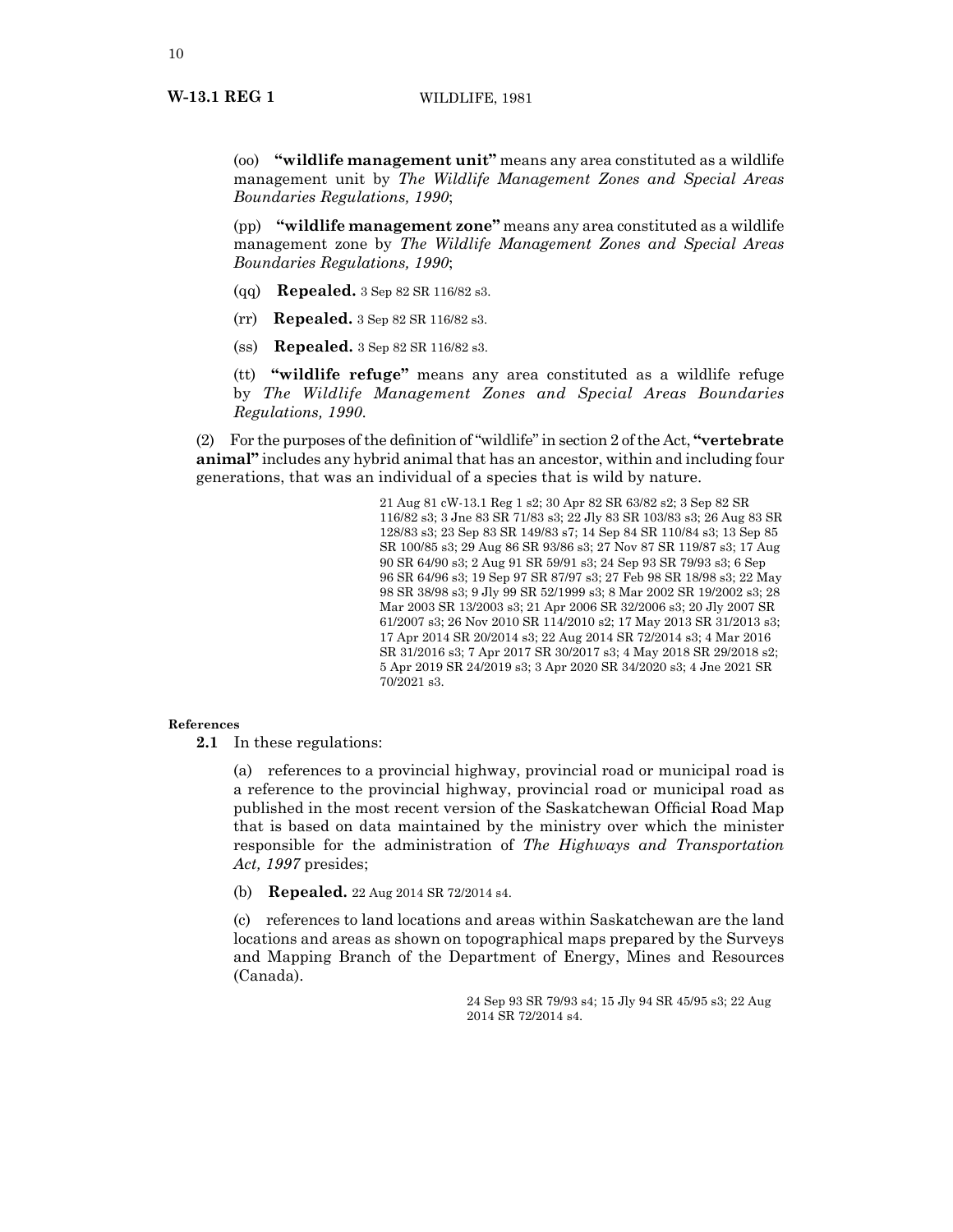(oo) **"wildlife management unit"** means any area constituted as a wildlife management unit by *The Wildlife Management Zones and Special Areas Boundaries Regulations, 1990*;

(pp) **"wildlife management zone"** means any area constituted as a wildlife management zone by *The Wildlife Management Zones and Special Areas Boundaries Regulations, 1990*;

- (qq) **Repealed.** 3 Sep 82 SR 116/82 s3.
- (rr) **Repealed.** 3 Sep 82 SR 116/82 s3.
- (ss) **Repealed.** 3 Sep 82 SR 116/82 s3.

(tt) **"wildlife refuge"** means any area constituted as a wildlife refuge by *The Wildlife Management Zones and Special Areas Boundaries Regulations, 1990*.

(2) For the purposes ofthe definition of"wildlife"in section 2 ofthe Act, **"vertebrate animal"** includes any hybrid animal that has an ancestor, within and including four generations, that was an individual of a species that is wild by nature.

> 21 Aug 81 cW-13.1 Reg 1 s2; 30 Apr 82 SR 63/82 s2; 3 Sep 82 SR 116/82 s3; 3 Jne 83 SR 71/83 s3; 22 Jly 83 SR 103/83 s3; 26 Aug 83 SR 128/83 s3; 23 Sep 83 SR 149/83 s7; 14 Sep 84 SR 110/84 s3; 13 Sep 85 SR 100/85 s3; 29 Aug 86 SR 93/86 s3; 27 Nov 87 SR 119/87 s3; 17 Aug 90 SR 64/90 s3; 2 Aug 91 SR 59/91 s3; 24 Sep 93 SR 79/93 s3; 6 Sep 96 SR 64/96 s3; 19 Sep 97 SR 87/97 s3; 27 Feb 98 SR 18/98 s3; 22 May 98 SR 38/98 s3; 9 Jly 99 SR 52/1999 s3; 8 Mar 2002 SR 19/2002 s3; 28 Mar 2003 SR 13/2003 s3; 21 Apr 2006 SR 32/2006 s3; 20 Jly 2007 SR 61/2007 s3; 26 Nov 2010 SR 114/2010 s2; 17 May 2013 SR 31/2013 s3; 17 Apr 2014 SR 20/2014 s3; 22 Aug 2014 SR 72/2014 s3; 4 Mar 2016 SR 31/2016 s3; 7 Apr 2017 SR 30/2017 s3; 4 May 2018 SR 29/2018 s2; 5 Apr 2019 SR 24/2019 s3; 3 Apr 2020 SR 34/2020 s3; 4 Jne 2021 SR 70/2021 s3.

# **References**

**2.1** In these regulations:

(a) references to a provincial highway, provincial road or municipal road is a reference to the provincial highway, provincial road or municipal road as published in the most recent version of the Saskatchewan Official Road Map that is based on data maintained by the ministry over which the minister responsible for the administration of *The Highways and Transportation Act, 1997* presides;

(b) **Repealed.** 22 Aug 2014 SR 72/2014 s4.

(c) references to land locations and areas within Saskatchewan are the land locations and areas as shown on topographical maps prepared by the Surveys and Mapping Branch of the Department of Energy, Mines and Resources (Canada).

> 24 Sep 93 SR 79/93 s4; 15 Jly 94 SR 45/95 s3; 22 Aug 2014 SR 72/2014 s4.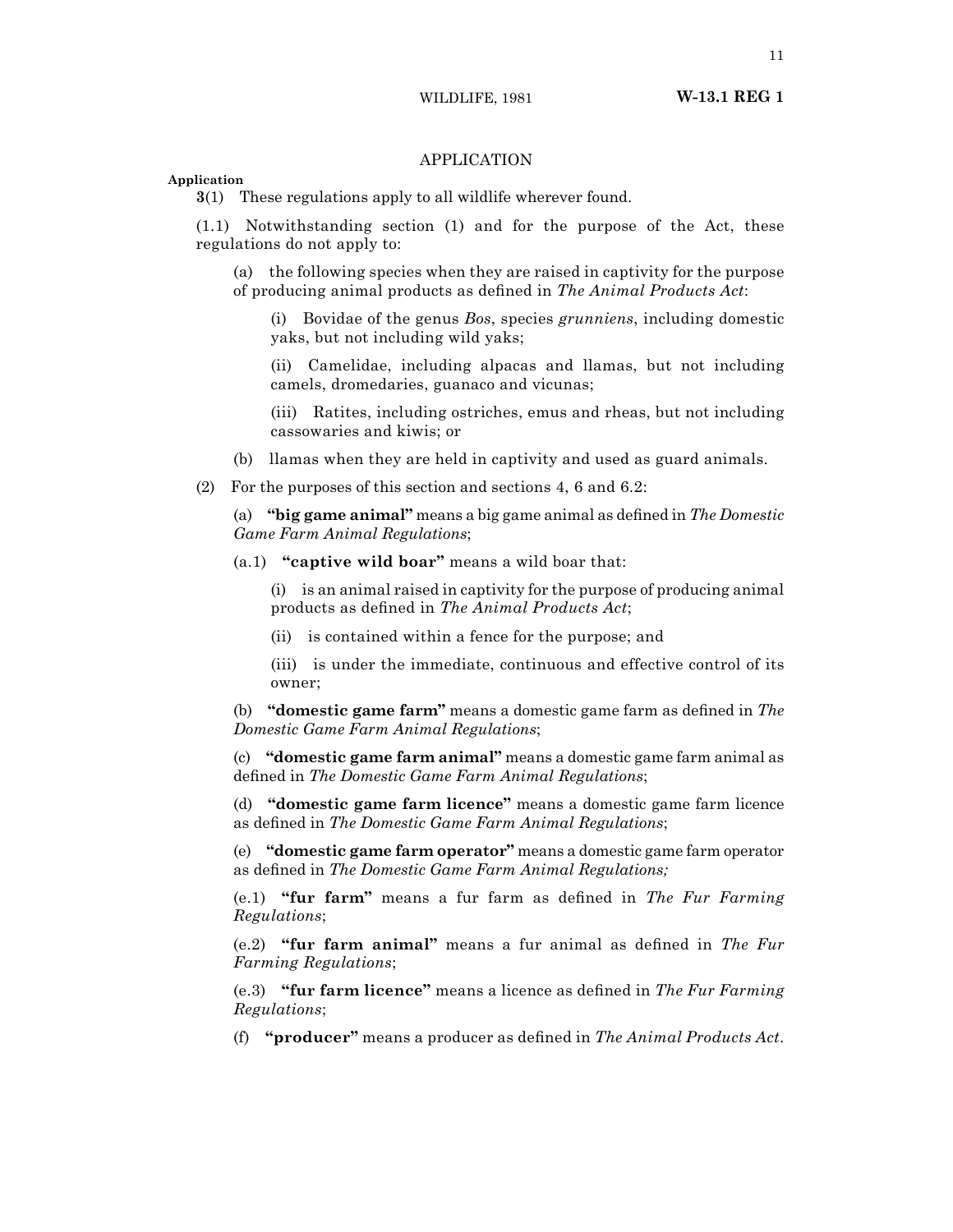# APPLICATION

**Application**

**3**(1) These regulations apply to all wildlife wherever found.

(1.1) Notwithstanding section (1) and for the purpose of the Act, these regulations do not apply to:

(a) the following species when they are raised in captivity for the purpose of producing animal products as defined in *The Animal Products Act*:

(i) Bovidae of the genus *Bos*, species *grunniens*, including domestic yaks, but not including wild yaks;

(ii) Camelidae, including alpacas and llamas, but not including camels, dromedaries, guanaco and vicunas;

(iii) Ratites, including ostriches, emus and rheas, but not including cassowaries and kiwis; or

(b) llamas when they are held in captivity and used as guard animals.

(2) For the purposes of this section and sections 4, 6 and 6.2:

(a) **"big game animal"** means a big game animal as defined in *The Domestic Game Farm Animal Regulations*;

(a.1) **"captive wild boar"** means a wild boar that:

(i) is an animal raised in captivity for the purpose of producing animal products as defined in *The Animal Products Act*;

(ii) is contained within a fence for the purpose; and

(iii) is under the immediate, continuous and effective control of its owner;

(b) **"domestic game farm"** means a domestic game farm as defined in *The Domestic Game Farm Animal Regulations*;

(c) **"domestic game farm animal"** means a domestic game farm animal as defined in *The Domestic Game Farm Animal Regulations*;

(d) **"domestic game farm licence"** means a domestic game farm licence as defined in *The Domestic Game Farm Animal Regulations*;

(e) **"domestic game farm operator"** means a domestic game farm operator as defined in *The Domestic Game Farm Animal Regulations;*

(e.1) **"fur farm"** means a fur farm as defined in *The Fur Farming Regulations*;

(e.2) **"fur farm animal"** means a fur animal as defined in *The Fur Farming Regulations*;

(e.3) **"fur farm licence"** means a licence as defined in *The Fur Farming Regulations*;

(f) **"producer"** means a producer as defined in *The Animal Products Act*.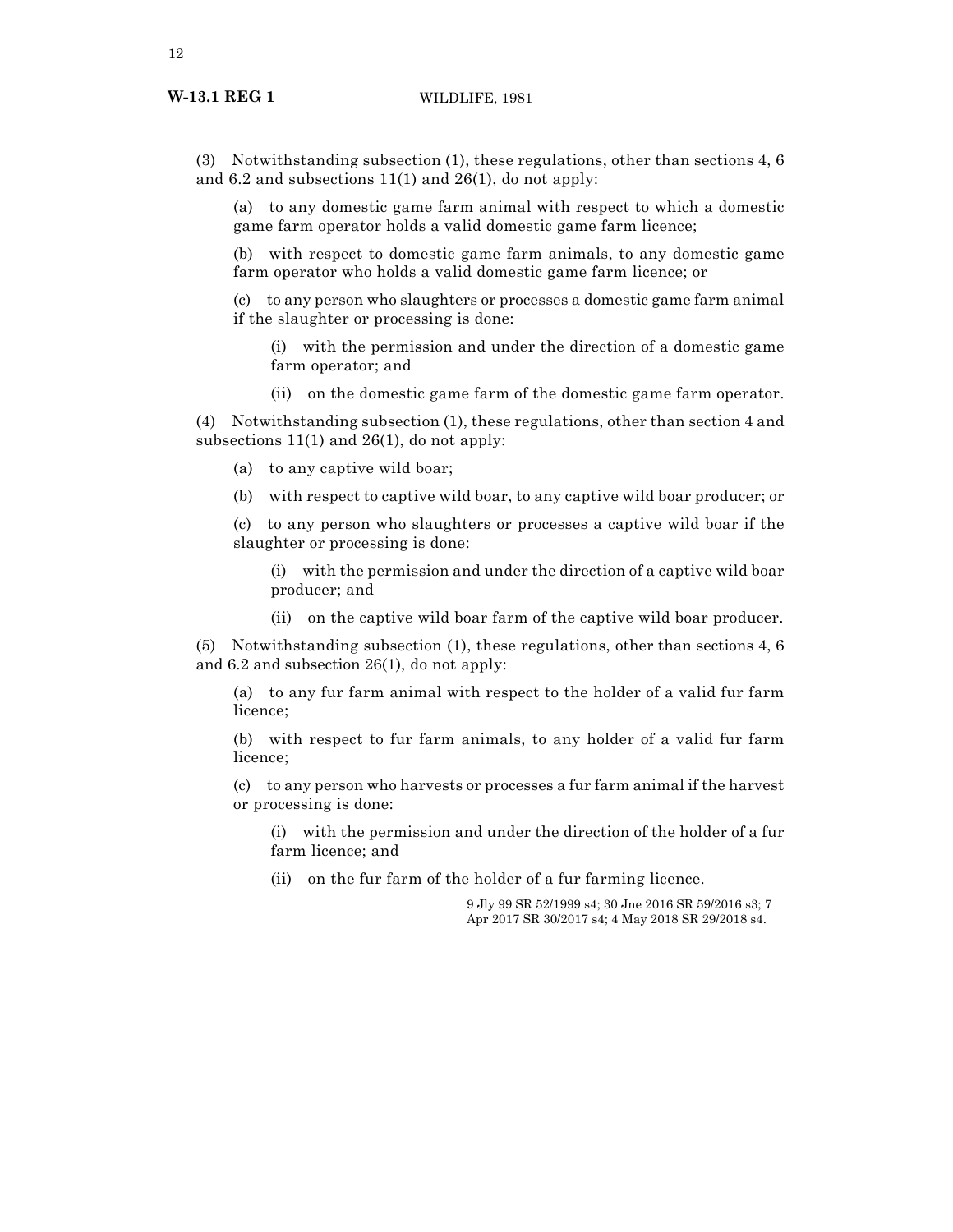# **W-13.1 REG 1** WILDLIFE, 1981

(3) Notwithstanding subsection (1), these regulations, other than sections 4, 6 and 6.2 and subsections 11(1) and 26(1), do not apply:

(a) to any domestic game farm animal with respect to which a domestic game farm operator holds a valid domestic game farm licence;

(b) with respect to domestic game farm animals, to any domestic game farm operator who holds a valid domestic game farm licence; or

(c) to any person who slaughters or processes a domestic game farm animal if the slaughter or processing is done:

(i) with the permission and under the direction of a domestic game farm operator; and

(ii) on the domestic game farm of the domestic game farm operator.

(4) Notwithstanding subsection (1), these regulations, other than section 4 and subsections  $11(1)$  and  $26(1)$ , do not apply:

(a) to any captive wild boar;

(b) with respect to captive wild boar, to any captive wild boar producer; or

(c) to any person who slaughters or processes a captive wild boar if the slaughter or processing is done:

(i) with the permission and under the direction of a captive wild boar producer; and

(ii) on the captive wild boar farm of the captive wild boar producer.

(5) Notwithstanding subsection (1), these regulations, other than sections 4, 6 and 6.2 and subsection 26(1), do not apply:

(a) to any fur farm animal with respect to the holder of a valid fur farm licence;

(b) with respect to fur farm animals, to any holder of a valid fur farm licence;

(c) to any person who harvests or processes a fur farm animal if the harvest or processing is done:

(i) with the permission and under the direction of the holder of a fur farm licence; and

(ii) on the fur farm of the holder of a fur farming licence.

9 Jly 99 SR 52/1999 s4; 30 Jne 2016 SR 59/2016 s3; 7 Apr 2017 SR 30/2017 s4; 4 May 2018 SR 29/2018 s4.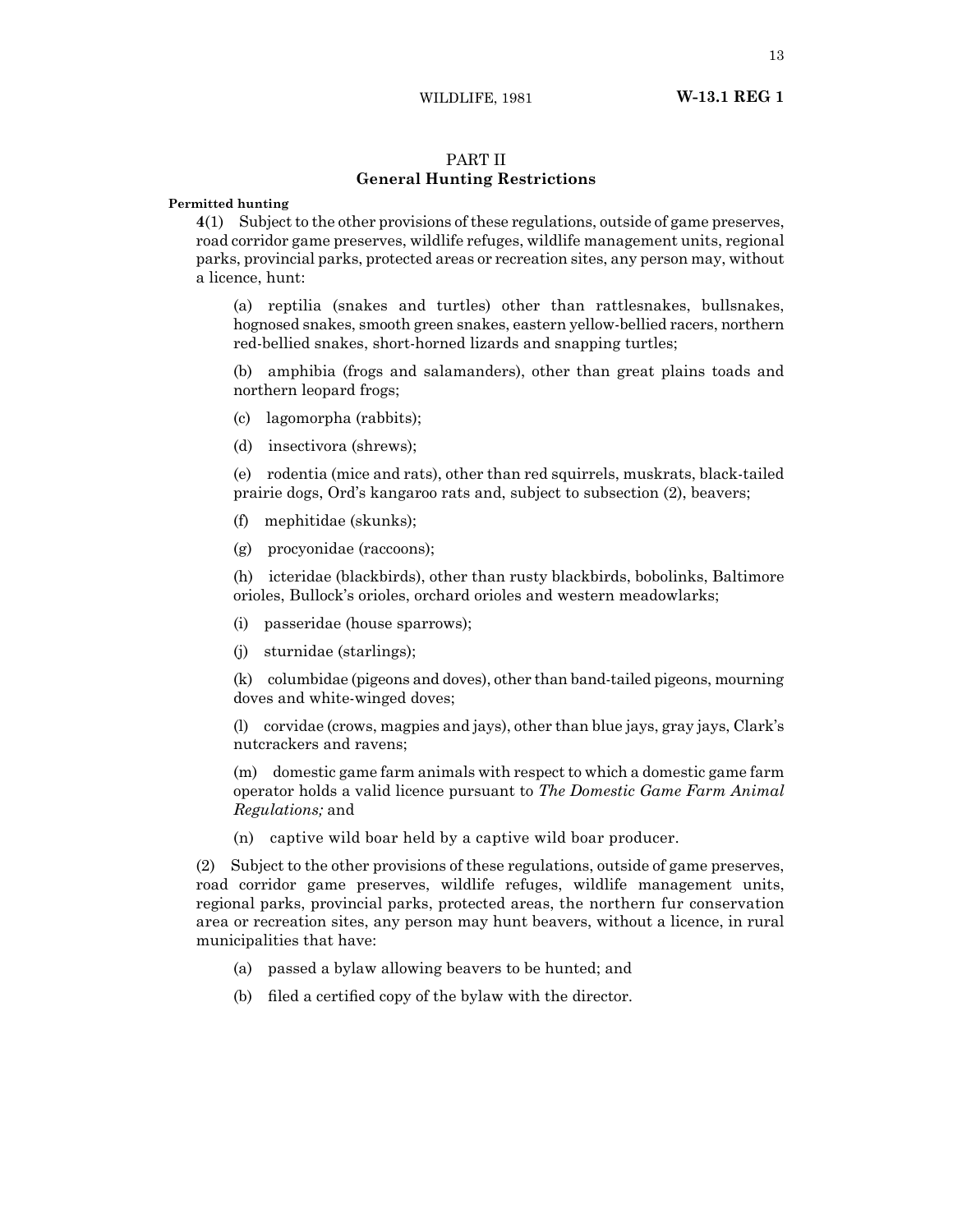# PART II **General Hunting Restrictions**

# **Permitted hunting**

**4**(1) Subject to the other provisions of these regulations, outside of game preserves, road corridor game preserves, wildlife refuges, wildlife management units, regional parks, provincial parks, protected areas or recreation sites, any person may, without a licence, hunt:

(a) reptilia (snakes and turtles) other than rattlesnakes, bullsnakes, hognosed snakes, smooth green snakes, eastern yellow-bellied racers, northern red-bellied snakes, short-horned lizards and snapping turtles;

(b) amphibia (frogs and salamanders), other than great plains toads and northern leopard frogs;

- (c) lagomorpha (rabbits);
- (d) insectivora (shrews);

(e) rodentia (mice and rats), other than red squirrels, muskrats, black-tailed prairie dogs, Ord's kangaroo rats and, subject to subsection (2), beavers;

- (f) mephitidae (skunks);
- (g) procyonidae (raccoons);

(h) icteridae (blackbirds), other than rusty blackbirds, bobolinks, Baltimore orioles, Bullock's orioles, orchard orioles and western meadowlarks;

- (i) passeridae (house sparrows);
- (j) sturnidae (starlings);

(k) columbidae (pigeons and doves), other than band-tailed pigeons, mourning doves and white-winged doves;

(l) corvidae (crows, magpies and jays), other than blue jays, gray jays, Clark's nutcrackers and ravens;

(m) domestic game farm animals with respect to which a domestic game farm operator holds a valid licence pursuant to *The Domestic Game Farm Animal Regulations;* and

(n) captive wild boar held by a captive wild boar producer.

(2) Subject to the other provisions of these regulations, outside of game preserves, road corridor game preserves, wildlife refuges, wildlife management units, regional parks, provincial parks, protected areas, the northern fur conservation area or recreation sites, any person may hunt beavers, without a licence, in rural municipalities that have:

- (a) passed a bylaw allowing beavers to be hunted; and
- (b) filed a certified copy of the bylaw with the director.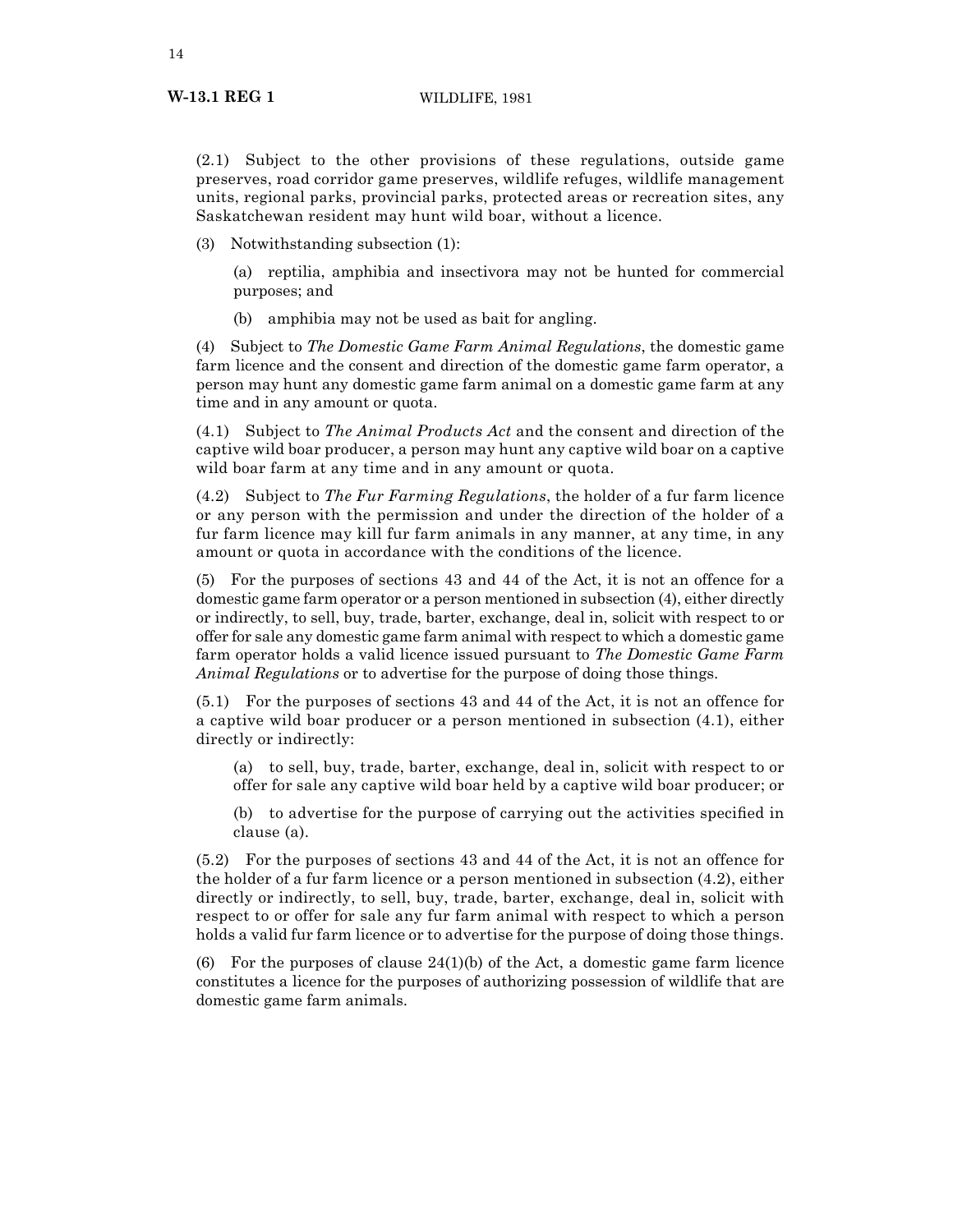(2.1) Subject to the other provisions of these regulations, outside game preserves, road corridor game preserves, wildlife refuges, wildlife management units, regional parks, provincial parks, protected areas or recreation sites, any Saskatchewan resident may hunt wild boar, without a licence.

(3) Notwithstanding subsection (1):

(a) reptilia, amphibia and insectivora may not be hunted for commercial purposes; and

(b) amphibia may not be used as bait for angling.

(4) Subject to *The Domestic Game Farm Animal Regulations*, the domestic game farm licence and the consent and direction of the domestic game farm operator, a person may hunt any domestic game farm animal on a domestic game farm at any time and in any amount or quota.

(4.1) Subject to *The Animal Products Act* and the consent and direction of the captive wild boar producer, a person may hunt any captive wild boar on a captive wild boar farm at any time and in any amount or quota.

(4.2) Subject to *The Fur Farming Regulations*, the holder of a fur farm licence or any person with the permission and under the direction of the holder of a fur farm licence may kill fur farm animals in any manner, at any time, in any amount or quota in accordance with the conditions of the licence.

(5) For the purposes of sections 43 and 44 of the Act, it is not an offence for a domestic game farm operator or a person mentioned in subsection (4), either directly or indirectly, to sell, buy, trade, barter, exchange, deal in, solicit with respect to or offer for sale any domestic game farm animal with respect to which a domestic game farm operator holds a valid licence issued pursuant to *The Domestic Game Farm Animal Regulations* or to advertise for the purpose of doing those things.

(5.1) For the purposes of sections 43 and 44 of the Act, it is not an offence for a captive wild boar producer or a person mentioned in subsection (4.1), either directly or indirectly:

(a) to sell, buy, trade, barter, exchange, deal in, solicit with respect to or offer for sale any captive wild boar held by a captive wild boar producer; or

(b) to advertise for the purpose of carrying out the activities specified in clause (a).

(5.2) For the purposes of sections 43 and 44 of the Act, it is not an offence for the holder of a fur farm licence or a person mentioned in subsection (4.2), either directly or indirectly, to sell, buy, trade, barter, exchange, deal in, solicit with respect to or offer for sale any fur farm animal with respect to which a person holds a valid fur farm licence or to advertise for the purpose of doing those things.

(6) For the purposes of clause  $24(1)$ (b) of the Act, a domestic game farm licence constitutes a licence for the purposes of authorizing possession of wildlife that are domestic game farm animals.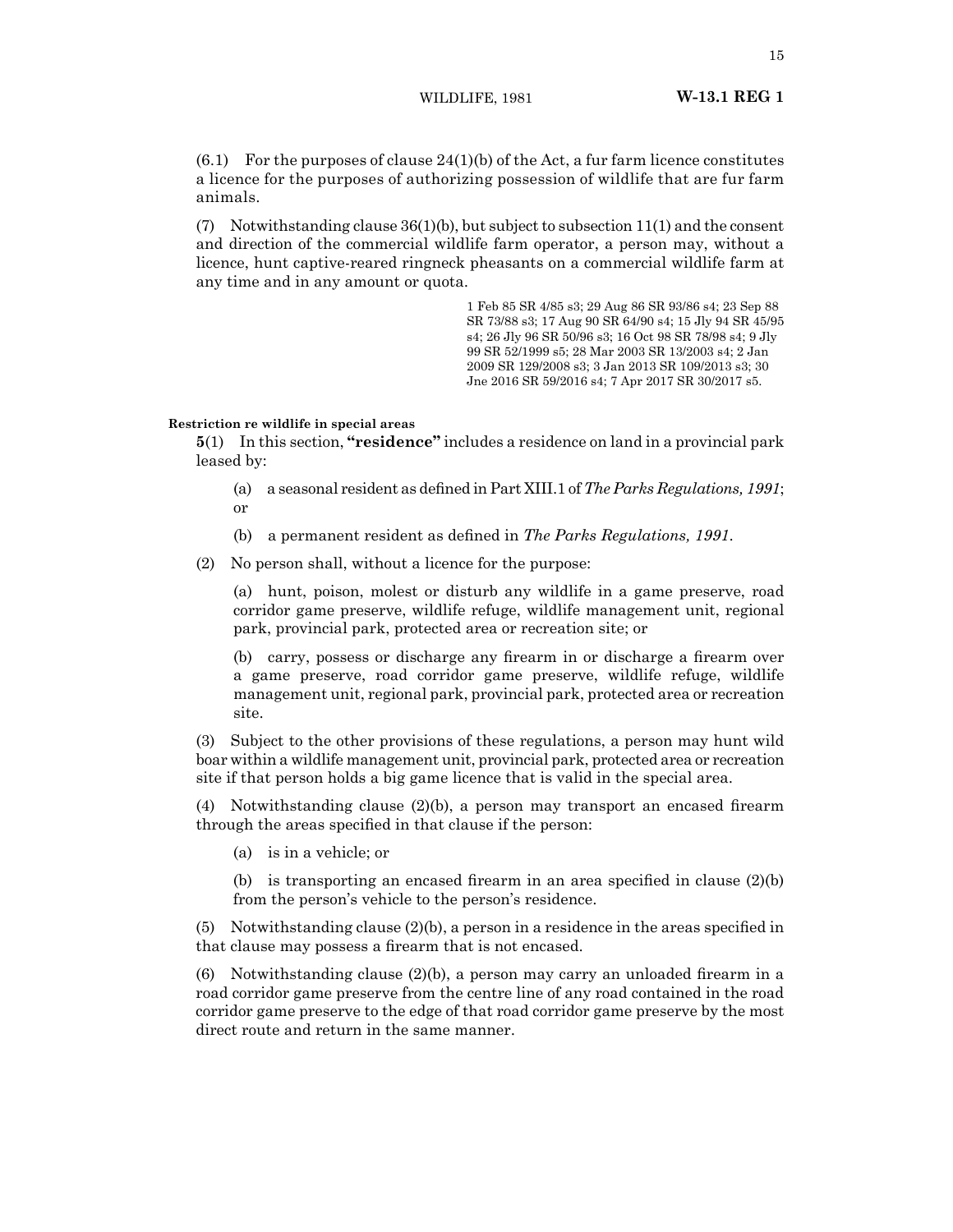$(6.1)$  For the purposes of clause  $24(1)(b)$  of the Act, a fur farm licence constitutes a licence for the purposes of authorizing possession of wildlife that are fur farm animals.

(7) Notwithstanding clause 36(1)(b), but subject to subsection 11(1) and the consent and direction of the commercial wildlife farm operator, a person may, without a licence, hunt captive-reared ringneck pheasants on a commercial wildlife farm at any time and in any amount or quota.

> 1 Feb 85 SR 4/85 s3; 29 Aug 86 SR 93/86 s4; 23 Sep 88 SR 73/88 s3; 17 Aug 90 SR 64/90 s4; 15 Jly 94 SR 45/95 s4; 26 Jly 96 SR 50/96 s3; 16 Oct 98 SR 78/98 s4; 9 Jly 99 SR 52/1999 s5; 28 Mar 2003 SR 13/2003 s4; 2 Jan 2009 SR 129/2008 s3; 3 Jan 2013 SR 109/2013 s3; 30 Jne 2016 SR 59/2016 s4; 7 Apr 2017 SR 30/2017 s5.

# **Restriction re wildlife in special areas**

**5**(1) In this section, **"residence"** includes a residence on land in a provincial park leased by:

- (a) a seasonal resident as defined in Part XIII.1 of*The Parks Regulations, 1991*; or
- (b) a permanent resident as defined in *The Parks Regulations, 1991*.
- (2) No person shall, without a licence for the purpose:

(a) hunt, poison, molest or disturb any wildlife in a game preserve, road corridor game preserve, wildlife refuge, wildlife management unit, regional park, provincial park, protected area or recreation site; or

(b) carry, possess or discharge any firearm in or discharge a firearm over a game preserve, road corridor game preserve, wildlife refuge, wildlife management unit, regional park, provincial park, protected area or recreation site.

(3) Subject to the other provisions of these regulations, a person may hunt wild boar within a wildlife management unit, provincial park, protected area or recreation site if that person holds a big game licence that is valid in the special area.

(4) Notwithstanding clause  $(2)(b)$ , a person may transport an encased firearm through the areas specified in that clause if the person:

(a) is in a vehicle; or

(b) is transporting an encased firearm in an area specified in clause  $(2)(b)$ from the person's vehicle to the person's residence.

(5) Notwithstanding clause (2)(b), a person in a residence in the areas specified in that clause may possess a firearm that is not encased.

(6) Notwithstanding clause (2)(b), a person may carry an unloaded firearm in a road corridor game preserve from the centre line of any road contained in the road corridor game preserve to the edge of that road corridor game preserve by the most direct route and return in the same manner.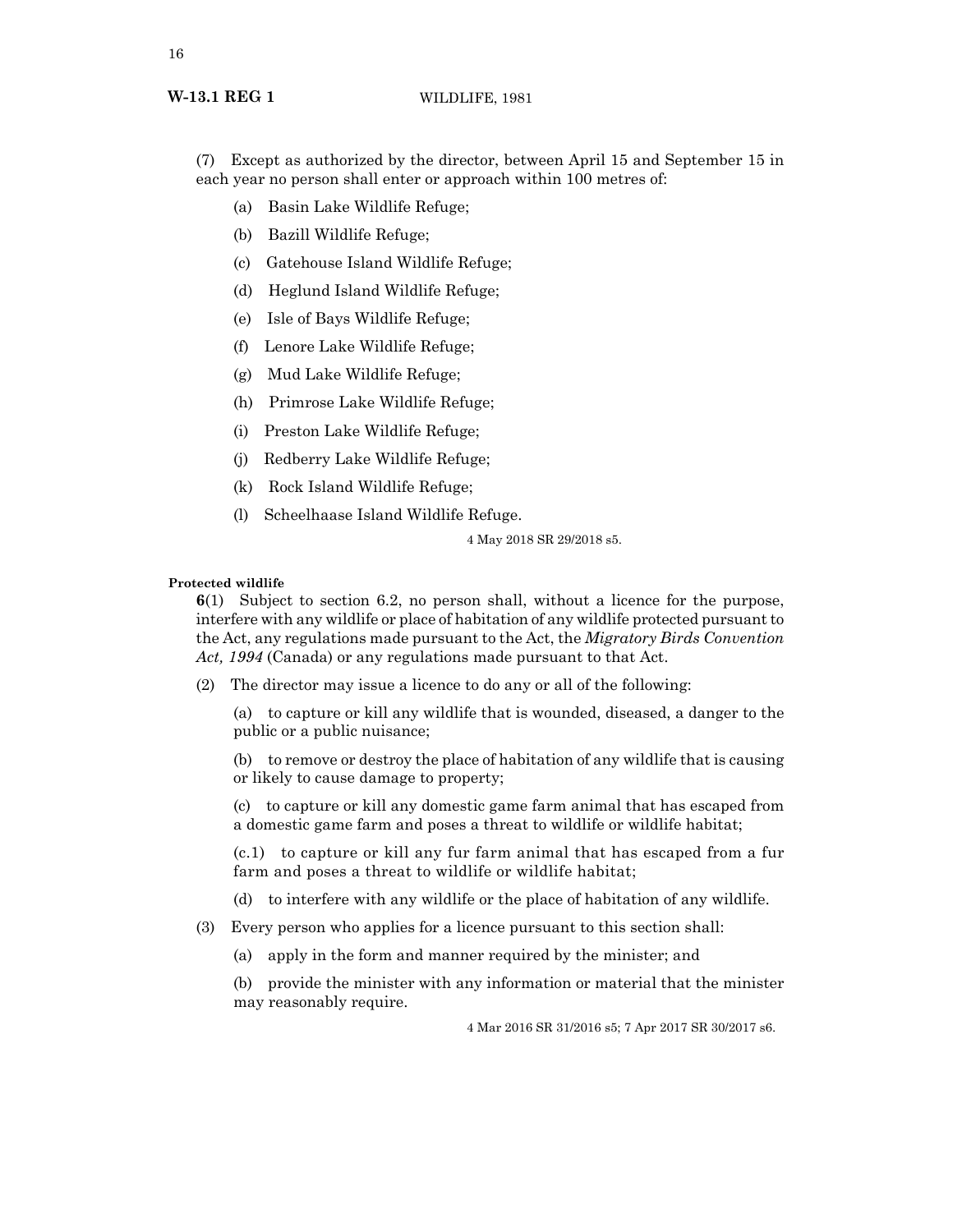(7) Except as authorized by the director, between April 15 and September 15 in each year no person shall enter or approach within 100 metres of:

- (a) Basin Lake Wildlife Refuge;
- (b) Bazill Wildlife Refuge;
- (c) Gatehouse Island Wildlife Refuge;
- (d) Heglund Island Wildlife Refuge;
- (e) Isle of Bays Wildlife Refuge;
- (f) Lenore Lake Wildlife Refuge;
- (g) Mud Lake Wildlife Refuge;
- (h) Primrose Lake Wildlife Refuge;
- (i) Preston Lake Wildlife Refuge;
- (j) Redberry Lake Wildlife Refuge;
- (k) Rock Island Wildlife Refuge;
- (l) Scheelhaase Island Wildlife Refuge.

4 May 2018 SR 29/2018 s5.

# **Protected wildlife**

**6**(1) Subject to section 6.2, no person shall, without a licence for the purpose, interfere with any wildlife or place of habitation of any wildlife protected pursuant to the Act, any regulations made pursuant to the Act, the *Migratory Birds Convention Act, 1994* (Canada) or any regulations made pursuant to that Act.

(2) The director may issue a licence to do any or all of the following:

(a) to capture or kill any wildlife that is wounded, diseased, a danger to the public or a public nuisance;

(b) to remove or destroy the place of habitation of any wildlife that is causing or likely to cause damage to property;

(c) to capture or kill any domestic game farm animal that has escaped from a domestic game farm and poses a threat to wildlife or wildlife habitat;

(c.1) to capture or kill any fur farm animal that has escaped from a fur farm and poses a threat to wildlife or wildlife habitat;

- (d) to interfere with any wildlife or the place of habitation of any wildlife.
- (3) Every person who applies for a licence pursuant to this section shall:
	- (a) apply in the form and manner required by the minister; and

(b) provide the minister with any information or material that the minister may reasonably require.

4 Mar 2016 SR 31/2016 s5; 7 Apr 2017 SR 30/2017 s6.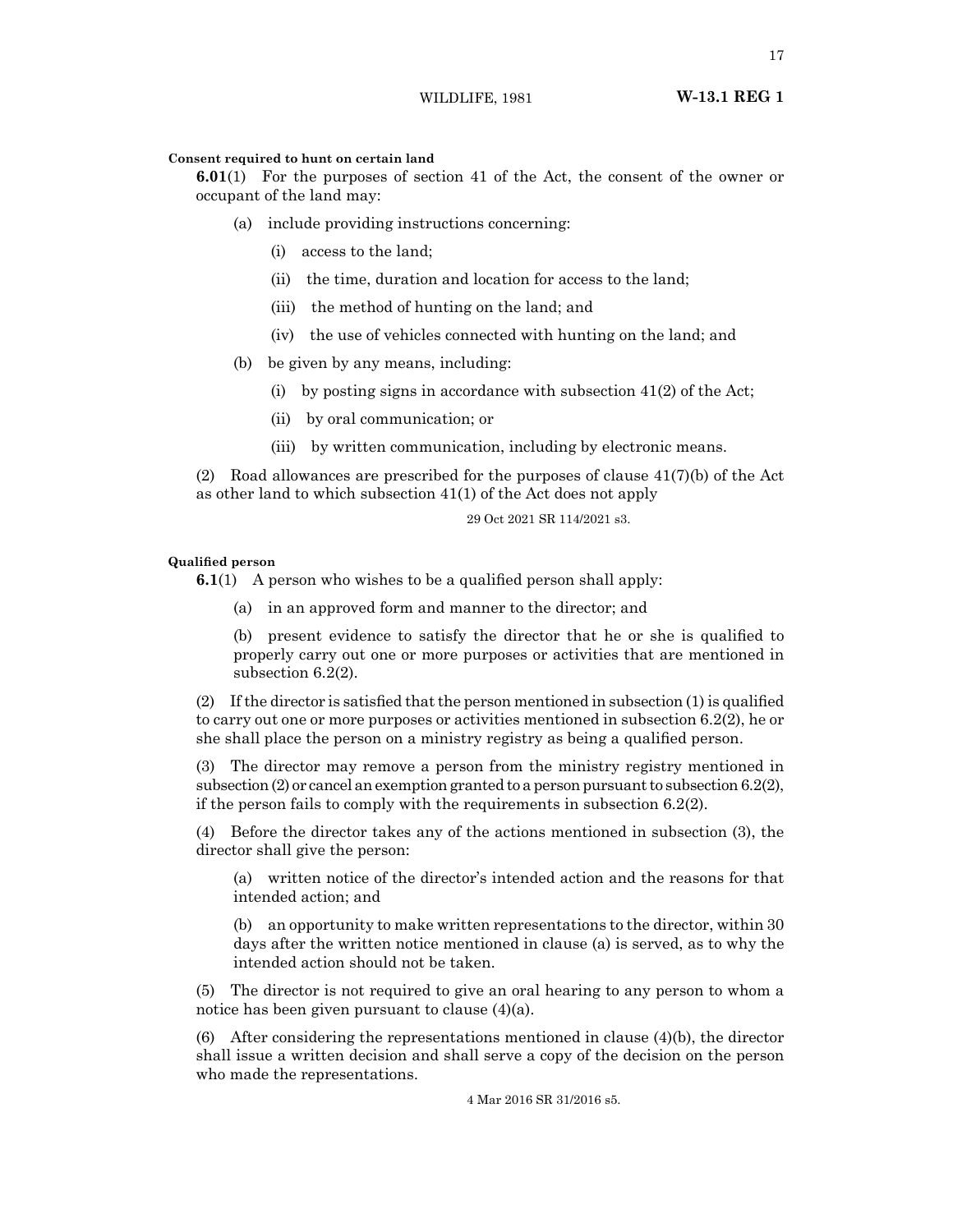# **Consent required to hunt on certain land**

**6.01**(1) For the purposes of section 41 of the Act, the consent of the owner or occupant of the land may:

- (a) include providing instructions concerning:
	- (i) access to the land;
	- (ii) the time, duration and location for access to the land;
	- (iii) the method of hunting on the land; and
	- (iv) the use of vehicles connected with hunting on the land; and
- (b) be given by any means, including:
	- (i) by posting signs in accordance with subsection  $41(2)$  of the Act;
	- (ii) by oral communication; or
	- (iii) by written communication, including by electronic means.

(2) Road allowances are prescribed for the purposes of clause  $41(7)(b)$  of the Act as other land to which subsection 41(1) of the Act does not apply

29 Oct 2021 SR 114/2021 s3.

# **Qualified person**

**6.1**(1) A person who wishes to be a qualified person shall apply:

(a) in an approved form and manner to the director; and

(b) present evidence to satisfy the director that he or she is qualified to properly carry out one or more purposes or activities that are mentioned in subsection 6.2(2).

 $(2)$  If the director is satisfied that the person mentioned in subsection  $(1)$  is qualified to carry out one or more purposes or activities mentioned in subsection 6.2(2), he or she shall place the person on a ministry registry as being a qualified person.

(3) The director may remove a person from the ministry registry mentioned in subsection (2) or cancel an exemption granted to a person pursuant to subsection 6.2(2), if the person fails to comply with the requirements in subsection 6.2(2).

(4) Before the director takes any of the actions mentioned in subsection (3), the director shall give the person:

(a) written notice of the director's intended action and the reasons for that intended action; and

(b) an opportunity to make written representations to the director, within 30 days after the written notice mentioned in clause (a) is served, as to why the intended action should not be taken.

(5) The director is not required to give an oral hearing to any person to whom a notice has been given pursuant to clause (4)(a).

(6) After considering the representations mentioned in clause (4)(b), the director shall issue a written decision and shall serve a copy of the decision on the person who made the representations.

4 Mar 2016 SR 31/2016 s5.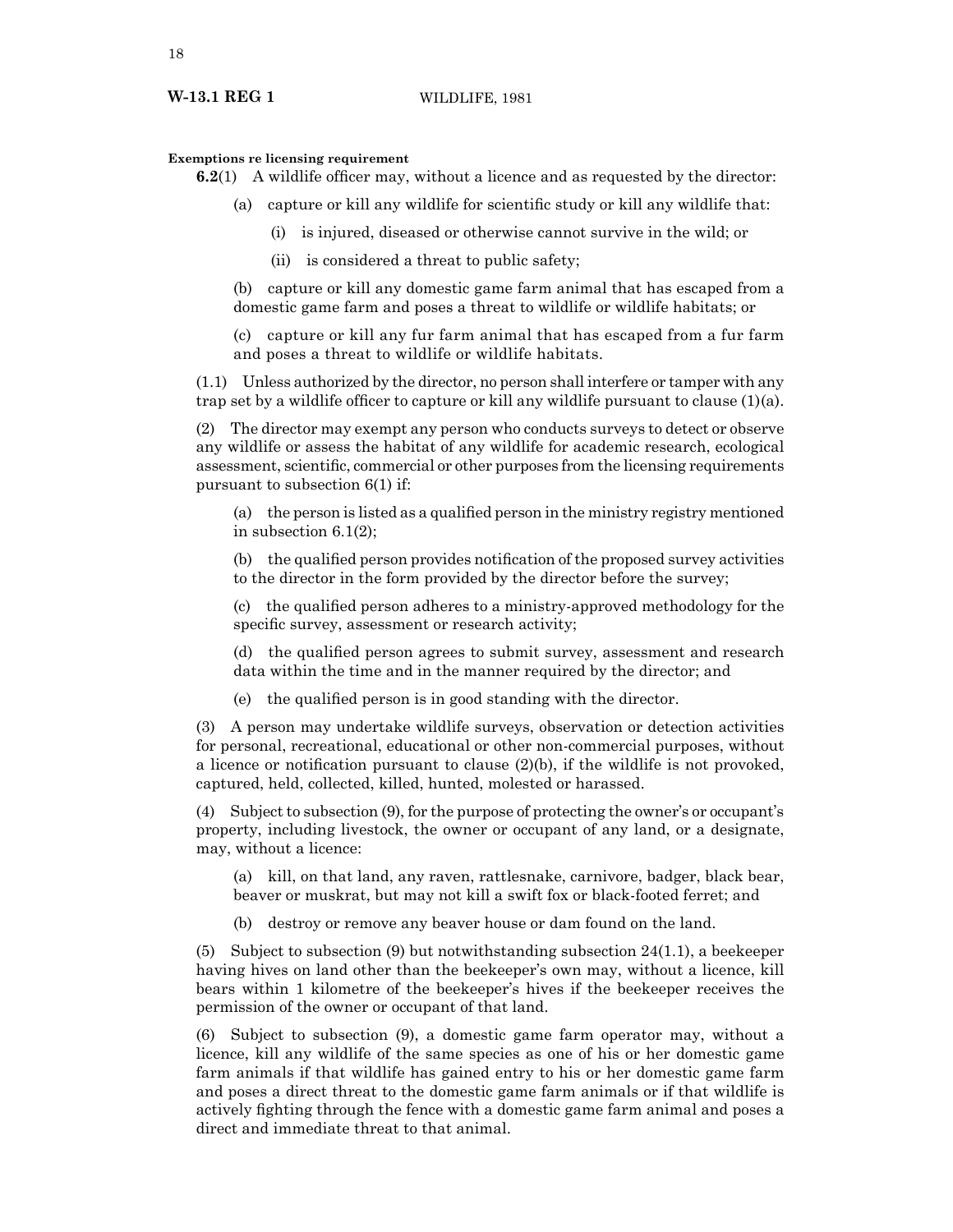### **Exemptions re licensing requirement**

**6.2**(1) A wildlife officer may, without a licence and as requested by the director:

- (a) capture or kill any wildlife for scientific study or kill any wildlife that:
	- (i) is injured, diseased or otherwise cannot survive in the wild; or
	- (ii) is considered a threat to public safety;

(b) capture or kill any domestic game farm animal that has escaped from a domestic game farm and poses a threat to wildlife or wildlife habitats; or

(c) capture or kill any fur farm animal that has escaped from a fur farm and poses a threat to wildlife or wildlife habitats.

(1.1) Unless authorized by the director, no person shall interfere or tamper with any trap set by a wildlife officer to capture or kill any wildlife pursuant to clause (1)(a).

(2) The director may exempt any person who conducts surveys to detect or observe any wildlife or assess the habitat of any wildlife for academic research, ecological assessment, scientific, commercial or other purposes from the licensing requirements pursuant to subsection 6(1) if:

(a) the person is listed as a qualified person in the ministry registry mentioned in subsection 6.1(2);

(b) the qualified person provides notification of the proposed survey activities to the director in the form provided by the director before the survey;

(c) the qualified person adheres to a ministry-approved methodology for the specific survey, assessment or research activity;

(d) the qualified person agrees to submit survey, assessment and research data within the time and in the manner required by the director; and

(e) the qualified person is in good standing with the director.

(3) A person may undertake wildlife surveys, observation or detection activities for personal, recreational, educational or other non-commercial purposes, without a licence or notification pursuant to clause (2)(b), if the wildlife is not provoked, captured, held, collected, killed, hunted, molested or harassed.

(4) Subject to subsection (9), for the purpose of protecting the owner's or occupant's property, including livestock, the owner or occupant of any land, or a designate, may, without a licence:

(a) kill, on that land, any raven, rattlesnake, carnivore, badger, black bear, beaver or muskrat, but may not kill a swift fox or black-footed ferret; and

(b) destroy or remove any beaver house or dam found on the land.

(5) Subject to subsection (9) but notwithstanding subsection  $24(1.1)$ , a beekeeper having hives on land other than the beekeeper's own may, without a licence, kill bears within 1 kilometre of the beekeeper's hives if the beekeeper receives the permission of the owner or occupant of that land.

(6) Subject to subsection (9), a domestic game farm operator may, without a licence, kill any wildlife of the same species as one of his or her domestic game farm animals if that wildlife has gained entry to his or her domestic game farm and poses a direct threat to the domestic game farm animals or if that wildlife is actively fighting through the fence with a domestic game farm animal and poses a direct and immediate threat to that animal.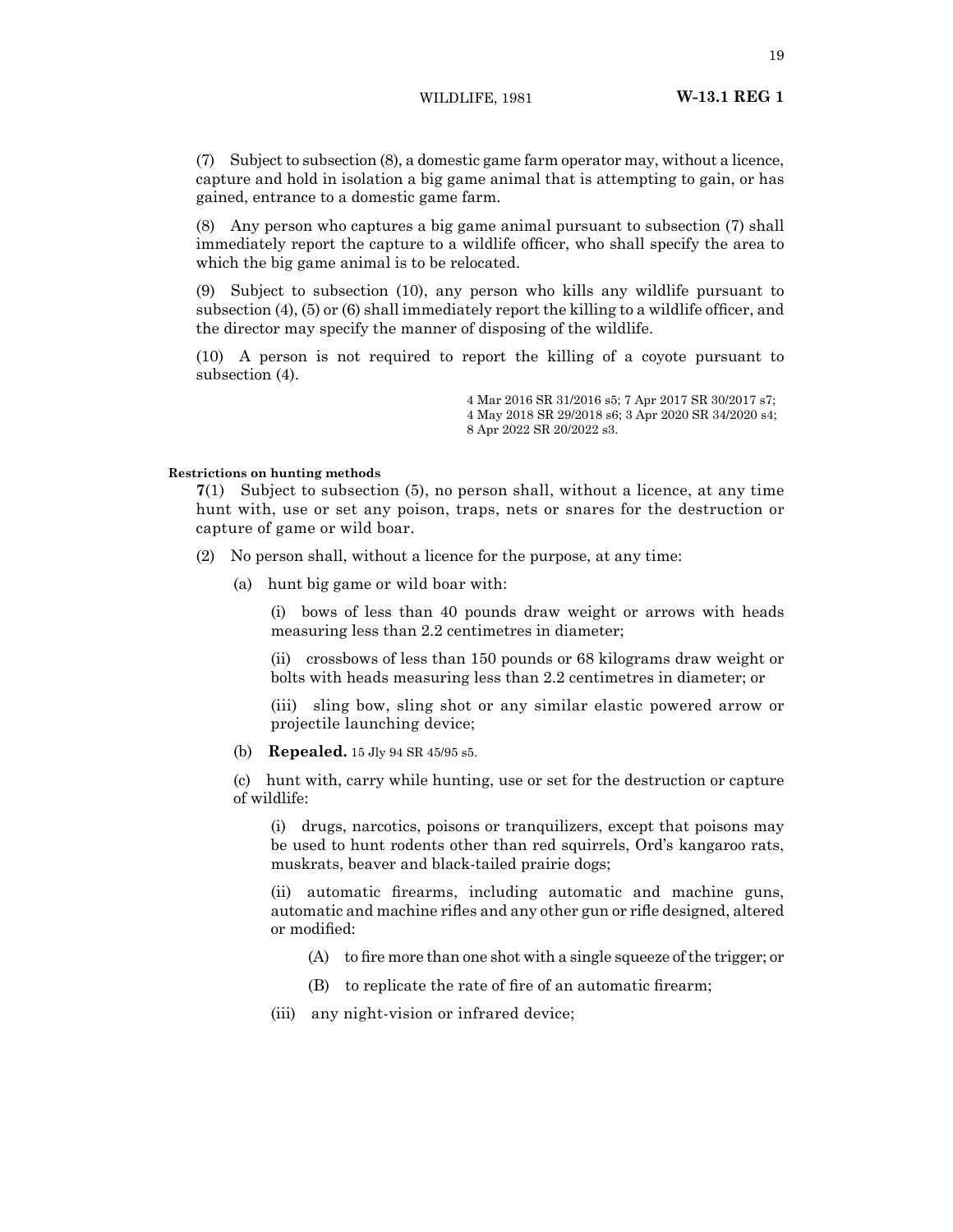WILDLIFE, 1981 **W-13.1 REG 1**

(7) Subject to subsection (8), a domestic game farm operator may, without a licence, capture and hold in isolation a big game animal that is attempting to gain, or has gained, entrance to a domestic game farm.

(8) Any person who captures a big game animal pursuant to subsection (7) shall immediately report the capture to a wildlife officer, who shall specify the area to which the big game animal is to be relocated.

(9) Subject to subsection (10), any person who kills any wildlife pursuant to subsection (4), (5) or (6) shall immediately report the killing to a wildlife officer, and the director may specify the manner of disposing of the wildlife.

(10) A person is not required to report the killing of a coyote pursuant to subsection (4).

> 4 Mar 2016 SR 31/2016 s5; 7 Apr 2017 SR 30/2017 s7; 4 May 2018 SR 29/2018 s6; 3 Apr 2020 SR 34/2020 s4; 8 Apr 2022 SR 20/2022 s3.

# **Restrictions on hunting methods**

**7**(1) Subject to subsection (5), no person shall, without a licence, at any time hunt with, use or set any poison, traps, nets or snares for the destruction or capture of game or wild boar.

- (2) No person shall, without a licence for the purpose, at any time:
	- (a) hunt big game or wild boar with:

(i) bows of less than 40 pounds draw weight or arrows with heads measuring less than 2.2 centimetres in diameter;

(ii) crossbows of less than 150 pounds or 68 kilograms draw weight or bolts with heads measuring less than 2.2 centimetres in diameter; or

(iii) sling bow, sling shot or any similar elastic powered arrow or projectile launching device;

(b) **Repealed.** 15 Jly 94 SR 45/95 s5.

(c) hunt with, carry while hunting, use or set for the destruction or capture of wildlife:

(i) drugs, narcotics, poisons or tranquilizers, except that poisons may be used to hunt rodents other than red squirrels, Ord's kangaroo rats, muskrats, beaver and black-tailed prairie dogs;

(ii) automatic firearms, including automatic and machine guns, automatic and machine rifles and any other gun or rifle designed, altered or modified:

- $(A)$  to fire more than one shot with a single squeeze of the trigger; or
- (B) to replicate the rate of fire of an automatic firearm;
- (iii) any night-vision or infrared device;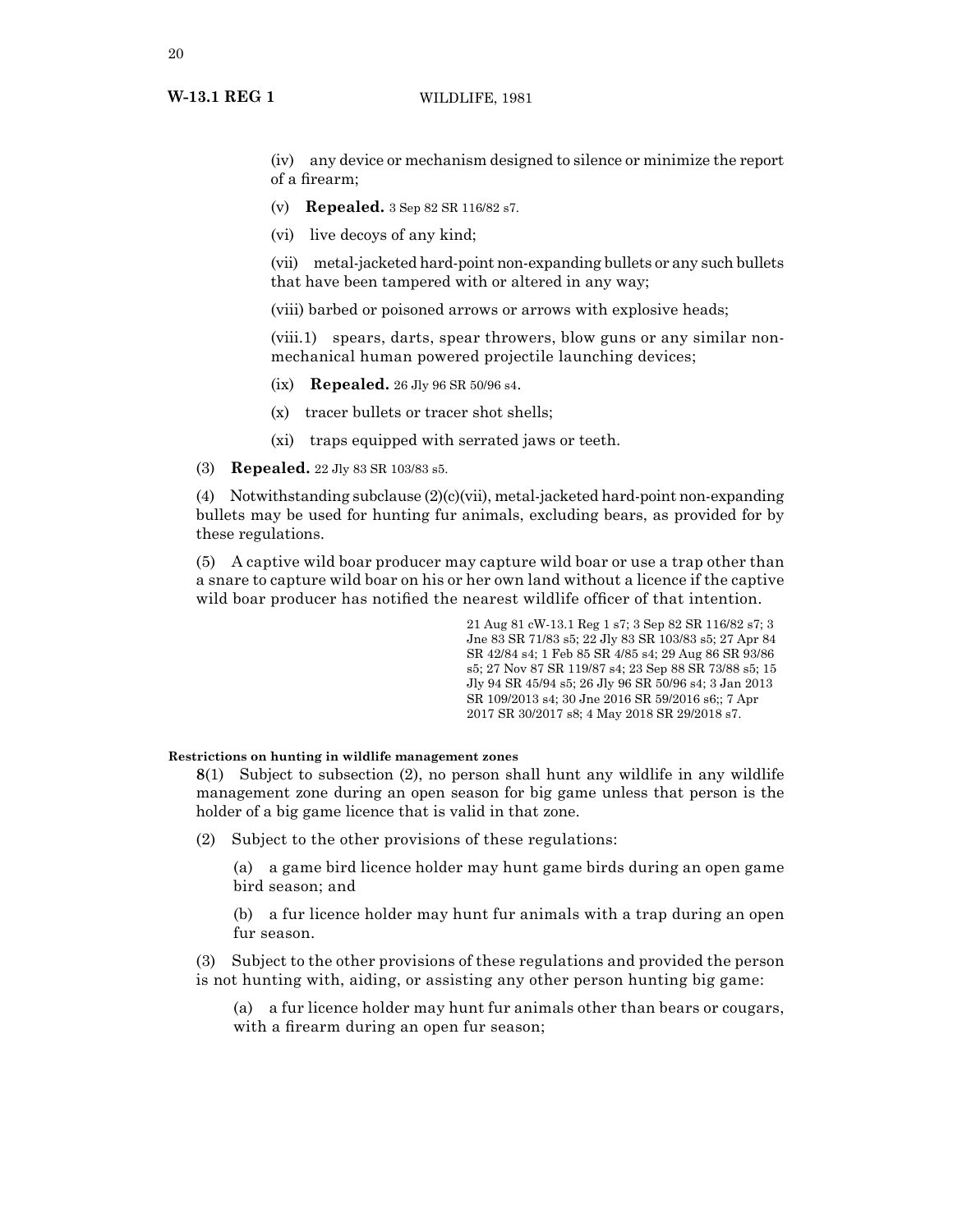# **W-13.1 REG 1** WILDLIFE, 1981

(iv) any device or mechanism designed to silence or minimize the report of a firearm;

- (v) **Repealed.** 3 Sep 82 SR 116/82 s7.
- (vi) live decoys of any kind;

(vii) metal-jacketed hard-point non-expanding bullets or any such bullets that have been tampered with or altered in any way;

(viii) barbed or poisoned arrows or arrows with explosive heads;

(viii.1) spears, darts, spear throwers, blow guns or any similar nonmechanical human powered projectile launching devices;

- (ix) **Repealed.** 26 Jly 96 SR 50/96 s4.
- (x) tracer bullets or tracer shot shells;
- (xi) traps equipped with serrated jaws or teeth.

(3) **Repealed.** 22 Jly 83 SR 103/83 s5.

(4) Notwithstanding subclause (2)(c)(vii), metal-jacketed hard-point non-expanding bullets may be used for hunting fur animals, excluding bears, as provided for by these regulations.

(5) A captive wild boar producer may capture wild boar or use a trap other than a snare to capture wild boar on his or her own land without a licence if the captive wild boar producer has notified the nearest wildlife officer of that intention.

> 21 Aug 81 cW-13.1 Reg 1 s7; 3 Sep 82 SR 116/82 s7; 3 Jne 83 SR 71/83 s5; 22 Jly 83 SR 103/83 s5; 27 Apr 84 SR 42/84 s4; 1 Feb 85 SR 4/85 s4; 29 Aug 86 SR 93/86 s5; 27 Nov 87 SR 119/87 s4; 23 Sep 88 SR 73/88 s5; 15 Jly 94 SR 45/94 s5; 26 Jly 96 SR 50/96 s4; 3 Jan 2013 SR 109/2013 s4; 30 Jne 2016 SR 59/2016 s6;; 7 Apr 2017 SR 30/2017 s8; 4 May 2018 SR 29/2018 s7.

# **Restrictions on hunting in wildlife management zones**

**8**(1) Subject to subsection (2), no person shall hunt any wildlife in any wildlife management zone during an open season for big game unless that person is the holder of a big game licence that is valid in that zone.

(2) Subject to the other provisions of these regulations:

(a) a game bird licence holder may hunt game birds during an open game bird season; and

(b) a fur licence holder may hunt fur animals with a trap during an open fur season.

(3) Subject to the other provisions of these regulations and provided the person is not hunting with, aiding, or assisting any other person hunting big game:

(a) a fur licence holder may hunt fur animals other than bears or cougars, with a firearm during an open fur season;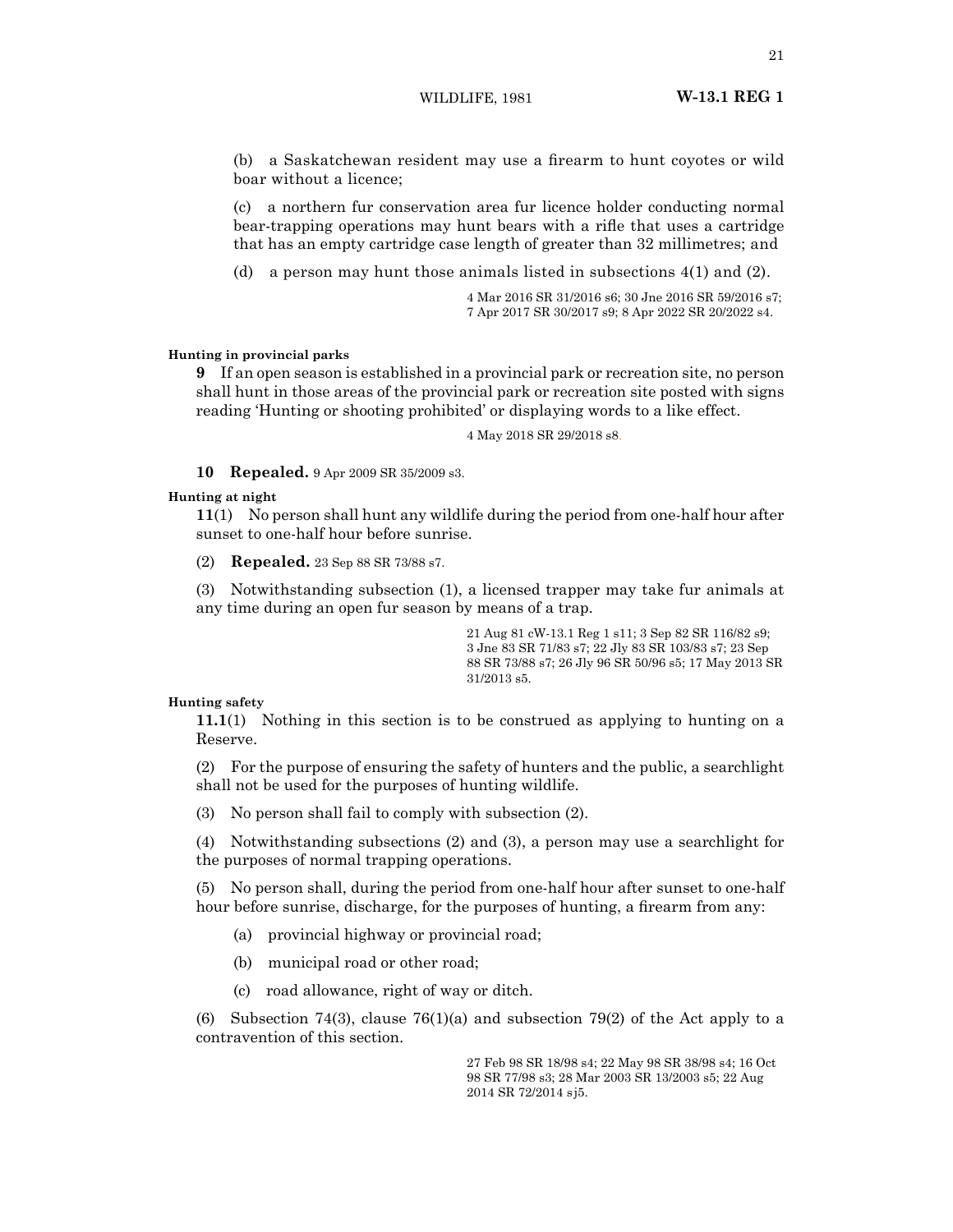WILDLIFE, 1981 **W-13.1 REG 1**

(b) a Saskatchewan resident may use a firearm to hunt coyotes or wild boar without a licence;

(c) a northern fur conservation area fur licence holder conducting normal bear‑trapping operations may hunt bears with a rifle that uses a cartridge that has an empty cartridge case length of greater than 32 millimetres; and

(d) a person may hunt those animals listed in subsections 4(1) and (2).

4 Mar 2016 SR 31/2016 s6; 30 Jne 2016 SR 59/2016 s7; 7 Apr 2017 SR 30/2017 s9; 8 Apr 2022 SR 20/2022 s4.

# **Hunting in provincial parks**

**9** If an open season is established in a provincial park or recreation site, no person shall hunt in those areas of the provincial park or recreation site posted with signs reading 'Hunting or shooting prohibited' or displaying words to a like effect.

4 May 2018 SR 29/2018 s8.

**10 Repealed.** 9 Apr 2009 SR 35/2009 s3.

# **Hunting at night**

**11**(1) No person shall hunt any wildlife during the period from one-half hour after sunset to one-half hour before sunrise.

(2) **Repealed.** 23 Sep 88 SR 73/88 s7.

(3) Notwithstanding subsection (1), a licensed trapper may take fur animals at any time during an open fur season by means of a trap.

> 21 Aug 81 cW-13.1 Reg 1 s11; 3 Sep 82 SR 116/82 s9; 3 Jne 83 SR 71/83 s7; 22 Jly 83 SR 103/83 s7; 23 Sep 88 SR 73/88 s7; 26 Jly 96 SR 50/96 s5; 17 May 2013 SR 31/2013 s5.

# **Hunting safety**

**11.1**(1) Nothing in this section is to be construed as applying to hunting on a Reserve.

(2) For the purpose of ensuring the safety of hunters and the public, a searchlight shall not be used for the purposes of hunting wildlife.

(3) No person shall fail to comply with subsection (2).

(4) Notwithstanding subsections (2) and (3), a person may use a searchlight for the purposes of normal trapping operations.

(5) No person shall, during the period from one-half hour after sunset to one-half hour before sunrise, discharge, for the purposes of hunting, a firearm from any:

- (a) provincial highway or provincial road;
- (b) municipal road or other road;
- (c) road allowance, right of way or ditch.

(6) Subsection 74(3), clause 76(1)(a) and subsection 79(2) of the Act apply to a contravention of this section.

> 27 Feb 98 SR 18/98 s4; 22 May 98 SR 38/98 s4; 16 Oct 98 SR 77/98 s3; 28 Mar 2003 SR 13/2003 s5; 22 Aug 2014 SR 72/2014 s j5.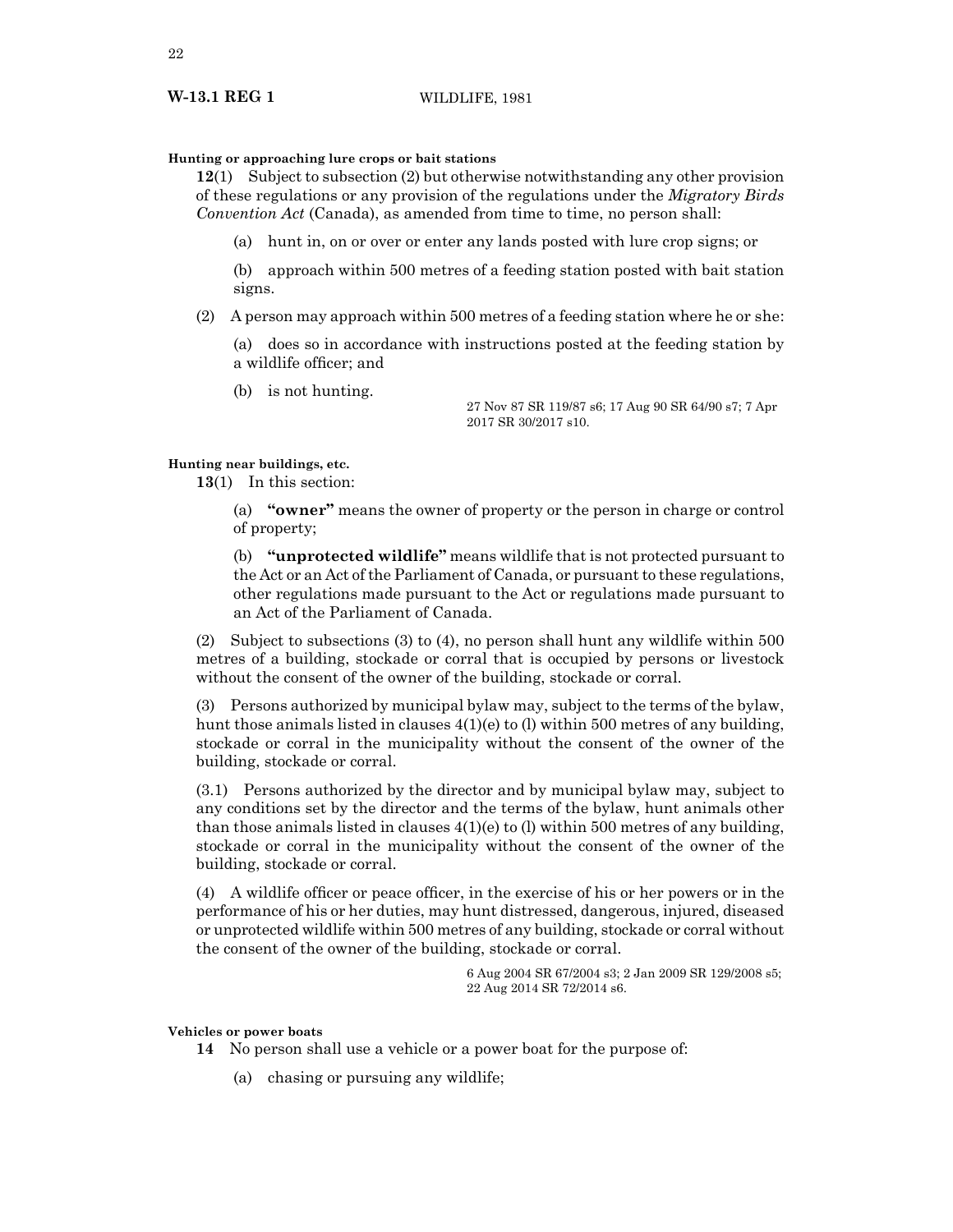# **Hunting or approaching lure crops or bait stations**

**12**(1) Subject to subsection (2) but otherwise notwithstanding any other provision of these regulations or any provision of the regulations under the *Migratory Birds Convention Act* (Canada), as amended from time to time, no person shall:

(a) hunt in, on or over or enter any lands posted with lure crop signs; or

(b) approach within 500 metres of a feeding station posted with bait station signs.

(2) A person may approach within 500 metres of a feeding station where he or she:

(a) does so in accordance with instructions posted at the feeding station by a wildlife officer; and

(b) is not hunting.

27 Nov 87 SR 119/87 s6; 17 Aug 90 SR 64/90 s7; 7 Apr 2017 SR 30/2017 s10.

# **Hunting near buildings, etc.**

**13**(1) In this section:

(a) **"owner"** means the owner of property or the person in charge or control of property;

(b) **"unprotected wildlife"** means wildlife that is not protected pursuant to the Act or an Act of the Parliament of Canada, or pursuant to these regulations, other regulations made pursuant to the Act or regulations made pursuant to an Act of the Parliament of Canada.

(2) Subject to subsections (3) to (4), no person shall hunt any wildlife within 500 metres of a building, stockade or corral that is occupied by persons or livestock without the consent of the owner of the building, stockade or corral.

(3) Persons authorized by municipal bylaw may, subject to the terms of the bylaw, hunt those animals listed in clauses 4(1)(e) to (l) within 500 metres of any building, stockade or corral in the municipality without the consent of the owner of the building, stockade or corral.

(3.1) Persons authorized by the director and by municipal bylaw may, subject to any conditions set by the director and the terms of the bylaw, hunt animals other than those animals listed in clauses  $4(1)(e)$  to (l) within 500 metres of any building, stockade or corral in the municipality without the consent of the owner of the building, stockade or corral.

(4) A wildlife officer or peace officer, in the exercise of his or her powers or in the performance of his or her duties, may hunt distressed, dangerous, injured, diseased or unprotected wildlife within 500 metres of any building, stockade or corral without the consent of the owner of the building, stockade or corral.

> 6 Aug 2004 SR 67/2004 s3; 2 Jan 2009 SR 129/2008 s5; 22 Aug 2014 SR 72/2014 s6.

# **Vehicles or power boats**

- **14** No person shall use a vehicle or a power boat for the purpose of:
	- (a) chasing or pursuing any wildlife;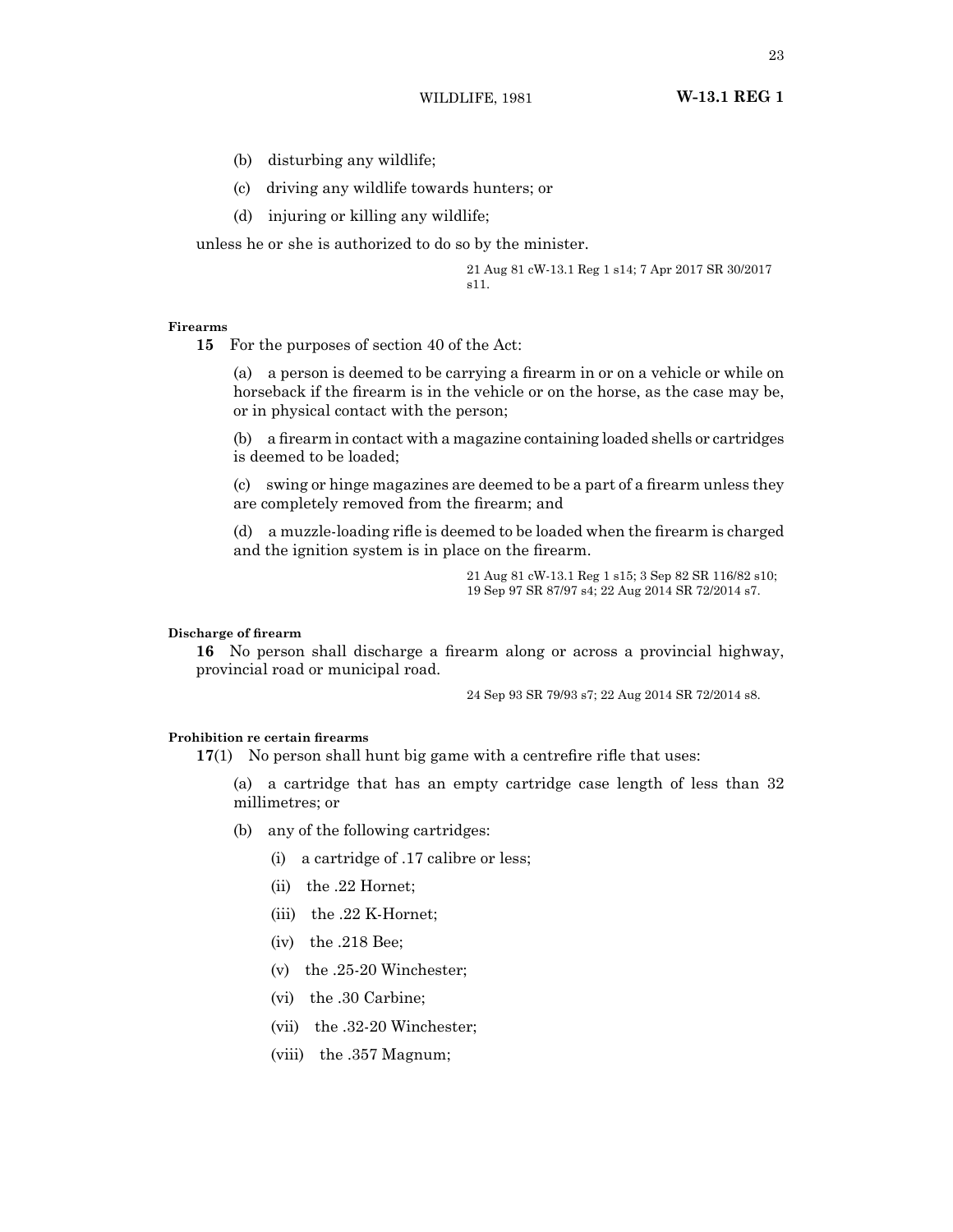WILDLIFE, 1981 **W-13.1 REG 1**

- (b) disturbing any wildlife;
- (c) driving any wildlife towards hunters; or
- (d) injuring or killing any wildlife;

unless he or she is authorized to do so by the minister.

21 Aug 81 cW-13.1 Reg 1 s14; 7 Apr 2017 SR 30/2017 s11.

### **Firearms**

**15** For the purposes of section 40 of the Act:

(a) a person is deemed to be carrying a firearm in or on a vehicle or while on horseback if the firearm is in the vehicle or on the horse, as the case may be, or in physical contact with the person;

(b) a firearm in contact with a magazine containing loaded shells or cartridges is deemed to be loaded;

(c) swing or hinge magazines are deemed to be a part of a firearm unless they are completely removed from the firearm; and

(d) a muzzle-loading rifle is deemed to be loaded when the firearm is charged and the ignition system is in place on the firearm.

> 21 Aug 81 cW-13.1 Reg 1 s15; 3 Sep 82 SR 116/82 s10; 19 Sep 97 SR 87/97 s4; 22 Aug 2014 SR 72/2014 s7.

# **Discharge of firearm**

**16** No person shall discharge a firearm along or across a provincial highway, provincial road or municipal road.

24 Sep 93 SR 79/93 s7; 22 Aug 2014 SR 72/2014 s8.

# **Prohibition re certain firearms**

**17**(1) No person shall hunt big game with a centrefire rifle that uses:

(a) a cartridge that has an empty cartridge case length of less than 32 millimetres; or

- (b) any of the following cartridges:
	- (i) a cartridge of .17 calibre or less;
	- (ii) the .22 Hornet;
	- (iii) the .22 K-Hornet;
	- (iv) the .218 Bee;
	- (v) the .25-20 Winchester;
	- (vi) the .30 Carbine;
	- (vii) the .32-20 Winchester;
	- (viii) the .357 Magnum;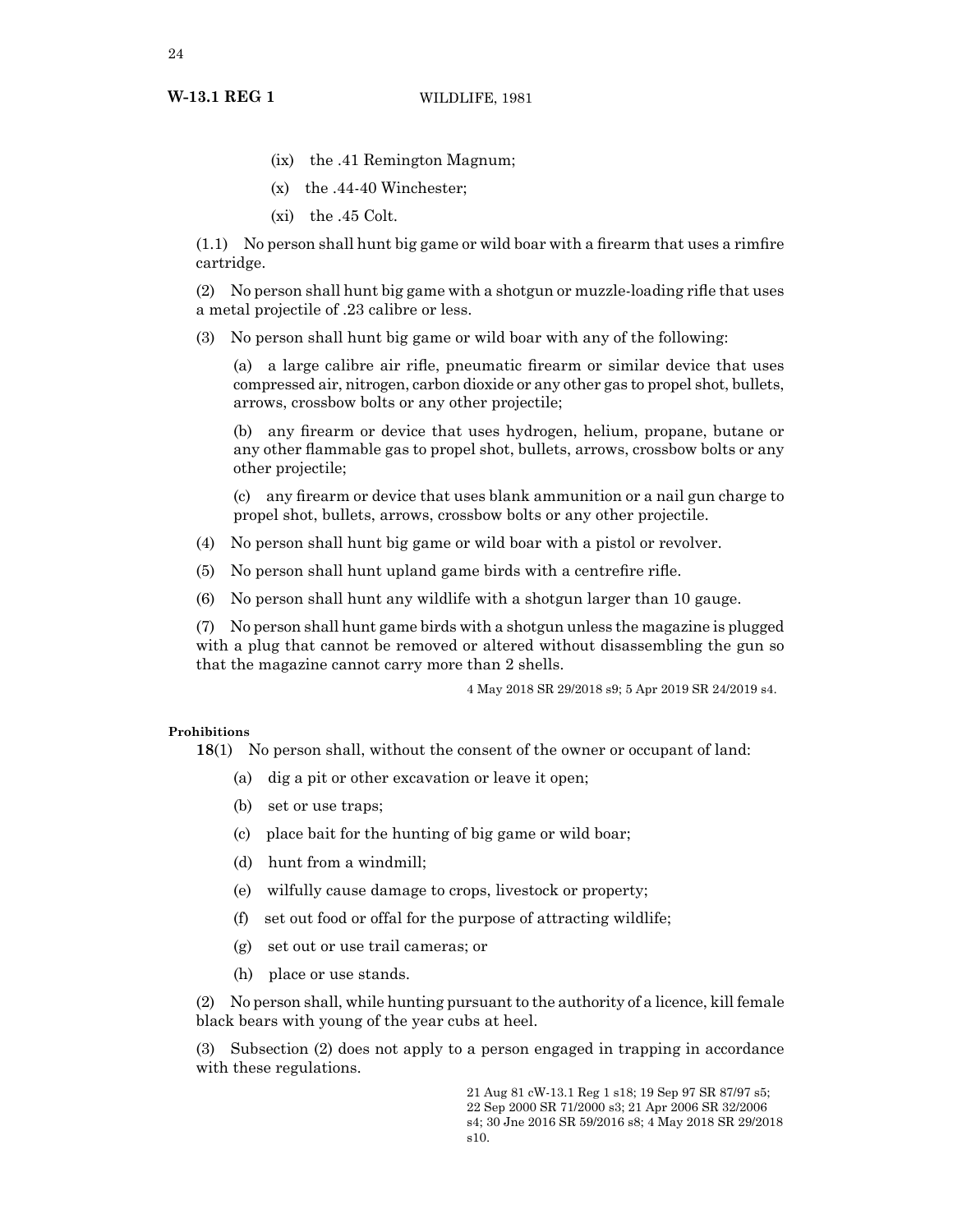- (ix) the .41 Remington Magnum;
- (x) the .44-40 Winchester;
- (xi) the .45 Colt.

(1.1) No person shall hunt big game or wild boar with a firearm that uses a rimfire cartridge.

(2) No person shall hunt big game with a shotgun or muzzle-loading rifle that uses a metal projectile of .23 calibre or less.

(3) No person shall hunt big game or wild boar with any of the following:

(a) a large calibre air rifle, pneumatic firearm or similar device that uses compressed air, nitrogen, carbon dioxide or any other gas to propel shot, bullets, arrows, crossbow bolts or any other projectile;

(b) any firearm or device that uses hydrogen, helium, propane, butane or any other flammable gas to propel shot, bullets, arrows, crossbow bolts or any other projectile;

(c) any firearm or device that uses blank ammunition or a nail gun charge to propel shot, bullets, arrows, crossbow bolts or any other projectile.

- (4) No person shall hunt big game or wild boar with a pistol or revolver.
- (5) No person shall hunt upland game birds with a centrefire rifle.
- (6) No person shall hunt any wildlife with a shotgun larger than 10 gauge.

(7) No person shall hunt game birds with a shotgun unless the magazine is plugged with a plug that cannot be removed or altered without disassembling the gun so that the magazine cannot carry more than 2 shells.

4 May 2018 SR 29/2018 s9; 5 Apr 2019 SR 24/2019 s4.

# **Prohibitions**

**18**(1) No person shall, without the consent of the owner or occupant of land:

- (a) dig a pit or other excavation or leave it open;
- (b) set or use traps;
- (c) place bait for the hunting of big game or wild boar;
- (d) hunt from a windmill;
- (e) wilfully cause damage to crops, livestock or property;
- (f) set out food or offal for the purpose of attracting wildlife;
- (g) set out or use trail cameras; or
- (h) place or use stands.

(2) No person shall, while hunting pursuant to the authority of a licence, kill female black bears with young of the year cubs at heel.

(3) Subsection (2) does not apply to a person engaged in trapping in accordance with these regulations.

> 21 Aug 81 cW-13.1 Reg 1 s18; 19 Sep 97 SR 87/97 s5; 22 Sep 2000 SR 71/2000 s3; 21 Apr 2006 SR 32/2006 s4; 30 Jne 2016 SR 59/2016 s8; 4 May 2018 SR 29/2018 s10.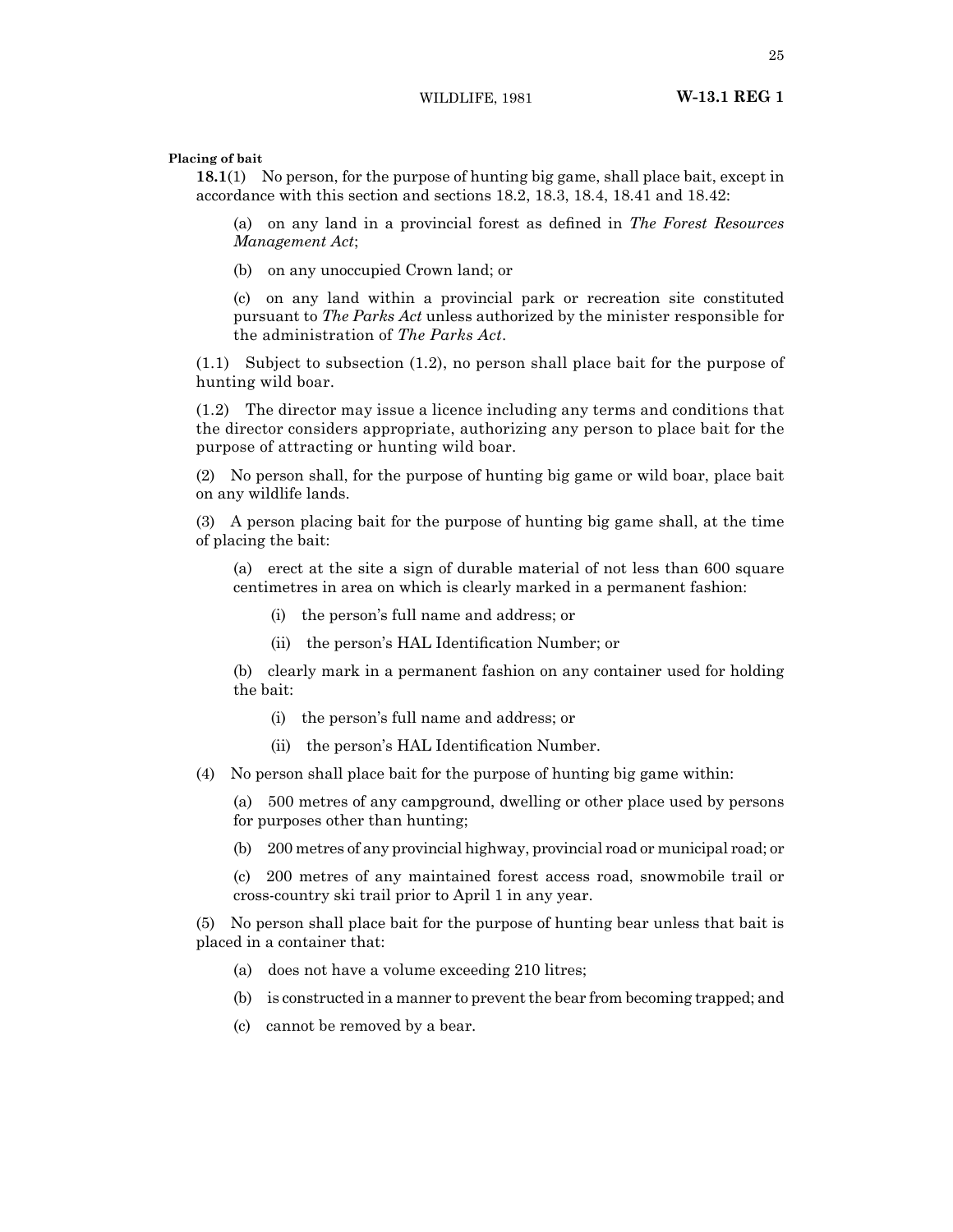**Placing of bait**

**18.1**(1) No person, for the purpose of hunting big game, shall place bait, except in accordance with this section and sections 18.2, 18.3, 18.4, 18.41 and 18.42:

(a) on any land in a provincial forest as defined in *The Forest Resources Management Act*;

(b) on any unoccupied Crown land; or

(c) on any land within a provincial park or recreation site constituted pursuant to *The Parks Act* unless authorized by the minister responsible for the administration of *The Parks Act*.

(1.1) Subject to subsection (1.2), no person shall place bait for the purpose of hunting wild boar.

(1.2) The director may issue a licence including any terms and conditions that the director considers appropriate, authorizing any person to place bait for the purpose of attracting or hunting wild boar.

(2) No person shall, for the purpose of hunting big game or wild boar, place bait on any wildlife lands.

(3) A person placing bait for the purpose of hunting big game shall, at the time of placing the bait:

(a) erect at the site a sign of durable material of not less than 600 square centimetres in area on which is clearly marked in a permanent fashion:

- (i) the person's full name and address; or
- (ii) the person's HAL Identification Number; or

(b) clearly mark in a permanent fashion on any container used for holding the bait:

- (i) the person's full name and address; or
- (ii) the person's HAL Identification Number.
- (4) No person shall place bait for the purpose of hunting big game within:

(a) 500 metres of any campground, dwelling or other place used by persons for purposes other than hunting;

(b) 200 metres of any provincial highway, provincial road or municipal road; or

(c) 200 metres of any maintained forest access road, snowmobile trail or cross-country ski trail prior to April 1 in any year.

(5) No person shall place bait for the purpose of hunting bear unless that bait is placed in a container that:

- (a) does not have a volume exceeding 210 litres;
- (b) is constructed in a manner to prevent the bear from becoming trapped; and
- (c) cannot be removed by a bear.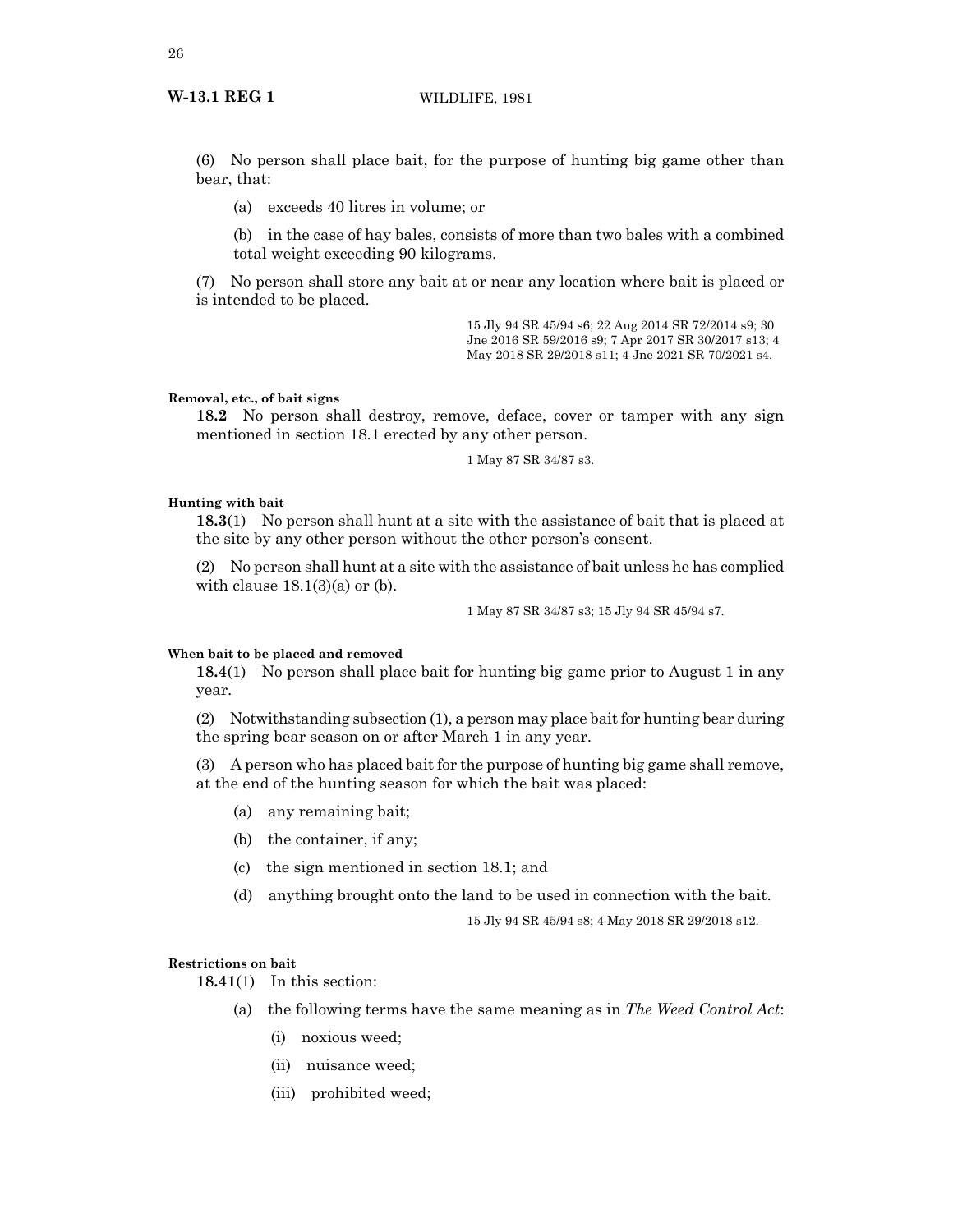# **W-13.1 REG 1** WILDLIFE, 1981

(6) No person shall place bait, for the purpose of hunting big game other than bear, that:

(a) exceeds 40 litres in volume; or

(b) in the case of hay bales, consists of more than two bales with a combined total weight exceeding 90 kilograms.

(7) No person shall store any bait at or near any location where bait is placed or is intended to be placed.

> 15 Jly 94 SR 45/94 s6; 22 Aug 2014 SR 72/2014 s9; 30 Jne 2016 SR 59/2016 s9; 7 Apr 2017 SR 30/2017 s13; 4 May 2018 SR 29/2018 s11; 4 Jne 2021 SR 70/2021 s4.

# **Removal, etc., of bait signs**

**18.2** No person shall destroy, remove, deface, cover or tamper with any sign mentioned in section 18.1 erected by any other person.

1 May 87 SR 34/87 s3.

# **Hunting with bait**

**18.3**(1) No person shall hunt at a site with the assistance of bait that is placed at the site by any other person without the other person's consent.

(2) No person shall hunt at a site with the assistance of bait unless he has complied with clause  $18.1(3)(a)$  or (b).

1 May 87 SR 34/87 s3; 15 Jly 94 SR 45/94 s7.

# **When bait to be placed and removed**

**18.4**(1) No person shall place bait for hunting big game prior to August 1 in any year.

(2) Notwithstanding subsection (1), a person may place bait for hunting bear during the spring bear season on or after March 1 in any year.

(3) A person who has placed bait for the purpose of hunting big game shall remove, at the end of the hunting season for which the bait was placed:

- (a) any remaining bait;
- (b) the container, if any;
- (c) the sign mentioned in section 18.1; and
- (d) anything brought onto the land to be used in connection with the bait.

15 Jly 94 SR 45/94 s8; 4 May 2018 SR 29/2018 s12.

# **Restrictions on bait**

**18.41**(1) In this section:

- (a) the following terms have the same meaning as in *The Weed Control Act*:
	- (i) noxious weed;
	- (ii) nuisance weed;
	- (iii) prohibited weed;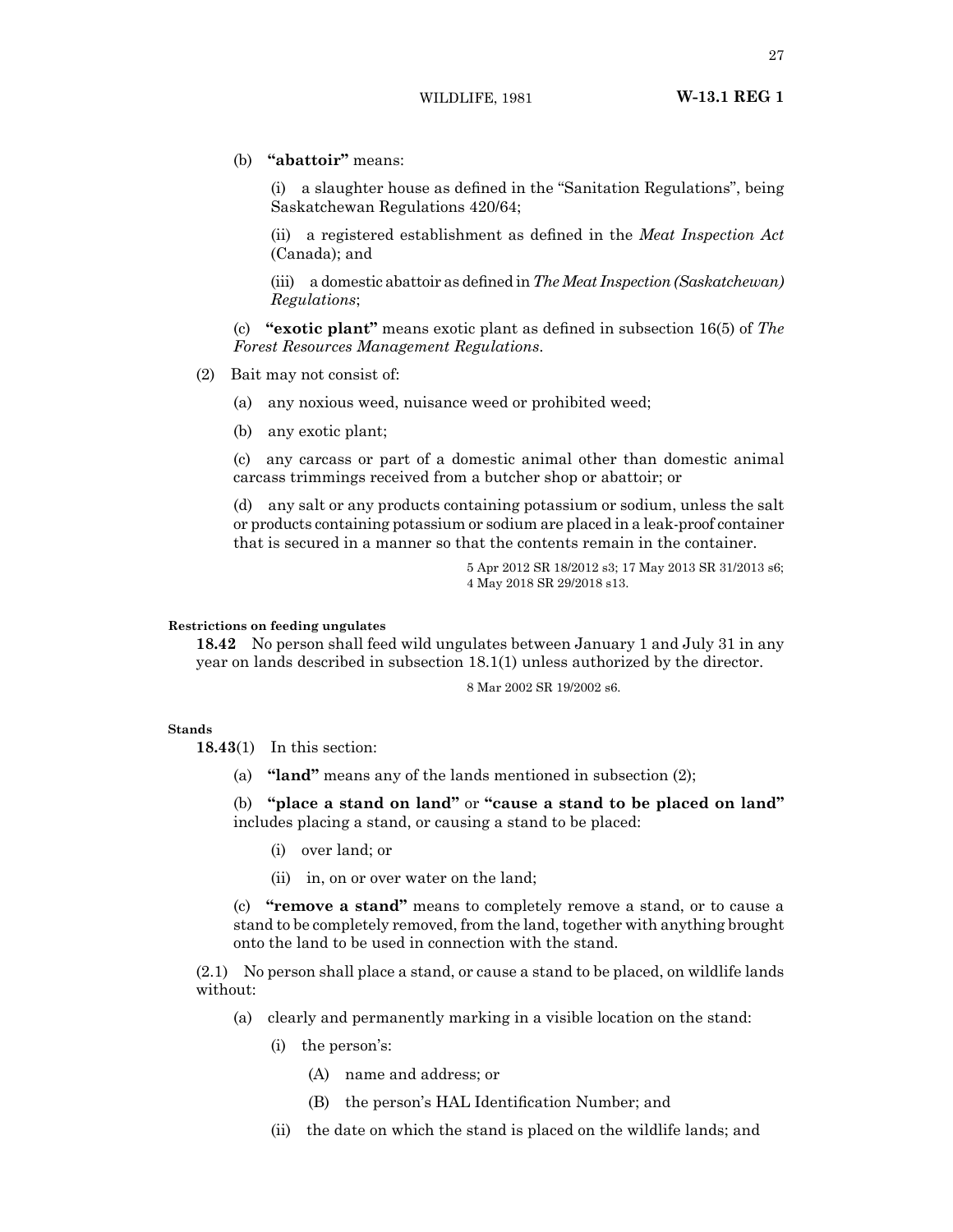(b) **"abattoir"** means:

(i) a slaughter house as defined in the "Sanitation Regulations", being Saskatchewan Regulations 420/64;

(ii) a registered establishment as defined in the *Meat Inspection Act* (Canada); and

(iii) a domestic abattoir as defined in*The Meat Inspection (Saskatchewan) Regulations*;

(c) **"exotic plant"** means exotic plant as defined in subsection 16(5) of *The Forest Resources Management Regulations*.

- (2) Bait may not consist of:
	- (a) any noxious weed, nuisance weed or prohibited weed;
	- (b) any exotic plant;

(c) any carcass or part of a domestic animal other than domestic animal carcass trimmings received from a butcher shop or abattoir; or

(d) any salt or any products containing potassium or sodium, unless the salt or products containing potassium or sodium are placed in a leak-proof container that is secured in a manner so that the contents remain in the container.

> 5 Apr 2012 SR 18/2012 s3; 17 May 2013 SR 31/2013 s6; 4 May 2018 SR 29/2018 s13.

# **Restrictions on feeding ungulates**

**18.42** No person shall feed wild ungulates between January 1 and July 31 in any year on lands described in subsection 18.1(1) unless authorized by the director.

8 Mar 2002 SR 19/2002 s6.

# **Stands**

**18.43**(1) In this section:

(a) **"land"** means any of the lands mentioned in subsection (2);

(b) **"place a stand on land"** or **"cause a stand to be placed on land"** includes placing a stand, or causing a stand to be placed:

- (i) over land; or
- (ii) in, on or over water on the land;

(c) **"remove a stand"** means to completely remove a stand, or to cause a stand to be completely removed, from the land, together with anything brought onto the land to be used in connection with the stand.

(2.1) No person shall place a stand, or cause a stand to be placed, on wildlife lands without:

- (a) clearly and permanently marking in a visible location on the stand:
	- (i) the person's:
		- (A) name and address; or
		- (B) the person's HAL Identification Number; and
	- (ii) the date on which the stand is placed on the wildlife lands; and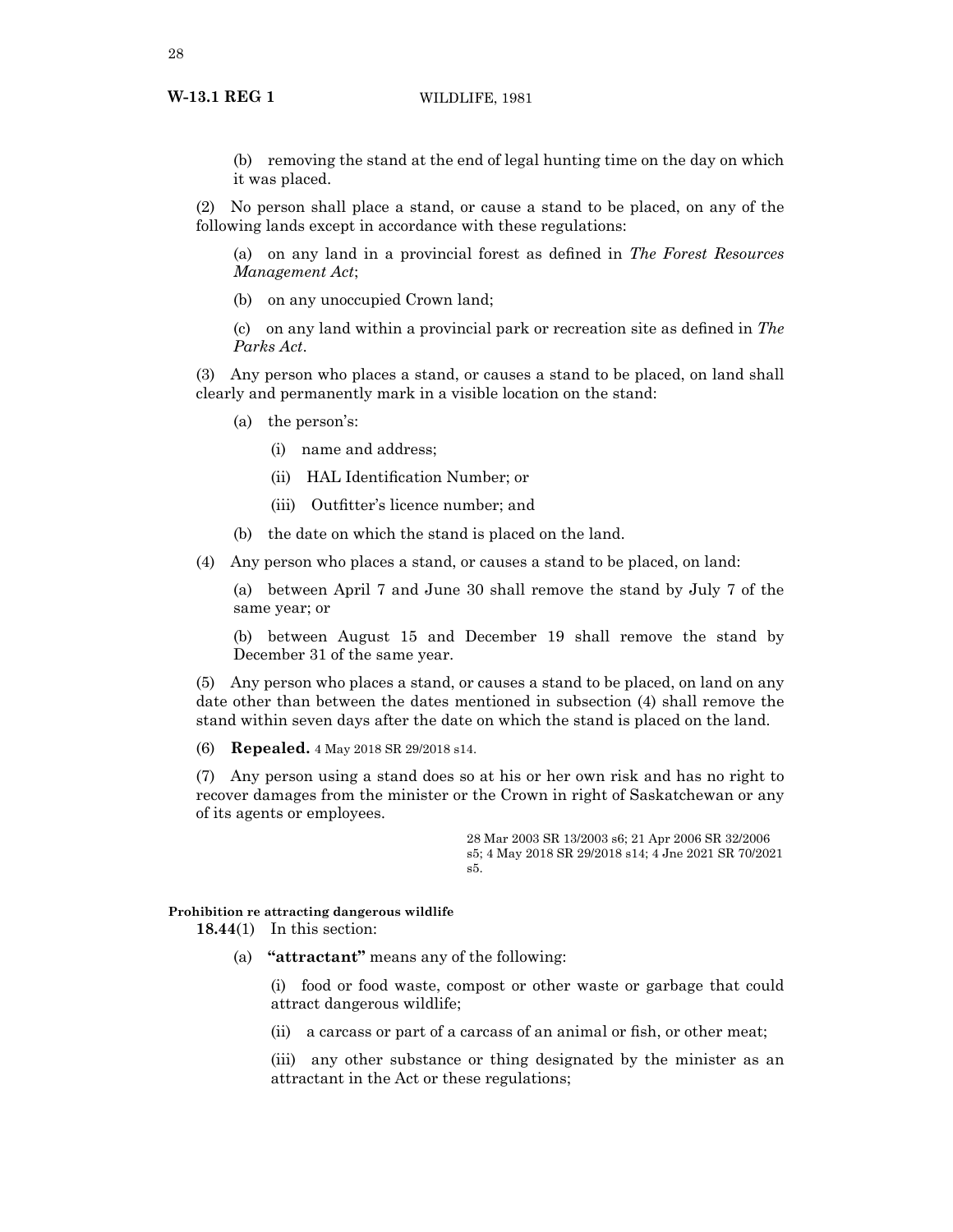(b) removing the stand at the end of legal hunting time on the day on which it was placed.

(2) No person shall place a stand, or cause a stand to be placed, on any of the following lands except in accordance with these regulations:

(a) on any land in a provincial forest as defined in *The Forest Resources Management Act*;

(b) on any unoccupied Crown land;

(c) on any land within a provincial park or recreation site as defined in *The Parks Act*.

(3) Any person who places a stand, or causes a stand to be placed, on land shall clearly and permanently mark in a visible location on the stand:

- (a) the person's:
	- (i) name and address;
	- (ii) HAL Identification Number; or
	- (iii) Outfitter's licence number; and
- (b) the date on which the stand is placed on the land.

(4) Any person who places a stand, or causes a stand to be placed, on land:

(a) between April 7 and June 30 shall remove the stand by July 7 of the same year; or

(b) between August 15 and December 19 shall remove the stand by December 31 of the same year.

(5) Any person who places a stand, or causes a stand to be placed, on land on any date other than between the dates mentioned in subsection (4) shall remove the stand within seven days after the date on which the stand is placed on the land.

(6) **Repealed.** 4 May 2018 SR 29/2018 s14.

(7) Any person using a stand does so at his or her own risk and has no right to recover damages from the minister or the Crown in right of Saskatchewan or any of its agents or employees.

> 28 Mar 2003 SR 13/2003 s6; 21 Apr 2006 SR 32/2006 s5; 4 May 2018 SR 29/2018 s14; 4 Jne 2021 SR 70/2021 s5.

# **Prohibition re attracting dangerous wildlife**

**18.44**(1) In this section:

(a) **"attractant"** means any of the following:

(i) food or food waste, compost or other waste or garbage that could attract dangerous wildlife;

(ii) a carcass or part of a carcass of an animal or fish, or other meat;

(iii) any other substance or thing designated by the minister as an attractant in the Act or these regulations;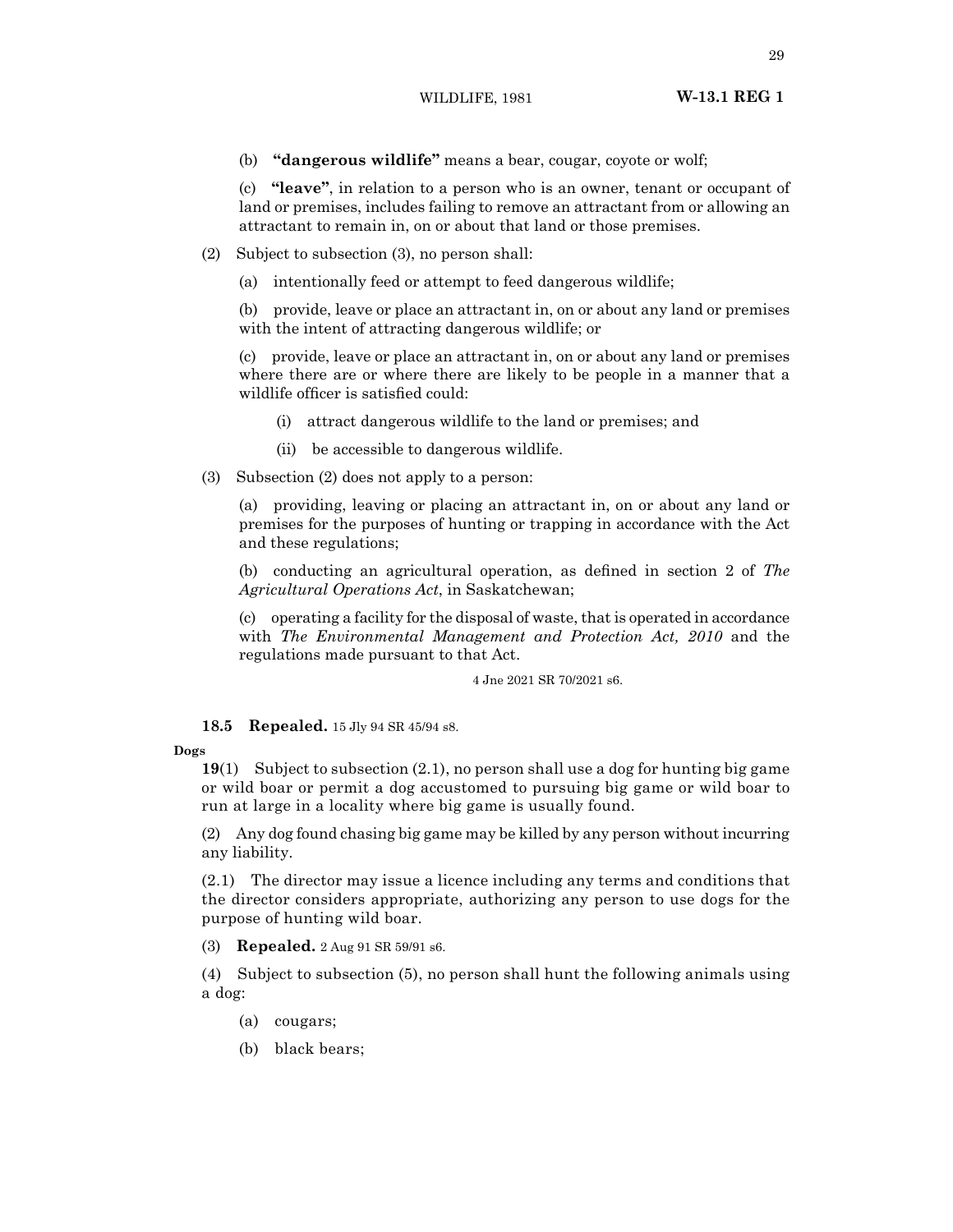(b) **"dangerous wildlife"** means a bear, cougar, coyote or wolf;

(c) **"leave"**, in relation to a person who is an owner, tenant or occupant of land or premises, includes failing to remove an attractant from or allowing an attractant to remain in, on or about that land or those premises.

- (2) Subject to subsection (3), no person shall:
	- (a) intentionally feed or attempt to feed dangerous wildlife;

(b) provide, leave or place an attractant in, on or about any land or premises with the intent of attracting dangerous wildlife; or

(c) provide, leave or place an attractant in, on or about any land or premises where there are or where there are likely to be people in a manner that a wildlife officer is satisfied could:

- (i) attract dangerous wildlife to the land or premises; and
- (ii) be accessible to dangerous wildlife.
- (3) Subsection (2) does not apply to a person:

(a) providing, leaving or placing an attractant in, on or about any land or premises for the purposes of hunting or trapping in accordance with the Act and these regulations;

(b) conducting an agricultural operation, as defined in section 2 of *The Agricultural Operations Act*, in Saskatchewan;

(c) operating a facility for the disposal of waste, that is operated in accordance with *The Environmental Management and Protection Act, 2010* and the regulations made pursuant to that Act.

4 Jne 2021 SR 70/2021 s6.

**18.5 Repealed.** 15 Jly 94 SR 45/94 s8.

# **Dogs**

**19**(1) Subject to subsection (2.1), no person shall use a dog for hunting big game or wild boar or permit a dog accustomed to pursuing big game or wild boar to run at large in a locality where big game is usually found.

(2) Any dog found chasing big game may be killed by any person without incurring any liability.

(2.1) The director may issue a licence including any terms and conditions that the director considers appropriate, authorizing any person to use dogs for the purpose of hunting wild boar.

(3) **Repealed.** 2 Aug 91 SR 59/91 s6.

(4) Subject to subsection (5), no person shall hunt the following animals using a dog:

- (a) cougars;
- (b) black bears;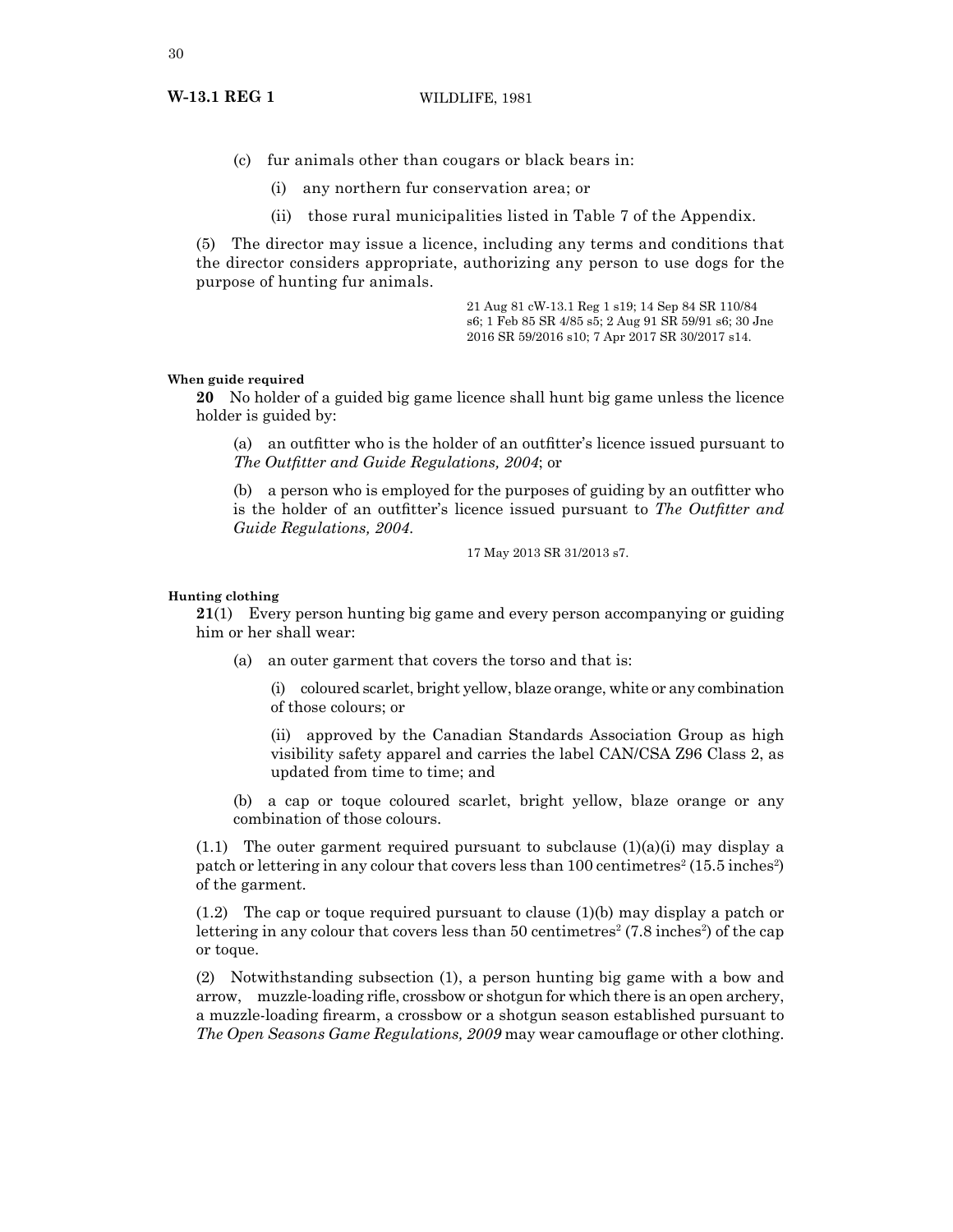- (c) fur animals other than cougars or black bears in:
	- (i) any northern fur conservation area; or
	- (ii) those rural municipalities listed in Table 7 of the Appendix.

(5) The director may issue a licence, including any terms and conditions that the director considers appropriate, authorizing any person to use dogs for the purpose of hunting fur animals.

> 21 Aug 81 cW-13.1 Reg 1 s19; 14 Sep 84 SR 110/84 s6; 1 Feb 85 SR 4/85 s5; 2 Aug 91 SR 59/91 s6; 30 Jne 2016 SR 59/2016 s10; 7 Apr 2017 SR 30/2017 s14.

# **When guide required**

**20** No holder of a guided big game licence shall hunt big game unless the licence holder is guided by:

(a) an outfitter who is the holder of an outfitter's licence issued pursuant to *The Outfitter and Guide Regulations, 2004*; or

(b) a person who is employed for the purposes of guiding by an outfitter who is the holder of an outfitter's licence issued pursuant to *The Outfitter and Guide Regulations, 2004*.

17 May 2013 SR 31/2013 s7.

# **Hunting clothing**

**21**(1) Every person hunting big game and every person accompanying or guiding him or her shall wear:

(a) an outer garment that covers the torso and that is:

(i) coloured scarlet, bright yellow, blaze orange, white or any combination of those colours; or

(ii) approved by the Canadian Standards Association Group as high visibility safety apparel and carries the label CAN/CSA Z96 Class 2, as updated from time to time; and

(b) a cap or toque coloured scarlet, bright yellow, blaze orange or any combination of those colours.

 $(1.1)$  The outer garment required pursuant to subclause  $(1)(a)(i)$  may display a patch or lettering in any colour that covers less than 100 centimetres<sup>2</sup> (15.5 inches<sup>2</sup>) of the garment.

(1.2) The cap or toque required pursuant to clause (1)(b) may display a patch or lettering in any colour that covers less than 50 centimetres<sup>2</sup> (7.8 inches<sup>2</sup>) of the cap or toque.

(2) Notwithstanding subsection (1), a person hunting big game with a bow and arrow, muzzle-loading rifle, crossbow or shotgun for which there is an open archery, a muzzle-loading firearm, a crossbow or a shotgun season established pursuant to *The Open Seasons Game Regulations, 2009* may wear camouflage or other clothing.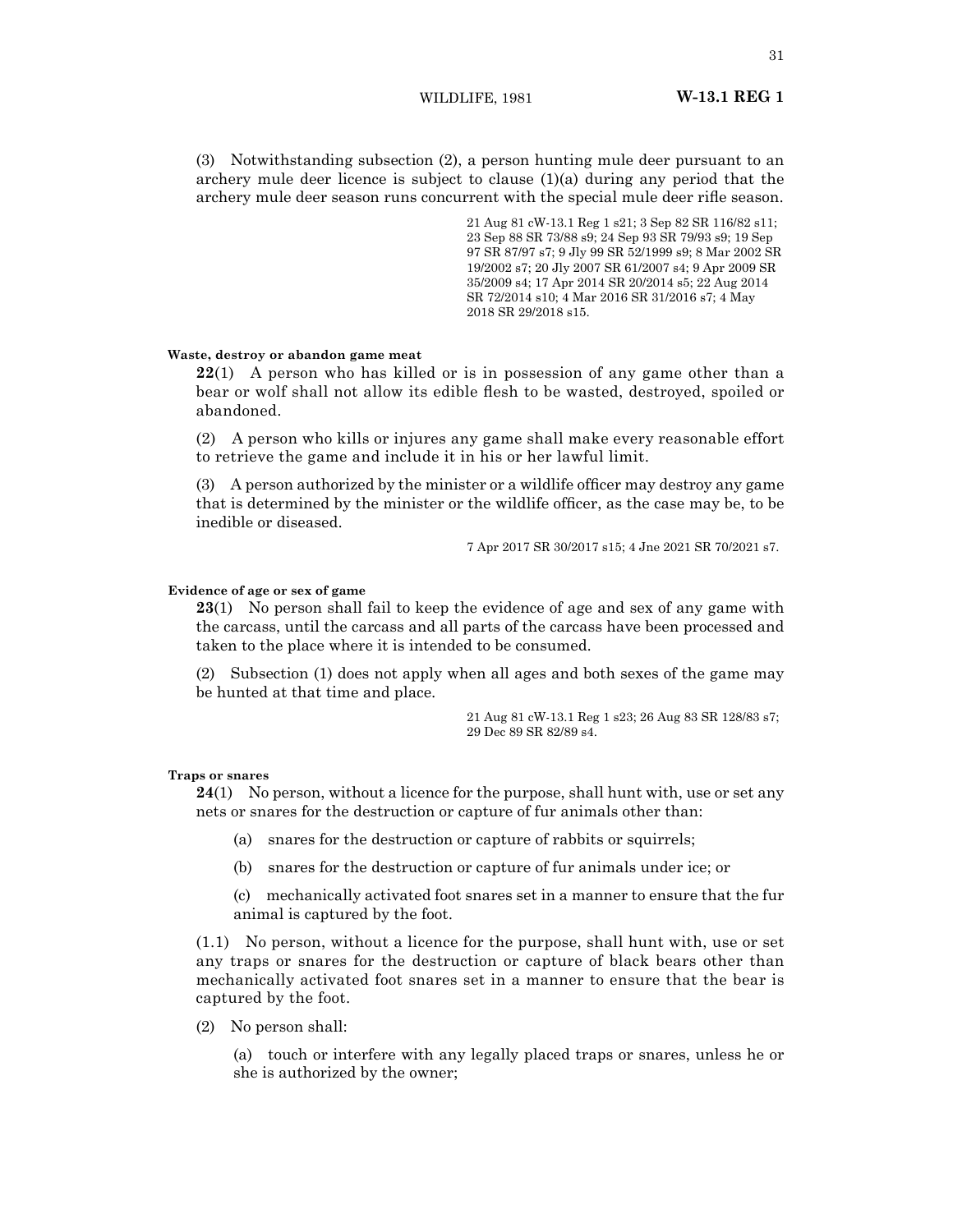(3) Notwithstanding subsection (2), a person hunting mule deer pursuant to an archery mule deer licence is subject to clause (1)(a) during any period that the archery mule deer season runs concurrent with the special mule deer rifle season.

> 21 Aug 81 cW-13.1 Reg 1 s21; 3 Sep 82 SR 116/82 s11; 23 Sep 88 SR 73/88 s9; 24 Sep 93 SR 79/93 s9; 19 Sep 97 SR 87/97 s7; 9 Jly 99 SR 52/1999 s9; 8 Mar 2002 SR 19/2002 s7; 20 Jly 2007 SR 61/2007 s4; 9 Apr 2009 SR 35/2009 s4; 17 Apr 2014 SR 20/2014 s5; 22 Aug 2014 SR 72/2014 s10; 4 Mar 2016 SR 31/2016 s7; 4 May 2018 SR 29/2018 s15.

# **Waste, destroy or abandon game meat**

**22**(1) A person who has killed or is in possession of any game other than a bear or wolf shall not allow its edible flesh to be wasted, destroyed, spoiled or abandoned.

(2) A person who kills or injures any game shall make every reasonable effort to retrieve the game and include it in his or her lawful limit.

(3) A person authorized by the minister or a wildlife officer may destroy any game that is determined by the minister or the wildlife officer, as the case may be, to be inedible or diseased.

7 Apr 2017 SR 30/2017 s15; 4 Jne 2021 SR 70/2021 s7.

# **Evidence of age or sex of game**

**23**(1) No person shall fail to keep the evidence of age and sex of any game with the carcass, until the carcass and all parts of the carcass have been processed and taken to the place where it is intended to be consumed.

(2) Subsection (1) does not apply when all ages and both sexes of the game may be hunted at that time and place.

> 21 Aug 81 cW-13.1 Reg 1 s23; 26 Aug 83 SR 128/83 s7; 29 Dec 89 SR 82/89 s4.

### **Traps or snares**

**24**(1) No person, without a licence for the purpose, shall hunt with, use or set any nets or snares for the destruction or capture of fur animals other than:

- (a) snares for the destruction or capture of rabbits or squirrels;
- (b) snares for the destruction or capture of fur animals under ice; or

(c) mechanically activated foot snares set in a manner to ensure that the fur animal is captured by the foot.

(1.1) No person, without a licence for the purpose, shall hunt with, use or set any traps or snares for the destruction or capture of black bears other than mechanically activated foot snares set in a manner to ensure that the bear is captured by the foot.

(2) No person shall:

(a) touch or interfere with any legally placed traps or snares, unless he or she is authorized by the owner;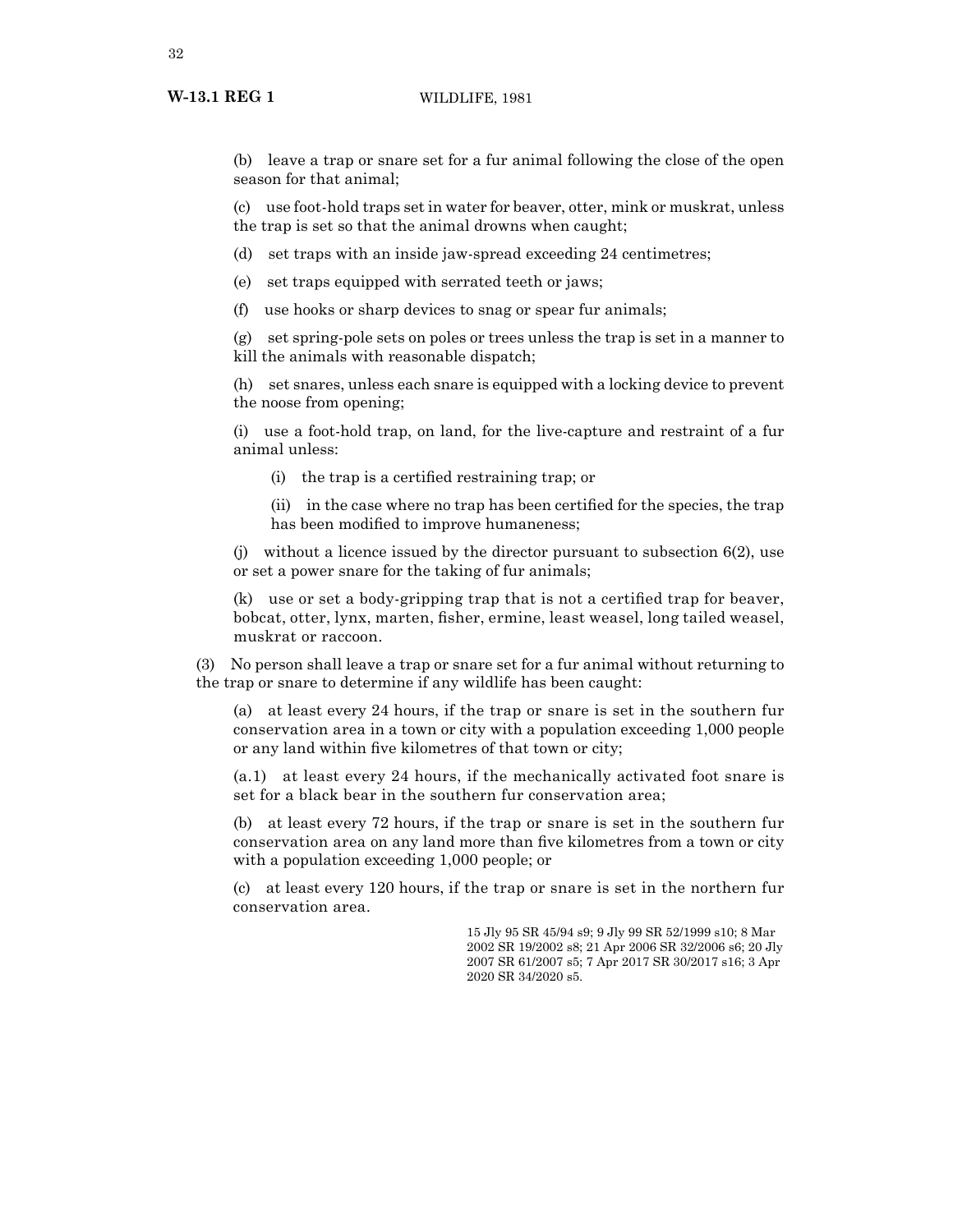# **W-13.1 REG 1** WILDLIFE, 1981

(b) leave a trap or snare set for a fur animal following the close of the open season for that animal;

(c) use foot-hold traps set in water for beaver, otter, mink or muskrat, unless the trap is set so that the animal drowns when caught;

(d) set traps with an inside jaw-spread exceeding 24 centimetres;

(e) set traps equipped with serrated teeth or jaws;

(f) use hooks or sharp devices to snag or spear fur animals;

(g) set spring-pole sets on poles or trees unless the trap is set in a manner to kill the animals with reasonable dispatch;

(h) set snares, unless each snare is equipped with a locking device to prevent the noose from opening;

(i) use a foot-hold trap, on land, for the live-capture and restraint of a fur animal unless:

(i) the trap is a certified restraining trap; or

(ii) in the case where no trap has been certified for the species, the trap has been modified to improve humaneness;

(i) without a licence issued by the director pursuant to subsection  $6(2)$ , use or set a power snare for the taking of fur animals;

(k) use or set a body-gripping trap that is not a certified trap for beaver, bobcat, otter, lynx, marten, fisher, ermine, least weasel, long tailed weasel, muskrat or raccoon.

(3) No person shall leave a trap or snare set for a fur animal without returning to the trap or snare to determine if any wildlife has been caught:

(a) at least every 24 hours, if the trap or snare is set in the southern fur conservation area in a town or city with a population exceeding 1,000 people or any land within five kilometres of that town or city;

(a.1) at least every 24 hours, if the mechanically activated foot snare is set for a black bear in the southern fur conservation area;

(b) at least every 72 hours, if the trap or snare is set in the southern fur conservation area on any land more than five kilometres from a town or city with a population exceeding 1,000 people; or

(c) at least every 120 hours, if the trap or snare is set in the northern fur conservation area.

> 15 Jly 95 SR 45/94 s9; 9 Jly 99 SR 52/1999 s10; 8 Mar 2002 SR 19/2002 s8; 21 Apr 2006 SR 32/2006 s6; 20 Jly 2007 SR 61/2007 s5; 7 Apr 2017 SR 30/2017 s16; 3 Apr 2020 SR 34/2020 s5.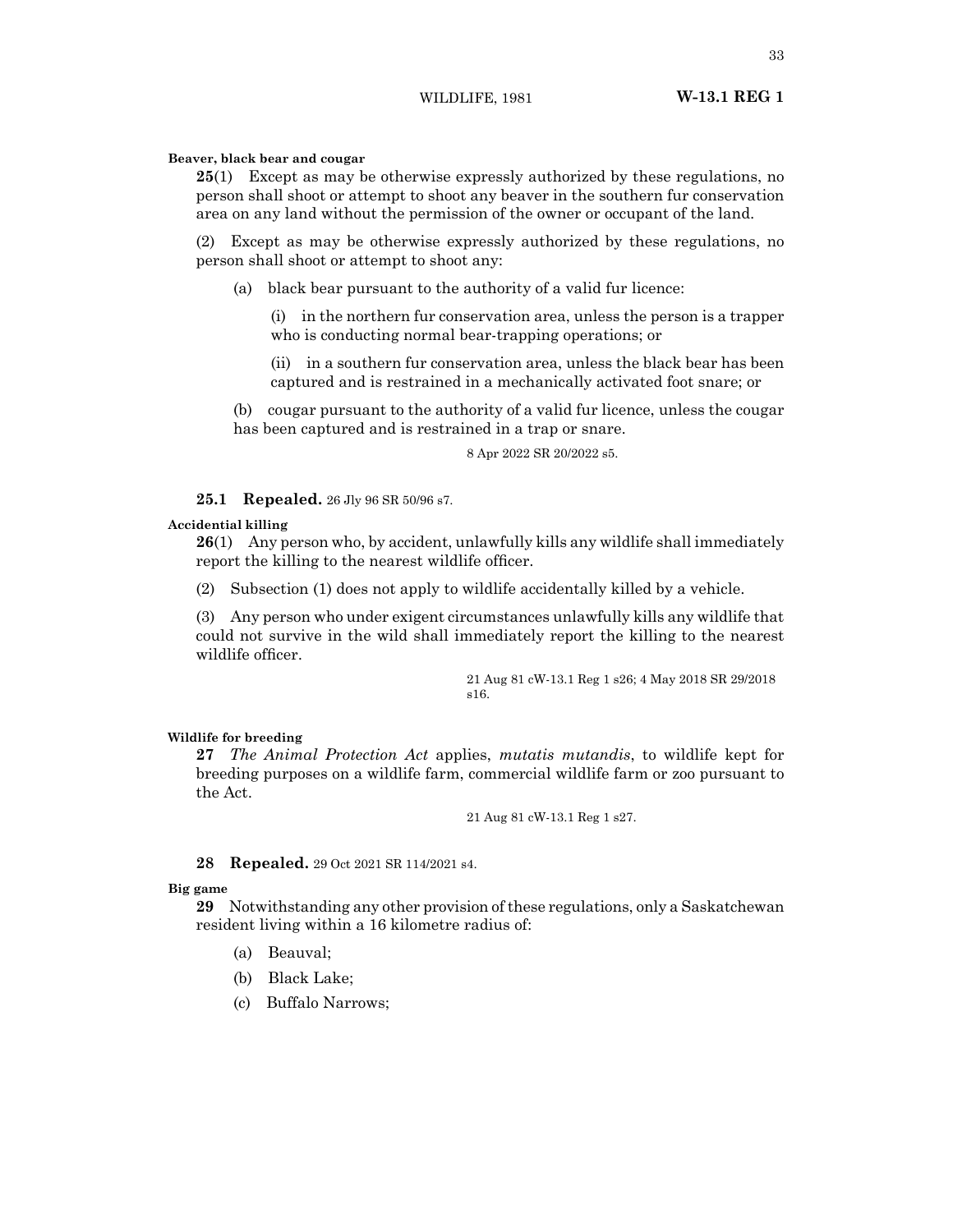33

# **Beaver, black bear and cougar**

**25**(1) Except as may be otherwise expressly authorized by these regulations, no person shall shoot or attempt to shoot any beaver in the southern fur conservation area on any land without the permission of the owner or occupant of the land.

(2) Except as may be otherwise expressly authorized by these regulations, no person shall shoot or attempt to shoot any:

(a) black bear pursuant to the authority of a valid fur licence:

(i) in the northern fur conservation area, unless the person is a trapper who is conducting normal bear-trapping operations; or

(ii) in a southern fur conservation area, unless the black bear has been captured and is restrained in a mechanically activated foot snare; or

(b) cougar pursuant to the authority of a valid fur licence, unless the cougar has been captured and is restrained in a trap or snare.

8 Apr 2022 SR 20/2022 s5.

**25.1 Repealed.** 26 Jly 96 SR 50/96 s7.

# **Accidential killing**

**26**(1) Any person who, by accident, unlawfully kills any wildlife shall immediately report the killing to the nearest wildlife officer.

(2) Subsection (1) does not apply to wildlife accidentally killed by a vehicle.

(3) Any person who under exigent circumstances unlawfully kills any wildlife that could not survive in the wild shall immediately report the killing to the nearest wildlife officer.

> 21 Aug 81 cW-13.1 Reg 1 s26; 4 May 2018 SR 29/2018 s16.

# **Wildlife for breeding**

**27** *The Animal Protection Act* applies, *mutatis mutandis*, to wildlife kept for breeding purposes on a wildlife farm, commercial wildlife farm or zoo pursuant to the Act.

21 Aug 81 cW-13.1 Reg 1 s27.

# **28 Repealed.** 29 Oct 2021 SR 114/2021 s4.

# **Big game**

**29** Notwithstanding any other provision of these regulations, only a Saskatchewan resident living within a 16 kilometre radius of:

- (a) Beauval;
- (b) Black Lake;
- (c) Buffalo Narrows;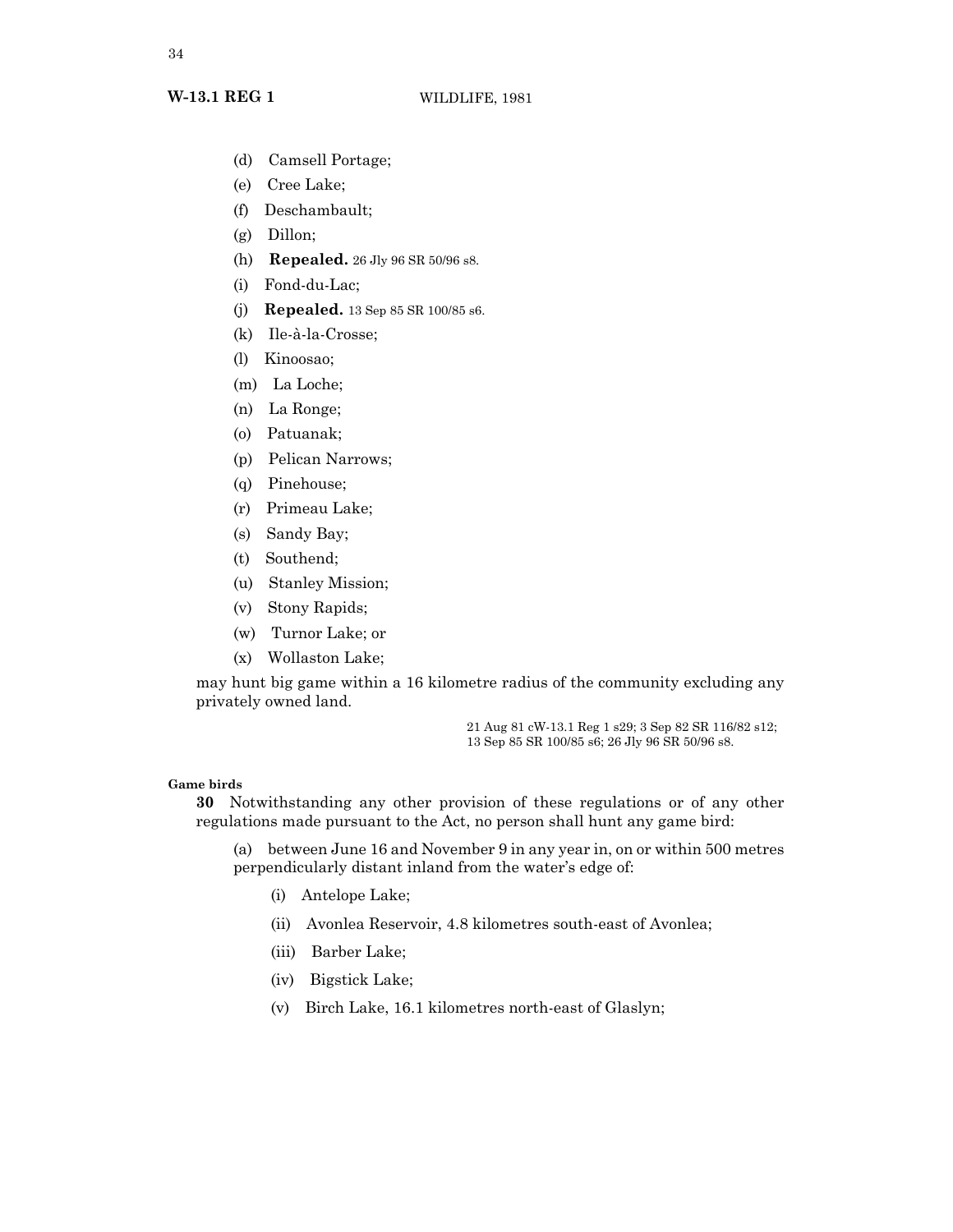- (d) Camsell Portage;
- (e) Cree Lake;
- (f) Deschambault;
- (g) Dillon;
- (h) **Repealed.** 26 Jly 96 SR 50/96 s8.
- (i) Fond-du-Lac;
- (j) **Repealed.** 13 Sep 85 SR 100/85 s6.
- (k) Ile-à-la-Crosse;
- (l) Kinoosao;
- (m) La Loche;
- (n) La Ronge;
- (o) Patuanak;
- (p) Pelican Narrows;
- (q) Pinehouse;
- (r) Primeau Lake;
- (s) Sandy Bay;
- (t) Southend;
- (u) Stanley Mission;
- (v) Stony Rapids;
- (w) Turnor Lake; or
- (x) Wollaston Lake;

may hunt big game within a 16 kilometre radius of the community excluding any privately owned land.

> 21 Aug 81 cW-13.1 Reg 1 s29; 3 Sep 82 SR 116/82 s12; 13 Sep 85 SR 100/85 s6; 26 Jly 96 SR 50/96 s8.

# **Game birds**

**30** Notwithstanding any other provision of these regulations or of any other regulations made pursuant to the Act, no person shall hunt any game bird:

(a) between June 16 and November 9 in any year in, on or within 500 metres perpendicularly distant inland from the water's edge of:

- (i) Antelope Lake;
- (ii) Avonlea Reservoir, 4.8 kilometres south-east of Avonlea;
- (iii) Barber Lake;
- (iv) Bigstick Lake;
- (v) Birch Lake, 16.1 kilometres north-east of Glaslyn;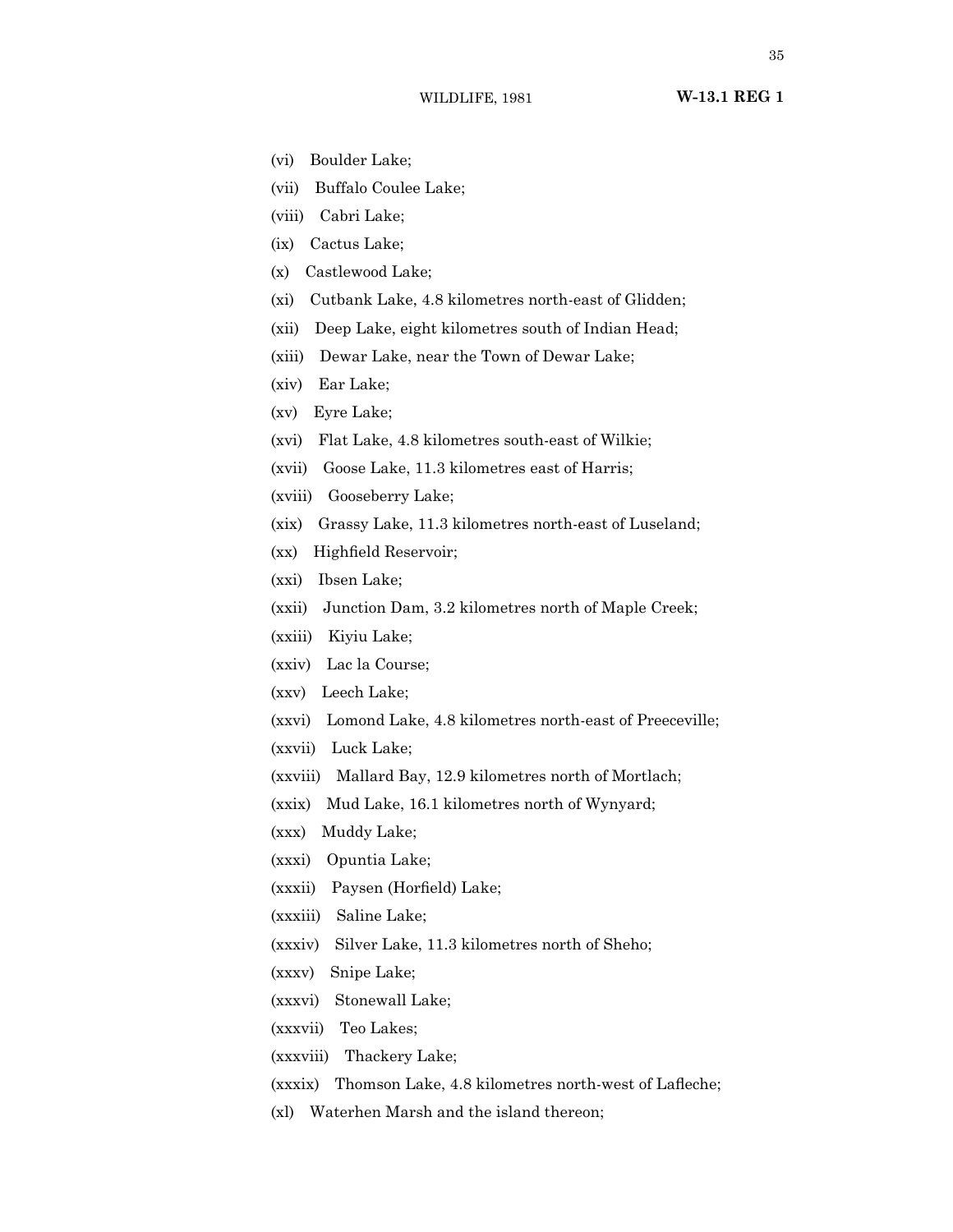- (vi) Boulder Lake;
- (vii) Buffalo Coulee Lake;
- (viii) Cabri Lake;
- (ix) Cactus Lake;
- (x) Castlewood Lake;
- (xi) Cutbank Lake, 4.8 kilometres north-east of Glidden;
- (xii) Deep Lake, eight kilometres south of Indian Head;
- (xiii) Dewar Lake, near the Town of Dewar Lake;
- (xiv) Ear Lake;
- (xv) Eyre Lake;
- (xvi) Flat Lake, 4.8 kilometres south-east of Wilkie;
- (xvii) Goose Lake, 11.3 kilometres east of Harris;
- (xviii) Gooseberry Lake;
- (xix) Grassy Lake, 11.3 kilometres north-east of Luseland;
- (xx) Highfield Reservoir;
- (xxi) Ibsen Lake;
- (xxii) Junction Dam, 3.2 kilometres north of Maple Creek;
- (xxiii) Kiyiu Lake;
- (xxiv) Lac la Course;
- (xxv) Leech Lake;
- (xxvi) Lomond Lake, 4.8 kilometres north-east of Preeceville;
- (xxvii) Luck Lake;
- (xxviii) Mallard Bay, 12.9 kilometres north of Mortlach;
- (xxix) Mud Lake, 16.1 kilometres north of Wynyard;
- (xxx) Muddy Lake;
- (xxxi) Opuntia Lake;
- (xxxii) Paysen (Horfield) Lake;
- (xxxiii) Saline Lake;
- (xxxiv) Silver Lake, 11.3 kilometres north of Sheho;
- (xxxv) Snipe Lake;
- (xxxvi) Stonewall Lake;
- (xxxvii) Teo Lakes;
- (xxxviii) Thackery Lake;
- (xxxix) Thomson Lake, 4.8 kilometres north-west of Lafleche;
- (xl) Waterhen Marsh and the island thereon;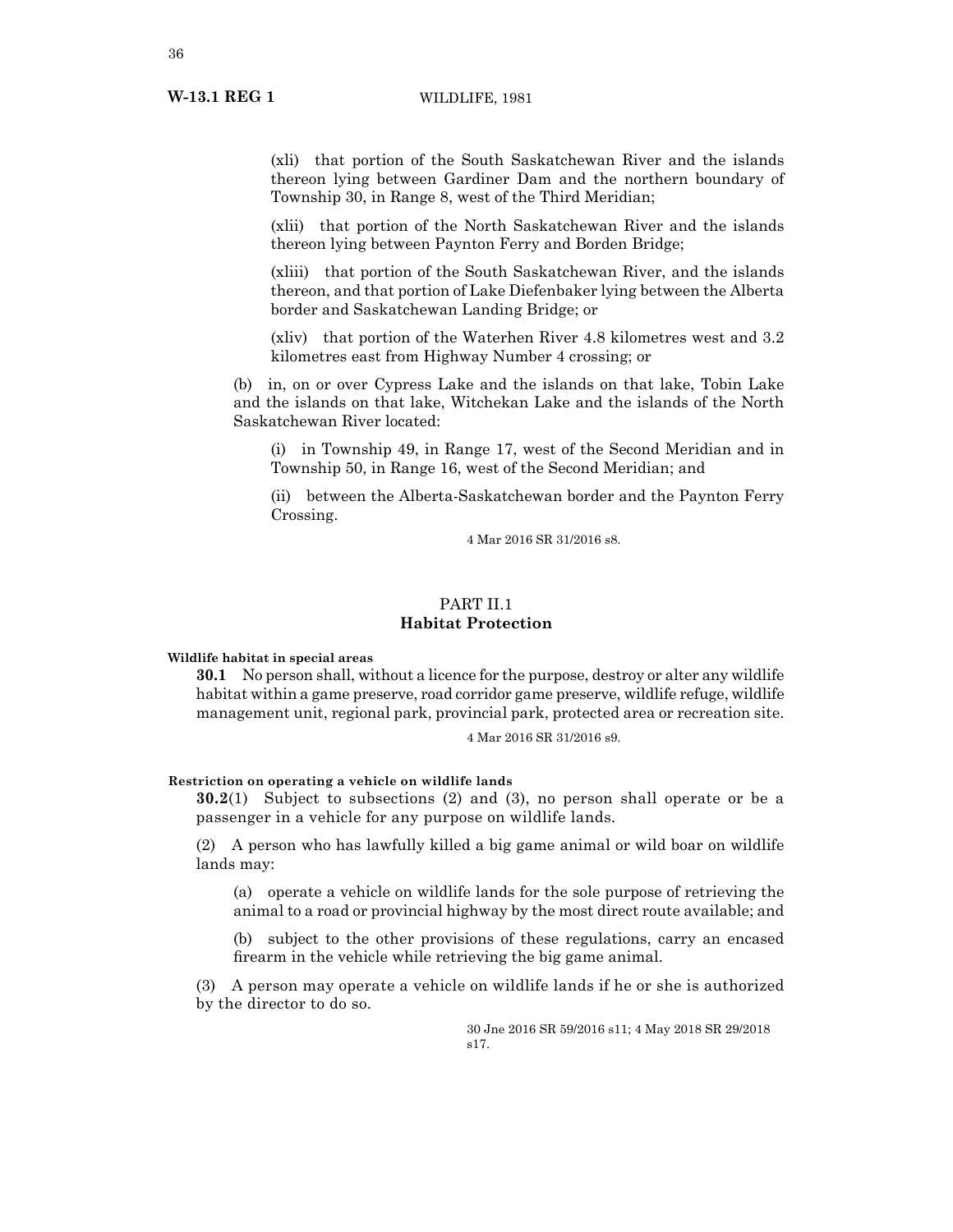(xli) that portion of the South Saskatchewan River and the islands thereon lying between Gardiner Dam and the northern boundary of Township 30, in Range 8, west of the Third Meridian;

(xlii) that portion of the North Saskatchewan River and the islands thereon lying between Paynton Ferry and Borden Bridge;

(xliii) that portion of the South Saskatchewan River, and the islands thereon, and that portion of Lake Diefenbaker lying between the Alberta border and Saskatchewan Landing Bridge; or

(xliv) that portion of the Waterhen River 4.8 kilometres west and 3.2 kilometres east from Highway Number 4 crossing; or

(b) in, on or over Cypress Lake and the islands on that lake, Tobin Lake and the islands on that lake, Witchekan Lake and the islands of the North Saskatchewan River located:

(i) in Township 49, in Range 17, west of the Second Meridian and in Township 50, in Range 16, west of the Second Meridian; and

(ii) between the Alberta-Saskatchewan border and the Paynton Ferry Crossing.

4 Mar 2016 SR 31/2016 s8.

# PART II.1 **Habitat Protection**

**Wildlife habitat in special areas**

**30.1** No person shall, without a licence for the purpose, destroy or alter any wildlife habitat within a game preserve, road corridor game preserve, wildlife refuge, wildlife management unit, regional park, provincial park, protected area or recreation site.

4 Mar 2016 SR 31/2016 s9.

# **Restriction on operating a vehicle on wildlife lands**

**30.2**(1) Subject to subsections (2) and (3), no person shall operate or be a passenger in a vehicle for any purpose on wildlife lands.

(2) A person who has lawfully killed a big game animal or wild boar on wildlife lands may:

(a) operate a vehicle on wildlife lands for the sole purpose of retrieving the animal to a road or provincial highway by the most direct route available; and

(b) subject to the other provisions of these regulations, carry an encased firearm in the vehicle while retrieving the big game animal.

(3) A person may operate a vehicle on wildlife lands if he or she is authorized by the director to do so.

> 30 Jne 2016 SR 59/2016 s11; 4 May 2018 SR 29/2018 s17.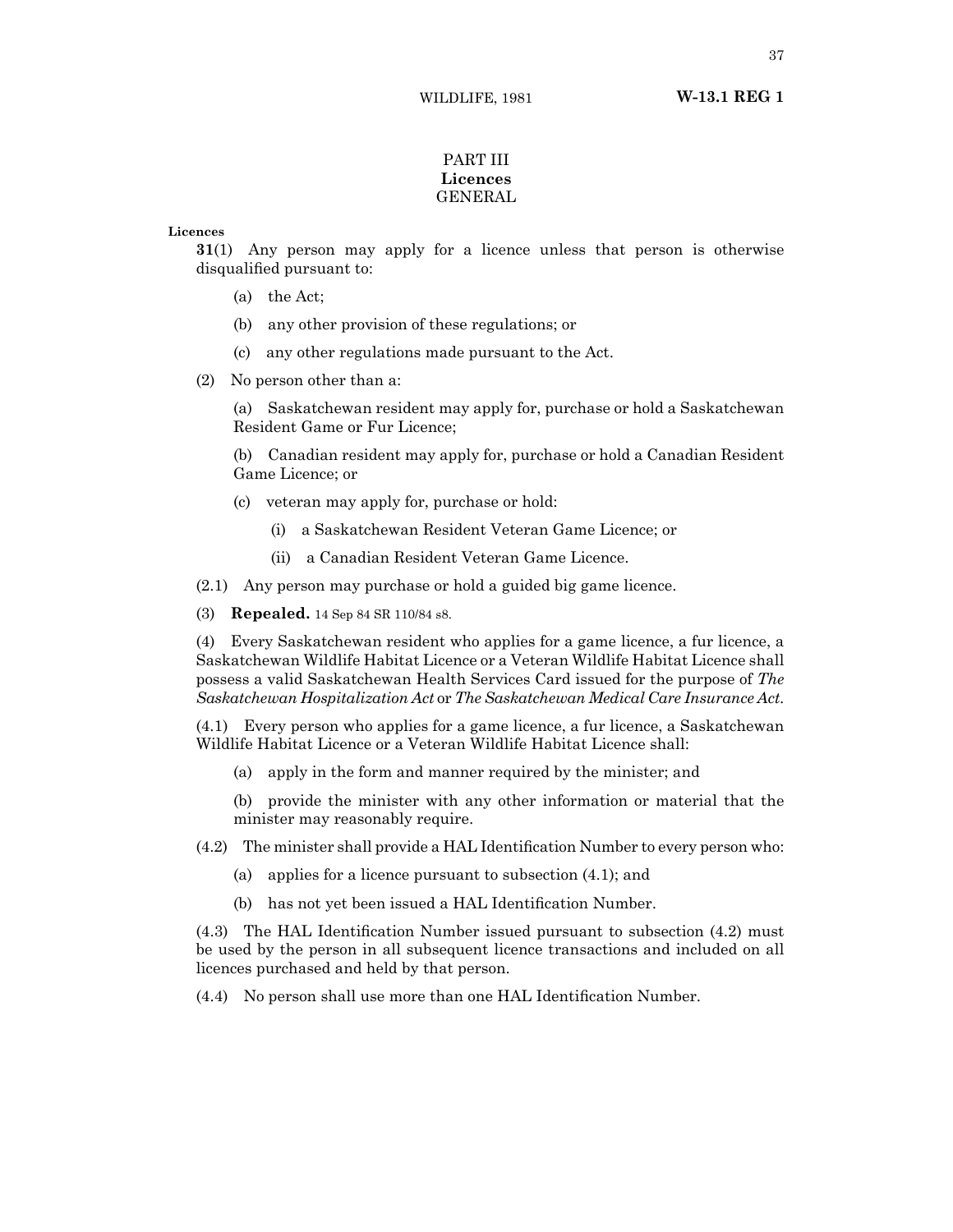## PART III **Licences** GENERAL

**Licences**

**31**(1) Any person may apply for a licence unless that person is otherwise disqualified pursuant to:

- (a) the Act;
- (b) any other provision of these regulations; or
- (c) any other regulations made pursuant to the Act.
- (2) No person other than a:

(a) Saskatchewan resident may apply for, purchase or hold a Saskatchewan Resident Game or Fur Licence;

(b) Canadian resident may apply for, purchase or hold a Canadian Resident Game Licence; or

- (c) veteran may apply for, purchase or hold:
	- (i) a Saskatchewan Resident Veteran Game Licence; or
	- (ii) a Canadian Resident Veteran Game Licence.

(2.1) Any person may purchase or hold a guided big game licence.

(3) **Repealed.** 14 Sep 84 SR 110/84 s8.

(4) Every Saskatchewan resident who applies for a game licence, a fur licence, a Saskatchewan Wildlife Habitat Licence or a Veteran Wildlife Habitat Licence shall possess a valid Saskatchewan Health Services Card issued for the purpose of *The Saskatchewan Hospitalization Act* or *The Saskatchewan Medical Care Insurance Act*.

(4.1) Every person who applies for a game licence, a fur licence, a Saskatchewan Wildlife Habitat Licence or a Veteran Wildlife Habitat Licence shall:

- (a) apply in the form and manner required by the minister; and
- (b) provide the minister with any other information or material that the minister may reasonably require.
- (4.2) The minister shall provide a HAL Identification Number to every person who:
	- (a) applies for a licence pursuant to subsection (4.1); and
	- (b) has not yet been issued a HAL Identification Number.

(4.3) The HAL Identification Number issued pursuant to subsection (4.2) must be used by the person in all subsequent licence transactions and included on all licences purchased and held by that person.

(4.4) No person shall use more than one HAL Identification Number.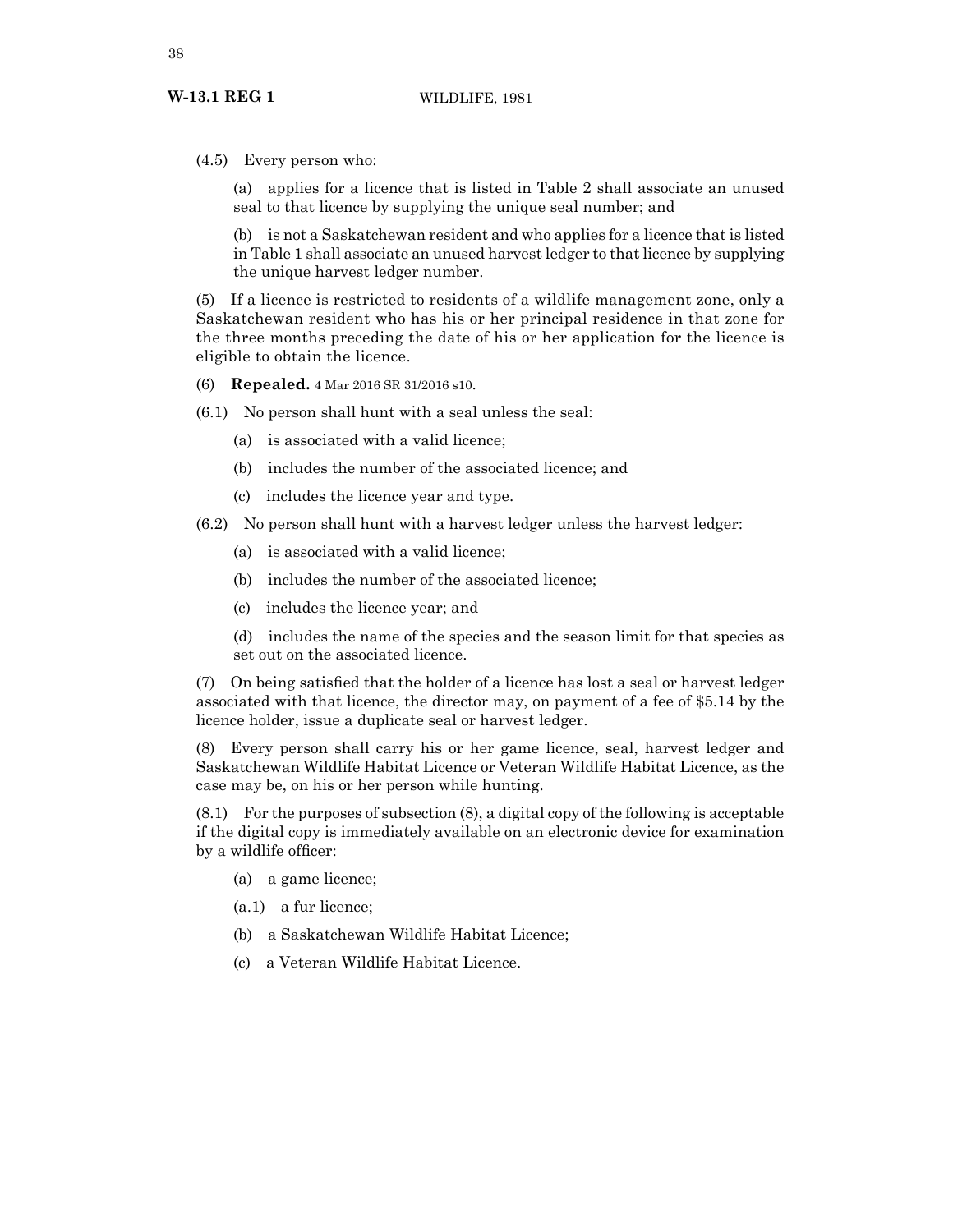(4.5) Every person who:

(a) applies for a licence that is listed in Table 2 shall associate an unused seal to that licence by supplying the unique seal number; and

(b) is not a Saskatchewan resident and who applies for a licence that is listed in Table 1 shall associate an unused harvest ledger to that licence by supplying the unique harvest ledger number.

(5) If a licence is restricted to residents of a wildlife management zone, only a Saskatchewan resident who has his or her principal residence in that zone for the three months preceding the date of his or her application for the licence is eligible to obtain the licence.

(6) **Repealed.** 4 Mar 2016 SR 31/2016 s10.

(6.1) No person shall hunt with a seal unless the seal:

- (a) is associated with a valid licence;
- (b) includes the number of the associated licence; and
- (c) includes the licence year and type.

(6.2) No person shall hunt with a harvest ledger unless the harvest ledger:

- (a) is associated with a valid licence;
- (b) includes the number of the associated licence;
- (c) includes the licence year; and

(d) includes the name of the species and the season limit for that species as set out on the associated licence.

(7) On being satisfied that the holder of a licence has lost a seal or harvest ledger associated with that licence, the director may, on payment of a fee of \$5.14 by the licence holder, issue a duplicate seal or harvest ledger.

(8) Every person shall carry his or her game licence, seal, harvest ledger and Saskatchewan Wildlife Habitat Licence or Veteran Wildlife Habitat Licence, as the case may be, on his or her person while hunting.

(8.1) For the purposes of subsection (8), a digital copy of the following is acceptable if the digital copy is immediately available on an electronic device for examination by a wildlife officer:

- (a) a game licence;
- (a.1) a fur licence;
- (b) a Saskatchewan Wildlife Habitat Licence;
- (c) a Veteran Wildlife Habitat Licence.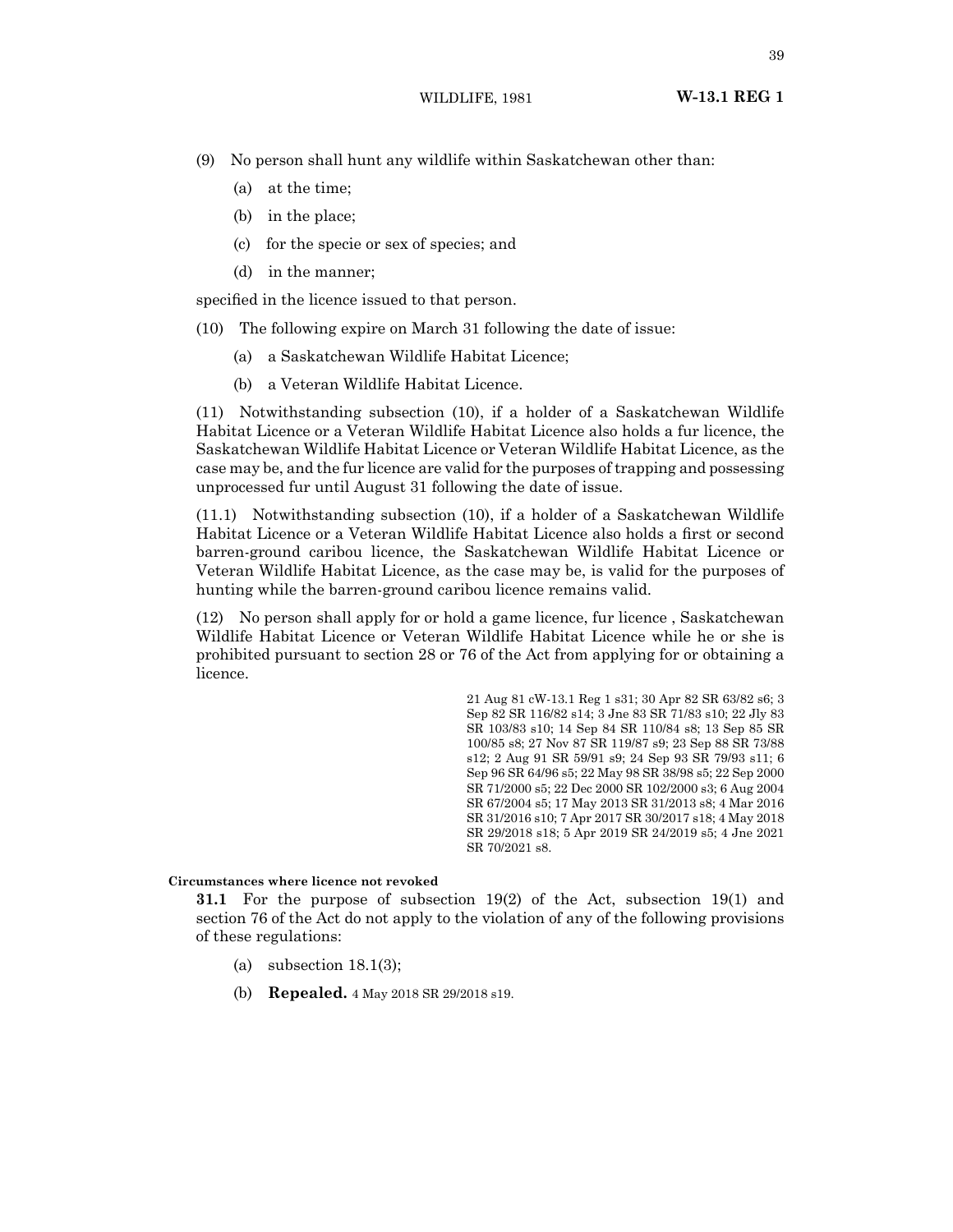- (9) No person shall hunt any wildlife within Saskatchewan other than:
	- (a) at the time;
	- (b) in the place;
	- (c) for the specie or sex of species; and
	- (d) in the manner;

specified in the licence issued to that person.

- (10) The following expire on March 31 following the date of issue:
	- (a) a Saskatchewan Wildlife Habitat Licence;
	- (b) a Veteran Wildlife Habitat Licence.

(11) Notwithstanding subsection (10), if a holder of a Saskatchewan Wildlife Habitat Licence or a Veteran Wildlife Habitat Licence also holds a fur licence, the Saskatchewan Wildlife Habitat Licence or Veteran Wildlife Habitat Licence, as the case may be, and the fur licence are valid for the purposes of trapping and possessing unprocessed fur until August 31 following the date of issue.

(11.1) Notwithstanding subsection (10), if a holder of a Saskatchewan Wildlife Habitat Licence or a Veteran Wildlife Habitat Licence also holds a first or second barren-ground caribou licence, the Saskatchewan Wildlife Habitat Licence or Veteran Wildlife Habitat Licence, as the case may be, is valid for the purposes of hunting while the barren-ground caribou licence remains valid.

(12) No person shall apply for or hold a game licence, fur licence , Saskatchewan Wildlife Habitat Licence or Veteran Wildlife Habitat Licence while he or she is prohibited pursuant to section 28 or 76 of the Act from applying for or obtaining a licence.

> 21 Aug 81 cW-13.1 Reg 1 s31; 30 Apr 82 SR 63/82 s6; 3 Sep 82 SR 116/82 s14; 3 Jne 83 SR 71/83 s10; 22 Jly 83 SR 103/83 s10; 14 Sep 84 SR 110/84 s8; 13 Sep 85 SR 100/85 s8; 27 Nov 87 SR 119/87 s9; 23 Sep 88 SR 73/88 s12; 2 Aug 91 SR 59/91 s9; 24 Sep 93 SR 79/93 s11; 6 Sep 96 SR 64/96 s5; 22 May 98 SR 38/98 s5; 22 Sep 2000 SR 71/2000 s5; 22 Dec 2000 SR 102/2000 s3; 6 Aug 2004 SR 67/2004 s5; 17 May 2013 SR 31/2013 s8; 4 Mar 2016 SR 31/2016 s10; 7 Apr 2017 SR 30/2017 s18; 4 May 2018 SR 29/2018 s18; 5 Apr 2019 SR 24/2019 s5; 4 Jne 2021 SR 70/2021 s8.

#### **Circumstances where licence not revoked**

**31.1** For the purpose of subsection 19(2) of the Act, subsection 19(1) and section 76 of the Act do not apply to the violation of any of the following provisions of these regulations:

- (a) subsection  $18.1(3)$ ;
- (b) **Repealed.** 4 May 2018 SR 29/2018 s19.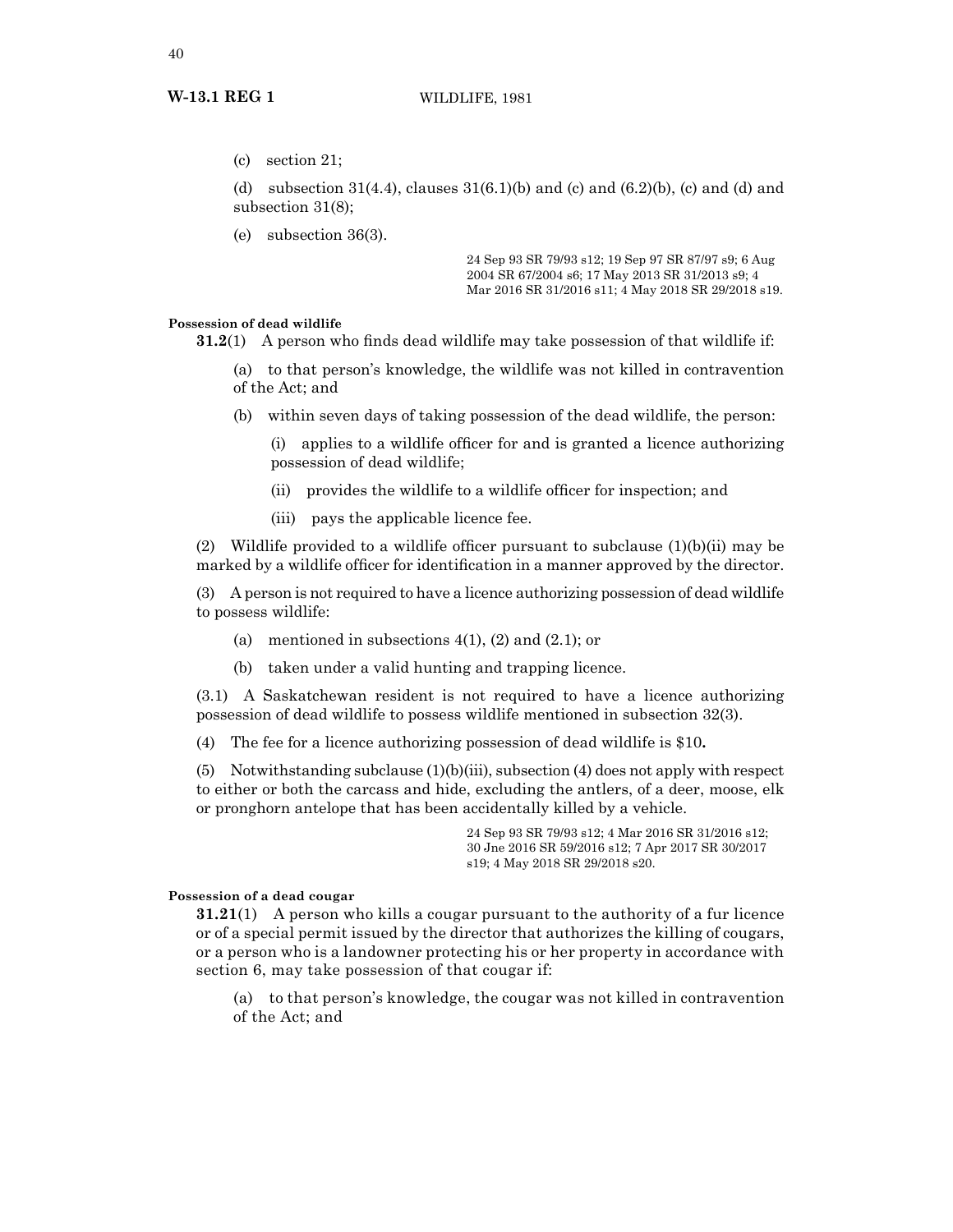(c) section 21;

(d) subsection  $31(4.4)$ , clauses  $31(6.1)(b)$  and  $(c)$  and  $(6.2)(b)$ ,  $(c)$  and  $(d)$  and subsection 31(8);

(e) subsection 36(3).

24 Sep 93 SR 79/93 s12; 19 Sep 97 SR 87/97 s9; 6 Aug 2004 SR 67/2004 s6; 17 May 2013 SR 31/2013 s9; 4 Mar 2016 SR 31/2016 s11; 4 May 2018 SR 29/2018 s19.

#### **Possession of dead wildlife**

**31.2**(1) A person who finds dead wildlife may take possession of that wildlife if:

(a) to that person's knowledge, the wildlife was not killed in contravention of the Act; and

(b) within seven days of taking possession of the dead wildlife, the person:

applies to a wildlife officer for and is granted a licence authorizing possession of dead wildlife;

- (ii) provides the wildlife to a wildlife officer for inspection; and
- (iii) pays the applicable licence fee.

(2) Wildlife provided to a wildlife officer pursuant to subclause  $(1)(b)(ii)$  may be marked by a wildlife officer for identification in a manner approved by the director.

(3) A person is not required to have a licence authorizing possession of dead wildlife to possess wildlife:

- (a) mentioned in subsections  $4(1)$ ,  $(2)$  and  $(2.1)$ ; or
- (b) taken under a valid hunting and trapping licence.

(3.1) A Saskatchewan resident is not required to have a licence authorizing possession of dead wildlife to possess wildlife mentioned in subsection 32(3).

(4) The fee for a licence authorizing possession of dead wildlife is \$10**.**

(5) Notwithstanding subclause (1)(b)(iii), subsection (4) does not apply with respect to either or both the carcass and hide, excluding the antlers, of a deer, moose, elk or pronghorn antelope that has been accidentally killed by a vehicle.

> 24 Sep 93 SR 79/93 s12; 4 Mar 2016 SR 31/2016 s12; 30 Jne 2016 SR 59/2016 s12; 7 Apr 2017 SR 30/2017 s19; 4 May 2018 SR 29/2018 s20.

## **Possession of a dead cougar**

**31.21**(1) A person who kills a cougar pursuant to the authority of a fur licence or of a special permit issued by the director that authorizes the killing of cougars, or a person who is a landowner protecting his or her property in accordance with section 6, may take possession of that cougar if:

(a) to that person's knowledge, the cougar was not killed in contravention of the Act; and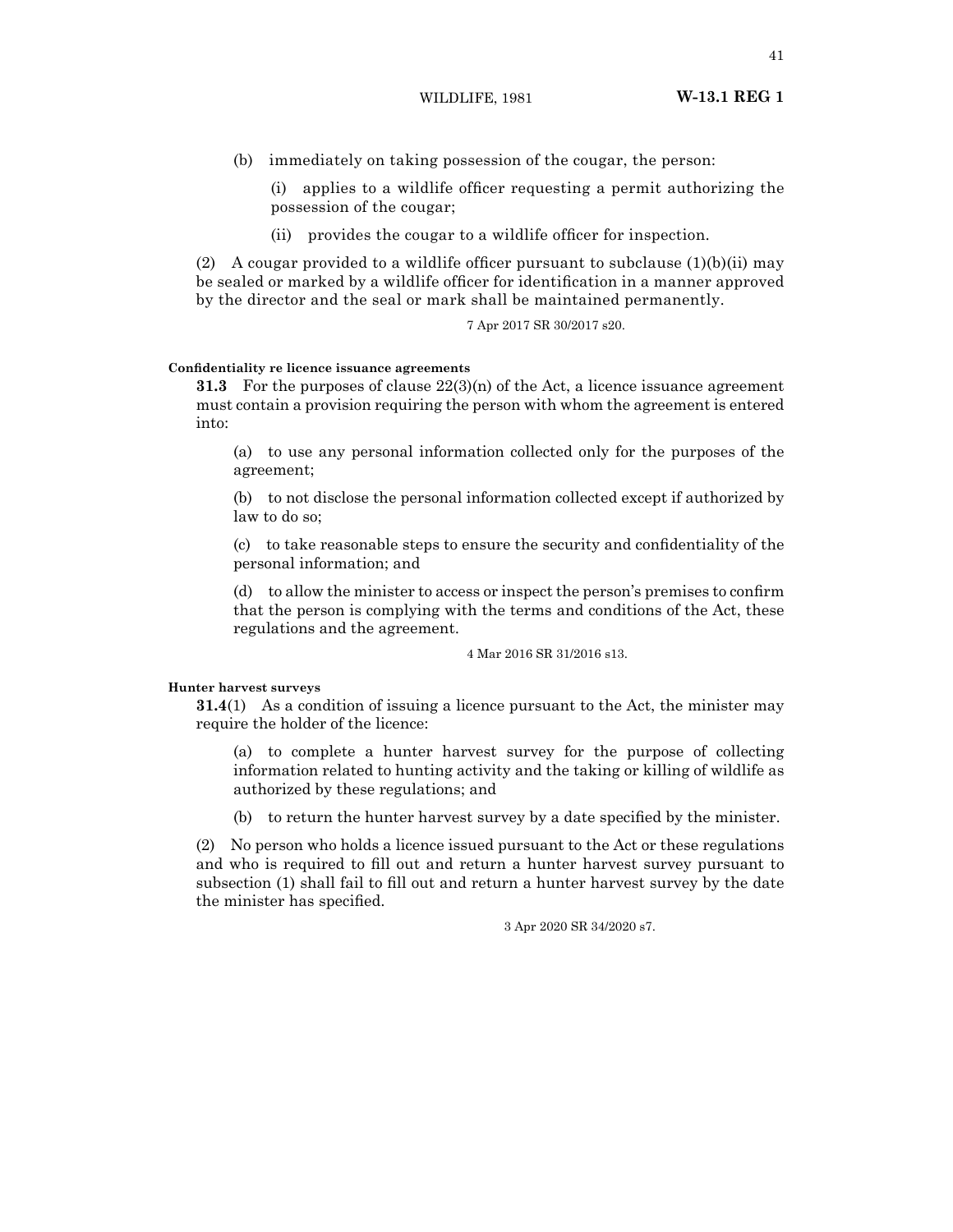(b) immediately on taking possession of the cougar, the person:

(i) applies to a wildlife officer requesting a permit authorizing the possession of the cougar;

(ii) provides the cougar to a wildlife officer for inspection.

(2) A cougar provided to a wildlife officer pursuant to subclause  $(1)(b)(ii)$  may be sealed or marked by a wildlife officer for identification in a manner approved by the director and the seal or mark shall be maintained permanently.

7 Apr 2017 SR 30/2017 s20.

#### **Confidentiality re licence issuance agreements**

**31.3** For the purposes of clause  $22(3)(n)$  of the Act, a licence issuance agreement must contain a provision requiring the person with whom the agreement is entered into:

(a) to use any personal information collected only for the purposes of the agreement;

(b) to not disclose the personal information collected except if authorized by law to do so;

(c) to take reasonable steps to ensure the security and confidentiality of the personal information; and

(d) to allow the minister to access or inspect the person's premises to confirm that the person is complying with the terms and conditions of the Act, these regulations and the agreement.

4 Mar 2016 SR 31/2016 s13.

#### **Hunter harvest surveys**

**31.4**(1) As a condition of issuing a licence pursuant to the Act, the minister may require the holder of the licence:

(a) to complete a hunter harvest survey for the purpose of collecting information related to hunting activity and the taking or killing of wildlife as authorized by these regulations; and

(b) to return the hunter harvest survey by a date specified by the minister.

(2) No person who holds a licence issued pursuant to the Act or these regulations and who is required to fill out and return a hunter harvest survey pursuant to subsection (1) shall fail to fill out and return a hunter harvest survey by the date the minister has specified.

3 Apr 2020 SR 34/2020 s7.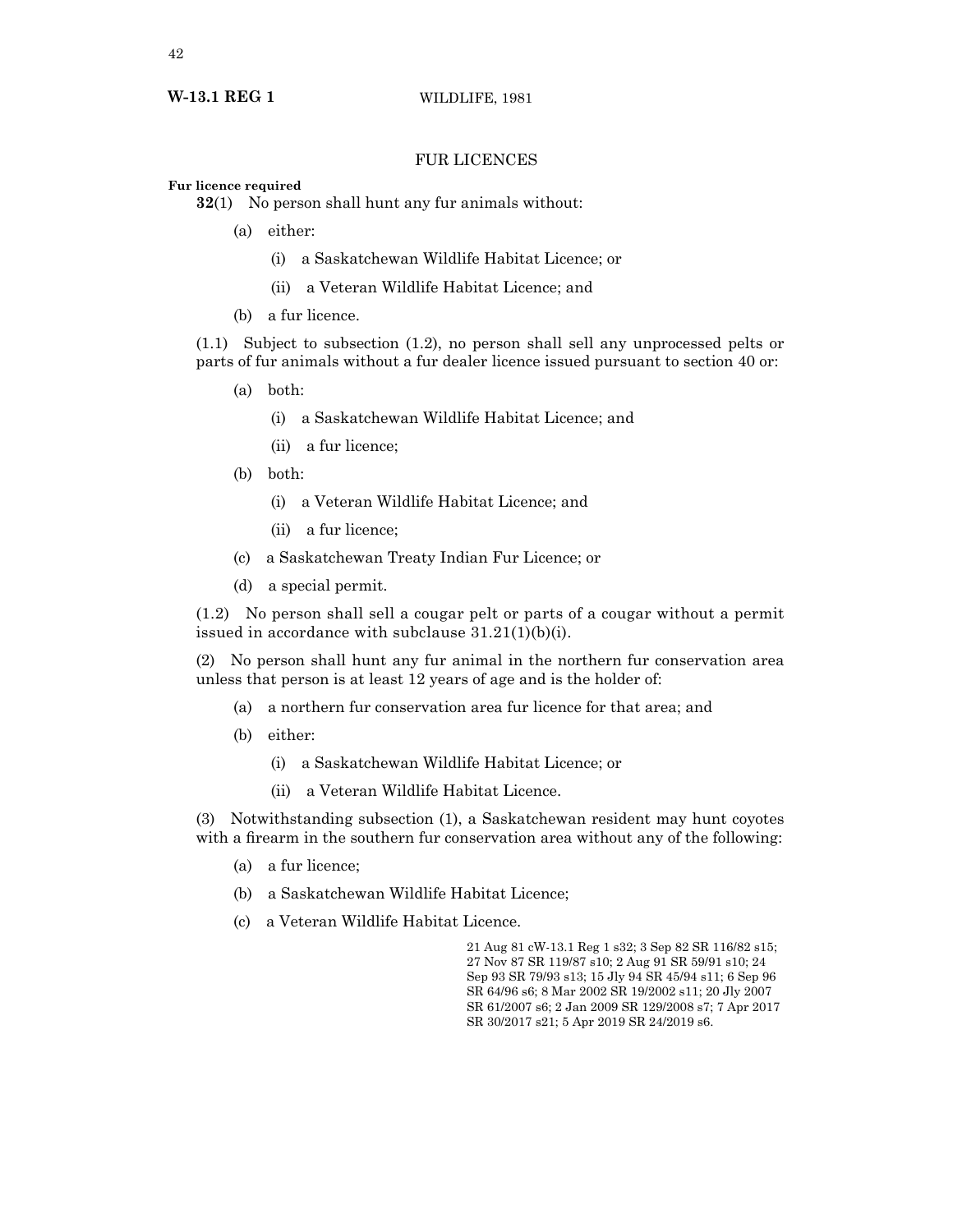## FUR LICENCES

## **Fur licence required**

**32**(1) No person shall hunt any fur animals without:

- (a) either:
	- (i) a Saskatchewan Wildlife Habitat Licence; or
	- (ii) a Veteran Wildlife Habitat Licence; and
- (b) a fur licence.

(1.1) Subject to subsection (1.2), no person shall sell any unprocessed pelts or parts of fur animals without a fur dealer licence issued pursuant to section 40 or:

- (a) both:
	- (i) a Saskatchewan Wildlife Habitat Licence; and
	- (ii) a fur licence;
- (b) both:
	- (i) a Veteran Wildlife Habitat Licence; and
	- (ii) a fur licence;
- (c) a Saskatchewan Treaty Indian Fur Licence; or
- (d) a special permit.

(1.2) No person shall sell a cougar pelt or parts of a cougar without a permit issued in accordance with subclause 31.21(1)(b)(i).

(2) No person shall hunt any fur animal in the northern fur conservation area unless that person is at least 12 years of age and is the holder of:

- (a) a northern fur conservation area fur licence for that area; and
- (b) either:
	- (i) a Saskatchewan Wildlife Habitat Licence; or
	- (ii) a Veteran Wildlife Habitat Licence.

(3) Notwithstanding subsection (1), a Saskatchewan resident may hunt coyotes with a firearm in the southern fur conservation area without any of the following:

- (a) a fur licence;
- (b) a Saskatchewan Wildlife Habitat Licence;
- (c) a Veteran Wildlife Habitat Licence.

21 Aug 81 cW-13.1 Reg 1 s32; 3 Sep 82 SR 116/82 s15; 27 Nov 87 SR 119/87 s10; 2 Aug 91 SR 59/91 s10; 24 Sep 93 SR 79/93 s13; 15 Jly 94 SR 45/94 s11; 6 Sep 96 SR 64/96 s6; 8 Mar 2002 SR 19/2002 s11; 20 Jly 2007 SR 61/2007 s6; 2 Jan 2009 SR 129/2008 s7; 7 Apr 2017 SR 30/2017 s21; 5 Apr 2019 SR 24/2019 s6.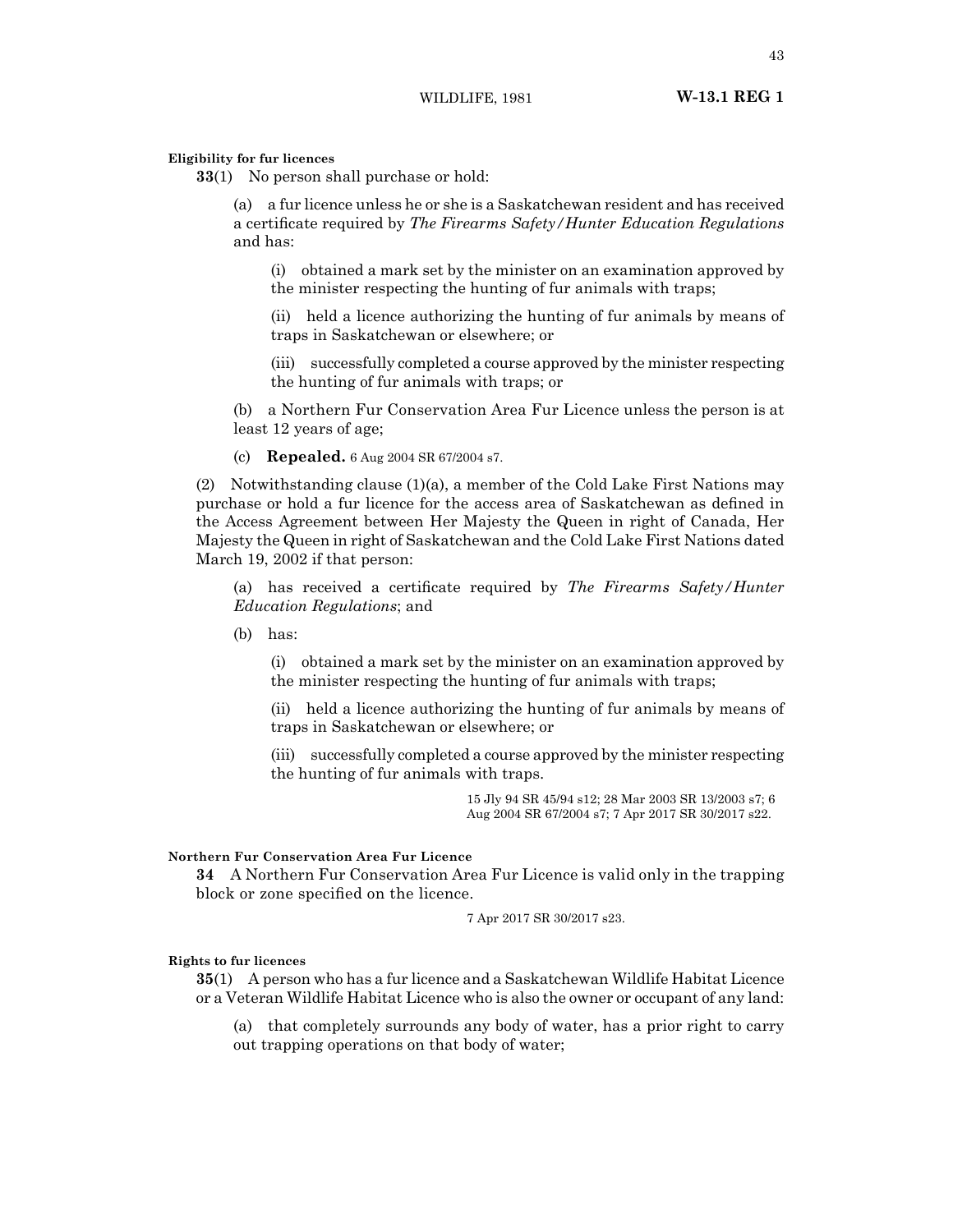#### **Eligibility for fur licences**

**33**(1) No person shall purchase or hold:

(a) a fur licence unless he or she is a Saskatchewan resident and has received a certificate required by *The Firearms Safety/Hunter Education Regulations* and has:

(i) obtained a mark set by the minister on an examination approved by the minister respecting the hunting of fur animals with traps;

(ii) held a licence authorizing the hunting of fur animals by means of traps in Saskatchewan or elsewhere; or

(iii) successfully completed a course approved by the minister respecting the hunting of fur animals with traps; or

(b) a Northern Fur Conservation Area Fur Licence unless the person is at least 12 years of age;

(c) **Repealed.** 6 Aug 2004 SR 67/2004 s7.

(2) Notwithstanding clause  $(1)(a)$ , a member of the Cold Lake First Nations may purchase or hold a fur licence for the access area of Saskatchewan as defined in the Access Agreement between Her Majesty the Queen in right of Canada, Her Majesty the Queen in right of Saskatchewan and the Cold Lake First Nations dated March 19, 2002 if that person:

(a) has received a certificate required by *The Firearms Safety/Hunter Education Regulations*; and

(b) has:

(i) obtained a mark set by the minister on an examination approved by the minister respecting the hunting of fur animals with traps;

(ii) held a licence authorizing the hunting of fur animals by means of traps in Saskatchewan or elsewhere; or

(iii) successfully completed a course approved by the minister respecting the hunting of fur animals with traps.

> 15 Jly 94 SR 45/94 s12; 28 Mar 2003 SR 13/2003 s7; 6 Aug 2004 SR 67/2004 s7; 7 Apr 2017 SR 30/2017 s22.

## **Northern Fur Conservation Area Fur Licence**

**34** A Northern Fur Conservation Area Fur Licence is valid only in the trapping block or zone specified on the licence.

7 Apr 2017 SR 30/2017 s23.

## **Rights to fur licences**

**35**(1) A person who has a fur licence and a Saskatchewan Wildlife Habitat Licence or a Veteran Wildlife Habitat Licence who is also the owner or occupant of any land:

(a) that completely surrounds any body of water, has a prior right to carry out trapping operations on that body of water;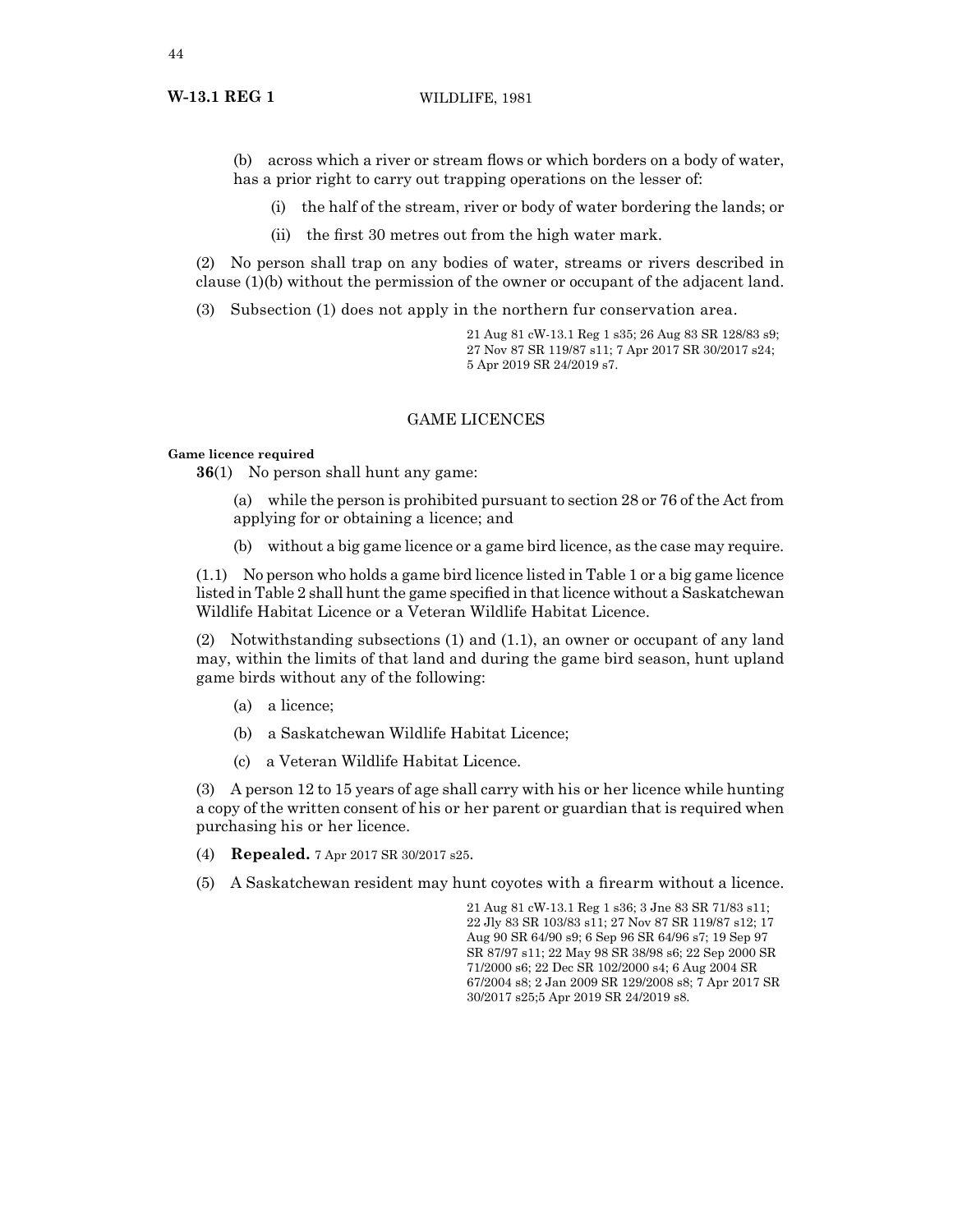## **W-13.1 REG 1** WILDLIFE, 1981

(b) across which a river or stream flows or which borders on a body of water, has a prior right to carry out trapping operations on the lesser of:

- (i) the half of the stream, river or body of water bordering the lands; or
- (ii) the first 30 metres out from the high water mark.

(2) No person shall trap on any bodies of water, streams or rivers described in clause (1)(b) without the permission of the owner or occupant of the adjacent land.

(3) Subsection (1) does not apply in the northern fur conservation area.

21 Aug 81 cW-13.1 Reg 1 s35; 26 Aug 83 SR 128/83 s9; 27 Nov 87 SR 119/87 s11; 7 Apr 2017 SR 30/2017 s24; 5 Apr 2019 SR 24/2019 s7.

## GAME LICENCES

## **Game licence required**

**36**(1) No person shall hunt any game:

- (a) while the person is prohibited pursuant to section 28 or 76 of the Act from applying for or obtaining a licence; and
- (b) without a big game licence or a game bird licence, as the case may require.

(1.1) No person who holds a game bird licence listed in Table 1 or a big game licence listed in Table 2 shall hunt the game specified in that licence without a Saskatchewan Wildlife Habitat Licence or a Veteran Wildlife Habitat Licence.

(2) Notwithstanding subsections (1) and (1.1), an owner or occupant of any land may, within the limits of that land and during the game bird season, hunt upland game birds without any of the following:

- (a) a licence;
- (b) a Saskatchewan Wildlife Habitat Licence;
- (c) a Veteran Wildlife Habitat Licence.

(3) A person 12 to 15 years of age shall carry with his or her licence while hunting a copy of the written consent of his or her parent or guardian that is required when purchasing his or her licence.

- (4) **Repealed.** 7 Apr 2017 SR 30/2017 s25.
- (5) A Saskatchewan resident may hunt coyotes with a firearm without a licence.

21 Aug 81 cW-13.1 Reg 1 s36; 3 Jne 83 SR 71/83 s11; 22 Jly 83 SR 103/83 s11; 27 Nov 87 SR 119/87 s12; 17 Aug 90 SR 64/90 s9; 6 Sep 96 SR 64/96 s7; 19 Sep 97 SR 87/97 s11; 22 May 98 SR 38/98 s6; 22 Sep 2000 SR 71/2000 s6; 22 Dec SR 102/2000 s4; 6 Aug 2004 SR 67/2004 s8; 2 Jan 2009 SR 129/2008 s8; 7 Apr 2017 SR 30/2017 s25;5 Apr 2019 SR 24/2019 s8.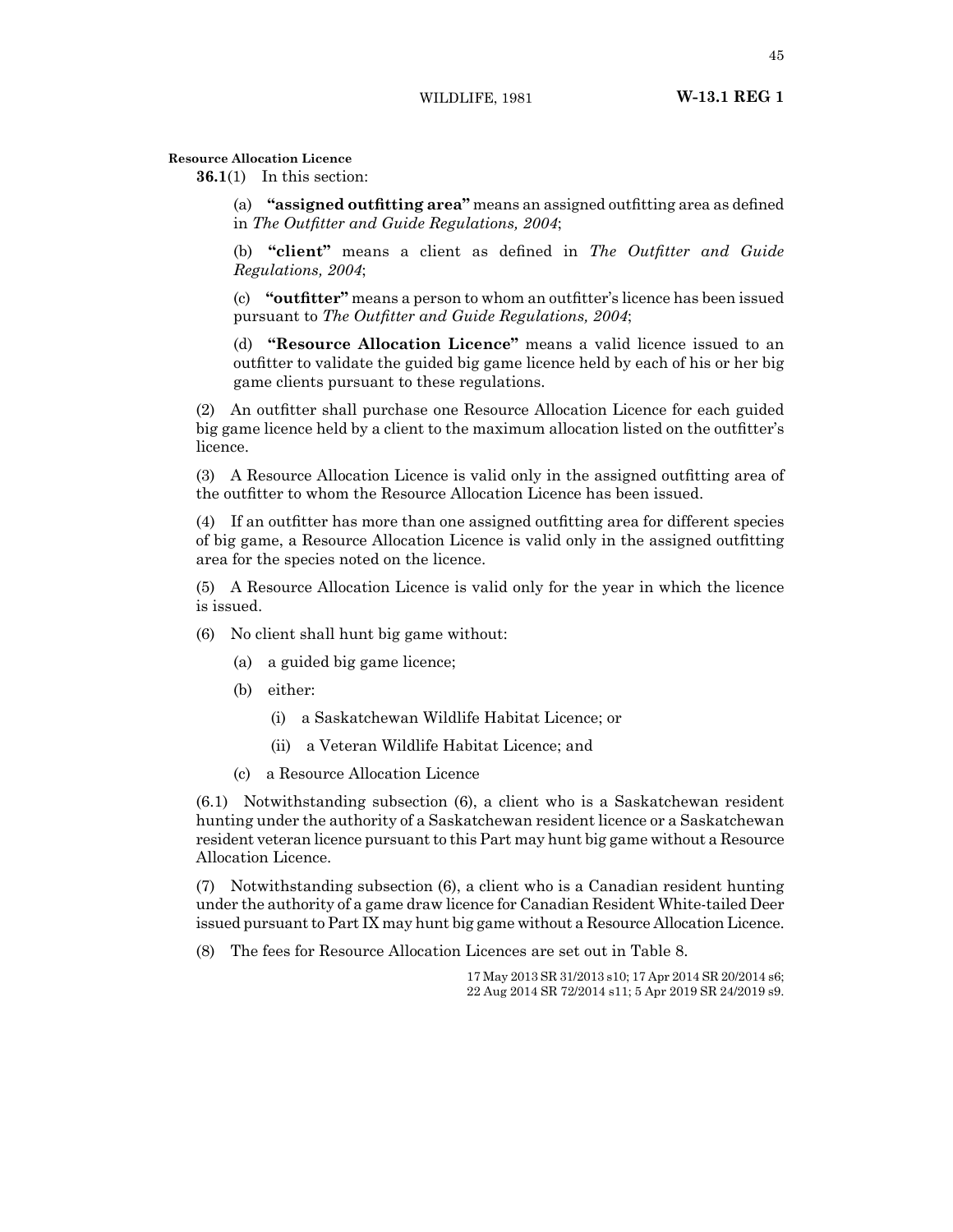**Resource Allocation Licence**

**36.1**(1) In this section:

(a) **"assigned outfitting area"** means an assigned outfitting area as defined in *The Outfitter and Guide Regulations, 2004*;

(b) **"client"** means a client as defined in *The Outfitter and Guide Regulations, 2004*;

(c) **"outfitter"** means a person to whom an outfitter's licence has been issued pursuant to *The Outfitter and Guide Regulations, 2004*;

(d) **"Resource Allocation Licence"** means a valid licence issued to an outfitter to validate the guided big game licence held by each of his or her big game clients pursuant to these regulations.

(2) An outfitter shall purchase one Resource Allocation Licence for each guided big game licence held by a client to the maximum allocation listed on the outfitter's licence.

(3) A Resource Allocation Licence is valid only in the assigned outfitting area of the outfitter to whom the Resource Allocation Licence has been issued.

(4) If an outfitter has more than one assigned outfitting area for different species of big game, a Resource Allocation Licence is valid only in the assigned outfitting area for the species noted on the licence.

(5) A Resource Allocation Licence is valid only for the year in which the licence is issued.

(6) No client shall hunt big game without:

- (a) a guided big game licence;
- (b) either:
	- (i) a Saskatchewan Wildlife Habitat Licence; or
	- (ii) a Veteran Wildlife Habitat Licence; and
- (c) a Resource Allocation Licence

(6.1) Notwithstanding subsection (6), a client who is a Saskatchewan resident hunting under the authority of a Saskatchewan resident licence or a Saskatchewan resident veteran licence pursuant to this Part may hunt big game without a Resource Allocation Licence.

(7) Notwithstanding subsection (6), a client who is a Canadian resident hunting under the authority of a game draw licence for Canadian Resident White-tailed Deer issued pursuant to Part IX may hunt big game without a Resource Allocation Licence.

(8) The fees for Resource Allocation Licences are set out in Table 8.

17 May 2013 SR 31/2013 s10; 17 Apr 2014 SR 20/2014 s6; 22 Aug 2014 SR 72/2014 s11; 5 Apr 2019 SR 24/2019 s9.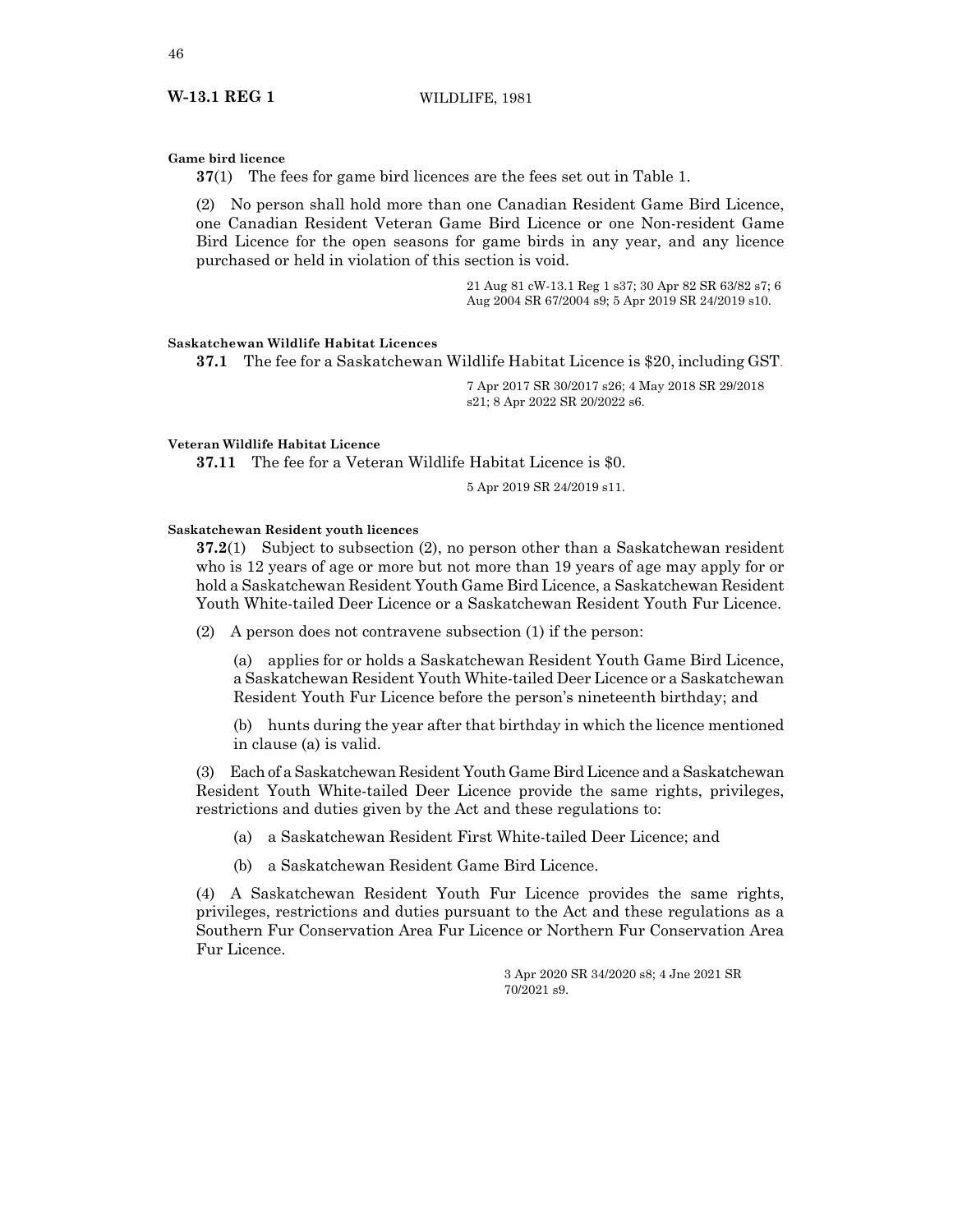#### **Game bird licence**

**37**(1) The fees for game bird licences are the fees set out in Table 1.

(2) No person shall hold more than one Canadian Resident Game Bird Licence, one Canadian Resident Veteran Game Bird Licence or one Non-resident Game Bird Licence for the open seasons for game birds in any year, and any licence purchased or held in violation of this section is void.

> 21 Aug 81 cW-13.1 Reg 1 s37; 30 Apr 82 SR 63/82 s7; 6 Aug 2004 SR 67/2004 s9; 5 Apr 2019 SR 24/2019 s10.

## **Saskatchewan Wildlife Habitat Licences**

**37.1** The fee for a Saskatchewan Wildlife Habitat Licence is \$20, including GST.

7 Apr 2017 SR 30/2017 s26; 4 May 2018 SR 29/2018 s21; 8 Apr 2022 SR 20/2022 s6.

## **Veteran Wildlife Habitat Licence**

**37.11** The fee for a Veteran Wildlife Habitat Licence is \$0.

5 Apr 2019 SR 24/2019 s11.

## **Saskatchewan Resident youth licences**

**37.2**(1) Subject to subsection (2), no person other than a Saskatchewan resident who is 12 years of age or more but not more than 19 years of age may apply for or hold a Saskatchewan Resident Youth Game Bird Licence, a Saskatchewan Resident Youth White-tailed Deer Licence or a Saskatchewan Resident Youth Fur Licence.

(2) A person does not contravene subsection (1) if the person:

(a) applies for or holds a Saskatchewan Resident Youth Game Bird Licence, a Saskatchewan Resident Youth White-tailed Deer Licence or a Saskatchewan Resident Youth Fur Licence before the person's nineteenth birthday; and

(b) hunts during the year after that birthday in which the licence mentioned in clause (a) is valid.

(3) Each of a Saskatchewan Resident Youth Game Bird Licence and a Saskatchewan Resident Youth White-tailed Deer Licence provide the same rights, privileges, restrictions and duties given by the Act and these regulations to:

- (a) a Saskatchewan Resident First White-tailed Deer Licence; and
- (b) a Saskatchewan Resident Game Bird Licence.

(4) A Saskatchewan Resident Youth Fur Licence provides the same rights, privileges, restrictions and duties pursuant to the Act and these regulations as a Southern Fur Conservation Area Fur Licence or Northern Fur Conservation Area Fur Licence.

> 3 Apr 2020 SR 34/2020 s8; 4 Jne 2021 SR 70/2021 s9.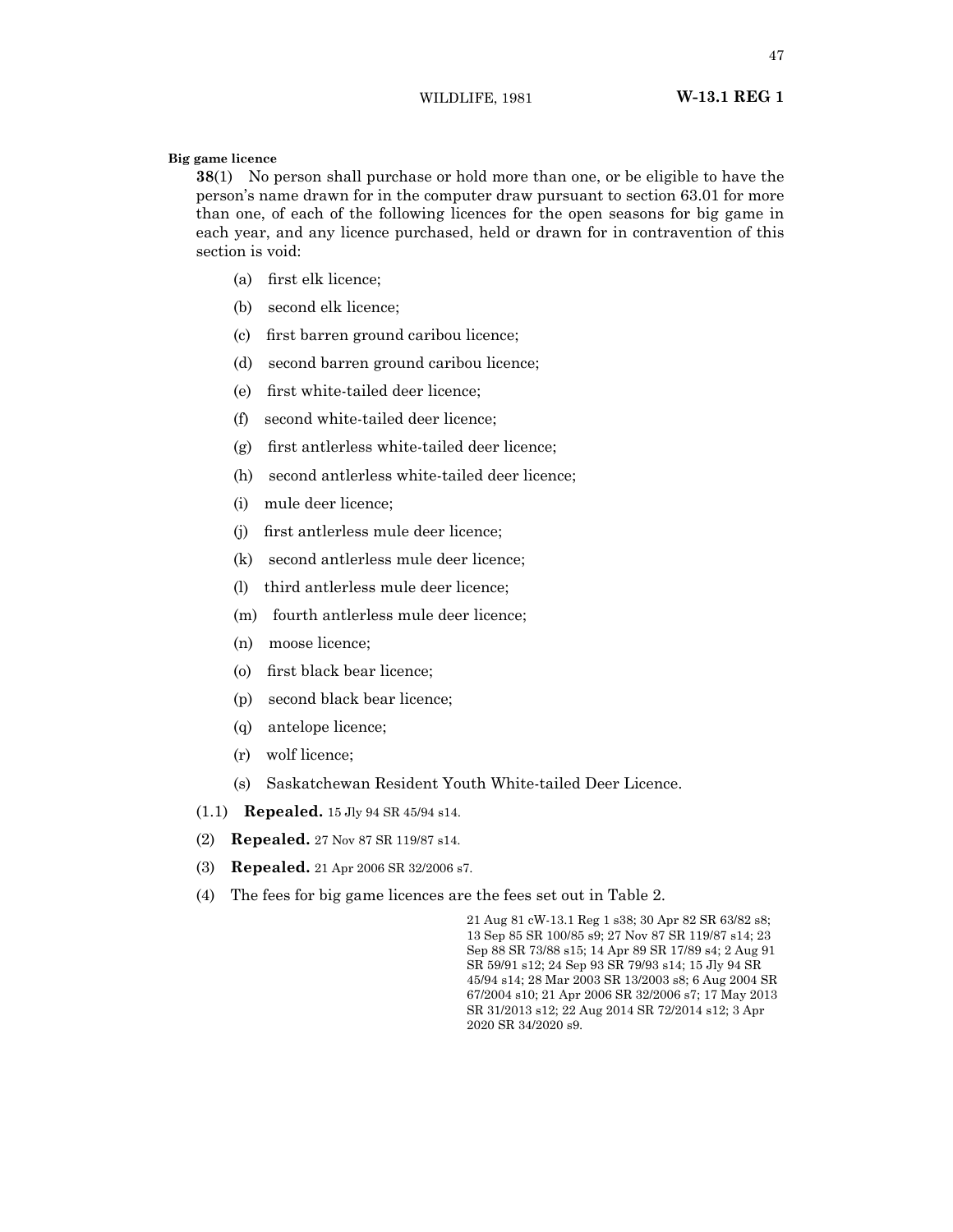**Big game licence**

**38**(1) No person shall purchase or hold more than one, or be eligible to have the person's name drawn for in the computer draw pursuant to section 63.01 for more than one, of each of the following licences for the open seasons for big game in each year, and any licence purchased, held or drawn for in contravention of this section is void:

- (a) first elk licence;
- (b) second elk licence;
- (c) first barren ground caribou licence;
- (d) second barren ground caribou licence;
- (e) first white-tailed deer licence;
- (f) second white-tailed deer licence;
- (g) first antlerless white-tailed deer licence;
- (h) second antlerless white-tailed deer licence;
- (i) mule deer licence;
- (j) first antlerless mule deer licence;
- (k) second antlerless mule deer licence;
- (l) third antlerless mule deer licence;
- (m) fourth antlerless mule deer licence;
- (n) moose licence;
- (o) first black bear licence;
- (p) second black bear licence;
- (q) antelope licence;
- (r) wolf licence;
- (s) Saskatchewan Resident Youth White-tailed Deer Licence.
- (1.1) **Repealed.** 15 Jly 94 SR 45/94 s14.
- (2) **Repealed.** 27 Nov 87 SR 119/87 s14.
- (3) **Repealed.** 21 Apr 2006 SR 32/2006 s7.
- (4) The fees for big game licences are the fees set out in Table 2.

21 Aug 81 cW-13.1 Reg 1 s38; 30 Apr 82 SR 63/82 s8; 13 Sep 85 SR 100/85 s9; 27 Nov 87 SR 119/87 s14; 23 Sep 88 SR 73/88 s15; 14 Apr 89 SR 17/89 s4; 2 Aug 91 SR 59/91 s12; 24 Sep 93 SR 79/93 s14; 15 Jly 94 SR 45/94 s14; 28 Mar 2003 SR 13/2003 s8; 6 Aug 2004 SR 67/2004 s10; 21 Apr 2006 SR 32/2006 s7; 17 May 2013 SR 31/2013 s12; 22 Aug 2014 SR 72/2014 s12; 3 Apr 2020 SR 34/2020 s9.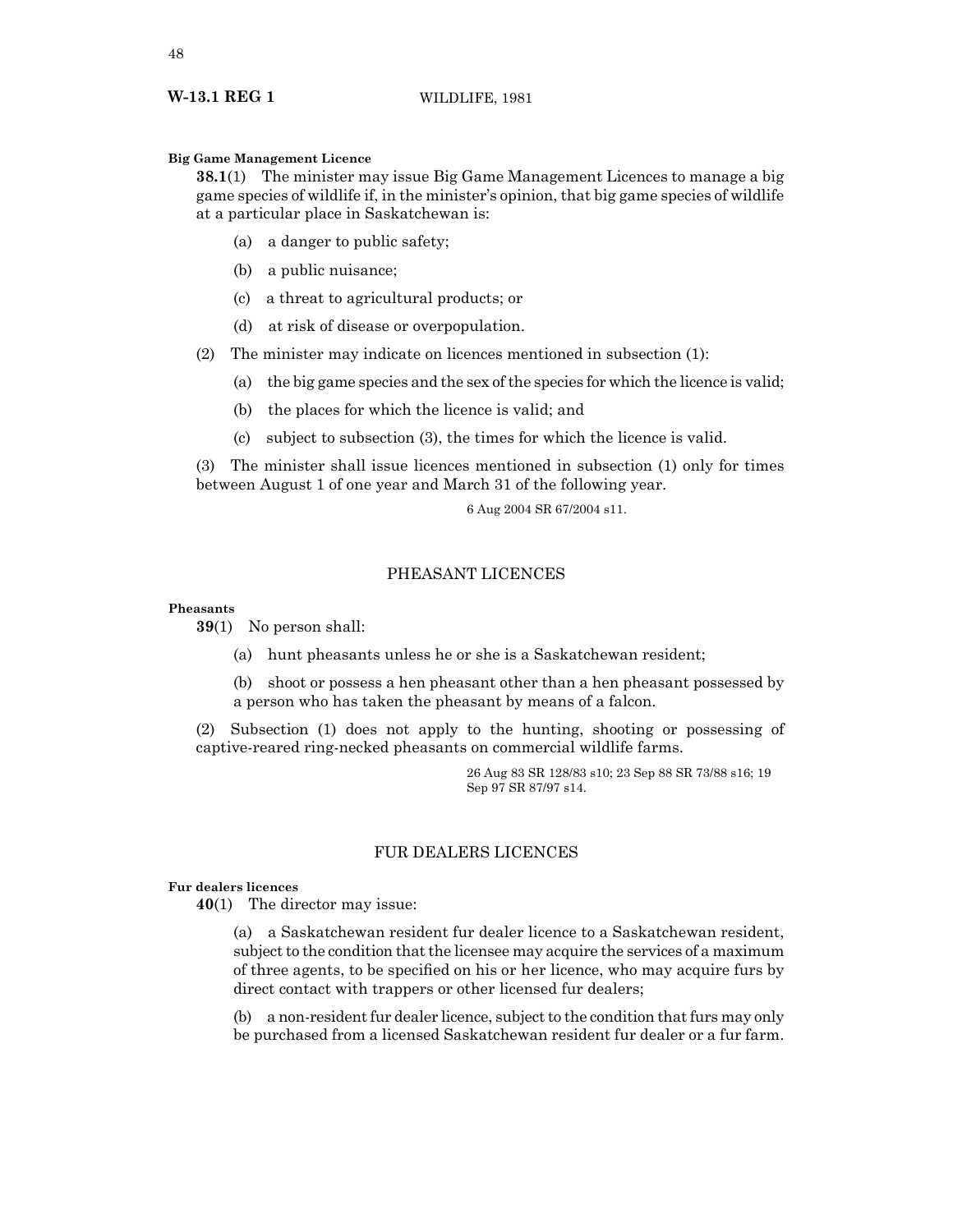#### **Big Game Management Licence**

**38.1**(1) The minister may issue Big Game Management Licences to manage a big game species of wildlife if, in the minister's opinion, that big game species of wildlife at a particular place in Saskatchewan is:

- (a) a danger to public safety;
- (b) a public nuisance;
- (c) a threat to agricultural products; or
- (d) at risk of disease or overpopulation.

(2) The minister may indicate on licences mentioned in subsection (1):

- (a) the big game species and the sex of the species for which the licence is valid;
- (b) the places for which the licence is valid; and
- (c) subject to subsection (3), the times for which the licence is valid.

(3) The minister shall issue licences mentioned in subsection (1) only for times between August 1 of one year and March 31 of the following year.

6 Aug 2004 SR 67/2004 s11.

## PHEASANT LICENCES

## **Pheasants**

**39**(1) No person shall:

(a) hunt pheasants unless he or she is a Saskatchewan resident;

(b) shoot or possess a hen pheasant other than a hen pheasant possessed by a person who has taken the pheasant by means of a falcon.

(2) Subsection (1) does not apply to the hunting, shooting or possessing of captive-reared ring-necked pheasants on commercial wildlife farms.

> 26 Aug 83 SR 128/83 s10; 23 Sep 88 SR 73/88 s16; 19 Sep 97 SR 87/97 s14.

## FUR DEALERS LICENCES

## **Fur dealers licences**

**40**(1) The director may issue:

(a) a Saskatchewan resident fur dealer licence to a Saskatchewan resident, subject to the condition that the licensee may acquire the services of a maximum of three agents, to be specified on his or her licence, who may acquire furs by direct contact with trappers or other licensed fur dealers;

(b) a non-resident fur dealer licence, subject to the condition that furs may only be purchased from a licensed Saskatchewan resident fur dealer or a fur farm.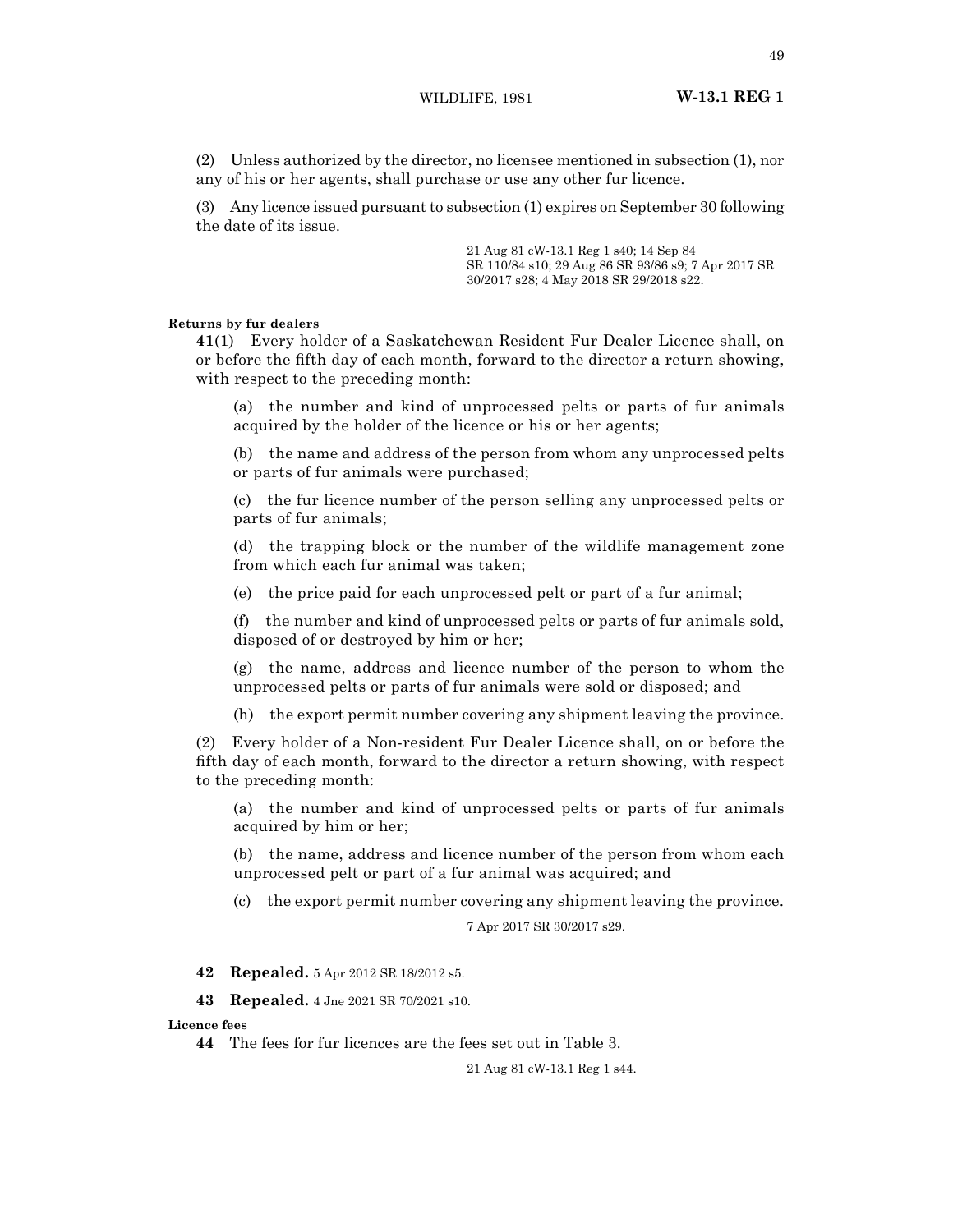(2) Unless authorized by the director, no licensee mentioned in subsection (1), nor any of his or her agents, shall purchase or use any other fur licence.

(3) Any licence issued pursuant to subsection (1) expires on September 30 following the date of its issue.

> 21 Aug 81 cW-13.1 Reg 1 s40; 14 Sep 84 SR 110/84 s10; 29 Aug 86 SR 93/86 s9; 7 Apr 2017 SR 30/2017 s28; 4 May 2018 SR 29/2018 s22.

#### **Returns by fur dealers**

**41**(1) Every holder of a Saskatchewan Resident Fur Dealer Licence shall, on or before the fifth day of each month, forward to the director a return showing, with respect to the preceding month:

(a) the number and kind of unprocessed pelts or parts of fur animals acquired by the holder of the licence or his or her agents;

(b) the name and address of the person from whom any unprocessed pelts or parts of fur animals were purchased;

(c) the fur licence number of the person selling any unprocessed pelts or parts of fur animals;

(d) the trapping block or the number of the wildlife management zone from which each fur animal was taken;

(e) the price paid for each unprocessed pelt or part of a fur animal;

(f) the number and kind of unprocessed pelts or parts of fur animals sold, disposed of or destroyed by him or her;

(g) the name, address and licence number of the person to whom the unprocessed pelts or parts of fur animals were sold or disposed; and

(h) the export permit number covering any shipment leaving the province.

(2) Every holder of a Non-resident Fur Dealer Licence shall, on or before the fifth day of each month, forward to the director a return showing, with respect to the preceding month:

(a) the number and kind of unprocessed pelts or parts of fur animals acquired by him or her;

(b) the name, address and licence number of the person from whom each unprocessed pelt or part of a fur animal was acquired; and

(c) the export permit number covering any shipment leaving the province.

7 Apr 2017 SR 30/2017 s29.

**42 Repealed.** 5 Apr 2012 SR 18/2012 s5.

**43 Repealed.** 4 Jne 2021 SR 70/2021 s10.

**Licence fees**

**44** The fees for fur licences are the fees set out in Table 3.

21 Aug 81 cW-13.1 Reg 1 s44.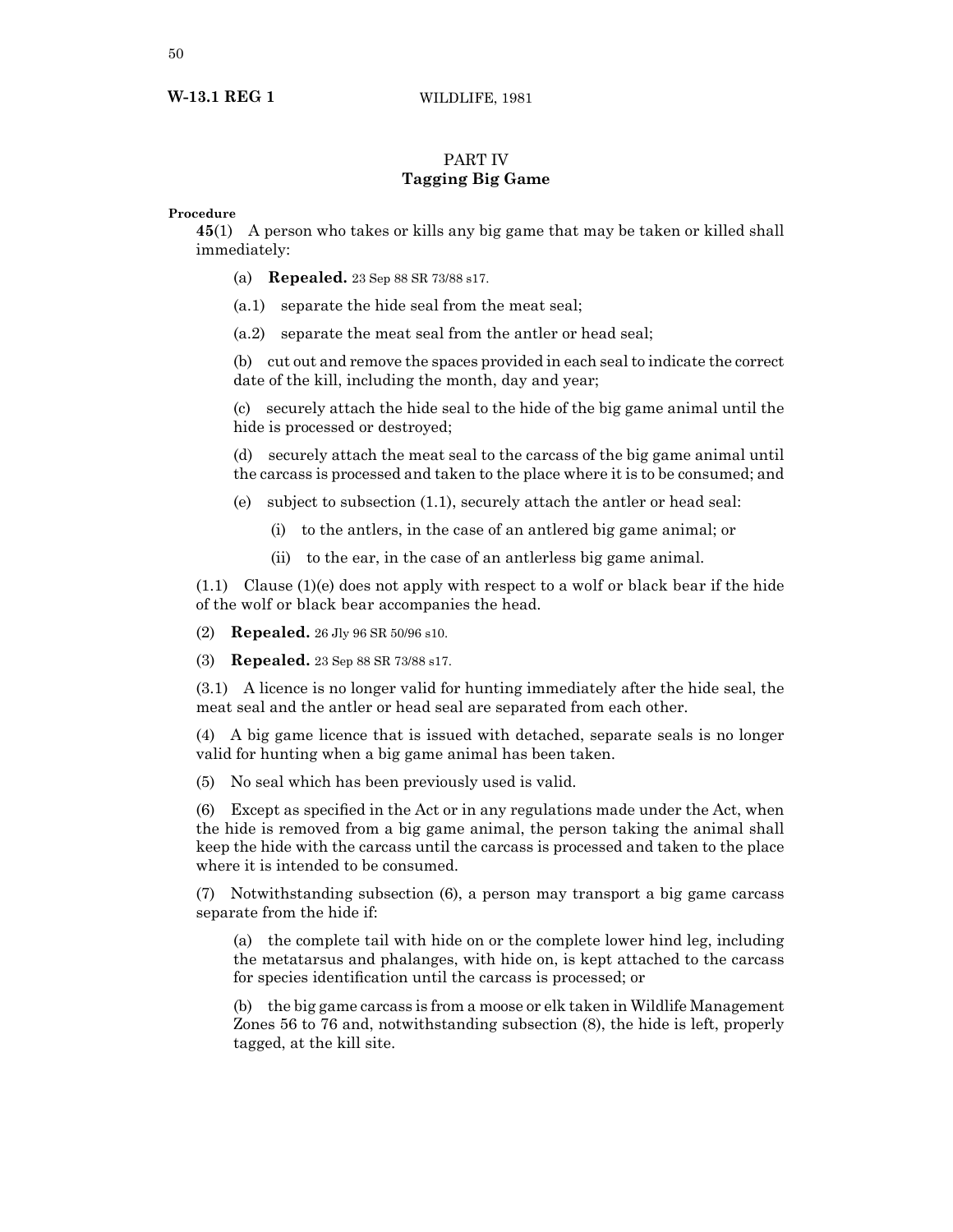## **W-13.1 REG 1** WILDLIFE, 1981

## PART IV **Tagging Big Game**

## **Procedure**

**45**(1) A person who takes or kills any big game that may be taken or killed shall immediately:

- (a) **Repealed.** 23 Sep 88 SR 73/88 s17.
- (a.1) separate the hide seal from the meat seal;
- (a.2) separate the meat seal from the antler or head seal;

(b) cut out and remove the spaces provided in each seal to indicate the correct date of the kill, including the month, day and year;

(c) securely attach the hide seal to the hide of the big game animal until the hide is processed or destroyed;

(d) securely attach the meat seal to the carcass of the big game animal until the carcass is processed and taken to the place where it is to be consumed; and

- (e) subject to subsection (1.1), securely attach the antler or head seal:
	- (i) to the antlers, in the case of an antlered big game animal; or
	- (ii) to the ear, in the case of an antlerless big game animal.

 $(1.1)$  Clause  $(1)(e)$  does not apply with respect to a wolf or black bear if the hide of the wolf or black bear accompanies the head.

(2) **Repealed.** 26 Jly 96 SR 50/96 s10.

(3) **Repealed.** 23 Sep 88 SR 73/88 s17.

(3.1) A licence is no longer valid for hunting immediately after the hide seal, the meat seal and the antler or head seal are separated from each other.

(4) A big game licence that is issued with detached, separate seals is no longer valid for hunting when a big game animal has been taken.

(5) No seal which has been previously used is valid.

(6) Except as specified in the Act or in any regulations made under the Act, when the hide is removed from a big game animal, the person taking the animal shall keep the hide with the carcass until the carcass is processed and taken to the place where it is intended to be consumed.

(7) Notwithstanding subsection (6), a person may transport a big game carcass separate from the hide if:

(a) the complete tail with hide on or the complete lower hind leg, including the metatarsus and phalanges, with hide on, is kept attached to the carcass for species identification until the carcass is processed; or

(b) the big game carcass is from a moose or elk taken in Wildlife Management Zones 56 to 76 and, notwithstanding subsection (8), the hide is left, properly tagged, at the kill site.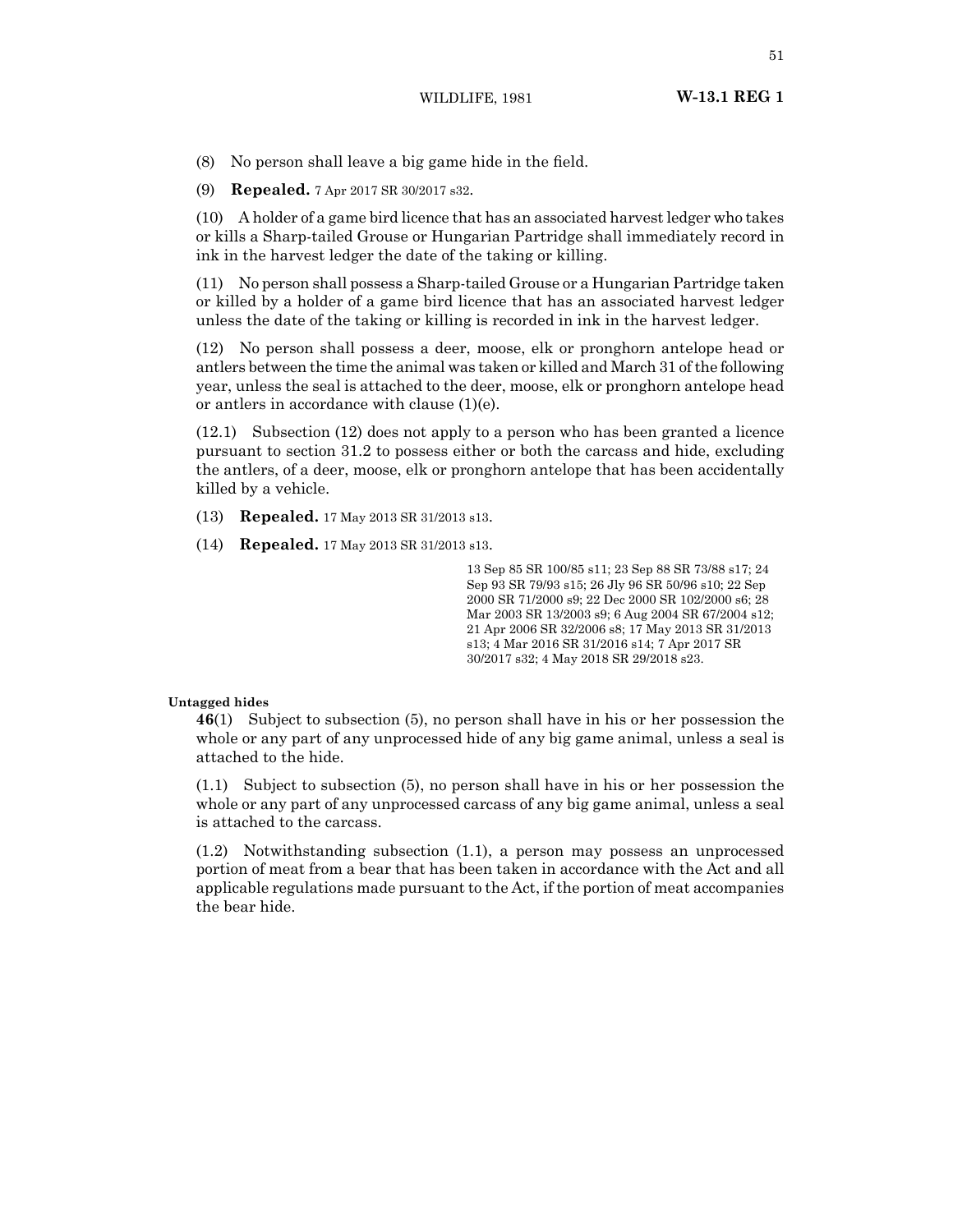(8) No person shall leave a big game hide in the field.

(9) **Repealed.** 7 Apr 2017 SR 30/2017 s32.

(10) A holder of a game bird licence that has an associated harvest ledger who takes or kills a Sharp-tailed Grouse or Hungarian Partridge shall immediately record in ink in the harvest ledger the date of the taking or killing.

(11) No person shall possess a Sharp-tailed Grouse or a Hungarian Partridge taken or killed by a holder of a game bird licence that has an associated harvest ledger unless the date of the taking or killing is recorded in ink in the harvest ledger.

(12) No person shall possess a deer, moose, elk or pronghorn antelope head or antlers between the time the animal was taken or killed and March 31 of the following year, unless the seal is attached to the deer, moose, elk or pronghorn antelope head or antlers in accordance with clause (1)(e).

(12.1) Subsection (12) does not apply to a person who has been granted a licence pursuant to section 31.2 to possess either or both the carcass and hide, excluding the antlers, of a deer, moose, elk or pronghorn antelope that has been accidentally killed by a vehicle.

- (13) **Repealed.** 17 May 2013 SR 31/2013 s13.
- (14) **Repealed.** 17 May 2013 SR 31/2013 s13.

13 Sep 85 SR 100/85 s11; 23 Sep 88 SR 73/88 s17; 24 Sep 93 SR 79/93 s15; 26 Jly 96 SR 50/96 s10; 22 Sep 2000 SR 71/2000 s9; 22 Dec 2000 SR 102/2000 s6; 28 Mar 2003 SR 13/2003 s9; 6 Aug 2004 SR 67/2004 s12; 21 Apr 2006 SR 32/2006 s8; 17 May 2013 SR 31/2013 s13; 4 Mar 2016 SR 31/2016 s14; 7 Apr 2017 SR 30/2017 s32; 4 May 2018 SR 29/2018 s23.

## **Untagged hides**

**46**(1) Subject to subsection (5), no person shall have in his or her possession the whole or any part of any unprocessed hide of any big game animal, unless a seal is attached to the hide.

(1.1) Subject to subsection (5), no person shall have in his or her possession the whole or any part of any unprocessed carcass of any big game animal, unless a seal is attached to the carcass.

(1.2) Notwithstanding subsection (1.1), a person may possess an unprocessed portion of meat from a bear that has been taken in accordance with the Act and all applicable regulations made pursuant to the Act, if the portion of meat accompanies the bear hide.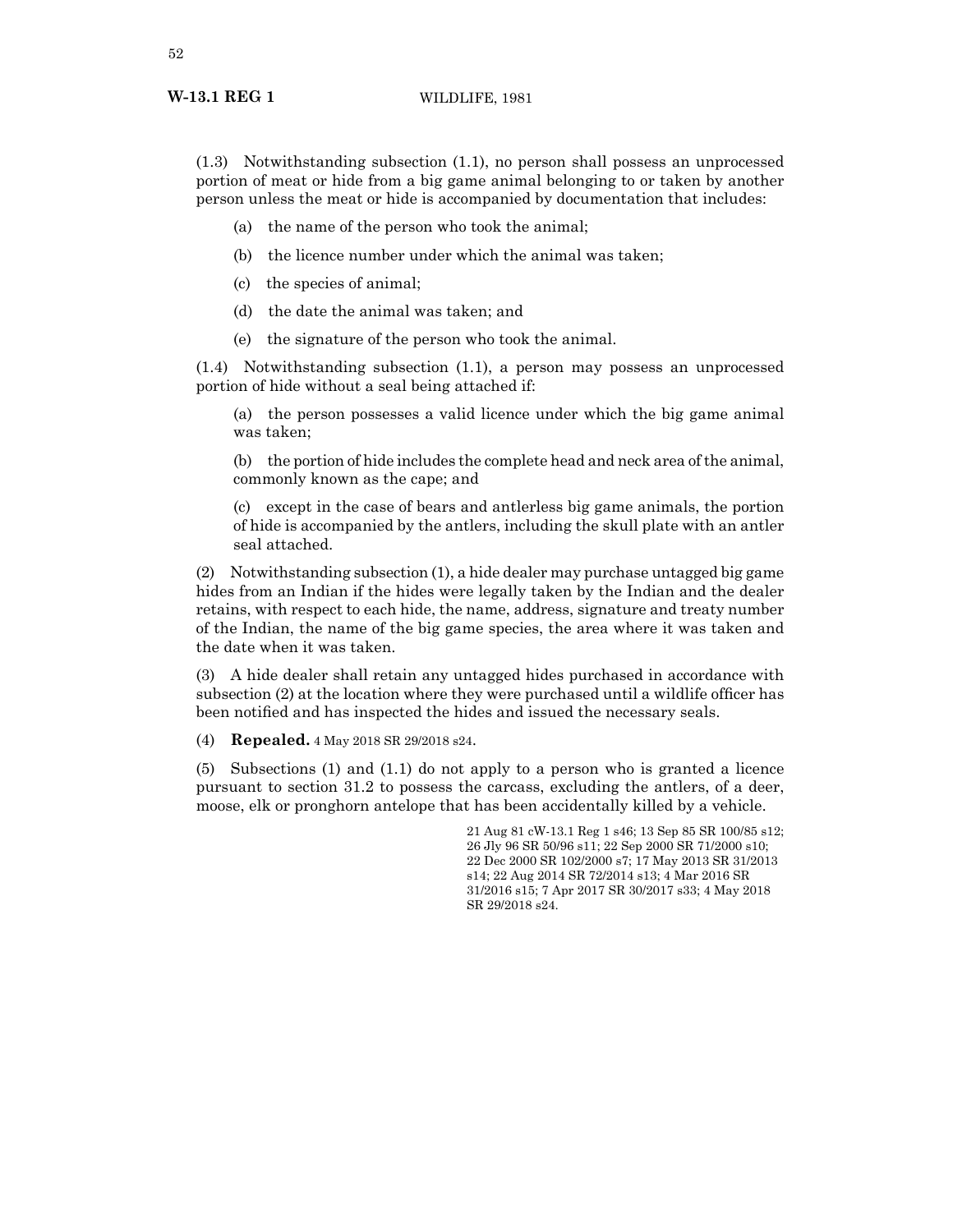(1.3) Notwithstanding subsection (1.1), no person shall possess an unprocessed portion of meat or hide from a big game animal belonging to or taken by another person unless the meat or hide is accompanied by documentation that includes:

- (a) the name of the person who took the animal;
- (b) the licence number under which the animal was taken;
- (c) the species of animal;
- (d) the date the animal was taken; and
- (e) the signature of the person who took the animal.

(1.4) Notwithstanding subsection (1.1), a person may possess an unprocessed portion of hide without a seal being attached if:

(a) the person possesses a valid licence under which the big game animal was taken;

(b) the portion of hide includes the complete head and neck area of the animal, commonly known as the cape; and

(c) except in the case of bears and antlerless big game animals, the portion of hide is accompanied by the antlers, including the skull plate with an antler seal attached.

(2) Notwithstanding subsection (1), a hide dealer may purchase untagged big game hides from an Indian if the hides were legally taken by the Indian and the dealer retains, with respect to each hide, the name, address, signature and treaty number of the Indian, the name of the big game species, the area where it was taken and the date when it was taken.

(3) A hide dealer shall retain any untagged hides purchased in accordance with subsection (2) at the location where they were purchased until a wildlife officer has been notified and has inspected the hides and issued the necessary seals.

(4) **Repealed.** 4 May 2018 SR 29/2018 s24.

(5) Subsections (1) and (1.1) do not apply to a person who is granted a licence pursuant to section 31.2 to possess the carcass, excluding the antlers, of a deer, moose, elk or pronghorn antelope that has been accidentally killed by a vehicle.

> 21 Aug 81 cW-13.1 Reg 1 s46; 13 Sep 85 SR 100/85 s12; 26 Jly 96 SR 50/96 s11; 22 Sep 2000 SR 71/2000 s10; 22 Dec 2000 SR 102/2000 s7; 17 May 2013 SR 31/2013 s14; 22 Aug 2014 SR 72/2014 s13; 4 Mar 2016 SR 31/2016 s15; 7 Apr 2017 SR 30/2017 s33; 4 May 2018 SR 29/2018 s24.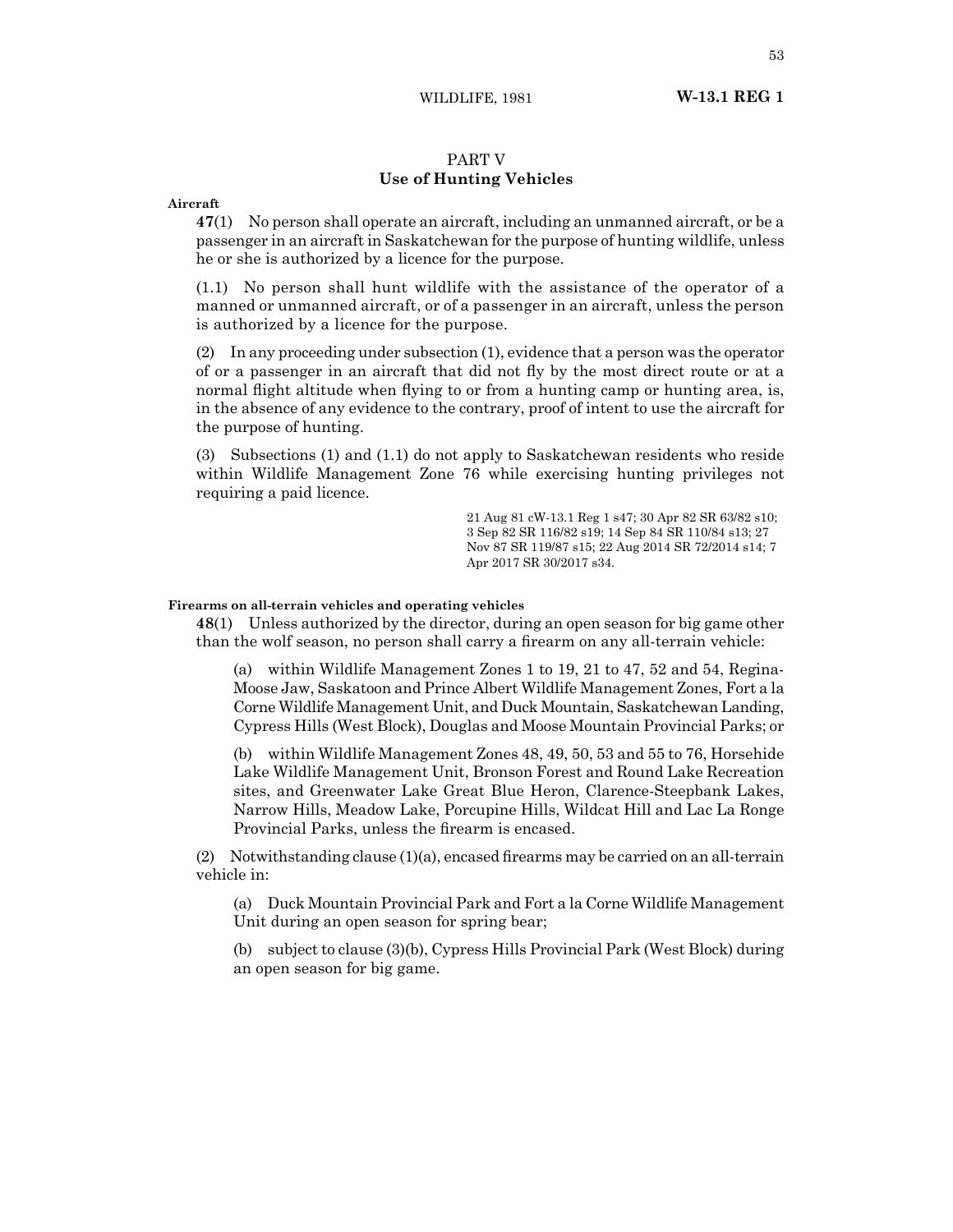WILDLIFE, 1981 **W-13.1 REG 1**

## PART V **Use of Hunting Vehicles**

#### **Aircraft**

**47**(1) No person shall operate an aircraft, including an unmanned aircraft, or be a passenger in an aircraft in Saskatchewan for the purpose of hunting wildlife, unless he or she is authorized by a licence for the purpose.

(1.1) No person shall hunt wildlife with the assistance of the operator of a manned or unmanned aircraft, or of a passenger in an aircraft, unless the person is authorized by a licence for the purpose.

(2) In any proceeding under subsection (1), evidence that a person was the operator of or a passenger in an aircraft that did not fly by the most direct route or at a normal flight altitude when flying to or from a hunting camp or hunting area, is, in the absence of any evidence to the contrary, proof of intent to use the aircraft for the purpose of hunting.

(3) Subsections (1) and (1.1) do not apply to Saskatchewan residents who reside within Wildlife Management Zone 76 while exercising hunting privileges not requiring a paid licence.

> 21 Aug 81 cW-13.1 Reg 1 s47; 30 Apr 82 SR 63/82 s10; 3 Sep 82 SR 116/82 s19; 14 Sep 84 SR 110/84 s13; 27 Nov 87 SR 119/87 s15; 22 Aug 2014 SR 72/2014 s14; 7 Apr 2017 SR 30/2017 s34.

## **Firearms on all-terrain vehicles and operating vehicles**

**48**(1) Unless authorized by the director, during an open season for big game other than the wolf season, no person shall carry a firearm on any all-terrain vehicle:

(a) within Wildlife Management Zones 1 to 19, 21 to 47, 52 and 54, Regina-Moose Jaw, Saskatoon and Prince Albert Wildlife Management Zones, Fort a la Corne Wildlife Management Unit, and Duck Mountain, Saskatchewan Landing, Cypress Hills (West Block), Douglas and Moose Mountain Provincial Parks; or

(b) within Wildlife Management Zones 48, 49, 50, 53 and 55 to 76, Horsehide Lake Wildlife Management Unit, Bronson Forest and Round Lake Recreation sites, and Greenwater Lake Great Blue Heron, Clarence-Steepbank Lakes, Narrow Hills, Meadow Lake, Porcupine Hills, Wildcat Hill and Lac La Ronge Provincial Parks, unless the firearm is encased.

 $(2)$  Notwithstanding clause  $(1)(a)$ , encased firearms may be carried on an all-terrain vehicle in:

(a) Duck Mountain Provincial Park and Fort a la Corne Wildlife Management Unit during an open season for spring bear;

(b) subject to clause (3)(b), Cypress Hills Provincial Park (West Block) during an open season for big game.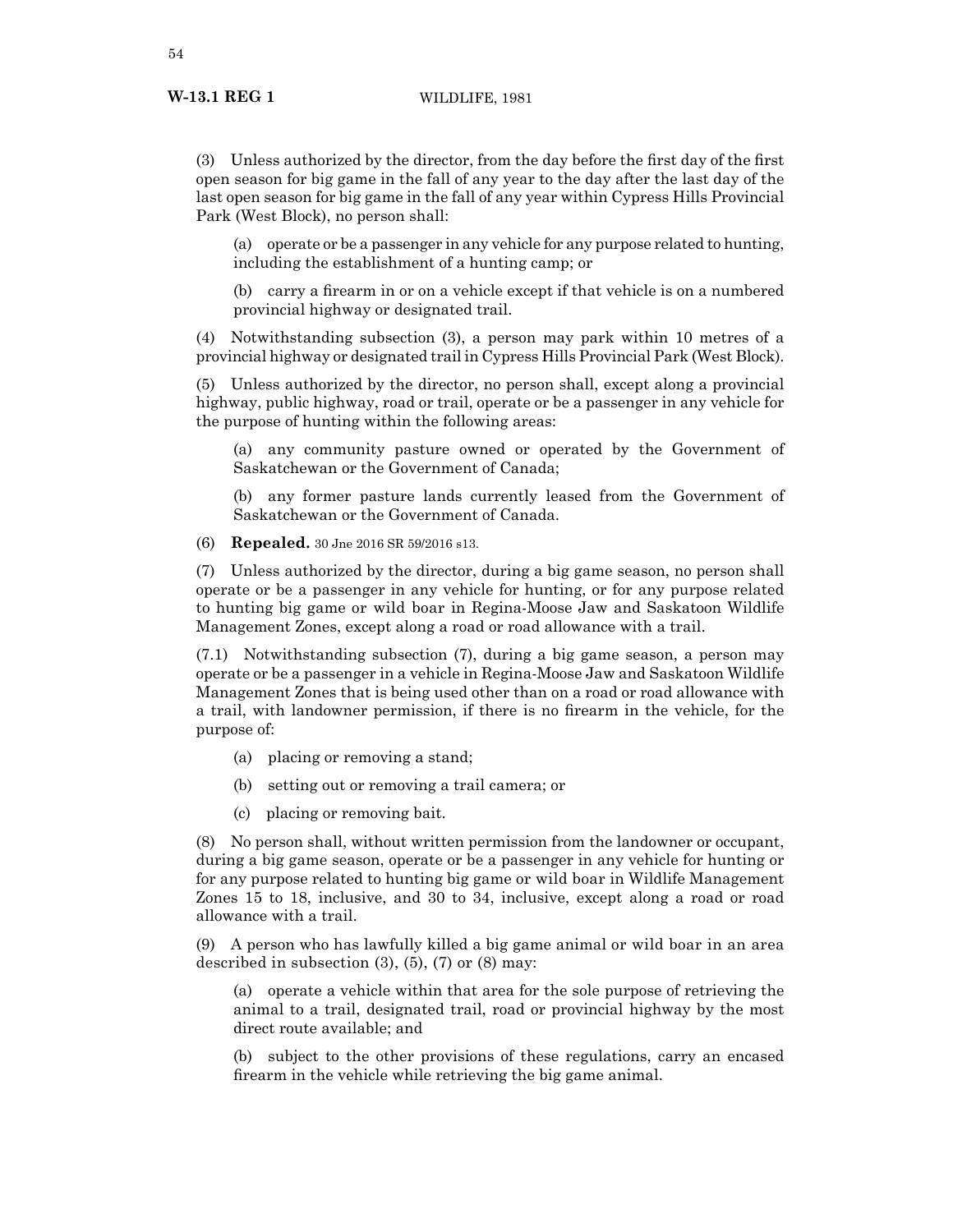(3) Unless authorized by the director, from the day before the first day of the first open season for big game in the fall of any year to the day after the last day of the last open season for big game in the fall of any year within Cypress Hills Provincial Park (West Block), no person shall:

(a) operate or be a passenger in any vehicle for any purpose related to hunting, including the establishment of a hunting camp; or

(b) carry a firearm in or on a vehicle except if that vehicle is on a numbered provincial highway or designated trail.

(4) Notwithstanding subsection (3), a person may park within 10 metres of a provincial highway or designated trail in Cypress Hills Provincial Park (West Block).

(5) Unless authorized by the director, no person shall, except along a provincial highway, public highway, road or trail, operate or be a passenger in any vehicle for the purpose of hunting within the following areas:

(a) any community pasture owned or operated by the Government of Saskatchewan or the Government of Canada;

(b) any former pasture lands currently leased from the Government of Saskatchewan or the Government of Canada.

(6) **Repealed.** 30 Jne 2016 SR 59/2016 s13.

(7) Unless authorized by the director, during a big game season, no person shall operate or be a passenger in any vehicle for hunting, or for any purpose related to hunting big game or wild boar in Regina-Moose Jaw and Saskatoon Wildlife Management Zones, except along a road or road allowance with a trail.

(7.1) Notwithstanding subsection (7), during a big game season, a person may operate or be a passenger in a vehicle in Regina-Moose Jaw and Saskatoon Wildlife Management Zones that is being used other than on a road or road allowance with a trail, with landowner permission, if there is no firearm in the vehicle, for the purpose of:

- (a) placing or removing a stand;
- (b) setting out or removing a trail camera; or
- (c) placing or removing bait.

(8) No person shall, without written permission from the landowner or occupant, during a big game season, operate or be a passenger in any vehicle for hunting or for any purpose related to hunting big game or wild boar in Wildlife Management Zones 15 to 18, inclusive, and 30 to 34, inclusive, except along a road or road allowance with a trail.

(9) A person who has lawfully killed a big game animal or wild boar in an area described in subsection  $(3)$ ,  $(5)$ ,  $(7)$  or  $(8)$  may:

(a) operate a vehicle within that area for the sole purpose of retrieving the animal to a trail, designated trail, road or provincial highway by the most direct route available; and

(b) subject to the other provisions of these regulations, carry an encased firearm in the vehicle while retrieving the big game animal.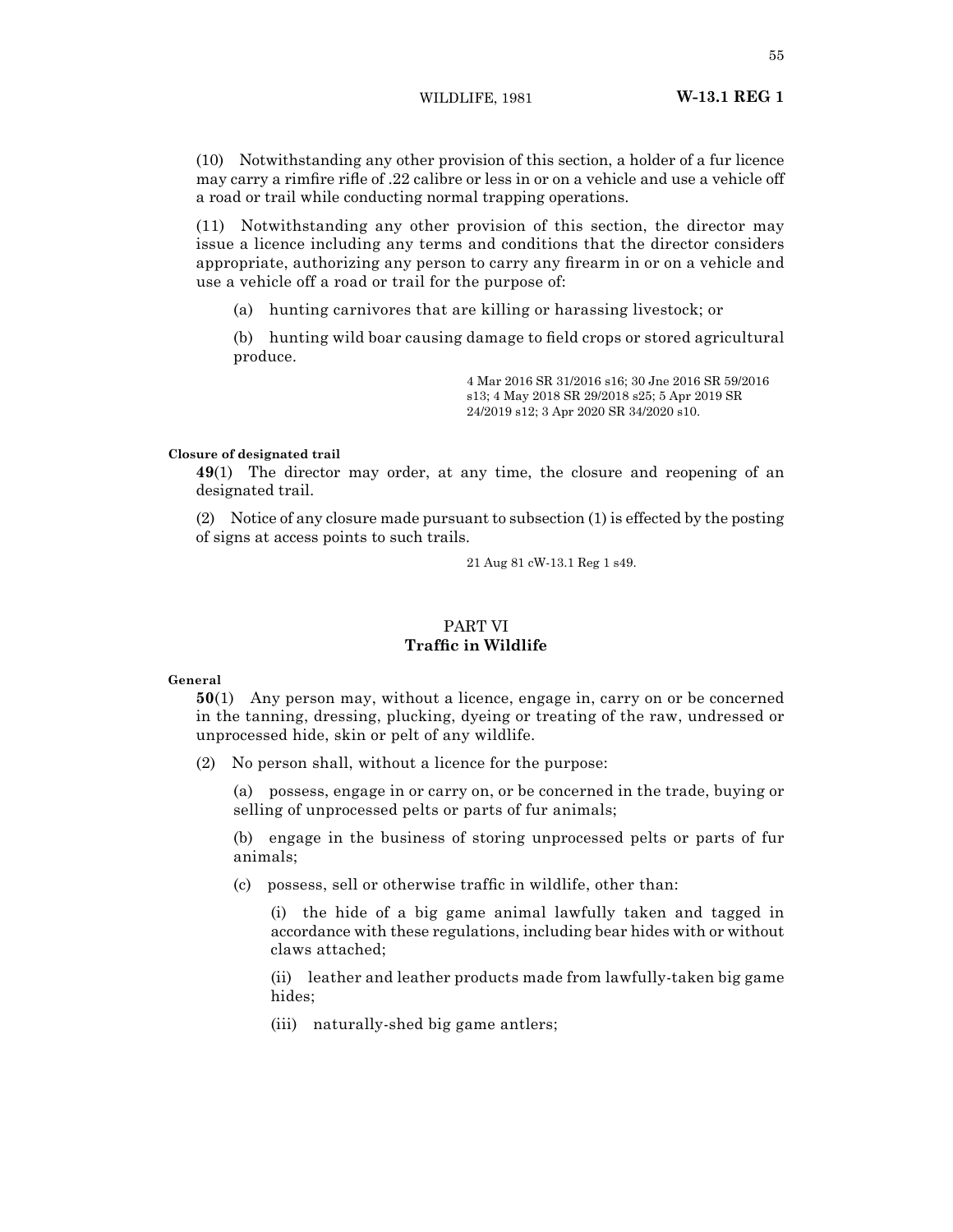(10) Notwithstanding any other provision of this section, a holder of a fur licence may carry a rimfire rifle of .22 calibre or less in or on a vehicle and use a vehicle off a road or trail while conducting normal trapping operations.

(11) Notwithstanding any other provision of this section, the director may issue a licence including any terms and conditions that the director considers appropriate, authorizing any person to carry any firearm in or on a vehicle and use a vehicle off a road or trail for the purpose of:

(a) hunting carnivores that are killing or harassing livestock; or

(b) hunting wild boar causing damage to field crops or stored agricultural produce.

> 4 Mar 2016 SR 31/2016 s16; 30 Jne 2016 SR 59/2016 s13; 4 May 2018 SR 29/2018 s25; 5 Apr 2019 SR 24/2019 s12; 3 Apr 2020 SR 34/2020 s10.

## **Closure of designated trail**

**49**(1) The director may order, at any time, the closure and reopening of an designated trail.

(2) Notice of any closure made pursuant to subsection (1) is effected by the posting of signs at access points to such trails.

21 Aug 81 cW-13.1 Reg 1 s49.

# PART VI

## **Traffic in Wildlife**

#### **General**

**50**(1) Any person may, without a licence, engage in, carry on or be concerned in the tanning, dressing, plucking, dyeing or treating of the raw, undressed or unprocessed hide, skin or pelt of any wildlife.

(2) No person shall, without a licence for the purpose:

(a) possess, engage in or carry on, or be concerned in the trade, buying or selling of unprocessed pelts or parts of fur animals;

(b) engage in the business of storing unprocessed pelts or parts of fur animals;

(c) possess, sell or otherwise traffic in wildlife, other than:

(i) the hide of a big game animal lawfully taken and tagged in accordance with these regulations, including bear hides with or without claws attached;

(ii) leather and leather products made from lawfully-taken big game hides;

(iii) naturally-shed big game antlers;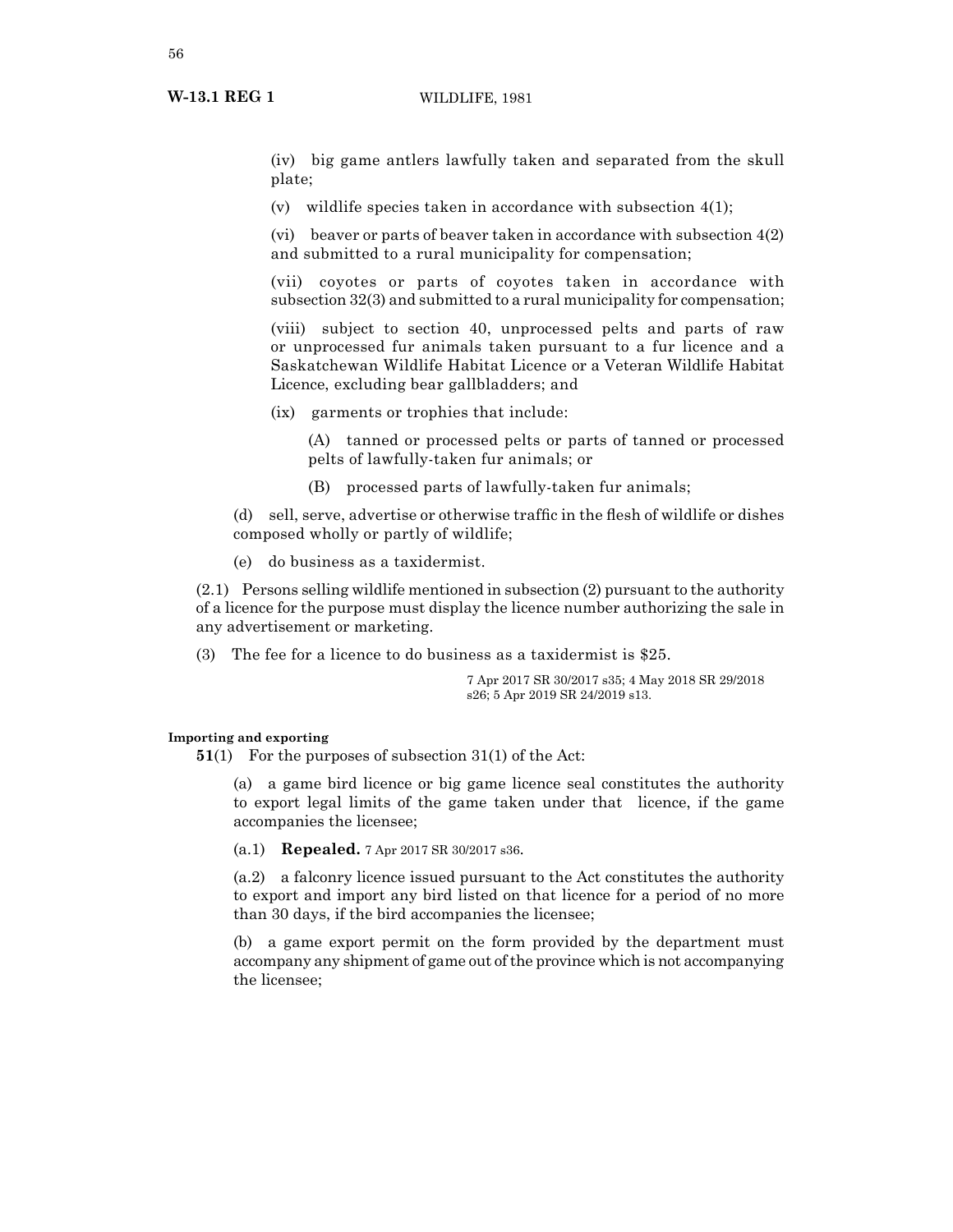(iv) big game antlers lawfully taken and separated from the skull plate;

(v) wildlife species taken in accordance with subsection 4(1);

(vi) beaver or parts of beaver taken in accordance with subsection  $4(2)$ and submitted to a rural municipality for compensation;

(vii) coyotes or parts of coyotes taken in accordance with subsection 32(3) and submitted to a rural municipality for compensation;

(viii) subject to section 40, unprocessed pelts and parts of raw or unprocessed fur animals taken pursuant to a fur licence and a Saskatchewan Wildlife Habitat Licence or a Veteran Wildlife Habitat Licence, excluding bear gallbladders; and

(ix) garments or trophies that include:

(A) tanned or processed pelts or parts of tanned or processed pelts of lawfully-taken fur animals; or

(B) processed parts of lawfully-taken fur animals;

(d) sell, serve, advertise or otherwise traffic in the flesh of wildlife or dishes composed wholly or partly of wildlife;

(e) do business as a taxidermist.

(2.1) Persons selling wildlife mentioned in subsection (2) pursuant to the authority of a licence for the purpose must display the licence number authorizing the sale in any advertisement or marketing.

(3) The fee for a licence to do business as a taxidermist is \$25.

7 Apr 2017 SR 30/2017 s35; 4 May 2018 SR 29/2018 s26; 5 Apr 2019 SR 24/2019 s13.

## **Importing and exporting**

**51**(1) For the purposes of subsection 31(1) of the Act:

(a) a game bird licence or big game licence seal constitutes the authority to export legal limits of the game taken under that licence, if the game accompanies the licensee;

(a.1) **Repealed.** 7 Apr 2017 SR 30/2017 s36.

(a.2) a falconry licence issued pursuant to the Act constitutes the authority to export and import any bird listed on that licence for a period of no more than 30 days, if the bird accompanies the licensee;

(b) a game export permit on the form provided by the department must accompany any shipment of game out of the province which is not accompanying the licensee;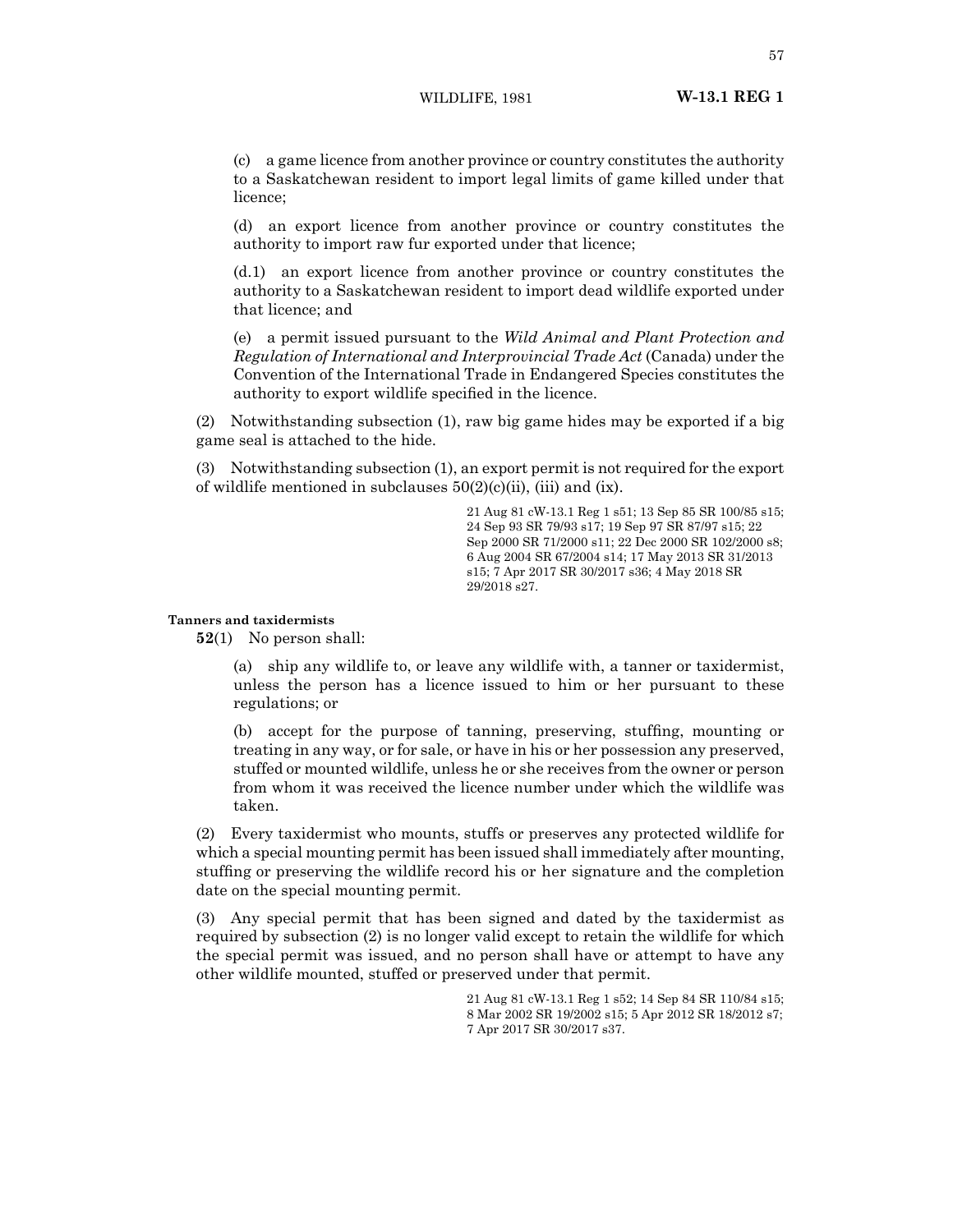(c) a game licence from another province or country constitutes the authority to a Saskatchewan resident to import legal limits of game killed under that licence;

(d) an export licence from another province or country constitutes the authority to import raw fur exported under that licence;

(d.1) an export licence from another province or country constitutes the authority to a Saskatchewan resident to import dead wildlife exported under that licence; and

(e) a permit issued pursuant to the *Wild Animal and Plant Protection and Regulation of International and Interprovincial Trade Act* (Canada) under the Convention of the International Trade in Endangered Species constitutes the authority to export wildlife specified in the licence.

(2) Notwithstanding subsection (1), raw big game hides may be exported if a big game seal is attached to the hide.

(3) Notwithstanding subsection (1), an export permit is not required for the export of wildlife mentioned in subclauses  $50(2)(c)(ii)$ , (iii) and (ix).

> 21 Aug 81 cW-13.1 Reg 1 s51; 13 Sep 85 SR 100/85 s15; 24 Sep 93 SR 79/93 s17; 19 Sep 97 SR 87/97 s15; 22 Sep 2000 SR 71/2000 s11; 22 Dec 2000 SR 102/2000 s8; 6 Aug 2004 SR 67/2004 s14; 17 May 2013 SR 31/2013 s15; 7 Apr 2017 SR 30/2017 s36; 4 May 2018 SR 29/2018 s27.

## **Tanners and taxidermists**

**52**(1) No person shall:

(a) ship any wildlife to, or leave any wildlife with, a tanner or taxidermist, unless the person has a licence issued to him or her pursuant to these regulations; or

(b) accept for the purpose of tanning, preserving, stuffing, mounting or treating in any way, or for sale, or have in his or her possession any preserved, stuffed or mounted wildlife, unless he or she receives from the owner or person from whom it was received the licence number under which the wildlife was taken.

(2) Every taxidermist who mounts, stuffs or preserves any protected wildlife for which a special mounting permit has been issued shall immediately after mounting, stuffing or preserving the wildlife record his or her signature and the completion date on the special mounting permit.

(3) Any special permit that has been signed and dated by the taxidermist as required by subsection (2) is no longer valid except to retain the wildlife for which the special permit was issued, and no person shall have or attempt to have any other wildlife mounted, stuffed or preserved under that permit.

> 21 Aug 81 cW-13.1 Reg 1 s52; 14 Sep 84 SR 110/84 s15; 8 Mar 2002 SR 19/2002 s15; 5 Apr 2012 SR 18/2012 s7; 7 Apr 2017 SR 30/2017 s37.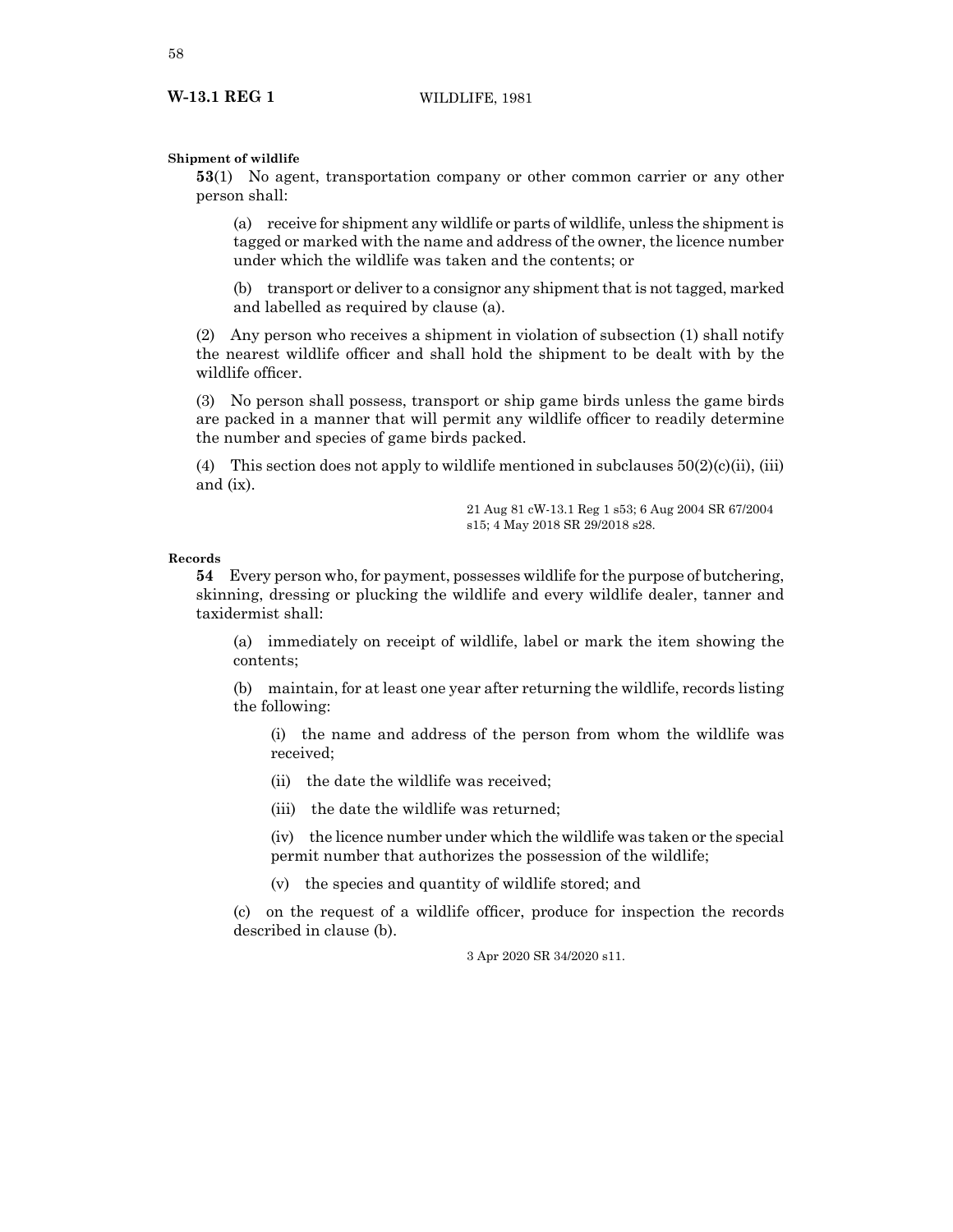#### **Shipment of wildlife**

**53**(1) No agent, transportation company or other common carrier or any other person shall:

(a) receive for shipment any wildlife or parts of wildlife, unless the shipment is tagged or marked with the name and address of the owner, the licence number under which the wildlife was taken and the contents; or

(b) transport or deliver to a consignor any shipment that is not tagged, marked and labelled as required by clause (a).

(2) Any person who receives a shipment in violation of subsection (1) shall notify the nearest wildlife officer and shall hold the shipment to be dealt with by the wildlife officer.

(3) No person shall possess, transport or ship game birds unless the game birds are packed in a manner that will permit any wildlife officer to readily determine the number and species of game birds packed.

(4) This section does not apply to wildlife mentioned in subclauses  $50(2)(c)(ii)$ , (iii) and (ix).

> 21 Aug 81 cW-13.1 Reg 1 s53; 6 Aug 2004 SR 67/2004 s15; 4 May 2018 SR 29/2018 s28.

#### **Records**

**54** Every person who, for payment, possesses wildlife for the purpose of butchering, skinning, dressing or plucking the wildlife and every wildlife dealer, tanner and taxidermist shall:

(a) immediately on receipt of wildlife, label or mark the item showing the contents;

(b) maintain, for at least one year after returning the wildlife, records listing the following:

(i) the name and address of the person from whom the wildlife was received;

(ii) the date the wildlife was received;

(iii) the date the wildlife was returned;

(iv) the licence number under which the wildlife was taken or the special permit number that authorizes the possession of the wildlife;

(v) the species and quantity of wildlife stored; and

(c) on the request of a wildlife officer, produce for inspection the records described in clause (b).

3 Apr 2020 SR 34/2020 s11.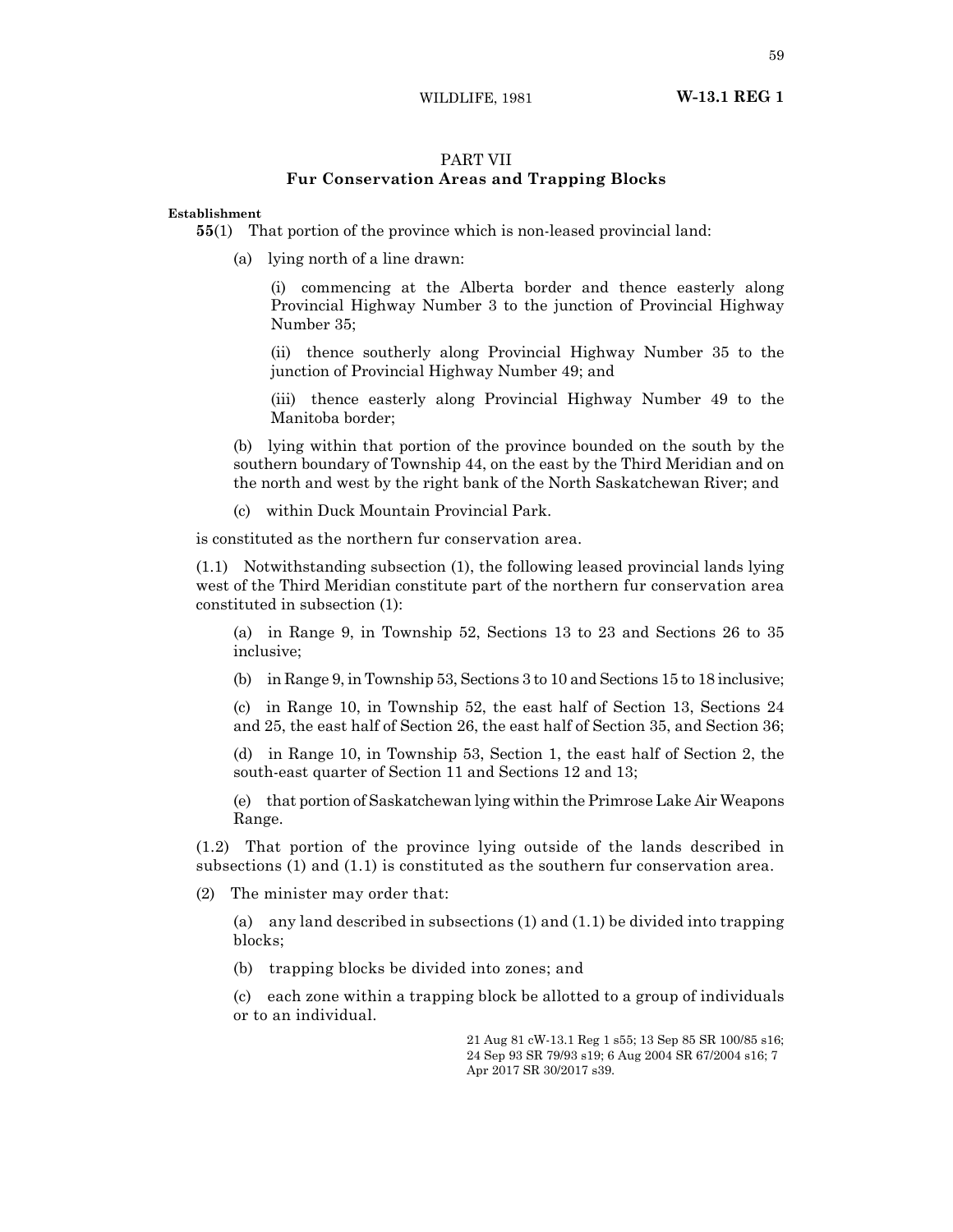WILDLIFE, 1981 **W-13.1 REG 1**

## PART VII

## **Fur Conservation Areas and Trapping Blocks**

## **Establishment**

**55**(1) That portion of the province which is non-leased provincial land:

(a) lying north of a line drawn:

(i) commencing at the Alberta border and thence easterly along Provincial Highway Number 3 to the junction of Provincial Highway Number 35;

(ii) thence southerly along Provincial Highway Number 35 to the junction of Provincial Highway Number 49; and

(iii) thence easterly along Provincial Highway Number 49 to the Manitoba border;

(b) lying within that portion of the province bounded on the south by the southern boundary of Township 44, on the east by the Third Meridian and on the north and west by the right bank of the North Saskatchewan River; and

(c) within Duck Mountain Provincial Park.

is constituted as the northern fur conservation area.

(1.1) Notwithstanding subsection (1), the following leased provincial lands lying west of the Third Meridian constitute part of the northern fur conservation area constituted in subsection (1):

(a) in Range 9, in Township 52, Sections 13 to 23 and Sections 26 to 35 inclusive;

(b) in Range 9, in Township 53, Sections 3 to 10 and Sections 15 to 18 inclusive;

(c) in Range 10, in Township 52, the east half of Section 13, Sections 24 and 25, the east half of Section 26, the east half of Section 35, and Section 36;

(d) in Range 10, in Township 53, Section 1, the east half of Section 2, the south-east quarter of Section 11 and Sections 12 and 13;

(e) that portion of Saskatchewan lying within the Primrose Lake Air Weapons Range.

(1.2) That portion of the province lying outside of the lands described in subsections (1) and (1.1) is constituted as the southern fur conservation area.

(2) The minister may order that:

(a) any land described in subsections (1) and (1.1) be divided into trapping blocks;

(b) trapping blocks be divided into zones; and

(c) each zone within a trapping block be allotted to a group of individuals or to an individual.

> 21 Aug 81 cW-13.1 Reg 1 s55; 13 Sep 85 SR 100/85 s16; 24 Sep 93 SR 79/93 s19; 6 Aug 2004 SR 67/2004 s16; 7 Apr 2017 SR 30/2017 s39.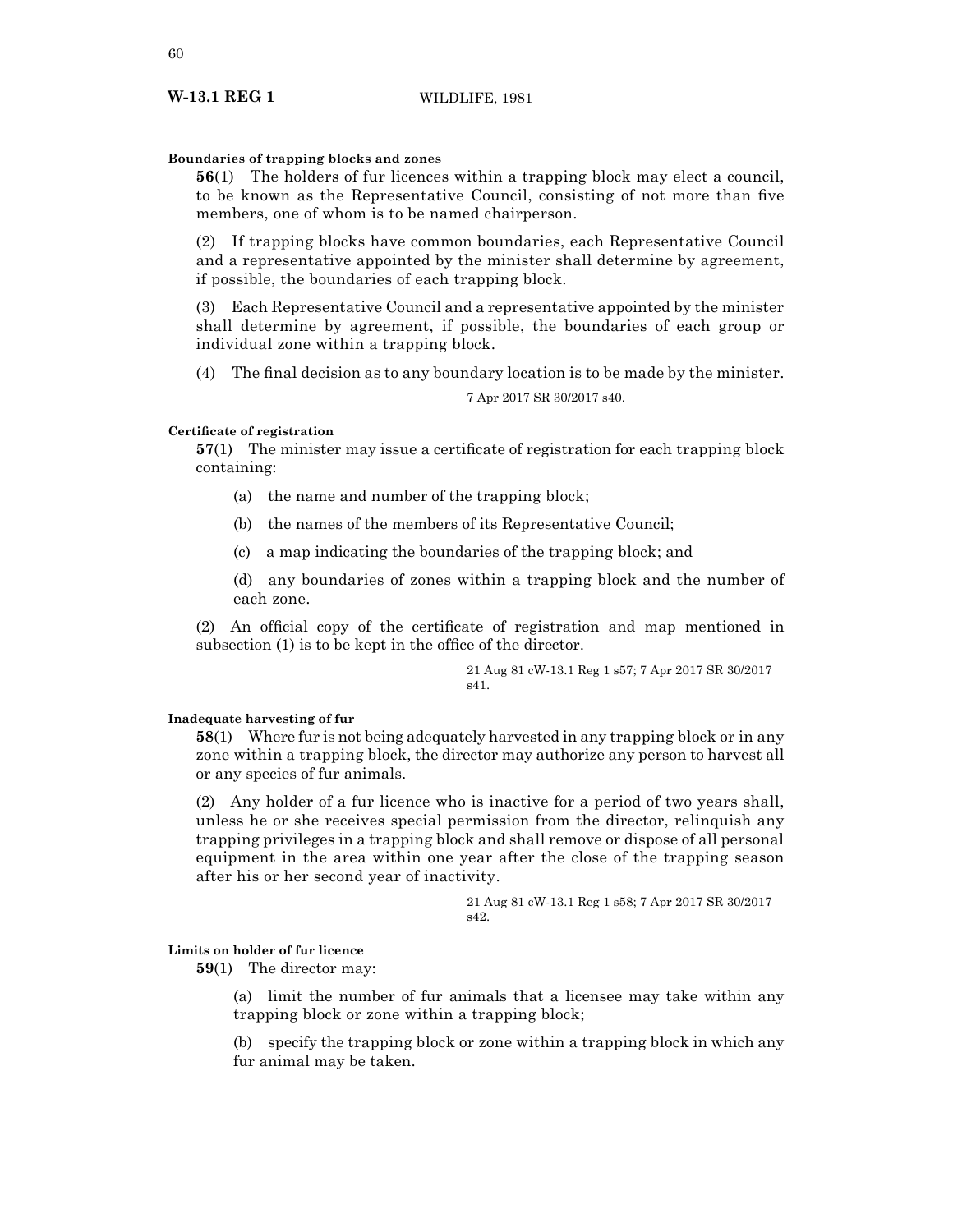## **Boundaries of trapping blocks and zones**

**56**(1) The holders of fur licences within a trapping block may elect a council, to be known as the Representative Council, consisting of not more than five members, one of whom is to be named chairperson.

(2) If trapping blocks have common boundaries, each Representative Council and a representative appointed by the minister shall determine by agreement, if possible, the boundaries of each trapping block.

(3) Each Representative Council and a representative appointed by the minister shall determine by agreement, if possible, the boundaries of each group or individual zone within a trapping block.

(4) The final decision as to any boundary location is to be made by the minister.

7 Apr 2017 SR 30/2017 s40.

## **Certificate of registration**

**57**(1) The minister may issue a certificate of registration for each trapping block containing:

- (a) the name and number of the trapping block;
- (b) the names of the members of its Representative Council;
- (c) a map indicating the boundaries of the trapping block; and

(d) any boundaries of zones within a trapping block and the number of each zone.

(2) An official copy of the certificate of registration and map mentioned in subsection (1) is to be kept in the office of the director.

> 21 Aug 81 cW-13.1 Reg 1 s57; 7 Apr 2017 SR 30/2017 s41.

## **Inadequate harvesting of fur**

**58**(1) Where fur is not being adequately harvested in any trapping block or in any zone within a trapping block, the director may authorize any person to harvest all or any species of fur animals.

(2) Any holder of a fur licence who is inactive for a period of two years shall, unless he or she receives special permission from the director, relinquish any trapping privileges in a trapping block and shall remove or dispose of all personal equipment in the area within one year after the close of the trapping season after his or her second year of inactivity.

> 21 Aug 81 cW-13.1 Reg 1 s58; 7 Apr 2017 SR 30/2017 s42.

## **Limits on holder of fur licence**

**59**(1) The director may:

(a) limit the number of fur animals that a licensee may take within any trapping block or zone within a trapping block;

(b) specify the trapping block or zone within a trapping block in which any fur animal may be taken.

## **W-13.1 REG 1** WILDLIFE, 1981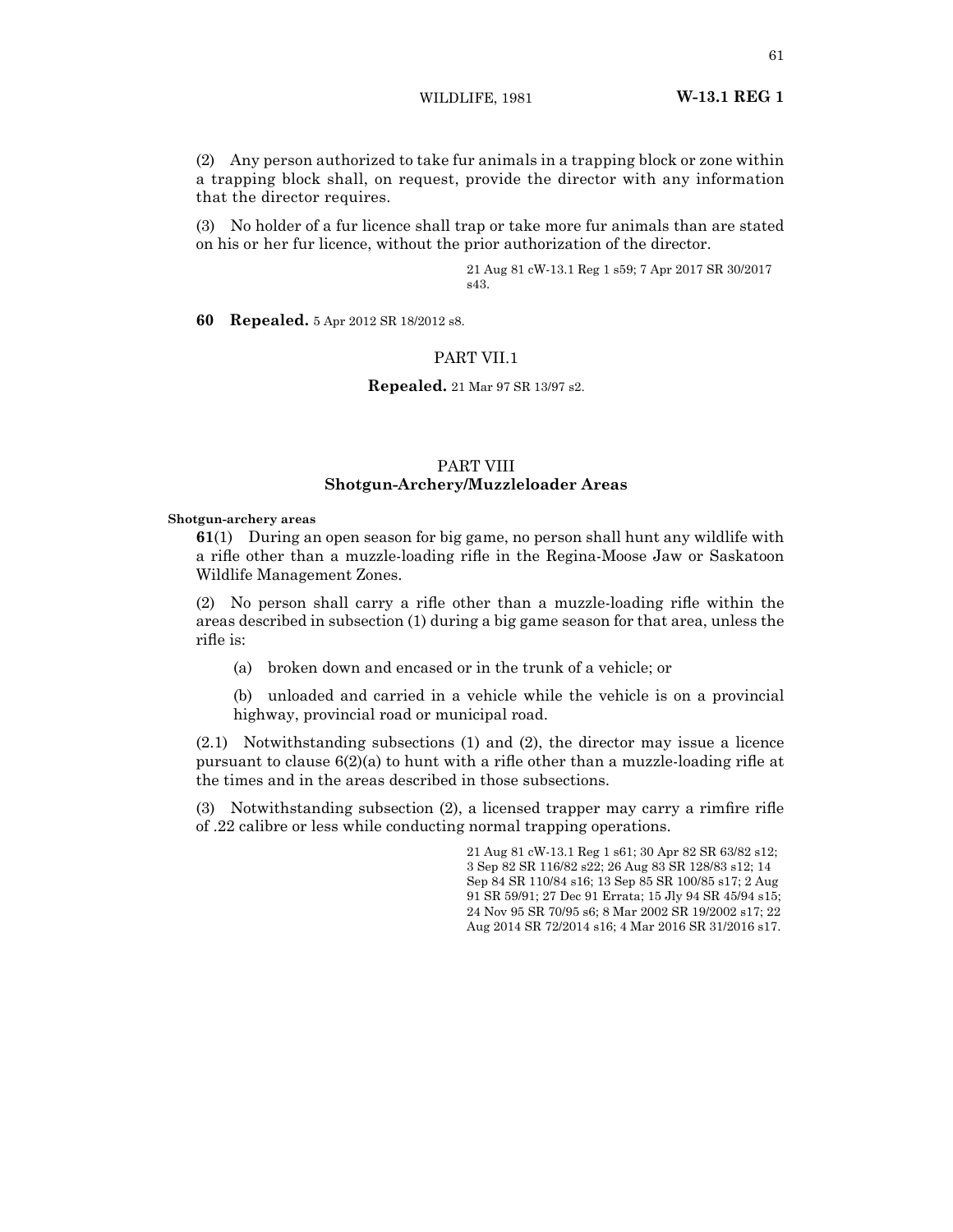WILDLIFE, 1981 **W-13.1 REG 1**

(2) Any person authorized to take fur animals in a trapping block or zone within a trapping block shall, on request, provide the director with any information that the director requires.

(3) No holder of a fur licence shall trap or take more fur animals than are stated on his or her fur licence, without the prior authorization of the director.

> 21 Aug 81 cW-13.1 Reg 1 s59; 7 Apr 2017 SR 30/2017 s43.

**60 Repealed.** 5 Apr 2012 SR 18/2012 s8.

## PART VII.1

**Repealed.** 21 Mar 97 SR 13/97 s2.

## PART VIII **Shotgun-Archery/Muzzleloader Areas**

#### **Shotgun-archery areas**

**61**(1) During an open season for big game, no person shall hunt any wildlife with a rifle other than a muzzle-loading rifle in the Regina-Moose Jaw or Saskatoon Wildlife Management Zones.

(2) No person shall carry a rifle other than a muzzle-loading rifle within the areas described in subsection (1) during a big game season for that area, unless the rifle is:

(a) broken down and encased or in the trunk of a vehicle; or

(b) unloaded and carried in a vehicle while the vehicle is on a provincial highway, provincial road or municipal road.

(2.1) Notwithstanding subsections (1) and (2), the director may issue a licence pursuant to clause  $6(2)(a)$  to hunt with a rifle other than a muzzle-loading rifle at the times and in the areas described in those subsections.

(3) Notwithstanding subsection (2), a licensed trapper may carry a rimfire rifle of .22 calibre or less while conducting normal trapping operations.

> 21 Aug 81 cW-13.1 Reg 1 s61; 30 Apr 82 SR 63/82 s12; 3 Sep 82 SR 116/82 s22; 26 Aug 83 SR 128/83 s12; 14 Sep 84 SR 110/84 s16; 13 Sep 85 SR 100/85 s17; 2 Aug 91 SR 59/91; 27 Dec 91 Errata; 15 Jly 94 SR 45/94 s15; 24 Nov 95 SR 70/95 s6; 8 Mar 2002 SR 19/2002 s17; 22 Aug 2014 SR 72/2014 s16; 4 Mar 2016 SR 31/2016 s17.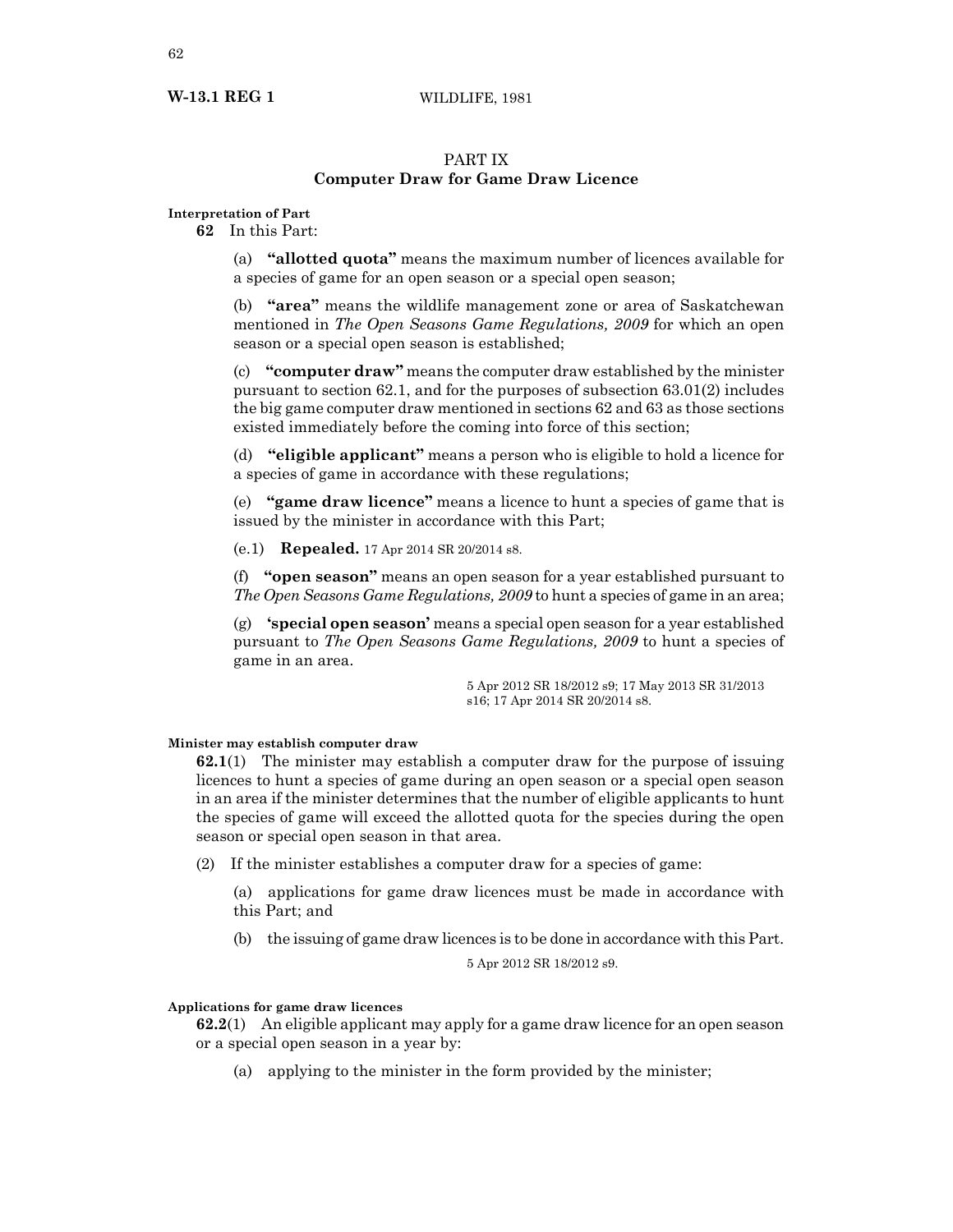## **W-13.1 REG 1** WILDLIFE, 1981

## PART IX **Computer Draw for Game Draw Licence**

## **Interpretation of Part**

**62** In this Part:

(a) **"allotted quota"** means the maximum number of licences available for a species of game for an open season or a special open season;

(b) **"area"** means the wildlife management zone or area of Saskatchewan mentioned in *The Open Seasons Game Regulations, 2009* for which an open season or a special open season is established;

(c) **"computer draw"** means the computer draw established by the minister pursuant to section 62.1, and for the purposes of subsection 63.01(2) includes the big game computer draw mentioned in sections 62 and 63 as those sections existed immediately before the coming into force of this section;

(d) **"eligible applicant"** means a person who is eligible to hold a licence for a species of game in accordance with these regulations;

(e) **"game draw licence"** means a licence to hunt a species of game that is issued by the minister in accordance with this Part;

(e.1) **Repealed.** 17 Apr 2014 SR 20/2014 s8.

(f) **"open season"** means an open season for a year established pursuant to *The Open Seasons Game Regulations, 2009* to hunt a species of game in an area;

(g) **'special open season'** means a special open season for a year established pursuant to *The Open Seasons Game Regulations, 2009* to hunt a species of game in an area.

> 5 Apr 2012 SR 18/2012 s9; 17 May 2013 SR 31/2013 s16; 17 Apr 2014 SR 20/2014 s8.

#### **Minister may establish computer draw**

**62.1**(1) The minister may establish a computer draw for the purpose of issuing licences to hunt a species of game during an open season or a special open season in an area if the minister determines that the number of eligible applicants to hunt the species of game will exceed the allotted quota for the species during the open season or special open season in that area.

(2) If the minister establishes a computer draw for a species of game:

(a) applications for game draw licences must be made in accordance with this Part; and

(b) the issuing of game draw licences is to be done in accordance with this Part.

5 Apr 2012 SR 18/2012 s9.

#### **Applications for game draw licences**

**62.2**(1) An eligible applicant may apply for a game draw licence for an open season or a special open season in a year by:

(a) applying to the minister in the form provided by the minister;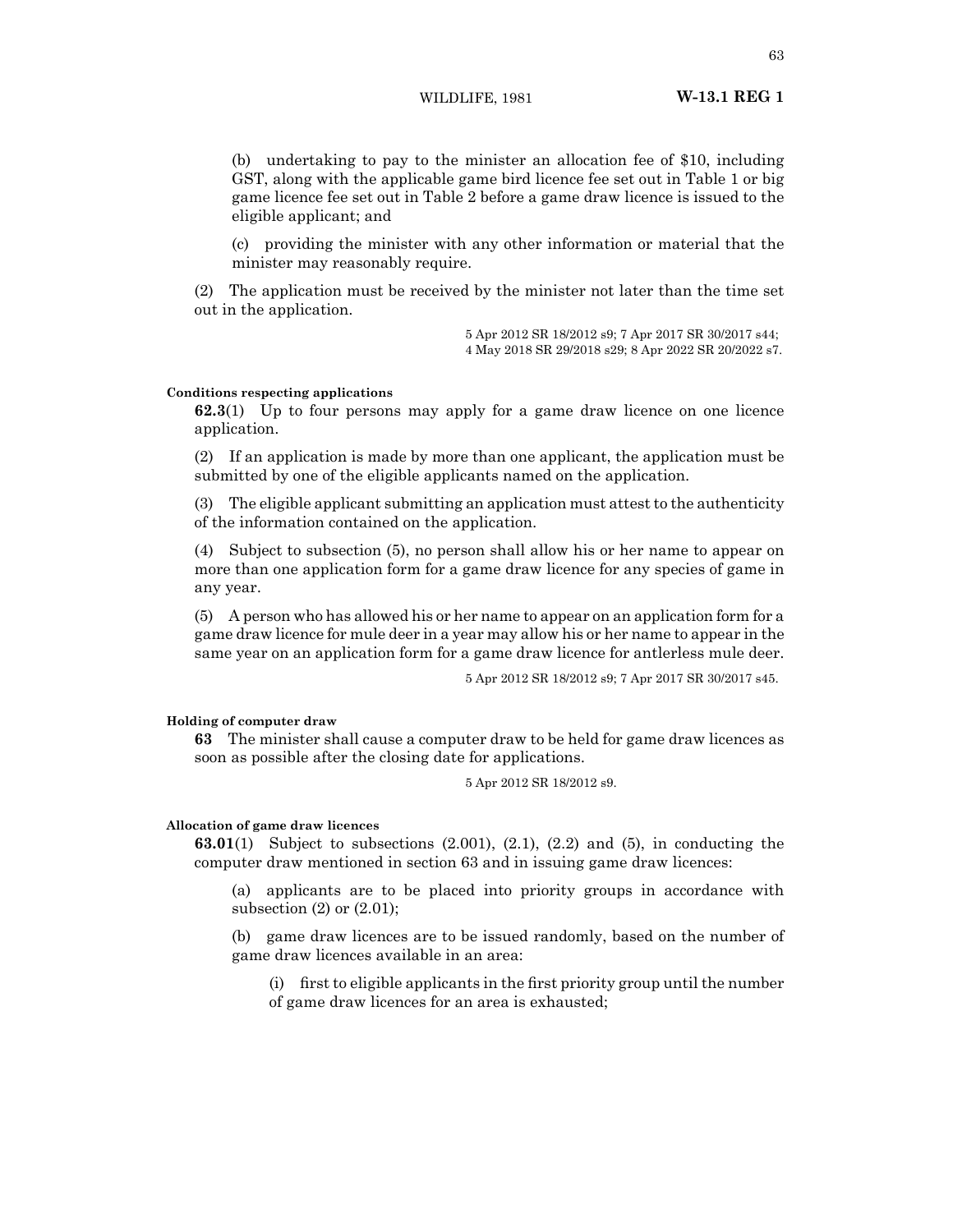(b) undertaking to pay to the minister an allocation fee of \$10, including GST, along with the applicable game bird licence fee set out in Table 1 or big game licence fee set out in Table 2 before a game draw licence is issued to the eligible applicant; and

(c) providing the minister with any other information or material that the minister may reasonably require.

(2) The application must be received by the minister not later than the time set out in the application.

> 5 Apr 2012 SR 18/2012 s9; 7 Apr 2017 SR 30/2017 s44; 4 May 2018 SR 29/2018 s29; 8 Apr 2022 SR 20/2022 s7.

#### **Conditions respecting applications**

**62.3**(1) Up to four persons may apply for a game draw licence on one licence application.

(2) If an application is made by more than one applicant, the application must be submitted by one of the eligible applicants named on the application.

(3) The eligible applicant submitting an application must attest to the authenticity of the information contained on the application.

(4) Subject to subsection (5), no person shall allow his or her name to appear on more than one application form for a game draw licence for any species of game in any year.

(5) A person who has allowed his or her name to appear on an application form for a game draw licence for mule deer in a year may allow his or her name to appear in the same year on an application form for a game draw licence for antlerless mule deer.

5 Apr 2012 SR 18/2012 s9; 7 Apr 2017 SR 30/2017 s45.

#### **Holding of computer draw**

**63** The minister shall cause a computer draw to be held for game draw licences as soon as possible after the closing date for applications.

5 Apr 2012 SR 18/2012 s9.

#### **Allocation of game draw licences**

**63.01**(1) Subject to subsections (2.001), (2.1), (2.2) and (5), in conducting the computer draw mentioned in section 63 and in issuing game draw licences:

(a) applicants are to be placed into priority groups in accordance with subsection (2) or (2.01);

(b) game draw licences are to be issued randomly, based on the number of game draw licences available in an area:

(i) first to eligible applicants in the first priority group until the number of game draw licences for an area is exhausted;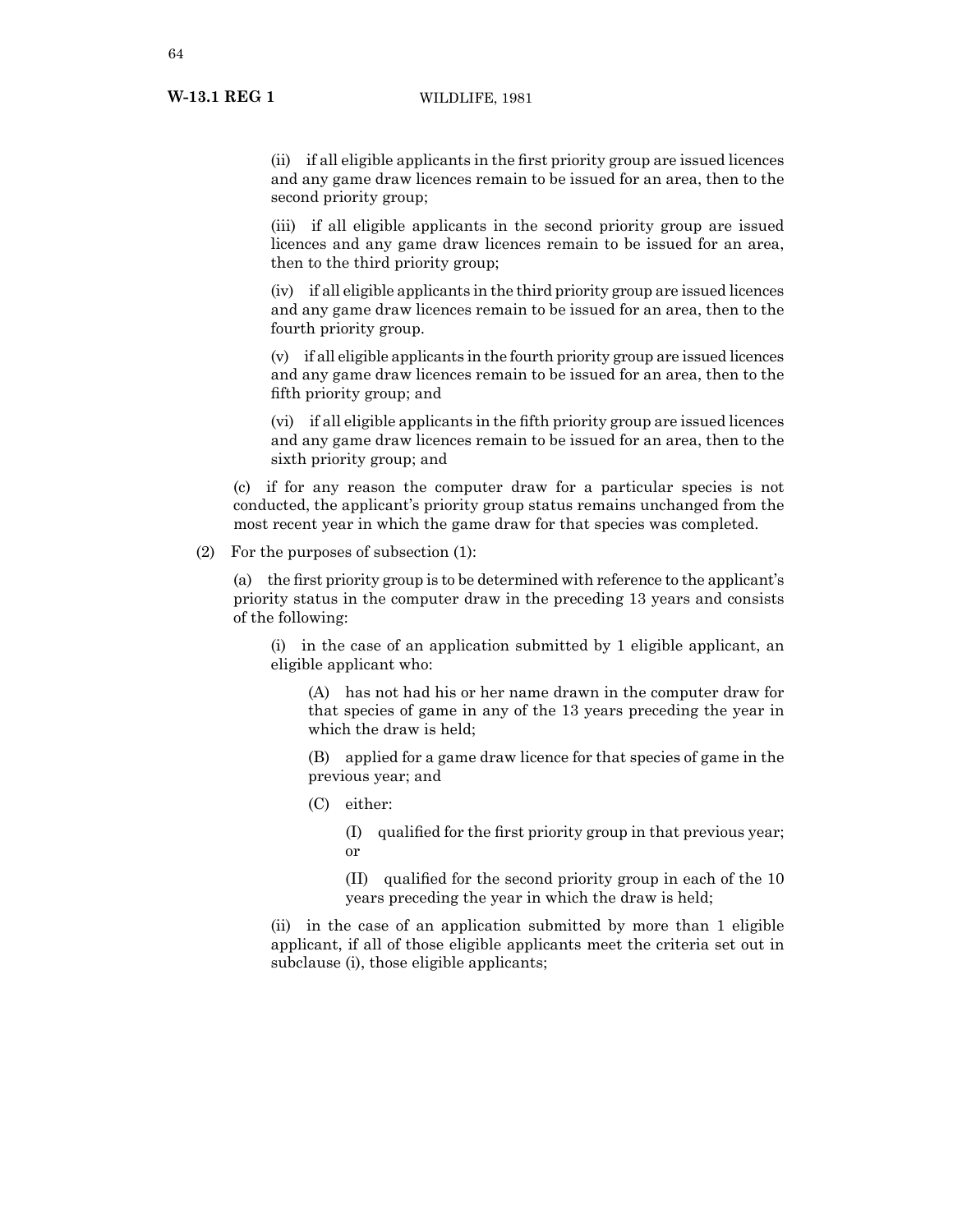(ii) if all eligible applicants in the first priority group are issued licences and any game draw licences remain to be issued for an area, then to the second priority group;

(iii) if all eligible applicants in the second priority group are issued licences and any game draw licences remain to be issued for an area, then to the third priority group;

(iv) if all eligible applicants in the third priority group are issued licences and any game draw licences remain to be issued for an area, then to the fourth priority group.

(v) if all eligible applicants in the fourth priority group are issued licences and any game draw licences remain to be issued for an area, then to the fifth priority group; and

(vi) if all eligible applicants in the fifth priority group are issued licences and any game draw licences remain to be issued for an area, then to the sixth priority group; and

(c) if for any reason the computer draw for a particular species is not conducted, the applicant's priority group status remains unchanged from the most recent year in which the game draw for that species was completed.

(2) For the purposes of subsection (1):

(a) the first priority group is to be determined with reference to the applicant's priority status in the computer draw in the preceding 13 years and consists of the following:

(i) in the case of an application submitted by 1 eligible applicant, an eligible applicant who:

(A) has not had his or her name drawn in the computer draw for that species of game in any of the 13 years preceding the year in which the draw is held;

(B) applied for a game draw licence for that species of game in the previous year; and

(C) either:

(I) qualified for the first priority group in that previous year; or

(II) qualified for the second priority group in each of the 10 years preceding the year in which the draw is held;

(ii) in the case of an application submitted by more than 1 eligible applicant, if all of those eligible applicants meet the criteria set out in subclause (i), those eligible applicants;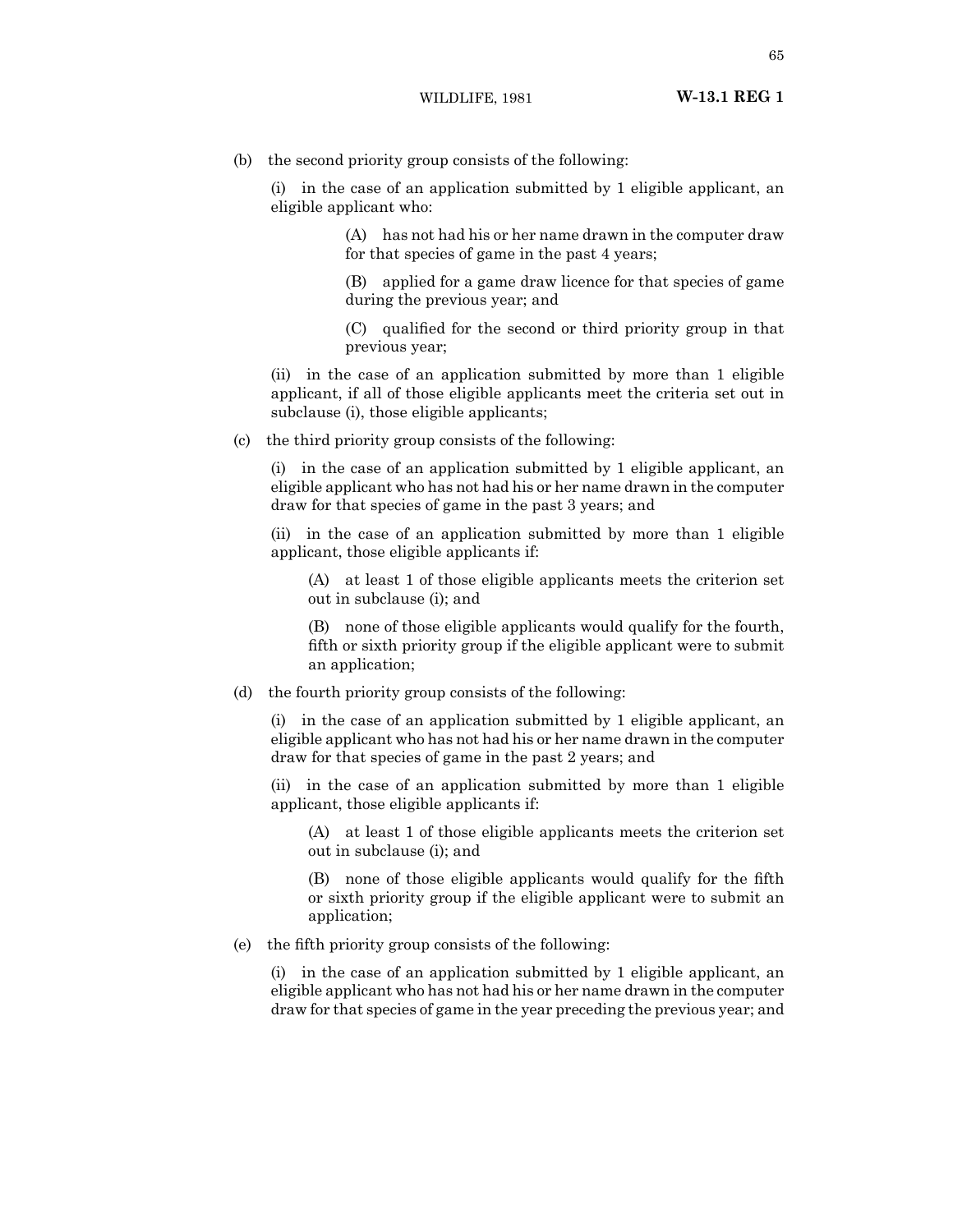(b) the second priority group consists of the following:

(i) in the case of an application submitted by 1 eligible applicant, an eligible applicant who:

> (A) has not had his or her name drawn in the computer draw for that species of game in the past 4 years;

> (B) applied for a game draw licence for that species of game during the previous year; and

> (C) qualified for the second or third priority group in that previous year;

(ii) in the case of an application submitted by more than 1 eligible applicant, if all of those eligible applicants meet the criteria set out in subclause (i), those eligible applicants;

(c) the third priority group consists of the following:

(i) in the case of an application submitted by 1 eligible applicant, an eligible applicant who has not had his or her name drawn in the computer draw for that species of game in the past 3 years; and

(ii) in the case of an application submitted by more than 1 eligible applicant, those eligible applicants if:

(A) at least 1 of those eligible applicants meets the criterion set out in subclause (i); and

(B) none of those eligible applicants would qualify for the fourth, fifth or sixth priority group if the eligible applicant were to submit an application;

(d) the fourth priority group consists of the following:

(i) in the case of an application submitted by 1 eligible applicant, an eligible applicant who has not had his or her name drawn in the computer draw for that species of game in the past 2 years; and

(ii) in the case of an application submitted by more than 1 eligible applicant, those eligible applicants if:

(A) at least 1 of those eligible applicants meets the criterion set out in subclause (i); and

(B) none of those eligible applicants would qualify for the fifth or sixth priority group if the eligible applicant were to submit an application;

(e) the fifth priority group consists of the following:

(i) in the case of an application submitted by 1 eligible applicant, an eligible applicant who has not had his or her name drawn in the computer draw for that species of game in the year preceding the previous year; and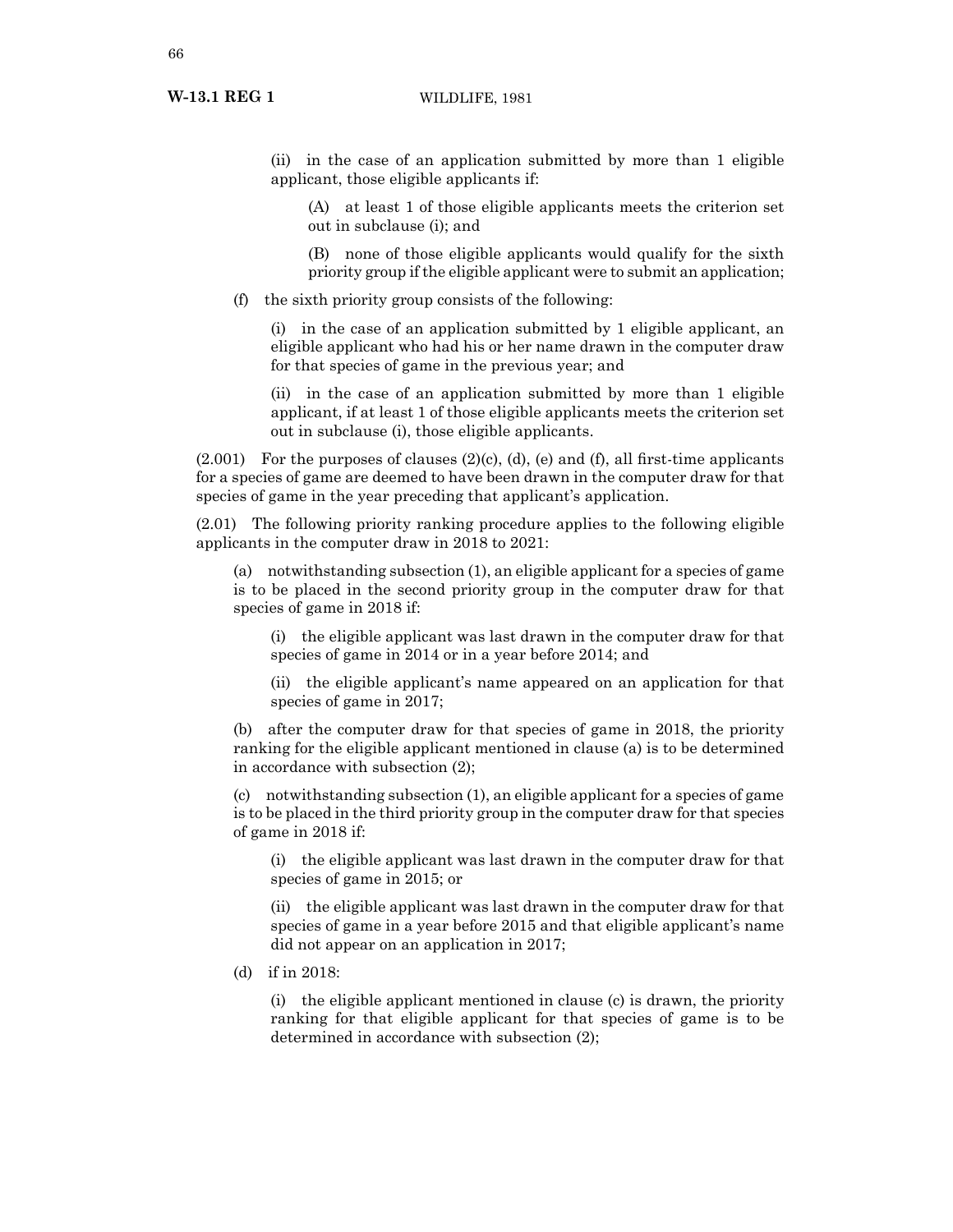(ii) in the case of an application submitted by more than 1 eligible applicant, those eligible applicants if:

(A) at least 1 of those eligible applicants meets the criterion set out in subclause (i); and

(B) none of those eligible applicants would qualify for the sixth priority group if the eligible applicant were to submit an application;

(f) the sixth priority group consists of the following:

(i) in the case of an application submitted by 1 eligible applicant, an eligible applicant who had his or her name drawn in the computer draw for that species of game in the previous year; and

(ii) in the case of an application submitted by more than 1 eligible applicant, if at least 1 of those eligible applicants meets the criterion set out in subclause (i), those eligible applicants.

 $(2.001)$  For the purposes of clauses  $(2)(c)$ ,  $(d)$ ,  $(e)$  and  $(f)$ , all first-time applicants for a species of game are deemed to have been drawn in the computer draw for that species of game in the year preceding that applicant's application.

(2.01) The following priority ranking procedure applies to the following eligible applicants in the computer draw in 2018 to 2021:

(a) notwithstanding subsection (1), an eligible applicant for a species of game is to be placed in the second priority group in the computer draw for that species of game in 2018 if:

(i) the eligible applicant was last drawn in the computer draw for that species of game in 2014 or in a year before 2014; and

(ii) the eligible applicant's name appeared on an application for that species of game in 2017;

(b) after the computer draw for that species of game in 2018, the priority ranking for the eligible applicant mentioned in clause (a) is to be determined in accordance with subsection (2);

(c) notwithstanding subsection (1), an eligible applicant for a species of game is to be placed in the third priority group in the computer draw for that species of game in 2018 if:

(i) the eligible applicant was last drawn in the computer draw for that species of game in 2015; or

(ii) the eligible applicant was last drawn in the computer draw for that species of game in a year before 2015 and that eligible applicant's name did not appear on an application in 2017;

(d) if in 2018:

(i) the eligible applicant mentioned in clause (c) is drawn, the priority ranking for that eligible applicant for that species of game is to be determined in accordance with subsection (2);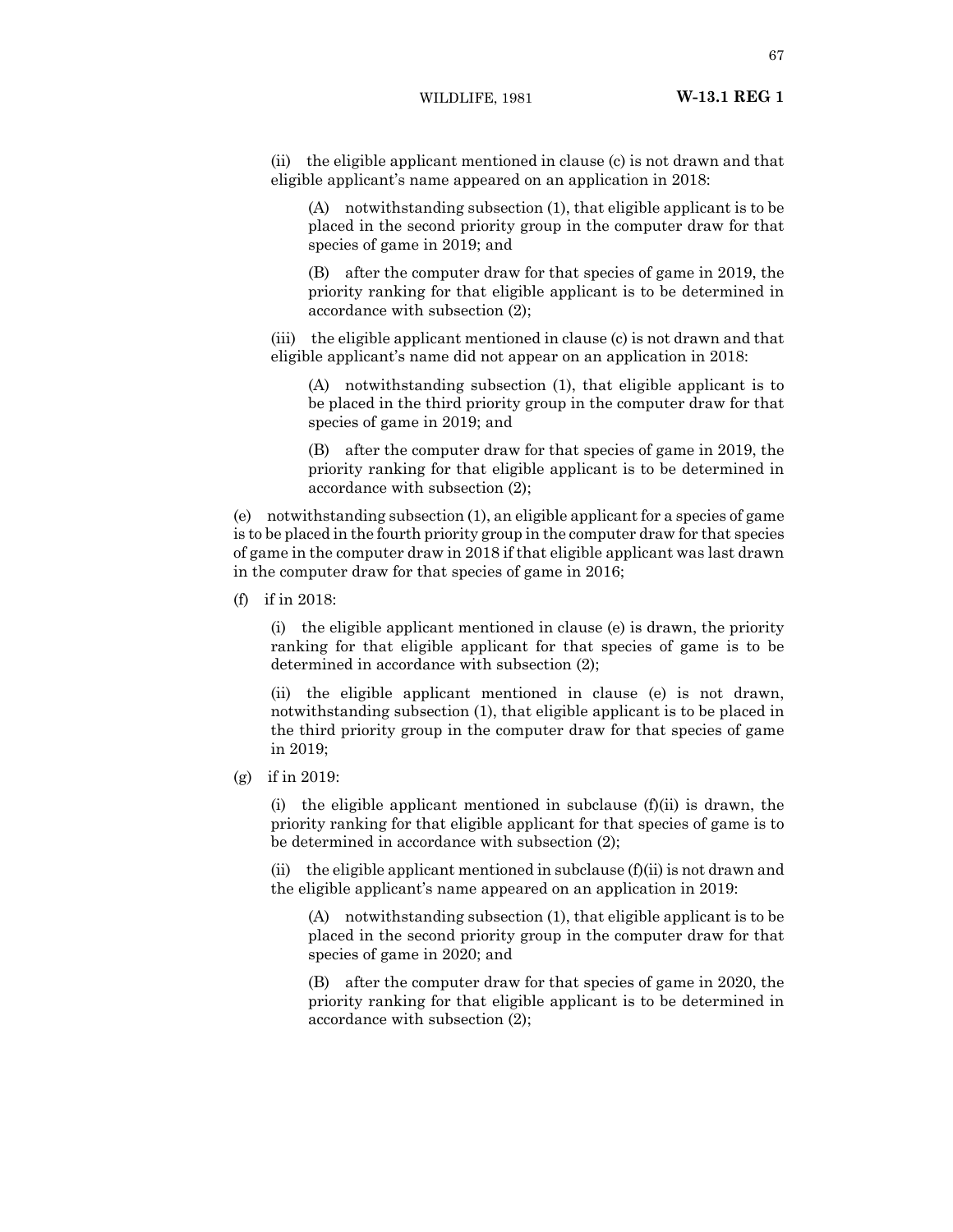(ii) the eligible applicant mentioned in clause (c) is not drawn and that eligible applicant's name appeared on an application in 2018:

(A) notwithstanding subsection (1), that eligible applicant is to be placed in the second priority group in the computer draw for that species of game in 2019; and

(B) after the computer draw for that species of game in 2019, the priority ranking for that eligible applicant is to be determined in accordance with subsection (2);

(iii) the eligible applicant mentioned in clause (c) is not drawn and that eligible applicant's name did not appear on an application in 2018:

(A) notwithstanding subsection (1), that eligible applicant is to be placed in the third priority group in the computer draw for that species of game in 2019; and

(B) after the computer draw for that species of game in 2019, the priority ranking for that eligible applicant is to be determined in accordance with subsection (2);

(e) notwithstanding subsection (1), an eligible applicant for a species of game is to be placed in the fourth priority group in the computer draw for that species of game in the computer draw in 2018 if that eligible applicant was last drawn in the computer draw for that species of game in 2016;

(f) if in 2018:

(i) the eligible applicant mentioned in clause (e) is drawn, the priority ranking for that eligible applicant for that species of game is to be determined in accordance with subsection (2);

(ii) the eligible applicant mentioned in clause (e) is not drawn, notwithstanding subsection (1), that eligible applicant is to be placed in the third priority group in the computer draw for that species of game in 2019;

(g) if in 2019:

(i) the eligible applicant mentioned in subclause  $(f)(ii)$  is drawn, the priority ranking for that eligible applicant for that species of game is to be determined in accordance with subsection (2);

(ii) the eligible applicant mentioned in subclause  $(f)(ii)$  is not drawn and the eligible applicant's name appeared on an application in 2019:

(A) notwithstanding subsection (1), that eligible applicant is to be placed in the second priority group in the computer draw for that species of game in 2020; and

(B) after the computer draw for that species of game in 2020, the priority ranking for that eligible applicant is to be determined in accordance with subsection (2);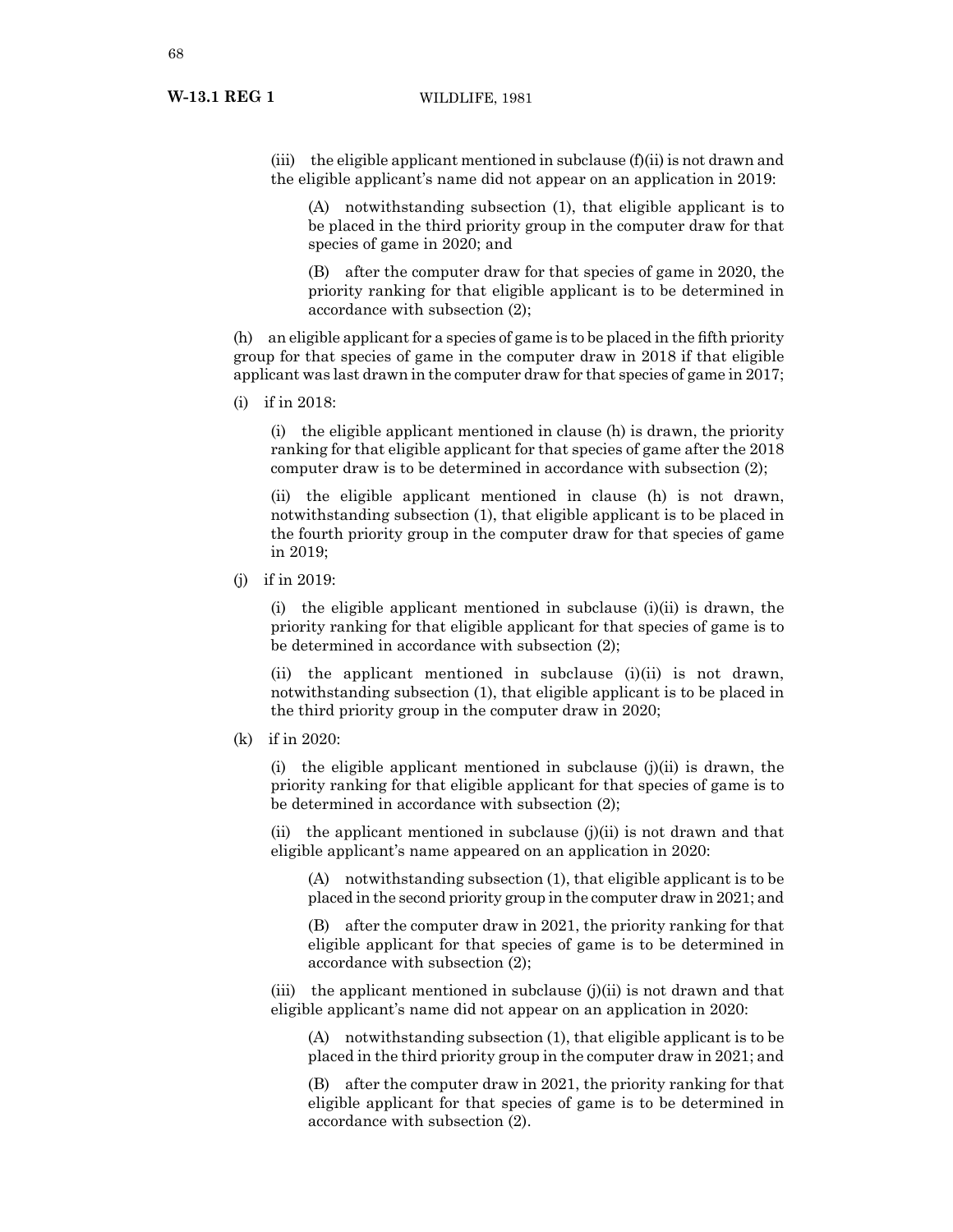## **W-13.1 REG 1** WILDLIFE, 1981

(iii) the eligible applicant mentioned in subclause  $(f)(ii)$  is not drawn and the eligible applicant's name did not appear on an application in 2019:

(A) notwithstanding subsection (1), that eligible applicant is to be placed in the third priority group in the computer draw for that species of game in 2020; and

(B) after the computer draw for that species of game in 2020, the priority ranking for that eligible applicant is to be determined in accordance with subsection (2);

(h) an eligible applicant for a species of game is to be placed in the fifth priority group for that species of game in the computer draw in 2018 if that eligible applicant was last drawn in the computer draw for that species of game in 2017;

(i) if in 2018:

(i) the eligible applicant mentioned in clause (h) is drawn, the priority ranking for that eligible applicant for that species of game after the 2018 computer draw is to be determined in accordance with subsection (2);

(ii) the eligible applicant mentioned in clause (h) is not drawn, notwithstanding subsection (1), that eligible applicant is to be placed in the fourth priority group in the computer draw for that species of game in 2019;

(j) if in 2019:

(i) the eligible applicant mentioned in subclause (i)(ii) is drawn, the priority ranking for that eligible applicant for that species of game is to be determined in accordance with subsection (2);

(ii) the applicant mentioned in subclause  $(i)(ii)$  is not drawn, notwithstanding subsection (1), that eligible applicant is to be placed in the third priority group in the computer draw in 2020;

(k) if in 2020:

(i) the eligible applicant mentioned in subclause  $(i)(ii)$  is drawn, the priority ranking for that eligible applicant for that species of game is to be determined in accordance with subsection (2);

(ii) the applicant mentioned in subclause  $(i)(ii)$  is not drawn and that eligible applicant's name appeared on an application in 2020:

(A) notwithstanding subsection (1), that eligible applicant is to be placed in the second priority group in the computer draw in 2021; and

(B) after the computer draw in 2021, the priority ranking for that eligible applicant for that species of game is to be determined in accordance with subsection (2);

(iii) the applicant mentioned in subclause  $(j)(ii)$  is not drawn and that eligible applicant's name did not appear on an application in 2020:

(A) notwithstanding subsection (1), that eligible applicant is to be placed in the third priority group in the computer draw in 2021; and

(B) after the computer draw in 2021, the priority ranking for that eligible applicant for that species of game is to be determined in accordance with subsection (2).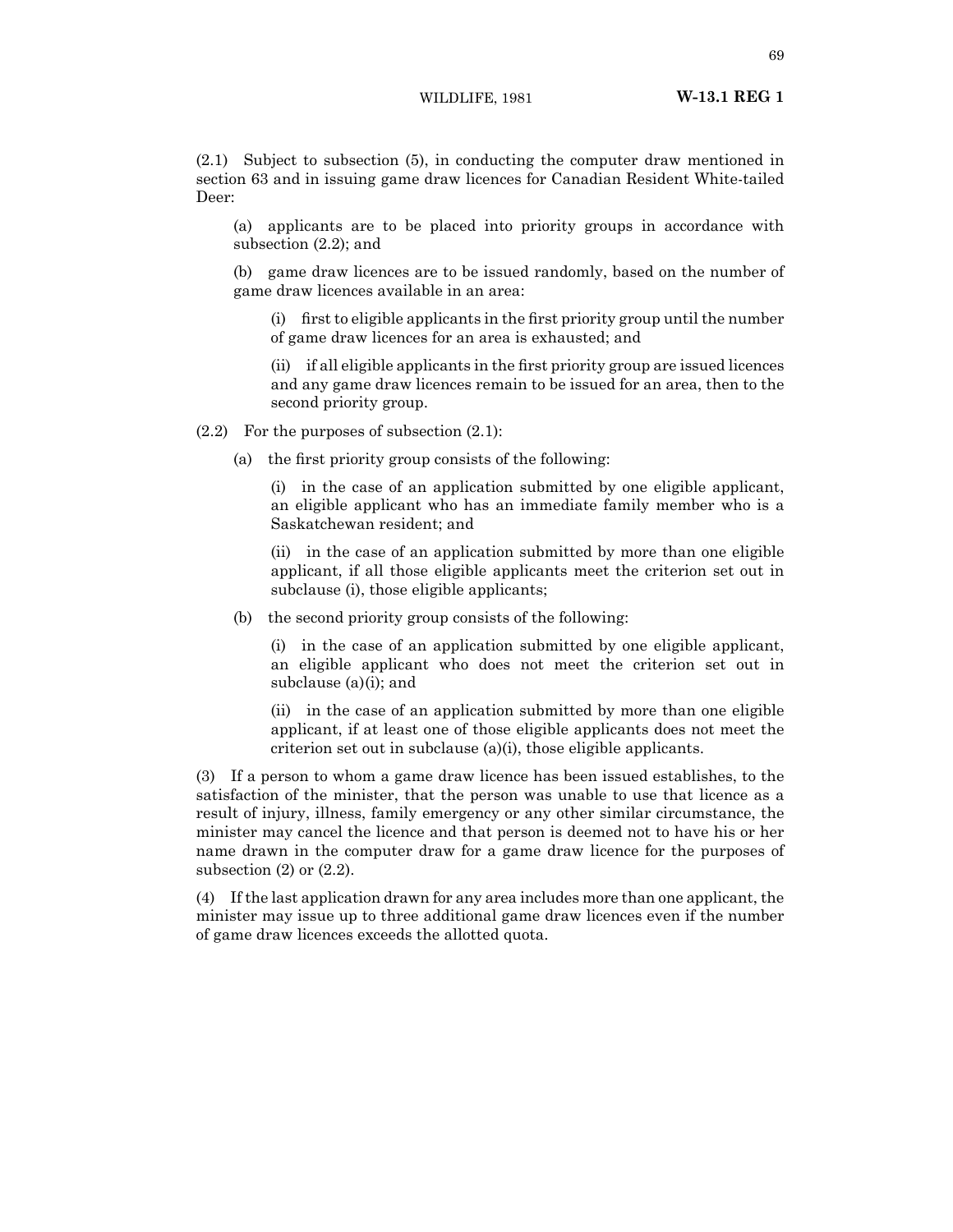(2.1) Subject to subsection (5), in conducting the computer draw mentioned in section 63 and in issuing game draw licences for Canadian Resident White-tailed Deer:

(a) applicants are to be placed into priority groups in accordance with subsection (2.2); and

(b) game draw licences are to be issued randomly, based on the number of game draw licences available in an area:

(i) first to eligible applicants in the first priority group until the number of game draw licences for an area is exhausted; and

(ii) if all eligible applicants in the first priority group are issued licences and any game draw licences remain to be issued for an area, then to the second priority group.

 $(2.2)$  For the purposes of subsection  $(2.1)$ :

(a) the first priority group consists of the following:

(i) in the case of an application submitted by one eligible applicant, an eligible applicant who has an immediate family member who is a Saskatchewan resident; and

(ii) in the case of an application submitted by more than one eligible applicant, if all those eligible applicants meet the criterion set out in subclause (i), those eligible applicants;

(b) the second priority group consists of the following:

(i) in the case of an application submitted by one eligible applicant, an eligible applicant who does not meet the criterion set out in subclause (a)(i); and

(ii) in the case of an application submitted by more than one eligible applicant, if at least one of those eligible applicants does not meet the criterion set out in subclause (a)(i), those eligible applicants.

(3) If a person to whom a game draw licence has been issued establishes, to the satisfaction of the minister, that the person was unable to use that licence as a result of injury, illness, family emergency or any other similar circumstance, the minister may cancel the licence and that person is deemed not to have his or her name drawn in the computer draw for a game draw licence for the purposes of subsection  $(2)$  or  $(2.2)$ .

(4) If the last application drawn for any area includes more than one applicant, the minister may issue up to three additional game draw licences even if the number of game draw licences exceeds the allotted quota.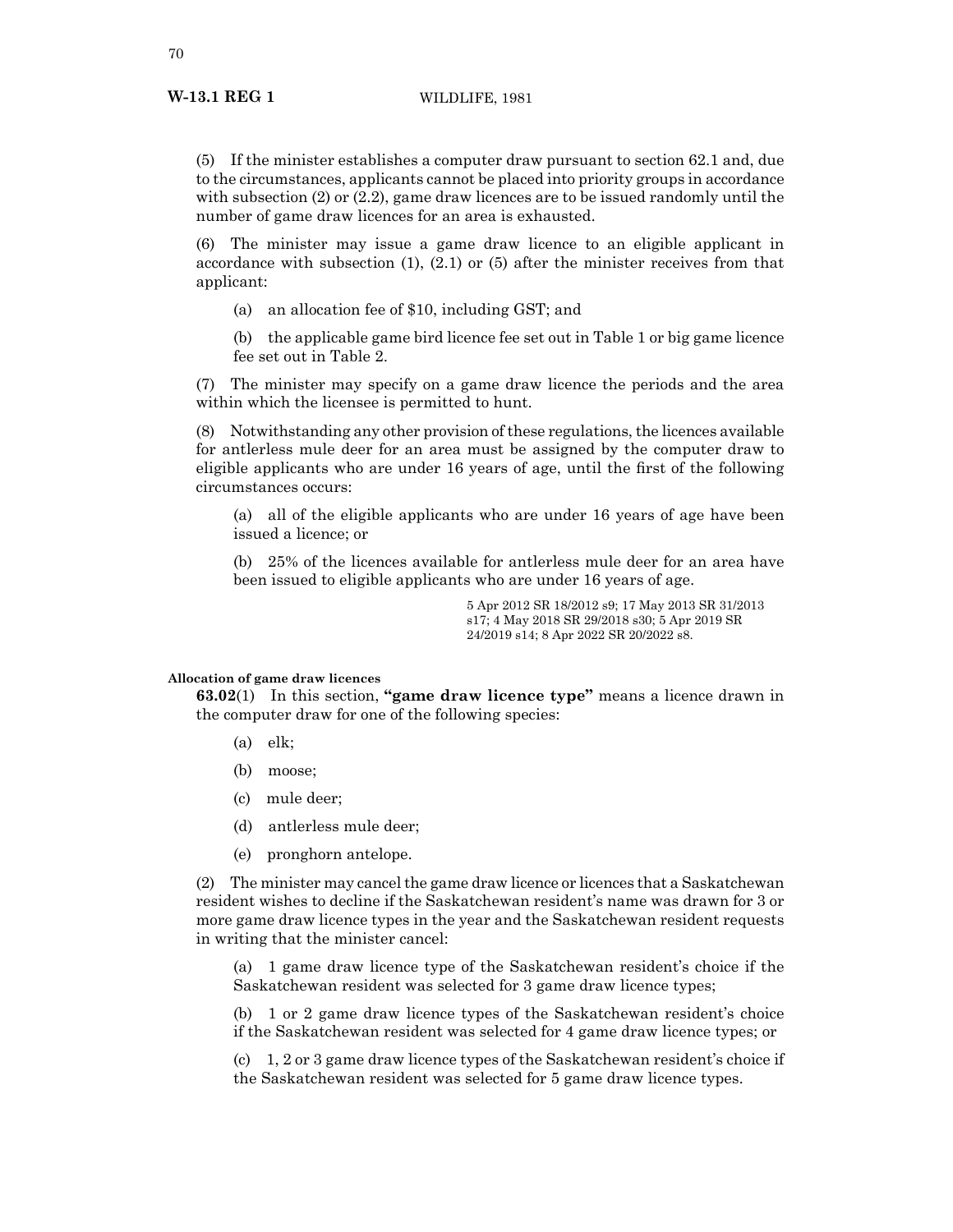(5) If the minister establishes a computer draw pursuant to section 62.1 and, due to the circumstances, applicants cannot be placed into priority groups in accordance with subsection (2) or (2.2), game draw licences are to be issued randomly until the number of game draw licences for an area is exhausted.

(6) The minister may issue a game draw licence to an eligible applicant in accordance with subsection (1), (2.1) or (5) after the minister receives from that applicant:

- (a) an allocation fee of \$10, including GST; and
- (b) the applicable game bird licence fee set out in Table 1 or big game licence fee set out in Table 2.

(7) The minister may specify on a game draw licence the periods and the area within which the licensee is permitted to hunt.

(8) Notwithstanding any other provision of these regulations, the licences available for antlerless mule deer for an area must be assigned by the computer draw to eligible applicants who are under 16 years of age, until the first of the following circumstances occurs:

(a) all of the eligible applicants who are under 16 years of age have been issued a licence; or

(b) 25% of the licences available for antlerless mule deer for an area have been issued to eligible applicants who are under 16 years of age.

> 5 Apr 2012 SR 18/2012 s9; 17 May 2013 SR 31/2013 s17; 4 May 2018 SR 29/2018 s30; 5 Apr 2019 SR 24/2019 s14; 8 Apr 2022 SR 20/2022 s8.

## **Allocation of game draw licences**

**63.02**(1) In this section, **"game draw licence type"** means a licence drawn in the computer draw for one of the following species:

- (a) elk;
- (b) moose;
- (c) mule deer;
- (d) antlerless mule deer;
- (e) pronghorn antelope.

(2) The minister may cancel the game draw licence or licences that a Saskatchewan resident wishes to decline if the Saskatchewan resident's name was drawn for 3 or more game draw licence types in the year and the Saskatchewan resident requests in writing that the minister cancel:

(a) 1 game draw licence type of the Saskatchewan resident's choice if the Saskatchewan resident was selected for 3 game draw licence types;

(b) 1 or 2 game draw licence types of the Saskatchewan resident's choice if the Saskatchewan resident was selected for 4 game draw licence types; or

(c) 1, 2 or 3 game draw licence types of the Saskatchewan resident's choice if the Saskatchewan resident was selected for 5 game draw licence types.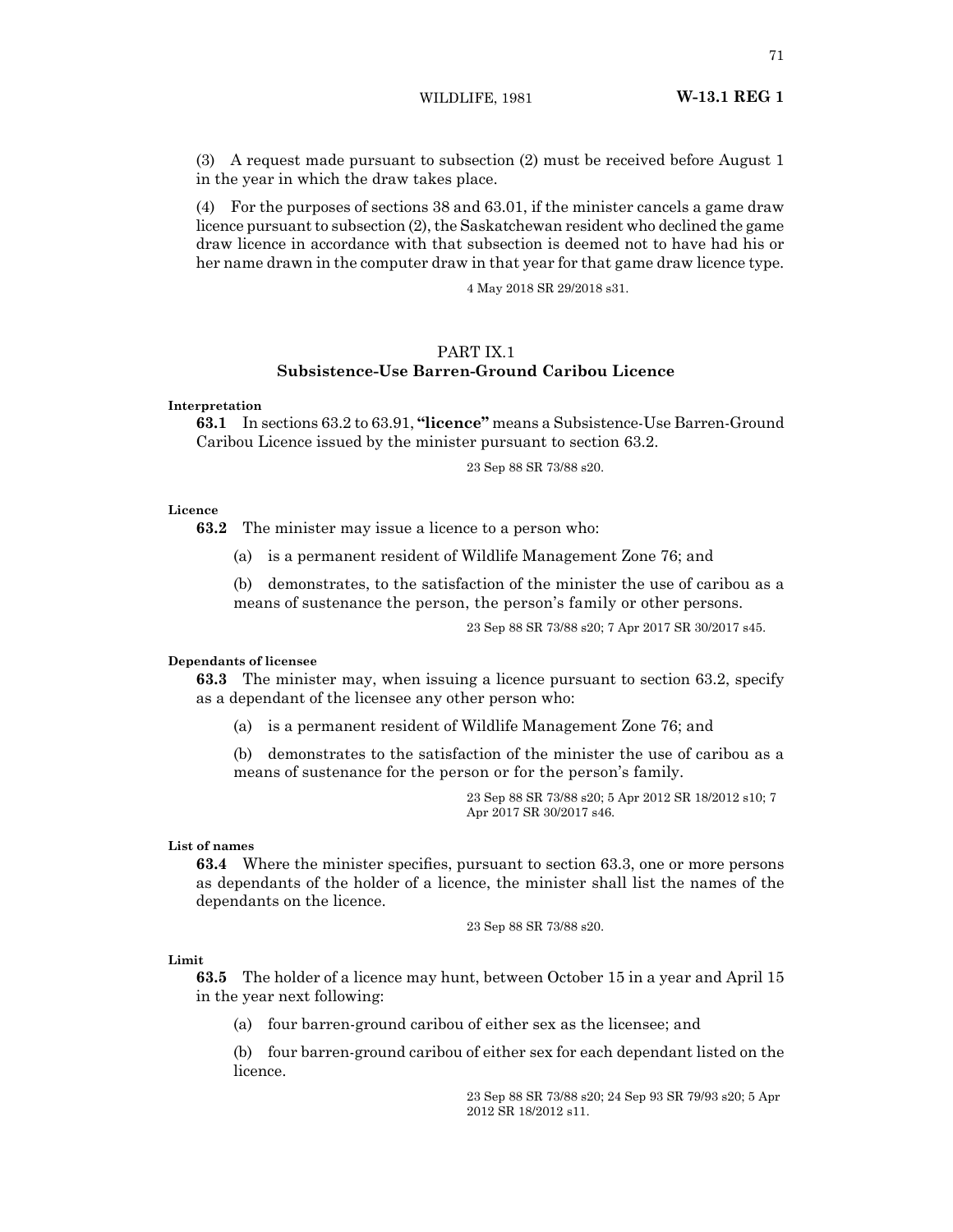WILDLIFE, 1981 **W-13.1 REG 1**

(3) A request made pursuant to subsection (2) must be received before August 1 in the year in which the draw takes place.

(4) For the purposes of sections 38 and 63.01, if the minister cancels a game draw licence pursuant to subsection (2), the Saskatchewan resident who declined the game draw licence in accordance with that subsection is deemed not to have had his or her name drawn in the computer draw in that year for that game draw licence type.

4 May 2018 SR 29/2018 s31.

## PART IX.1 **Subsistence-Use Barren-Ground Caribou Licence**

**Interpretation**

**63.1** In sections 63.2 to 63.91, **"licence"** means a Subsistence-Use Barren-Ground Caribou Licence issued by the minister pursuant to section 63.2.

23 Sep 88 SR 73/88 s20.

#### **Licence**

**63.2** The minister may issue a licence to a person who:

(a) is a permanent resident of Wildlife Management Zone 76; and

(b) demonstrates, to the satisfaction of the minister the use of caribou as a means of sustenance the person, the person's family or other persons.

23 Sep 88 SR 73/88 s20; 7 Apr 2017 SR 30/2017 s45.

#### **Dependants of licensee**

**63.3** The minister may, when issuing a licence pursuant to section 63.2, specify as a dependant of the licensee any other person who:

(a) is a permanent resident of Wildlife Management Zone 76; and

(b) demonstrates to the satisfaction of the minister the use of caribou as a means of sustenance for the person or for the person's family.

> 23 Sep 88 SR 73/88 s20; 5 Apr 2012 SR 18/2012 s10; 7 Apr 2017 SR 30/2017 s46.

## **List of names**

**63.4** Where the minister specifies, pursuant to section 63.3, one or more persons as dependants of the holder of a licence, the minister shall list the names of the dependants on the licence.

23 Sep 88 SR 73/88 s20.

#### **Limit**

**63.5** The holder of a licence may hunt, between October 15 in a year and April 15 in the year next following:

(a) four barren-ground caribou of either sex as the licensee; and

(b) four barren-ground caribou of either sex for each dependant listed on the licence.

> 23 Sep 88 SR 73/88 s20; 24 Sep 93 SR 79/93 s20; 5 Apr 2012 SR 18/2012 s11.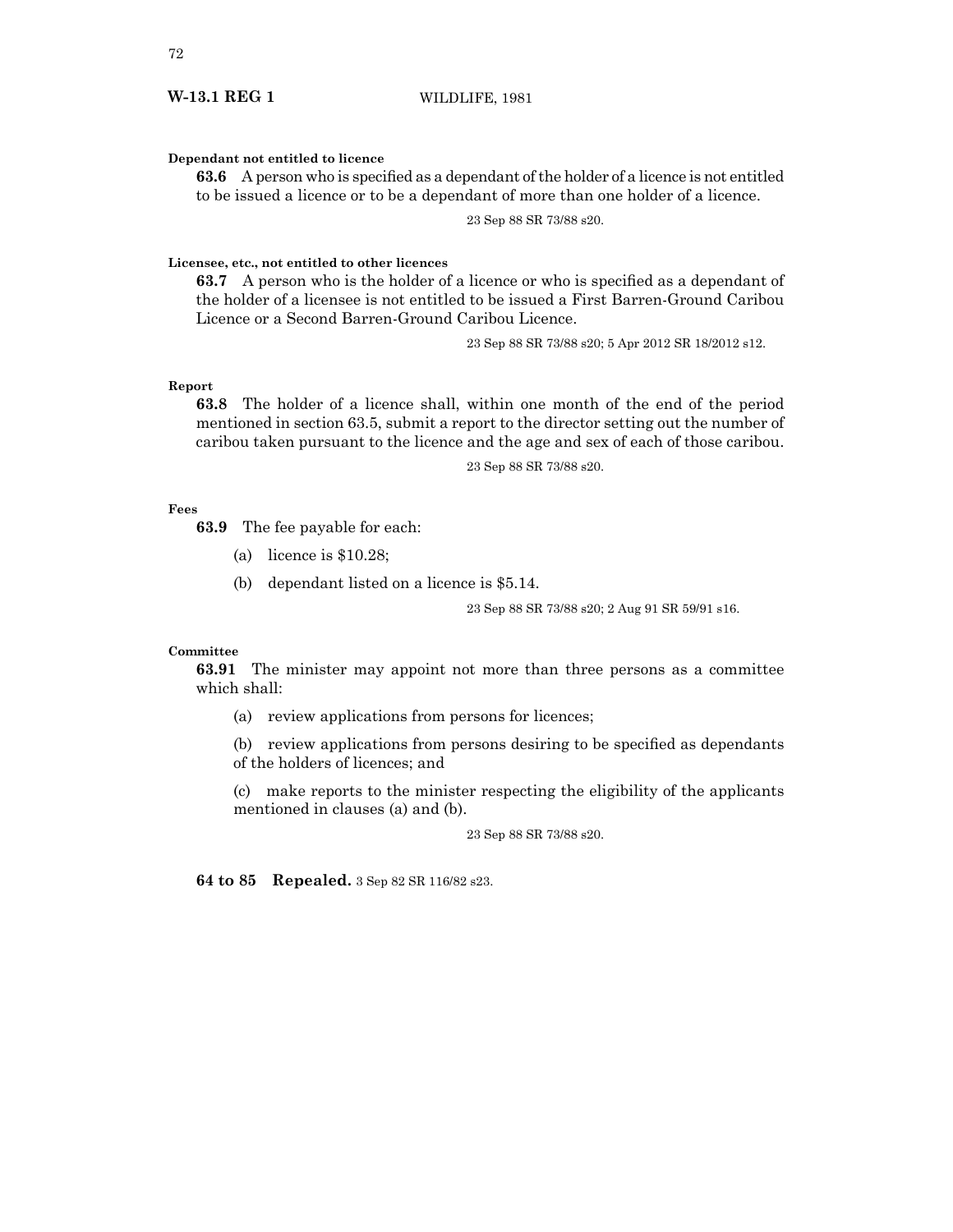## **W-13.1 REG 1** WILDLIFE, 1981

#### **Dependant not entitled to licence**

**63.6** A person who is specified as a dependant of the holder of a licence is not entitled to be issued a licence or to be a dependant of more than one holder of a licence.

23 Sep 88 SR 73/88 s20.

## **Licensee, etc., not entitled to other licences**

**63.7** A person who is the holder of a licence or who is specified as a dependant of the holder of a licensee is not entitled to be issued a First Barren-Ground Caribou Licence or a Second Barren-Ground Caribou Licence.

23 Sep 88 SR 73/88 s20; 5 Apr 2012 SR 18/2012 s12.

## **Report**

**63.8** The holder of a licence shall, within one month of the end of the period mentioned in section 63.5, submit a report to the director setting out the number of caribou taken pursuant to the licence and the age and sex of each of those caribou.

23 Sep 88 SR 73/88 s20.

## **Fees**

**63.9** The fee payable for each:

- (a) licence is \$10.28;
- (b) dependant listed on a licence is \$5.14.

23 Sep 88 SR 73/88 s20; 2 Aug 91 SR 59/91 s16.

#### **Committee**

**63.91** The minister may appoint not more than three persons as a committee which shall:

(a) review applications from persons for licences;

(b) review applications from persons desiring to be specified as dependants of the holders of licences; and

(c) make reports to the minister respecting the eligibility of the applicants mentioned in clauses (a) and (b).

23 Sep 88 SR 73/88 s20.

**64 to 85 Repealed.** 3 Sep 82 SR 116/82 s23.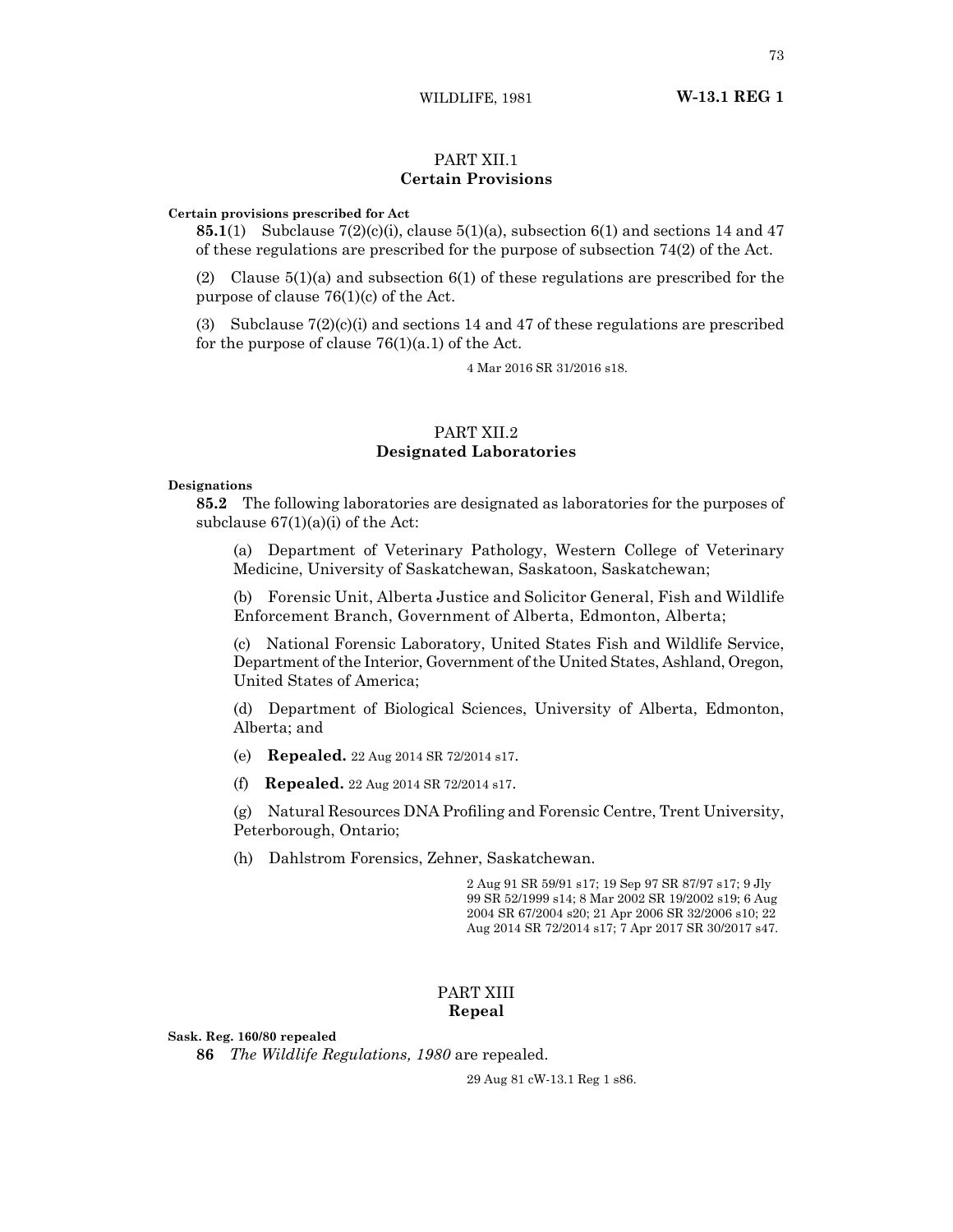WILDLIFE, 1981 **W-13.1 REG 1**

## PART XII.1 **Certain Provisions**

#### **Certain provisions prescribed for Act**

**85.1**(1) Subclause  $7(2)(c)(i)$ , clause  $5(1)(a)$ , subsection  $6(1)$  and sections 14 and 47 of these regulations are prescribed for the purpose of subsection 74(2) of the Act.

(2) Clause  $5(1)(a)$  and subsection  $6(1)$  of these regulations are prescribed for the purpose of clause  $76(1)(c)$  of the Act.

(3) Subclause  $7(2)(c)(i)$  and sections 14 and 47 of these regulations are prescribed for the purpose of clause  $76(1)(a.1)$  of the Act.

4 Mar 2016 SR 31/2016 s18.

## PART XII.2 **Designated Laboratories**

#### **Designations**

**85.2** The following laboratories are designated as laboratories for the purposes of subclause  $67(1)(a)(i)$  of the Act:

(a) Department of Veterinary Pathology, Western College of Veterinary Medicine, University of Saskatchewan, Saskatoon, Saskatchewan;

(b) Forensic Unit, Alberta Justice and Solicitor General, Fish and Wildlife Enforcement Branch, Government of Alberta, Edmonton, Alberta;

(c) National Forensic Laboratory, United States Fish and Wildlife Service, Department of the Interior, Government of the United States, Ashland, Oregon, United States of America;

(d) Department of Biological Sciences, University of Alberta, Edmonton, Alberta; and

(e) **Repealed.** 22 Aug 2014 SR 72/2014 s17.

(f) **Repealed.** 22 Aug 2014 SR 72/2014 s17.

(g) Natural Resources DNA Profiling and Forensic Centre, Trent University, Peterborough, Ontario;

(h) Dahlstrom Forensics, Zehner, Saskatchewan.

2 Aug 91 SR 59/91 s17; 19 Sep 97 SR 87/97 s17; 9 Jly 99 SR 52/1999 s14; 8 Mar 2002 SR 19/2002 s19; 6 Aug 2004 SR 67/2004 s20; 21 Apr 2006 SR 32/2006 s10; 22 Aug 2014 SR 72/2014 s17; 7 Apr 2017 SR 30/2017 s47.

## PART XIII **Repeal**

**Sask. Reg. 160/80 repealed**

**86** *The Wildlife Regulations, 1980* are repealed.

29 Aug 81 cW-13.1 Reg 1 s86.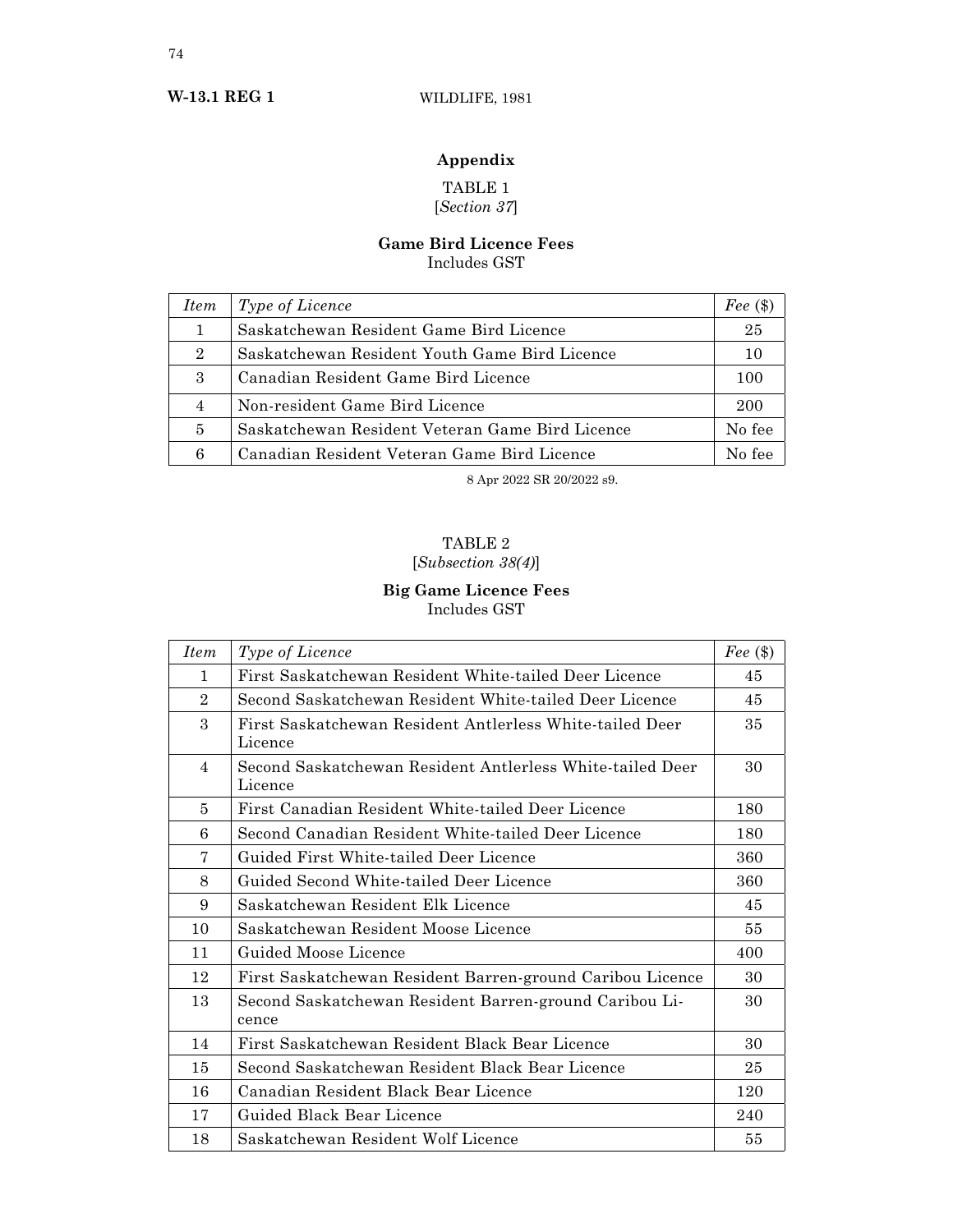# **Appendix**

## TABLE 1 [*Section 37*]

## **Game Bird Licence Fees** Includes GST

| <i>Item</i>    | <i>Type of Licence</i>                          | Fee $(\$)$ |
|----------------|-------------------------------------------------|------------|
| 1              | Saskatchewan Resident Game Bird Licence         | 25         |
| $\overline{2}$ | Saskatchewan Resident Youth Game Bird Licence   | 10         |
| 3              | Canadian Resident Game Bird Licence             | 100        |
| 4              | Non-resident Game Bird Licence                  | 200        |
| 5              | Saskatchewan Resident Veteran Game Bird Licence | No fee     |
| 6              | Canadian Resident Veteran Game Bird Licence     | No fee     |

8 Apr 2022 SR 20/2022 s9.

# TABLE 2

# [*Subsection 38(4)*]

## **Big Game Licence Fees** Includes GST

| <i>Item</i>    | Type of Licence                                                      | Fee $(\$)$ |
|----------------|----------------------------------------------------------------------|------------|
| $\mathbf{1}$   | First Saskatchewan Resident White-tailed Deer Licence                | 45         |
| $\overline{2}$ | Second Saskatchewan Resident White-tailed Deer Licence               | 45         |
| 3              | First Saskatchewan Resident Antlerless White-tailed Deer<br>Licence  | 35         |
| $\overline{4}$ | Second Saskatchewan Resident Antlerless White-tailed Deer<br>Licence | 30         |
| 5              | First Canadian Resident White-tailed Deer Licence                    | 180        |
| 6              | Second Canadian Resident White-tailed Deer Licence                   | 180        |
| 7              | Guided First White-tailed Deer Licence                               | 360        |
| 8              | Guided Second White-tailed Deer Licence                              | 360        |
| 9              | Saskatchewan Resident Elk Licence                                    | 45         |
| 10             | Saskatchewan Resident Moose Licence                                  | 55         |
| 11             | Guided Moose Licence                                                 | 400        |
| 12             | First Saskatchewan Resident Barren-ground Caribou Licence            | 30         |
| 13             | Second Saskatchewan Resident Barren-ground Caribou Li-<br>cence      | 30         |
| 14             | First Saskatchewan Resident Black Bear Licence                       | 30         |
| 15             | Second Saskatchewan Resident Black Bear Licence                      | 25         |
| 16             | Canadian Resident Black Bear Licence                                 | 120        |
| 17             | Guided Black Bear Licence                                            | 240        |
| 18             | Saskatchewan Resident Wolf Licence                                   | 55         |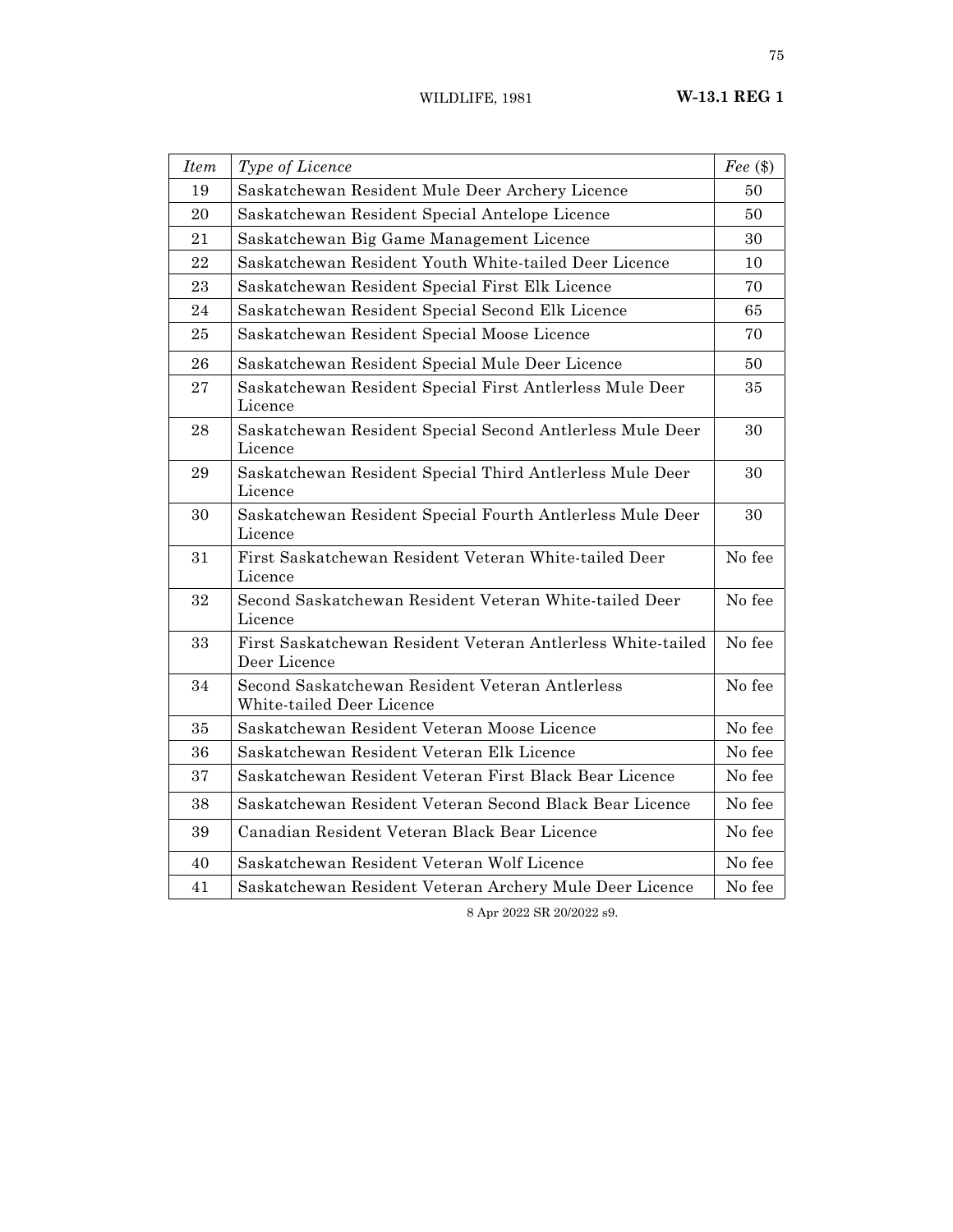| <b>Item</b> | Type of Licence                                                              | Fee $(\$)$ |
|-------------|------------------------------------------------------------------------------|------------|
| 19          | Saskatchewan Resident Mule Deer Archery Licence                              | 50         |
| 20          | Saskatchewan Resident Special Antelope Licence                               | 50         |
| 21          | Saskatchewan Big Game Management Licence                                     | 30         |
| 22          | Saskatchewan Resident Youth White-tailed Deer Licence                        | 10         |
| 23          | Saskatchewan Resident Special First Elk Licence                              | 70         |
| 24          | Saskatchewan Resident Special Second Elk Licence                             | 65         |
| 25          | Saskatchewan Resident Special Moose Licence                                  | 70         |
| 26          | Saskatchewan Resident Special Mule Deer Licence                              | 50         |
| 27          | Saskatchewan Resident Special First Antlerless Mule Deer<br>Licence          | 35         |
| 28          | Saskatchewan Resident Special Second Antlerless Mule Deer<br>Licence         | 30         |
| 29          | Saskatchewan Resident Special Third Antlerless Mule Deer<br>Licence          | 30         |
| 30          | Saskatchewan Resident Special Fourth Antlerless Mule Deer<br>Licence         | 30         |
| 31          | First Saskatchewan Resident Veteran White-tailed Deer<br>Licence             | No fee     |
| 32          | Second Saskatchewan Resident Veteran White-tailed Deer<br>Licence            | No fee     |
| 33          | First Saskatchewan Resident Veteran Antlerless White-tailed<br>Deer Licence  | No fee     |
| 34          | Second Saskatchewan Resident Veteran Antlerless<br>White-tailed Deer Licence | No fee     |
| 35          | Saskatchewan Resident Veteran Moose Licence                                  | No fee     |
| 36          | Saskatchewan Resident Veteran Elk Licence                                    | No fee     |
| 37          | Saskatchewan Resident Veteran First Black Bear Licence                       | No fee     |
| 38          | Saskatchewan Resident Veteran Second Black Bear Licence                      | No fee     |
| 39          | Canadian Resident Veteran Black Bear Licence                                 | No fee     |
| 40          | Saskatchewan Resident Veteran Wolf Licence                                   | No fee     |
| 41          | Saskatchewan Resident Veteran Archery Mule Deer Licence                      | No fee     |

8 Apr 2022 SR 20/2022 s9.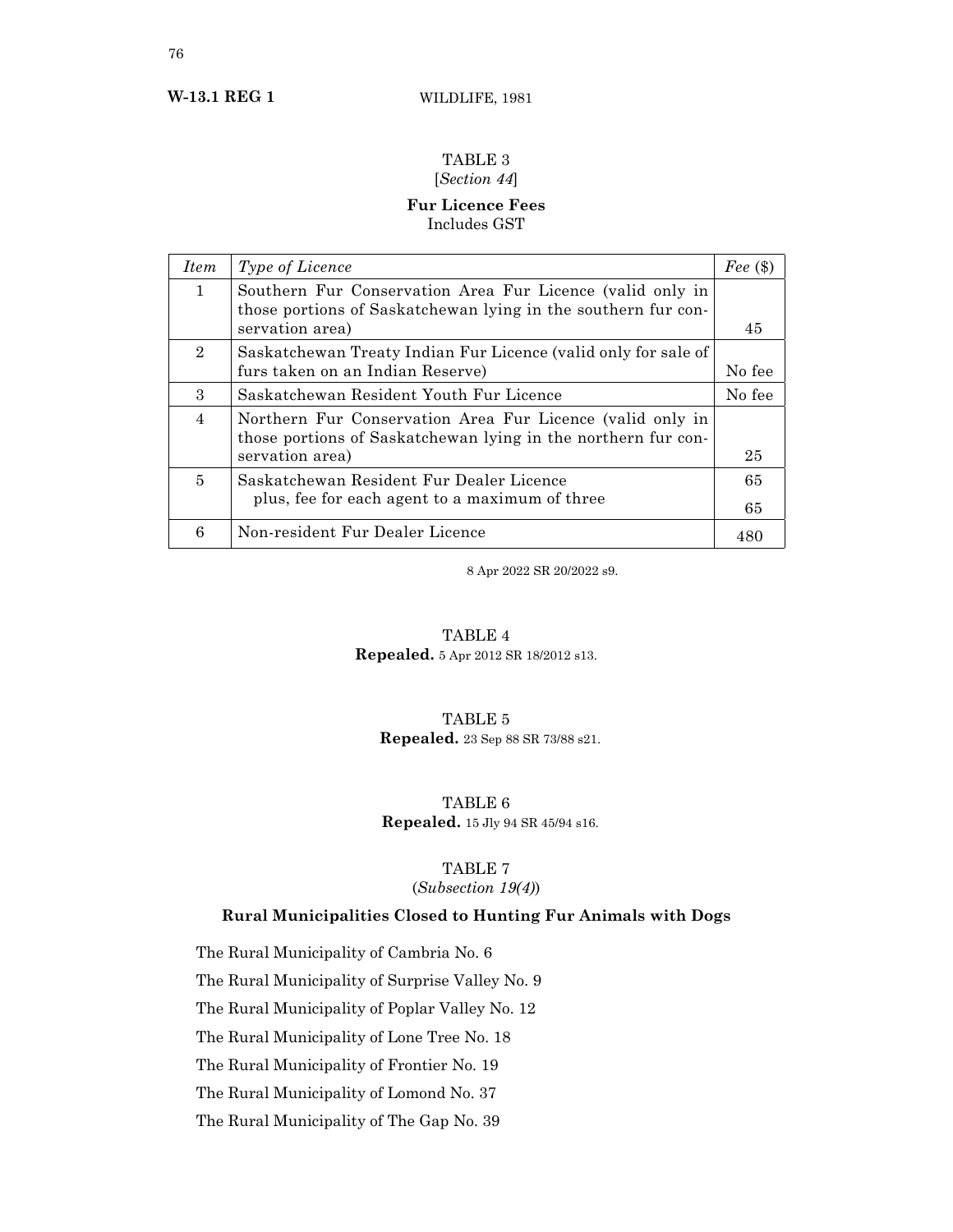# TABLE 3

# [*Section 44*]

## **Fur Licence Fees** Includes GST

| <i>Item</i>    | <i>Type of Licence</i>                                                                                                     | Fee $(\$)$ |
|----------------|----------------------------------------------------------------------------------------------------------------------------|------------|
| $\mathbf{1}$   | Southern Fur Conservation Area Fur Licence (valid only in<br>those portions of Saskatchewan lying in the southern fur con- | 45         |
|                | servation area)                                                                                                            |            |
| $\overline{2}$ | Saskatchewan Treaty Indian Fur Licence (valid only for sale of<br>furs taken on an Indian Reserve)                         | No fee     |
| $\mathcal{S}$  | Saskatchewan Resident Youth Fur Licence                                                                                    | No fee     |
| $\overline{4}$ | Northern Fur Conservation Area Fur Licence (valid only in<br>those portions of Saskatchewan lying in the northern fur con- |            |
|                | servation area)                                                                                                            | 25         |
| 5              | Saskatchewan Resident Fur Dealer Licence                                                                                   | 65         |
|                | plus, fee for each agent to a maximum of three                                                                             | 65         |
| 6              | Non-resident Fur Dealer Licence                                                                                            | 480        |

8 Apr 2022 SR 20/2022 s9.

# TABLE 4

**Repealed.** 5 Apr 2012 SR 18/2012 s13.

## TABLE 5 **Repealed.** 23 Sep 88 SR 73/88 s21.

## TABLE 6 **Repealed.** 15 Jly 94 SR 45/94 s16.

## TABLE 7

## (*Subsection 19(4)*)

## **Rural Municipalities Closed to Hunting Fur Animals with Dogs**

The Rural Municipality of Cambria No. 6

The Rural Municipality of Surprise Valley No. 9

The Rural Municipality of Poplar Valley No. 12

The Rural Municipality of Lone Tree No. 18

The Rural Municipality of Frontier No. 19

The Rural Municipality of Lomond No. 37

The Rural Municipality of The Gap No. 39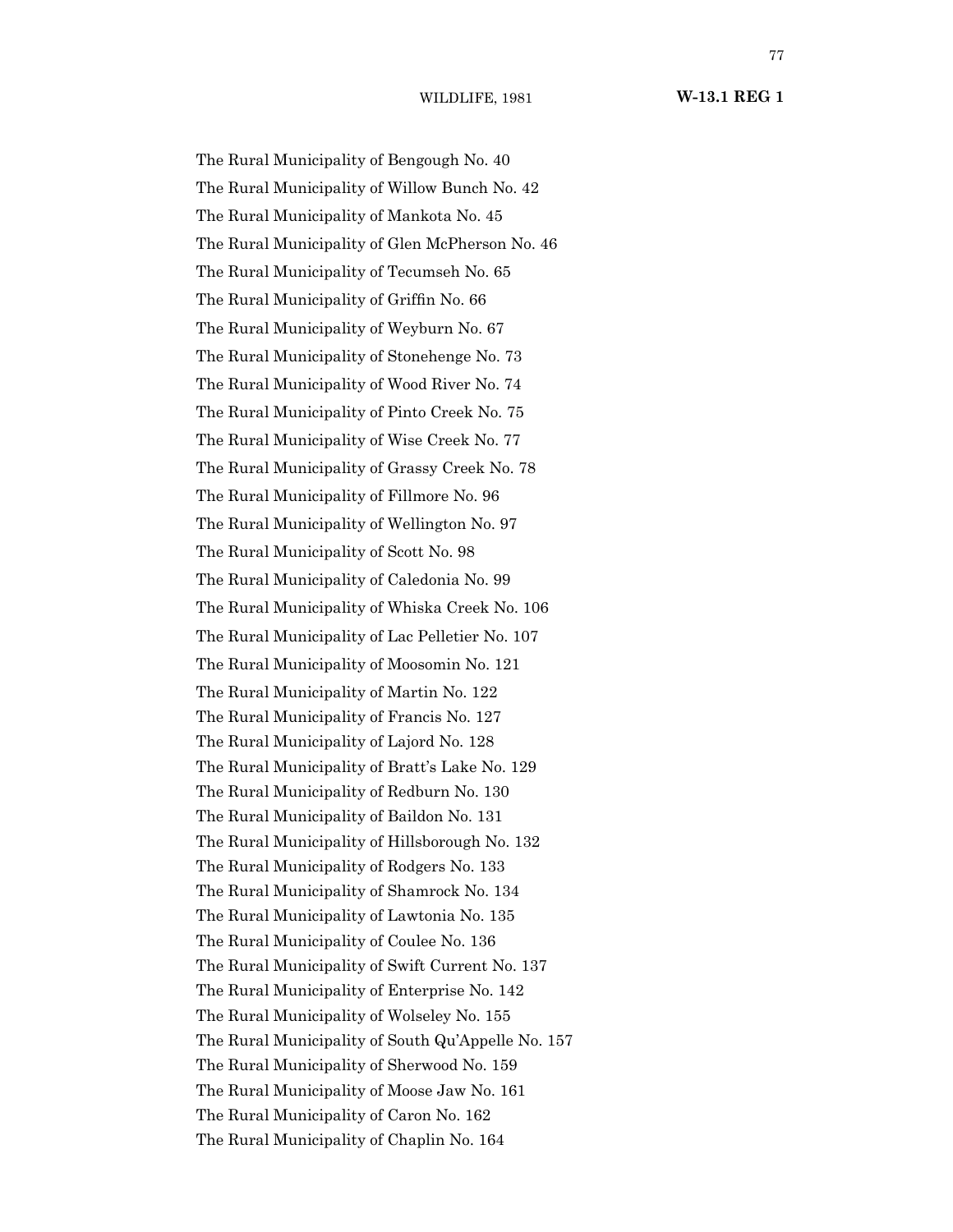WILDLIFE, 1981 **W-13.1 REG 1**

The Rural Municipality of Bengough No. 40 The Rural Municipality of Willow Bunch No. 42 The Rural Municipality of Mankota No. 45 The Rural Municipality of Glen McPherson No. 46 The Rural Municipality of Tecumseh No. 65 The Rural Municipality of Griffin No. 66 The Rural Municipality of Weyburn No. 67 The Rural Municipality of Stonehenge No. 73 The Rural Municipality of Wood River No. 74 The Rural Municipality of Pinto Creek No. 75 The Rural Municipality of Wise Creek No. 77 The Rural Municipality of Grassy Creek No. 78 The Rural Municipality of Fillmore No. 96 The Rural Municipality of Wellington No. 97 The Rural Municipality of Scott No. 98 The Rural Municipality of Caledonia No. 99 The Rural Municipality of Whiska Creek No. 106 The Rural Municipality of Lac Pelletier No. 107 The Rural Municipality of Moosomin No. 121 The Rural Municipality of Martin No. 122 The Rural Municipality of Francis No. 127 The Rural Municipality of Lajord No. 128 The Rural Municipality of Bratt's Lake No. 129 The Rural Municipality of Redburn No. 130 The Rural Municipality of Baildon No. 131 The Rural Municipality of Hillsborough No. 132 The Rural Municipality of Rodgers No. 133 The Rural Municipality of Shamrock No. 134 The Rural Municipality of Lawtonia No. 135 The Rural Municipality of Coulee No. 136 The Rural Municipality of Swift Current No. 137 The Rural Municipality of Enterprise No. 142 The Rural Municipality of Wolseley No. 155 The Rural Municipality of South Qu'Appelle No. 157 The Rural Municipality of Sherwood No. 159 The Rural Municipality of Moose Jaw No. 161 The Rural Municipality of Caron No. 162 The Rural Municipality of Chaplin No. 164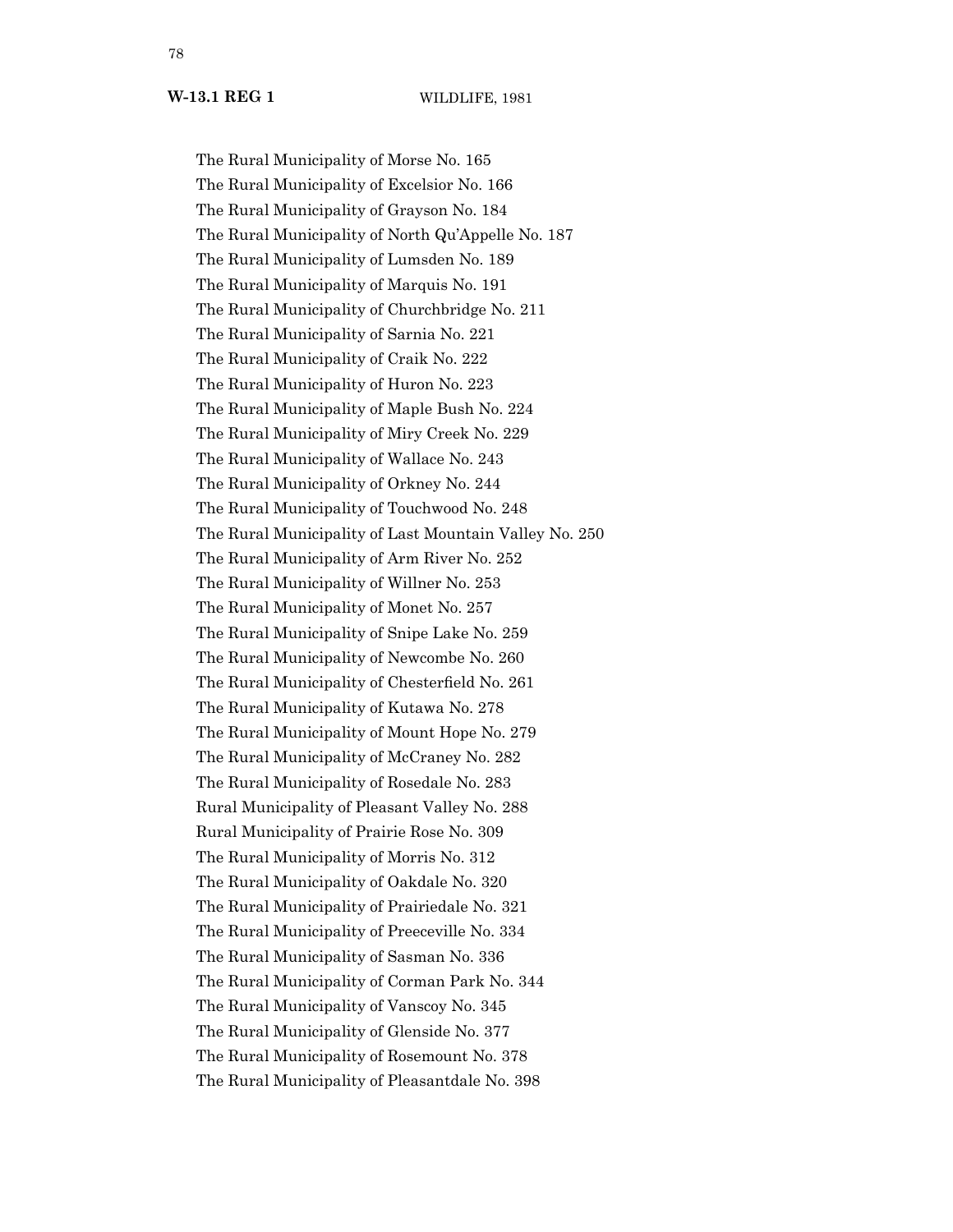The Rural Municipality of Morse No. 165 The Rural Municipality of Excelsior No. 166 The Rural Municipality of Grayson No. 184 The Rural Municipality of North Qu'Appelle No. 187 The Rural Municipality of Lumsden No. 189 The Rural Municipality of Marquis No. 191 The Rural Municipality of Churchbridge No. 211 The Rural Municipality of Sarnia No. 221 The Rural Municipality of Craik No. 222 The Rural Municipality of Huron No. 223 The Rural Municipality of Maple Bush No. 224 The Rural Municipality of Miry Creek No. 229 The Rural Municipality of Wallace No. 243 The Rural Municipality of Orkney No. 244 The Rural Municipality of Touchwood No. 248 The Rural Municipality of Last Mountain Valley No. 250 The Rural Municipality of Arm River No. 252 The Rural Municipality of Willner No. 253 The Rural Municipality of Monet No. 257 The Rural Municipality of Snipe Lake No. 259 The Rural Municipality of Newcombe No. 260 The Rural Municipality of Chesterfield No. 261 The Rural Municipality of Kutawa No. 278 The Rural Municipality of Mount Hope No. 279 The Rural Municipality of McCraney No. 282 The Rural Municipality of Rosedale No. 283 Rural Municipality of Pleasant Valley No. 288 Rural Municipality of Prairie Rose No. 309 The Rural Municipality of Morris No. 312 The Rural Municipality of Oakdale No. 320 The Rural Municipality of Prairiedale No. 321 The Rural Municipality of Preeceville No. 334 The Rural Municipality of Sasman No. 336 The Rural Municipality of Corman Park No. 344 The Rural Municipality of Vanscoy No. 345 The Rural Municipality of Glenside No. 377 The Rural Municipality of Rosemount No. 378 The Rural Municipality of Pleasantdale No. 398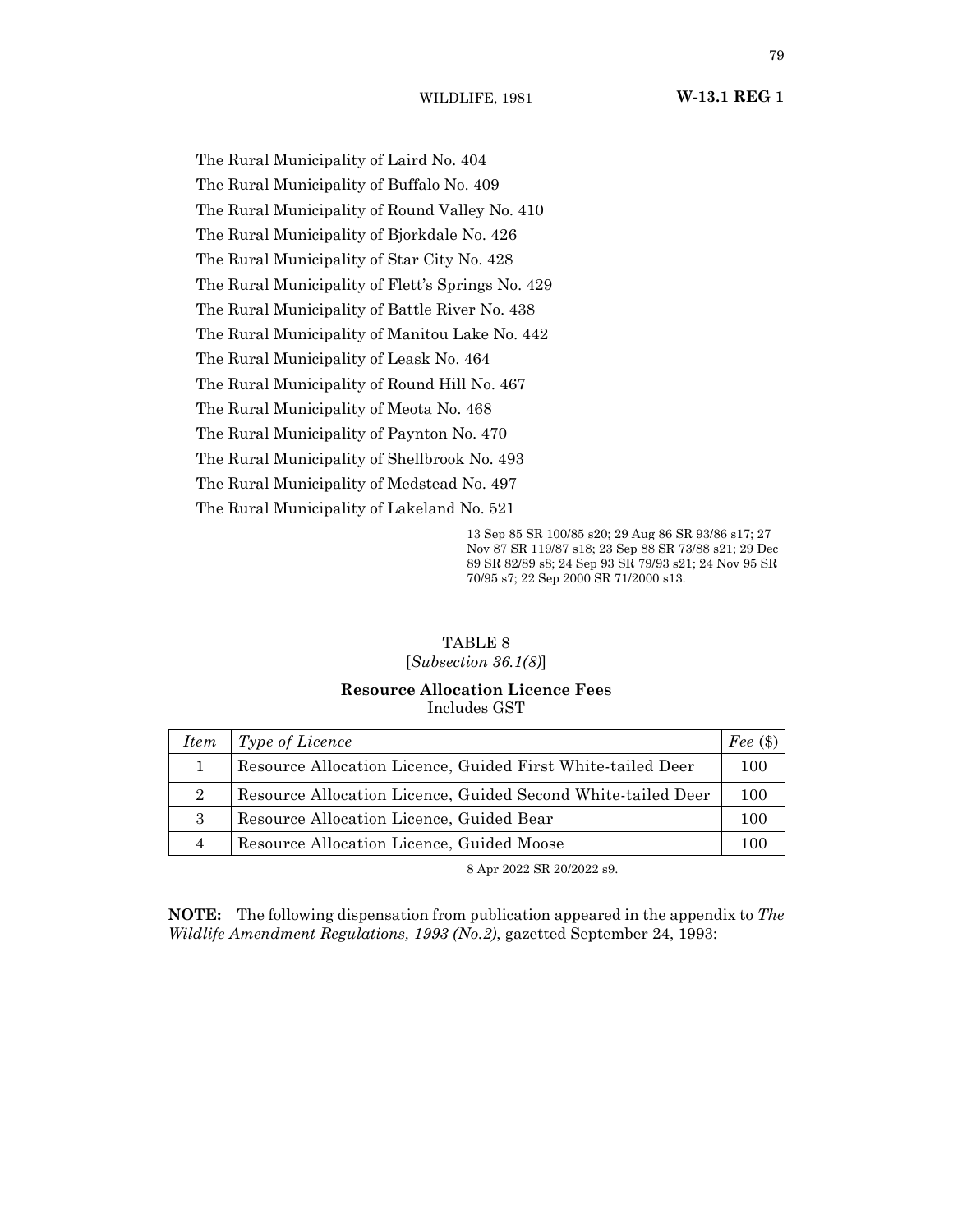WILDLIFE, 1981 **W-13.1 REG 1**

The Rural Municipality of Laird No. 404 The Rural Municipality of Buffalo No. 409 The Rural Municipality of Round Valley No. 410 The Rural Municipality of Bjorkdale No. 426 The Rural Municipality of Star City No. 428 The Rural Municipality of Flett's Springs No. 429 The Rural Municipality of Battle River No. 438 The Rural Municipality of Manitou Lake No. 442 The Rural Municipality of Leask No. 464 The Rural Municipality of Round Hill No. 467 The Rural Municipality of Meota No. 468 The Rural Municipality of Paynton No. 470 The Rural Municipality of Shellbrook No. 493 The Rural Municipality of Medstead No. 497 The Rural Municipality of Lakeland No. 521

13 Sep 85 SR 100/85 s20; 29 Aug 86 SR 93/86 s17; 27 Nov 87 SR 119/87 s18; 23 Sep 88 SR 73/88 s21; 29 Dec 89 SR 82/89 s8; 24 Sep 93 SR 79/93 s21; 24 Nov 95 SR 70/95 s7; 22 Sep 2000 SR 71/2000 s13.

# TABLE 8

## [*Subsection 36.1(8)*]

## **Resource Allocation Licence Fees** Includes GST

| <i>Item</i>    | Type of Licence                                              | Fee $(\$)$ |
|----------------|--------------------------------------------------------------|------------|
|                | Resource Allocation Licence, Guided First White-tailed Deer  | 100        |
| $\overline{2}$ | Resource Allocation Licence, Guided Second White-tailed Deer | 100        |
| 3              | Resource Allocation Licence, Guided Bear                     | 100        |
|                | Resource Allocation Licence, Guided Moose                    | 100        |

8 Apr 2022 SR 20/2022 s9.

**NOTE:** The following dispensation from publication appeared in the appendix to *The Wildlife Amendment Regulations, 1993 (No.2)*, gazetted September 24, 1993: